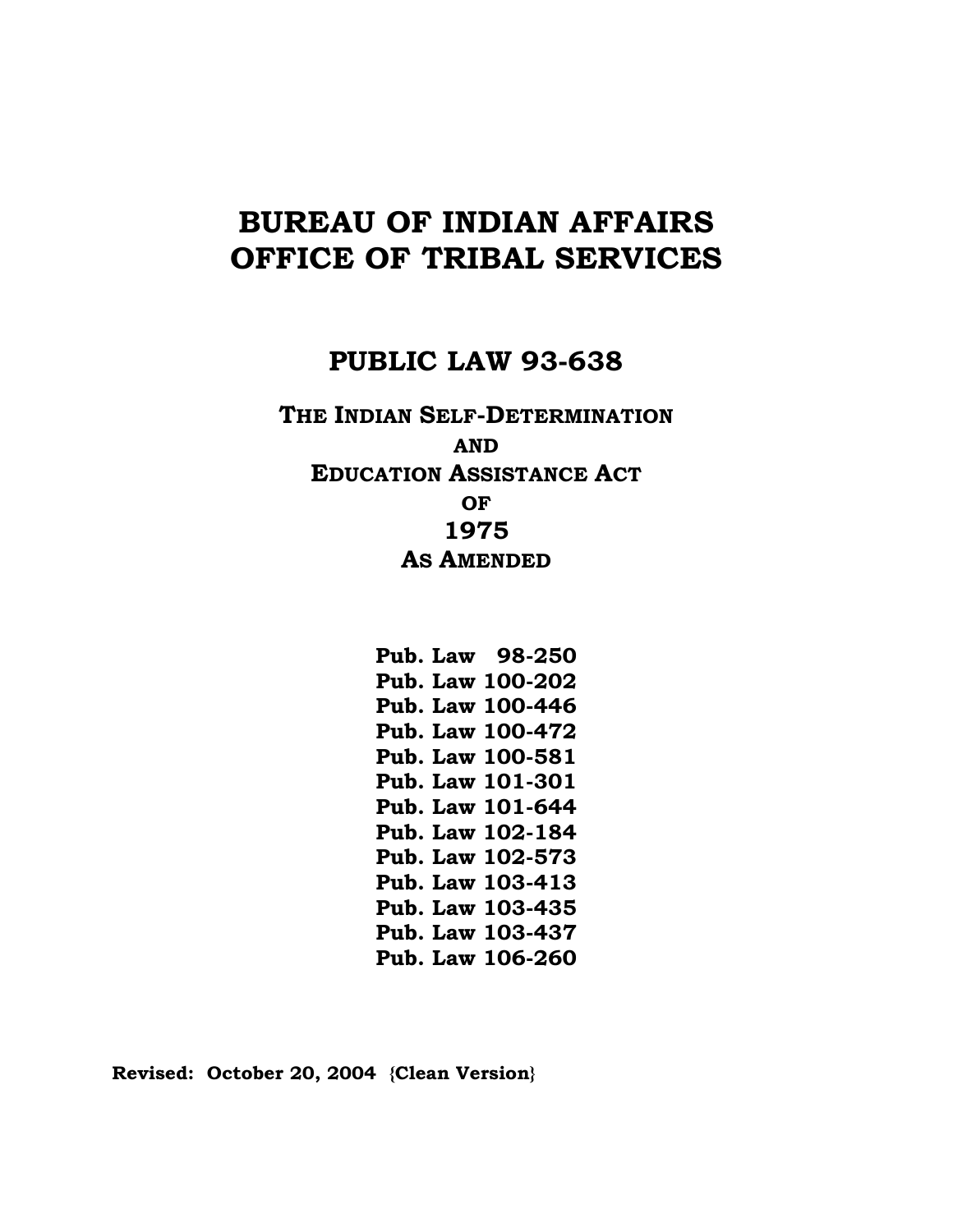# **BUREAU OF INDIAN AFFAIRS OFFICE OF TRIBAL SERVICES**

## **PUBLIC LAW 93-638**

**THE INDIAN SELF-DETERMINATION AND EDUCATION ASSISTANCE ACT OF 1975 AS AMENDED**

> **Pub. Law 98-250 Pub. Law 100-202 Pub. Law 100-446 Pub. Law 100-472 Pub. Law 100-581 Pub. Law 101-301 Pub. Law 101-644 Pub. Law 102-184 Pub. Law 102-573 Pub. Law 103-413 Pub. Law 103-435 Pub. Law 103-437 Pub. Law 106-260**

**Revised: October 20, 2004 {Clean Version}**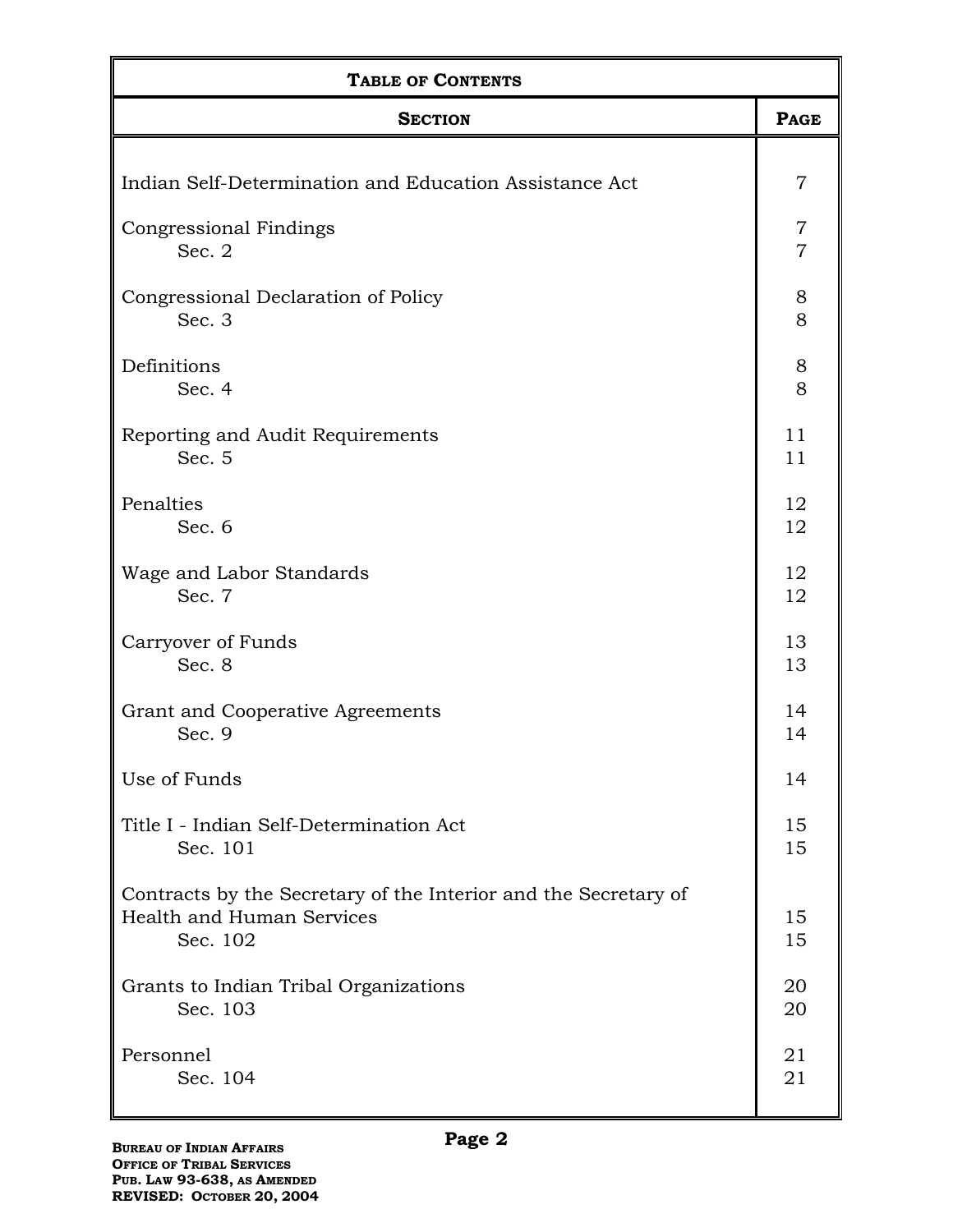| <b>TABLE OF CONTENTS</b>                                                                                 |                |  |
|----------------------------------------------------------------------------------------------------------|----------------|--|
| <b>SECTION</b>                                                                                           | <b>PAGE</b>    |  |
| Indian Self-Determination and Education Assistance Act                                                   | 7              |  |
| Congressional Findings                                                                                   | 7              |  |
| Sec. 2                                                                                                   | $\overline{7}$ |  |
| Congressional Declaration of Policy                                                                      | $8\,$          |  |
| Sec. 3                                                                                                   | 8              |  |
| Definitions                                                                                              | 8              |  |
| Sec. 4                                                                                                   | 8              |  |
| Reporting and Audit Requirements                                                                         | 11             |  |
| Sec. 5                                                                                                   | 11             |  |
| Penalties                                                                                                | 12             |  |
| Sec. 6                                                                                                   | 12             |  |
| Wage and Labor Standards                                                                                 | 12             |  |
| Sec. 7                                                                                                   | 12             |  |
| Carryover of Funds                                                                                       | 13             |  |
| Sec. 8                                                                                                   | 13             |  |
| Grant and Cooperative Agreements                                                                         | 14             |  |
| Sec. 9                                                                                                   | 14             |  |
| Use of Funds                                                                                             | 14             |  |
| Title I - Indian Self-Determination Act                                                                  | 15             |  |
| Sec. 101                                                                                                 | 15             |  |
| Contracts by the Secretary of the Interior and the Secretary of<br>Health and Human Services<br>Sec. 102 | 15<br>15       |  |
| Grants to Indian Tribal Organizations                                                                    | 20             |  |
| Sec. 103                                                                                                 | 20             |  |
| Personnel                                                                                                | 21             |  |
| Sec. 104                                                                                                 | 21             |  |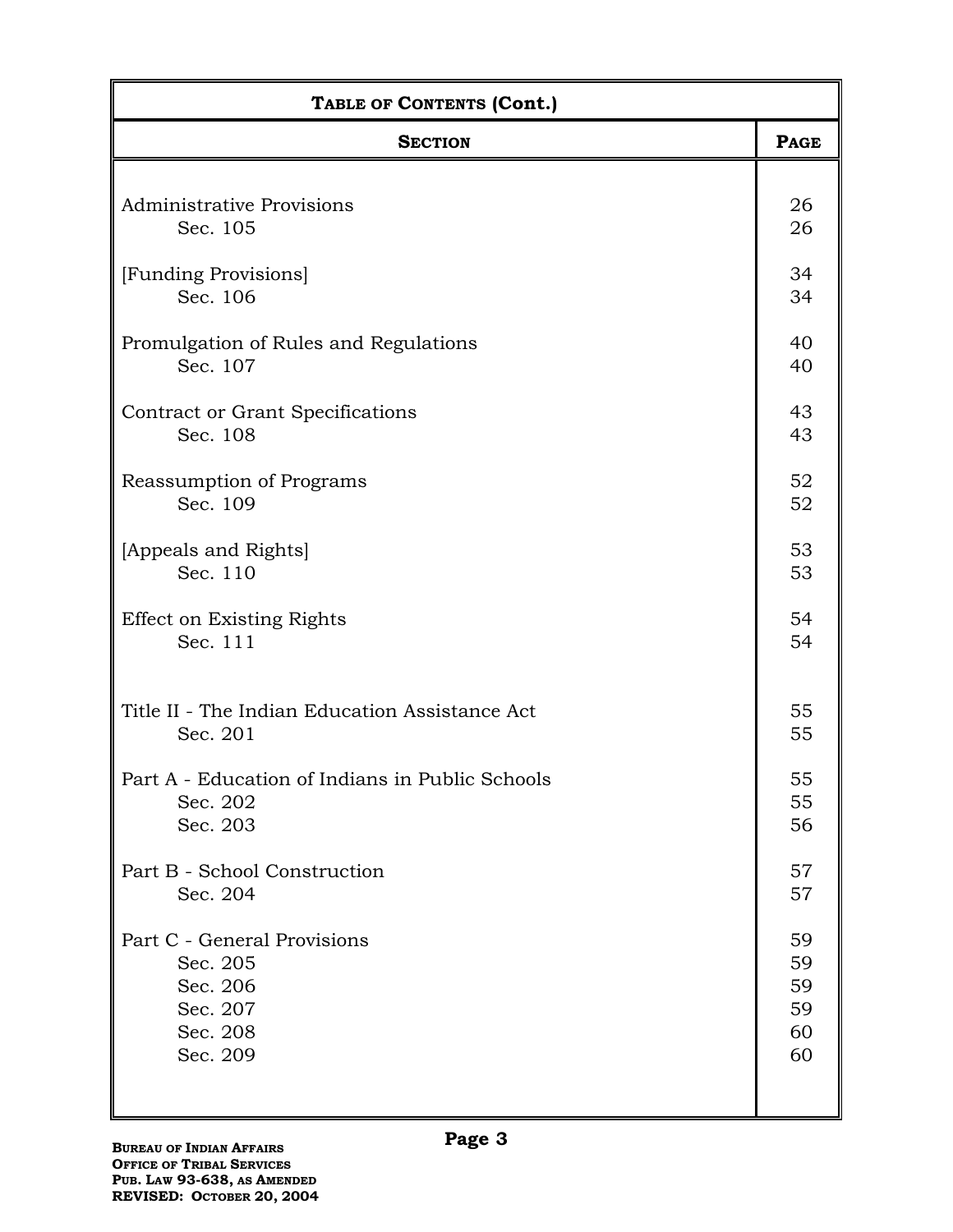| TABLE OF CONTENTS (Cont.)                       |             |
|-------------------------------------------------|-------------|
| <b>SECTION</b>                                  | <b>PAGE</b> |
| <b>Administrative Provisions</b>                | 26          |
| Sec. 105                                        | 26          |
| [Funding Provisions]                            | 34          |
| Sec. 106                                        | 34          |
| Promulgation of Rules and Regulations           | 40          |
| Sec. 107                                        | 40          |
| Contract or Grant Specifications                | 43          |
| Sec. 108                                        | 43          |
| Reassumption of Programs                        | 52          |
| Sec. 109                                        | 52          |
| [Appeals and Rights]                            | 53          |
| Sec. 110                                        | 53          |
| <b>Effect on Existing Rights</b>                | 54          |
| Sec. 111                                        | 54          |
| Title II - The Indian Education Assistance Act  | 55          |
| Sec. 201                                        | 55          |
| Part A - Education of Indians in Public Schools | 55          |
| Sec. 202                                        | 55          |
| Sec. 203                                        | 56          |
| Part B - School Construction                    | 57          |
| Sec. 204                                        | 57          |
| Part C - General Provisions                     | 59          |
| Sec. 205                                        | 59          |
| Sec. 206                                        | 59          |
| Sec. 207                                        | 59          |
| Sec. 208                                        | 60          |
| Sec. 209                                        | 60          |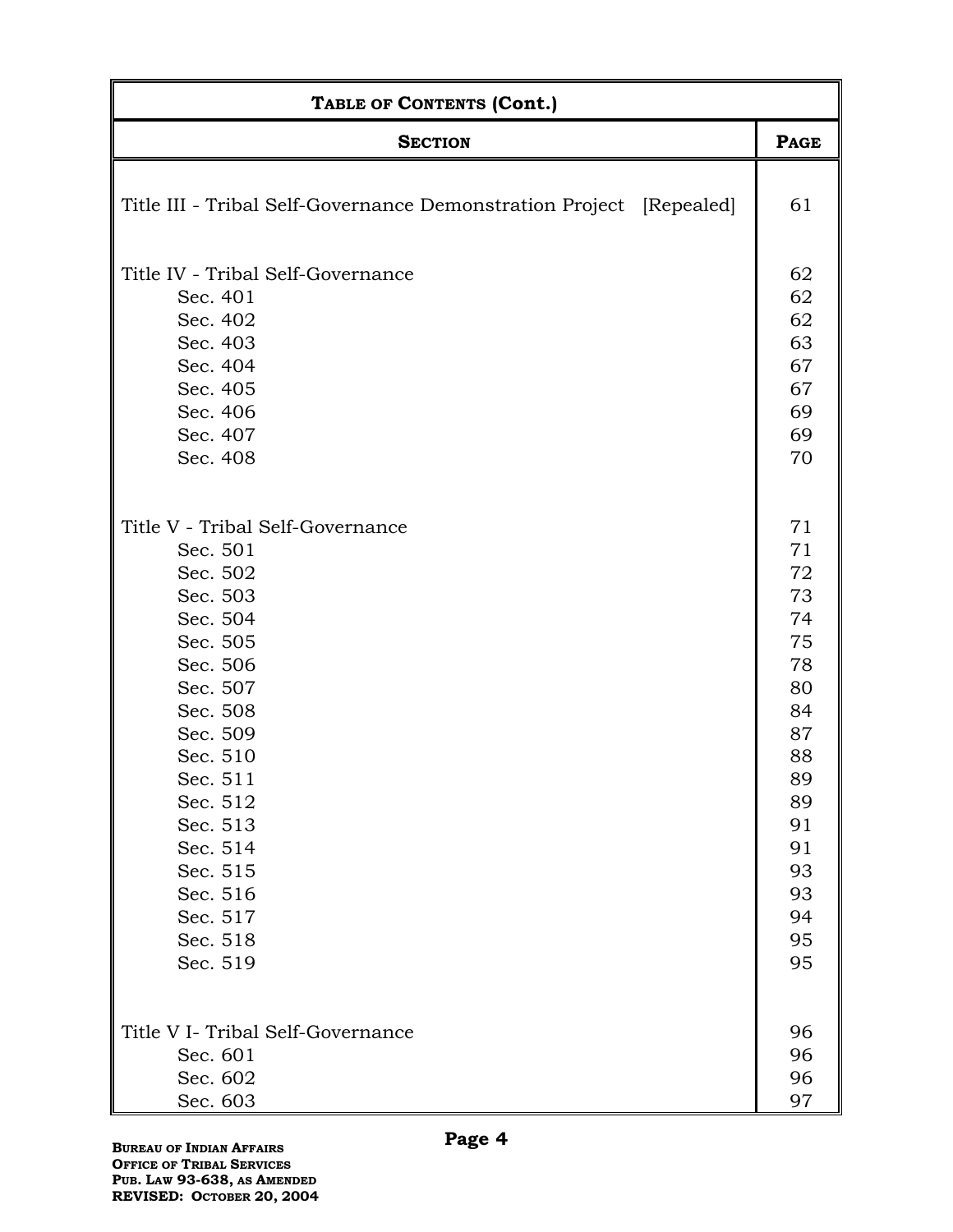| TABLE OF CONTENTS (Cont.)                                           |             |  |
|---------------------------------------------------------------------|-------------|--|
| <b>SECTION</b>                                                      | <b>PAGE</b> |  |
| Title III - Tribal Self-Governance Demonstration Project [Repealed] | 61          |  |
| Title IV - Tribal Self-Governance                                   | 62          |  |
| Sec. 401                                                            | 62          |  |
| Sec. 402                                                            | 62          |  |
| Sec. 403                                                            | 63          |  |
| Sec. 404                                                            | 67          |  |
| Sec. 405                                                            | 67          |  |
| Sec. 406                                                            | 69          |  |
| Sec. 407                                                            | 69          |  |
| Sec. 408                                                            | 70          |  |
| Title V - Tribal Self-Governance                                    | 71          |  |
| Sec. 501                                                            | 71          |  |
| Sec. 502                                                            | 72          |  |
| Sec. 503                                                            | 73          |  |
| Sec. 504                                                            | 74          |  |
| Sec. 505                                                            | 75          |  |
| Sec. 506                                                            | 78          |  |
| Sec. 507                                                            | 80          |  |
| Sec. 508                                                            | 84          |  |
| Sec. 509                                                            | 87          |  |
| Sec. 510                                                            | 88          |  |
| Sec. 511                                                            | 89          |  |
| Sec. 512                                                            | 89          |  |
| Sec. 513                                                            | 91          |  |
| Sec. 514                                                            | 91          |  |
| Sec. 515                                                            | 93          |  |
| Sec. 516                                                            | 93          |  |
| Sec. 517                                                            | 94          |  |
| Sec. 518                                                            | 95          |  |
| Sec. 519                                                            | 95          |  |
| Title V I- Tribal Self-Governance                                   | 96          |  |
| Sec. 601                                                            | 96          |  |
| Sec. 602                                                            | 96          |  |
| Sec. 603                                                            | 97          |  |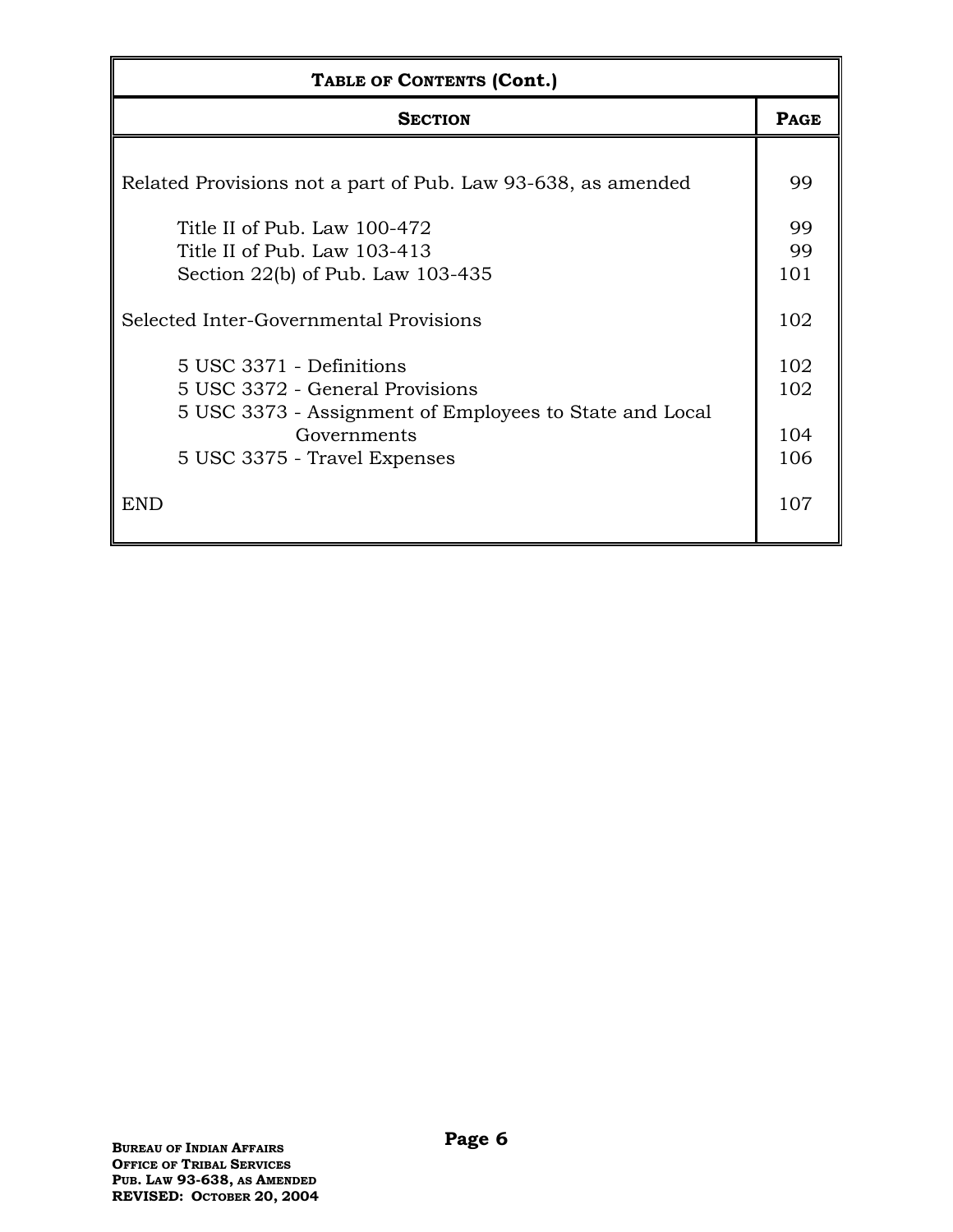| TABLE OF CONTENTS (Cont.)                                                                                                                                             |                          |
|-----------------------------------------------------------------------------------------------------------------------------------------------------------------------|--------------------------|
| <b>SECTION</b>                                                                                                                                                        | <b>PAGE</b>              |
| Related Provisions not a part of Pub. Law 93-638, as amended                                                                                                          | 99                       |
| Title II of Pub. Law 100-472<br>Title II of Pub. Law 103-413<br>Section 22(b) of Pub. Law 103-435                                                                     | 99<br>99<br>101          |
| Selected Inter-Governmental Provisions                                                                                                                                | 102                      |
| 5 USC 3371 - Definitions<br>5 USC 3372 - General Provisions<br>5 USC 3373 - Assignment of Employees to State and Local<br>Governments<br>5 USC 3375 - Travel Expenses | 102<br>102<br>104<br>106 |
| END                                                                                                                                                                   | 107                      |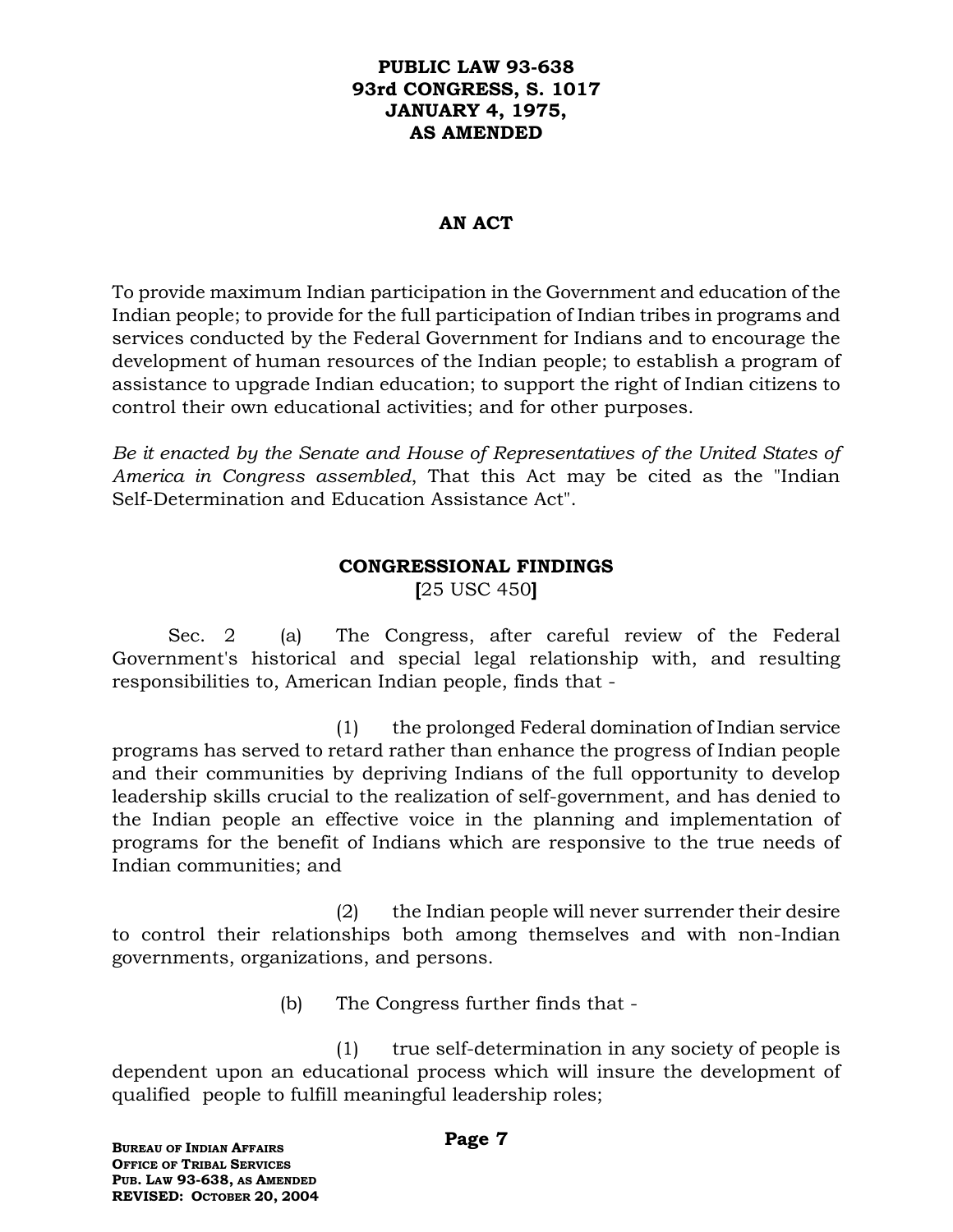#### **PUBLIC LAW 93-638 93rd CONGRESS, S. 1017 JANUARY 4, 1975, AS AMENDED**

#### **AN ACT**

To provide maximum Indian participation in the Government and education of the Indian people; to provide for the full participation of Indian tribes in programs and services conducted by the Federal Government for Indians and to encourage the development of human resources of the Indian people; to establish a program of assistance to upgrade Indian education; to support the right of Indian citizens to control their own educational activities; and for other purposes.

*Be it enacted by the Senate and House of Representatives of the United States of America in Congress assembled*, That this Act may be cited as the "Indian Self-Determination and Education Assistance Act".

## **CONGRESSIONAL FINDINGS**

**[**25 USC 450**]**

Sec. 2 (a) The Congress, after careful review of the Federal Government's historical and special legal relationship with, and resulting responsibilities to, American Indian people, finds that -

(1) the prolonged Federal domination of Indian service programs has served to retard rather than enhance the progress of Indian people and their communities by depriving Indians of the full opportunity to develop leadership skills crucial to the realization of self-government, and has denied to the Indian people an effective voice in the planning and implementation of programs for the benefit of Indians which are responsive to the true needs of Indian communities; and

(2) the Indian people will never surrender their desire to control their relationships both among themselves and with non-Indian governments, organizations, and persons.

(b) The Congress further finds that -

(1) true self-determination in any society of people is dependent upon an educational process which will insure the development of qualified people to fulfill meaningful leadership roles;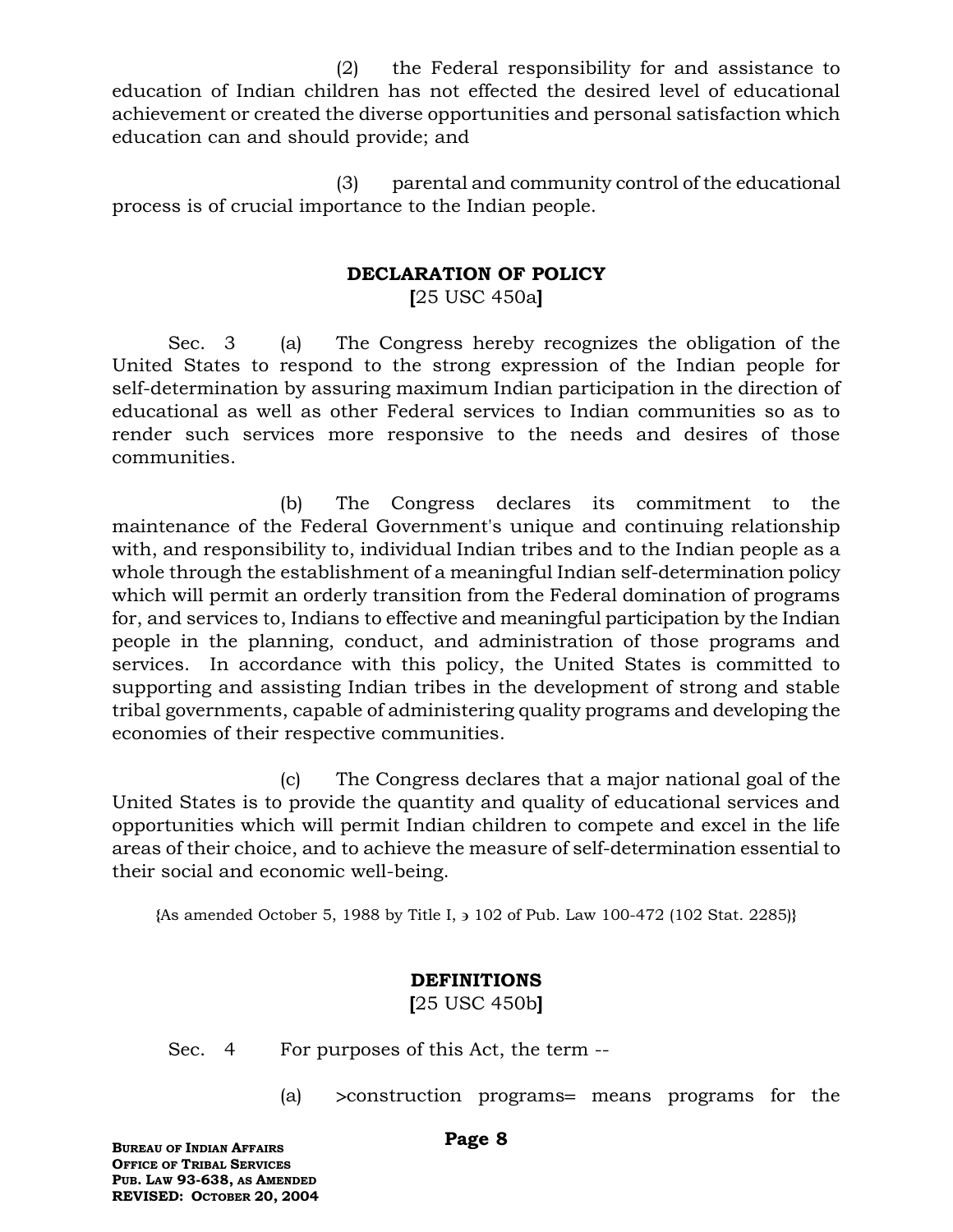(2) the Federal responsibility for and assistance to education of Indian children has not effected the desired level of educational achievement or created the diverse opportunities and personal satisfaction which education can and should provide; and

(3) parental and community control of the educational process is of crucial importance to the Indian people.

## **DECLARATION OF POLICY**

**[**25 USC 450a**]**

Sec. 3 (a) The Congress hereby recognizes the obligation of the United States to respond to the strong expression of the Indian people for self-determination by assuring maximum Indian participation in the direction of educational as well as other Federal services to Indian communities so as to render such services more responsive to the needs and desires of those communities.

(b) The Congress declares its commitment to the maintenance of the Federal Government's unique and continuing relationship with, and responsibility to, individual Indian tribes and to the Indian people as a whole through the establishment of a meaningful Indian self-determination policy which will permit an orderly transition from the Federal domination of programs for, and services to, Indians to effective and meaningful participation by the Indian people in the planning, conduct, and administration of those programs and services. In accordance with this policy, the United States is committed to supporting and assisting Indian tribes in the development of strong and stable tribal governments, capable of administering quality programs and developing the economies of their respective communities.

(c) The Congress declares that a major national goal of the United States is to provide the quantity and quality of educational services and opportunities which will permit Indian children to compete and excel in the life areas of their choice, and to achieve the measure of self-determination essential to their social and economic well-being.

**{**As amended October 5, 1988 by Title I, 102 of Pub. Law 100-472 (102 Stat. 2285)**}**

#### **DEFINITIONS**

**[**25 USC 450b**]**

Sec. 4 For purposes of this Act, the term --

(a)  $\geq$  construction programs means programs for the

**BUREAU OF INDIAN AFFAIRS OFFICE OF TRIBAL SERVICES PUB. LAW 93-638, AS AMENDED REVISED: OCTOBER 20, 2004**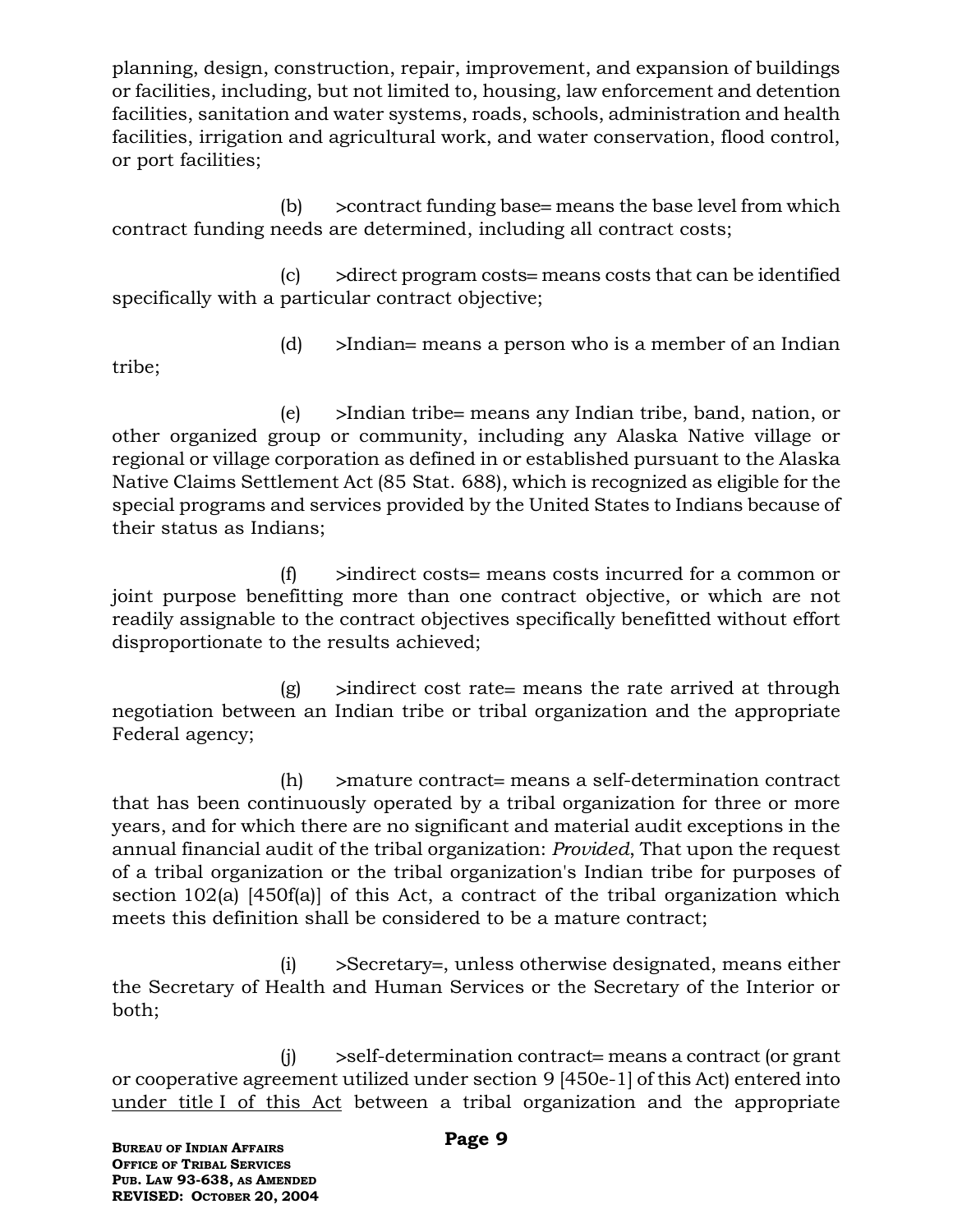planning, design, construction, repair, improvement, and expansion of buildings or facilities, including, but not limited to, housing, law enforcement and detention facilities, sanitation and water systems, roads, schools, administration and health facilities, irrigation and agricultural work, and water conservation, flood control, or port facilities;

(b)  $\geq$  contract funding base= means the base level from which contract funding needs are determined, including all contract costs;

 $\vert c \vert$   $\rightarrow$  direct program costs means costs that can be identified specifically with a particular contract objective;

(d)  $\rightarrow$ Indian = means a person who is a member of an Indian

tribe;

 $(e)$  >Indian tribe means any Indian tribe, band, nation, or other organized group or community, including any Alaska Native village or regional or village corporation as defined in or established pursuant to the Alaska Native Claims Settlement Act (85 Stat. 688), which is recognized as eligible for the special programs and services provided by the United States to Indians because of their status as Indians;

 $(f)$  indirect costs means costs incurred for a common or joint purpose benefitting more than one contract objective, or which are not readily assignable to the contract objectives specifically benefitted without effort disproportionate to the results achieved;

 $(g)$  >indirect cost rate means the rate arrived at through negotiation between an Indian tribe or tribal organization and the appropriate Federal agency;

 $(h)$  > mature contract = means a self-determination contract that has been continuously operated by a tribal organization for three or more years, and for which there are no significant and material audit exceptions in the annual financial audit of the tribal organization: *Provided*, That upon the request of a tribal organization or the tribal organization's Indian tribe for purposes of section 102(a) [450f(a)] of this Act, a contract of the tribal organization which meets this definition shall be considered to be a mature contract;

 $(i)$  >Secretary=, unless otherwise designated, means either the Secretary of Health and Human Services or the Secretary of the Interior or both;

 $(i)$  >self-determination contract=means a contract (or grant or cooperative agreement utilized under section 9 [450e-1] of this Act) entered into under title I of this Act between a tribal organization and the appropriate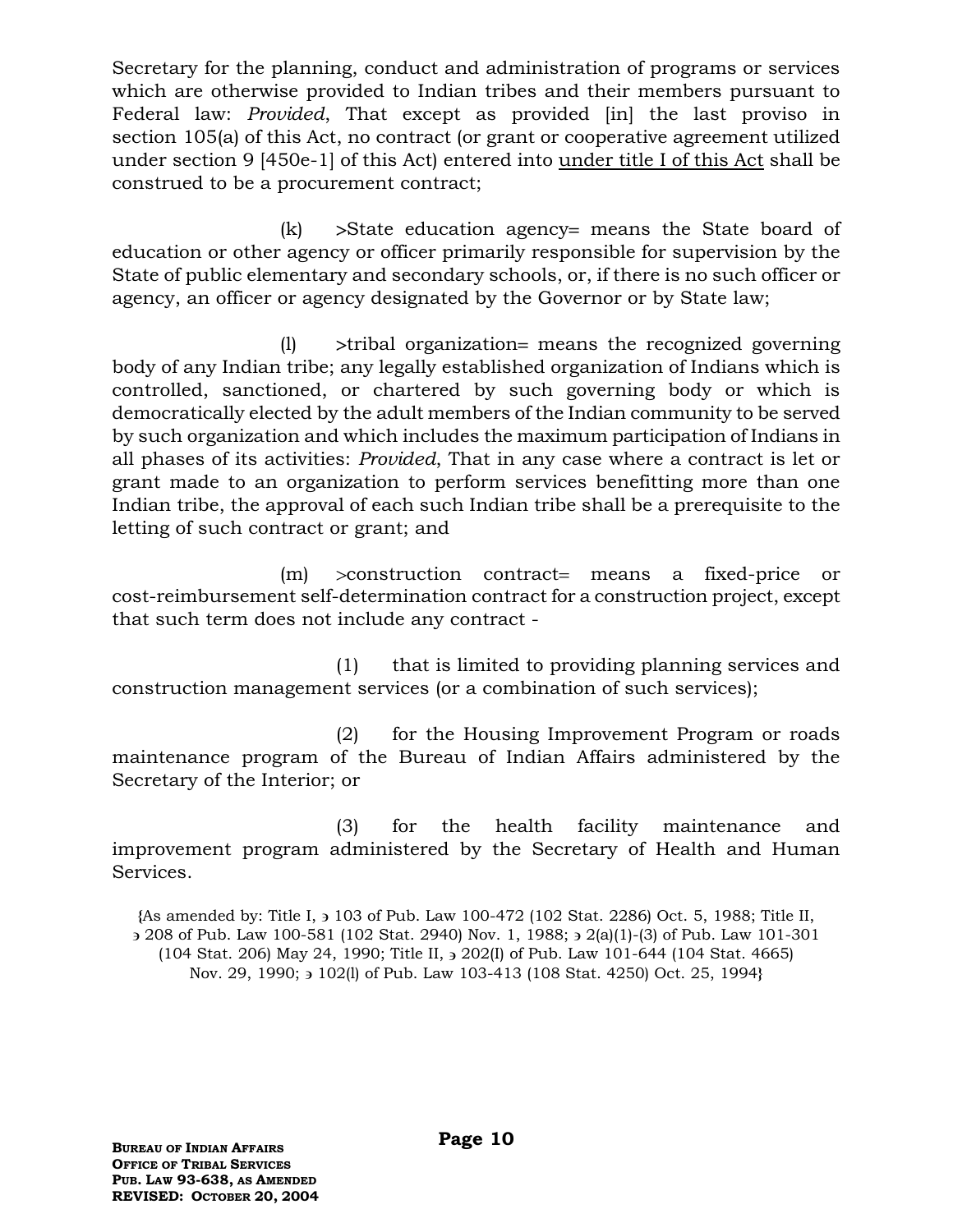Secretary for the planning, conduct and administration of programs or services which are otherwise provided to Indian tribes and their members pursuant to Federal law: *Provided*, That except as provided [in] the last proviso in section 105(a) of this Act, no contract (or grant or cooperative agreement utilized under section 9 [450e-1] of this Act) entered into under title I of this Act shall be construed to be a procurement contract;

 $(k)$  > State education agency = means the State board of education or other agency or officer primarily responsible for supervision by the State of public elementary and secondary schools, or, if there is no such officer or agency, an officer or agency designated by the Governor or by State law;

 $(1)$  >tribal organization means the recognized governing body of any Indian tribe; any legally established organization of Indians which is controlled, sanctioned, or chartered by such governing body or which is democratically elected by the adult members of the Indian community to be served by such organization and which includes the maximum participation of Indians in all phases of its activities: *Provided*, That in any case where a contract is let or grant made to an organization to perform services benefitting more than one Indian tribe, the approval of each such Indian tribe shall be a prerequisite to the letting of such contract or grant; and

 $(m)$  >construction contract means a fixed-price or cost-reimbursement self-determination contract for a construction project, except that such term does not include any contract -

(1) that is limited to providing planning services and construction management services (or a combination of such services);

(2) for the Housing Improvement Program or roads maintenance program of the Bureau of Indian Affairs administered by the Secretary of the Interior; or

(3) for the health facility maintenance and improvement program administered by the Secretary of Health and Human Services.

**{**As amended by: Title I, 103 of Pub. Law 100-472 (102 Stat. 2286) Oct. 5, 1988; Title II, 208 of Pub. Law 100-581 (102 Stat. 2940) Nov. 1, 1988; 2(a)(1)-(3) of Pub. Law 101-301 (104 Stat. 206) May 24, 1990; Title II, 202(I) of Pub. Law 101-644 (104 Stat. 4665) Nov. 29, 1990; 3 102(1) of Pub. Law 103-413 (108 Stat. 4250) Oct. 25, 1994**}**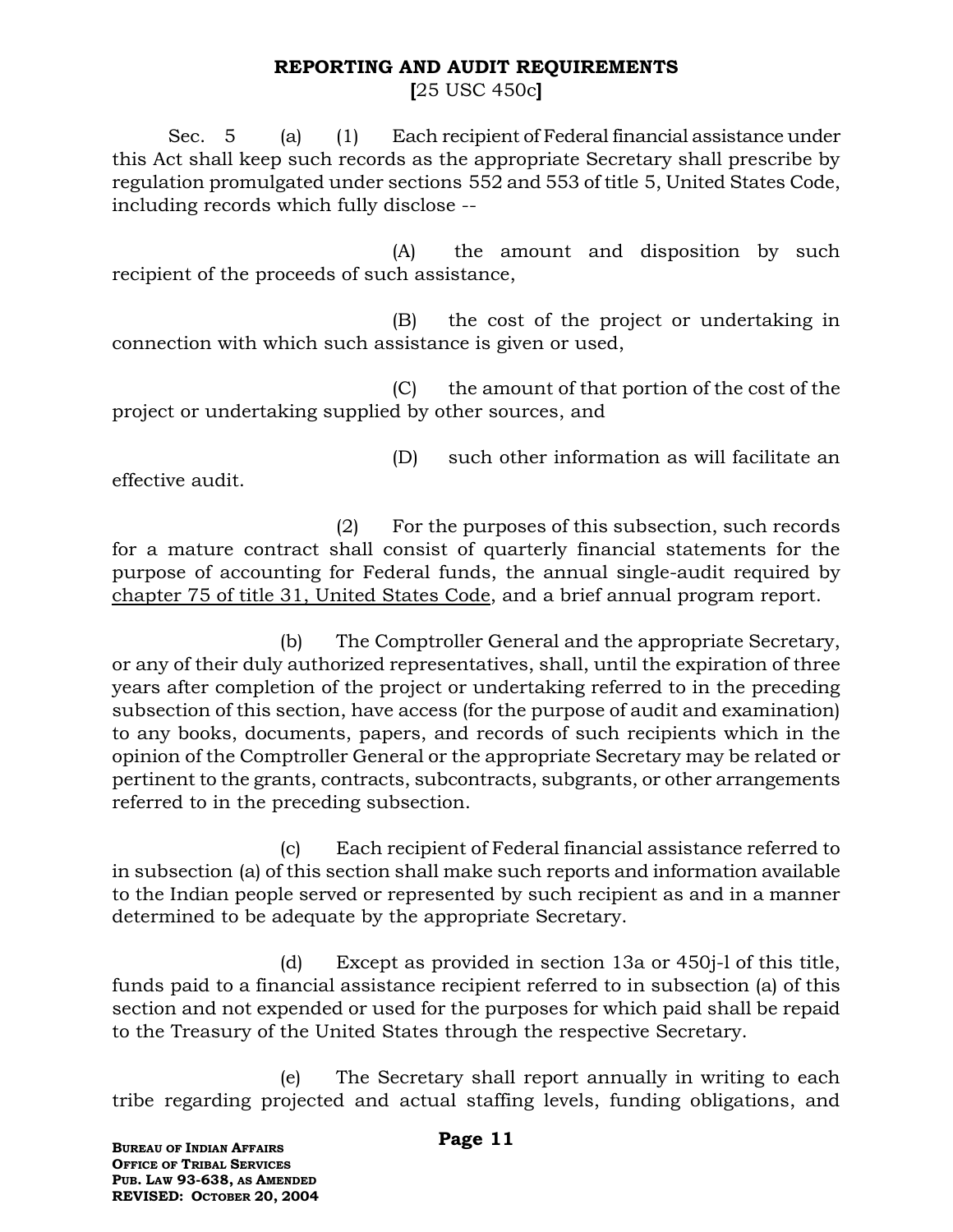## **REPORTING AND AUDIT REQUIREMENTS**

**[**25 USC 450c**]**

Sec. 5 (a) (1) Each recipient of Federal financial assistance under this Act shall keep such records as the appropriate Secretary shall prescribe by regulation promulgated under sections 552 and 553 of title 5, United States Code, including records which fully disclose --

(A) the amount and disposition by such recipient of the proceeds of such assistance,

(B) the cost of the project or undertaking in connection with which such assistance is given or used,

(C) the amount of that portion of the cost of the project or undertaking supplied by other sources, and

effective audit.

(D) such other information as will facilitate an

(2) For the purposes of this subsection, such records for a mature contract shall consist of quarterly financial statements for the purpose of accounting for Federal funds, the annual single-audit required by chapter 75 of title 31, United States Code, and a brief annual program report.

(b) The Comptroller General and the appropriate Secretary, or any of their duly authorized representatives, shall, until the expiration of three years after completion of the project or undertaking referred to in the preceding subsection of this section, have access (for the purpose of audit and examination) to any books, documents, papers, and records of such recipients which in the opinion of the Comptroller General or the appropriate Secretary may be related or pertinent to the grants, contracts, subcontracts, subgrants, or other arrangements referred to in the preceding subsection.

(c) Each recipient of Federal financial assistance referred to in subsection (a) of this section shall make such reports and information available to the Indian people served or represented by such recipient as and in a manner determined to be adequate by the appropriate Secretary.

(d) Except as provided in section 13a or 450j-l of this title, funds paid to a financial assistance recipient referred to in subsection (a) of this section and not expended or used for the purposes for which paid shall be repaid to the Treasury of the United States through the respective Secretary.

(e) The Secretary shall report annually in writing to each tribe regarding projected and actual staffing levels, funding obligations, and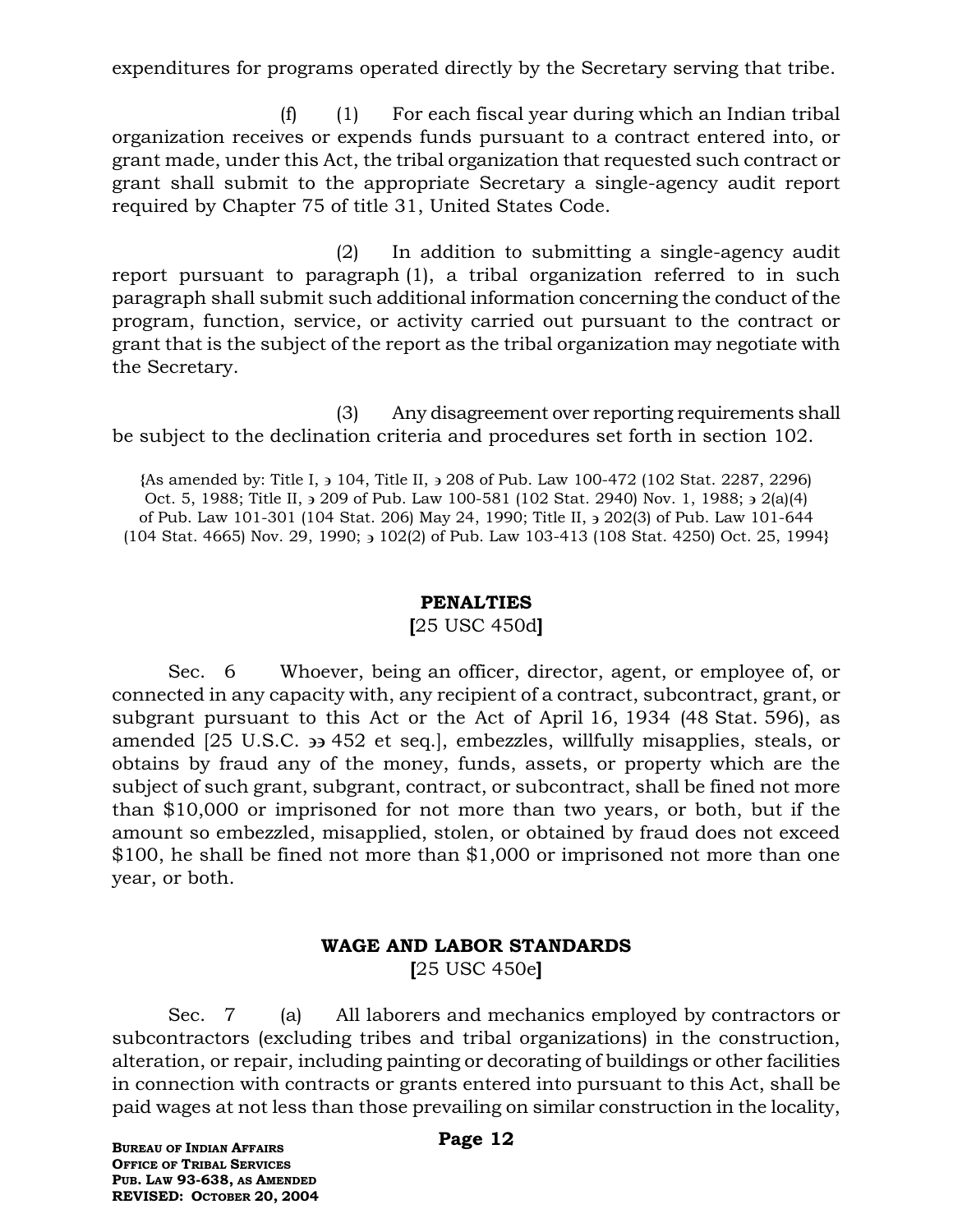expenditures for programs operated directly by the Secretary serving that tribe.

 $(f)$  (1) For each fiscal year during which an Indian tribal organization receives or expends funds pursuant to a contract entered into, or grant made, under this Act, the tribal organization that requested such contract or grant shall submit to the appropriate Secretary a single-agency audit report required by Chapter 75 of title 31, United States Code.

(2) In addition to submitting a single-agency audit report pursuant to paragraph (1), a tribal organization referred to in such paragraph shall submit such additional information concerning the conduct of the program, function, service, or activity carried out pursuant to the contract or grant that is the subject of the report as the tribal organization may negotiate with the Secretary.

(3) Any disagreement over reporting requirements shall be subject to the declination criteria and procedures set forth in section 102.

**{**As amended by: Title I, 104, Title II, 208 of Pub. Law 100-472 (102 Stat. 2287, 2296) Oct. 5, 1988; Title II,  $\frac{1}{2}$  209 of Pub. Law 100-581 (102 Stat. 2940) Nov. 1, 1988;  $\frac{1}{2}$  2(a)(4) of Pub. Law 101-301 (104 Stat. 206) May 24, 1990; Title II,  $\frac{1}{2}$  202(3) of Pub. Law 101-644 (104 Stat. 4665) Nov. 29, 1990; 102(2) of Pub. Law 103-413 (108 Stat. 4250) Oct. 25, 1994**}**

#### **PENALTIES**

#### **[**25 USC 450d**]**

Sec. 6 Whoever, being an officer, director, agent, or employee of, or connected in any capacity with, any recipient of a contract, subcontract, grant, or subgrant pursuant to this Act or the Act of April 16, 1934 (48 Stat. 596), as amended [25 U.S.C. 452 et seq.], embezzles, willfully misapplies, steals, or obtains by fraud any of the money, funds, assets, or property which are the subject of such grant, subgrant, contract, or subcontract, shall be fined not more than \$10,000 or imprisoned for not more than two years, or both, but if the amount so embezzled, misapplied, stolen, or obtained by fraud does not exceed \$100, he shall be fined not more than \$1,000 or imprisoned not more than one year, or both.

## **WAGE AND LABOR STANDARDS [**25 USC 450e**]**

Sec. 7 (a) All laborers and mechanics employed by contractors or subcontractors (excluding tribes and tribal organizations) in the construction, alteration, or repair, including painting or decorating of buildings or other facilities in connection with contracts or grants entered into pursuant to this Act, shall be paid wages at not less than those prevailing on similar construction in the locality,

**BUREAU OF INDIAN AFFAIRS OFFICE OF TRIBAL SERVICES PUB. LAW 93-638, AS AMENDED REVISED: OCTOBER 20, 2004**

#### **Page 12**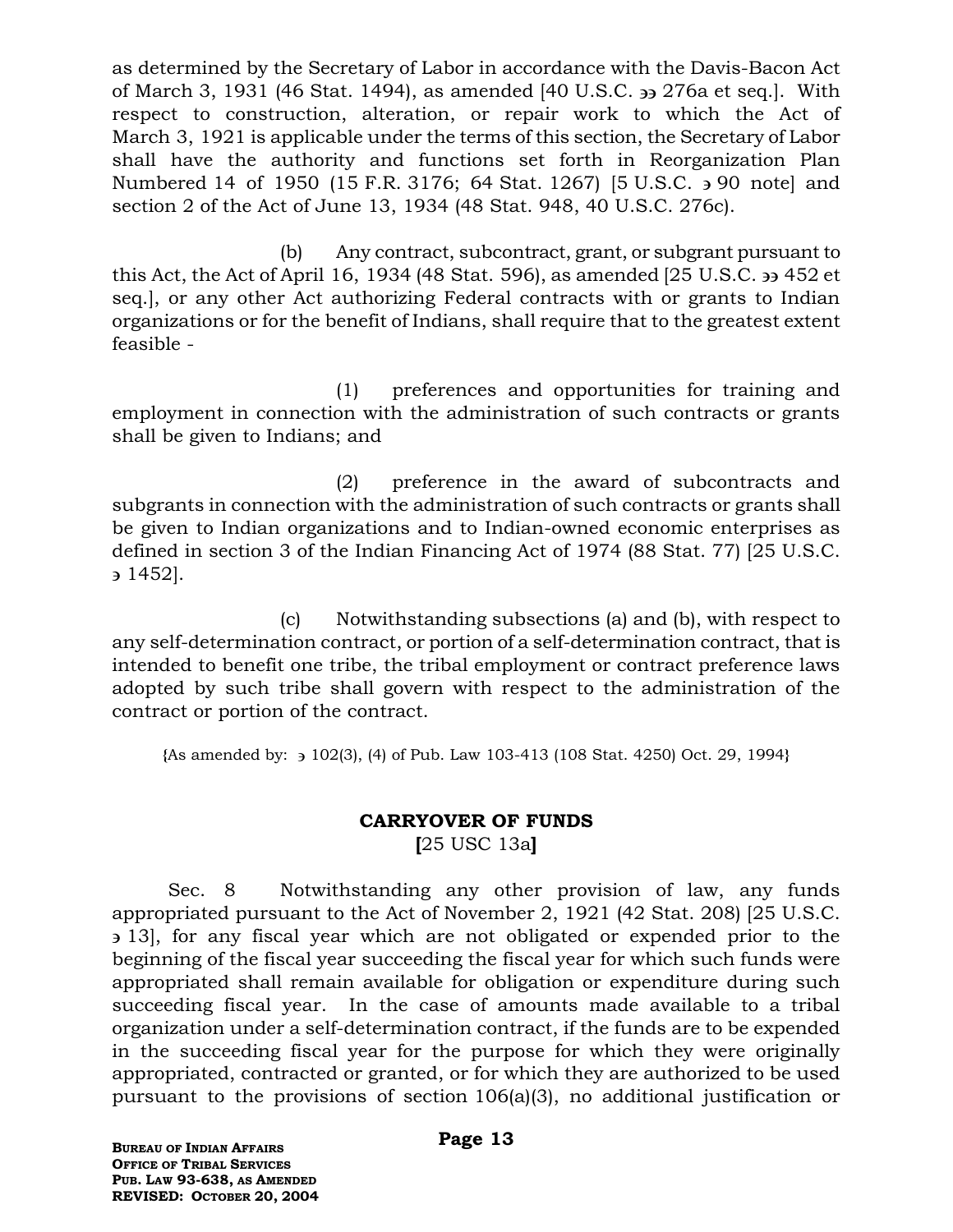as determined by the Secretary of Labor in accordance with the Davis-Bacon Act of March 3, 1931 (46 Stat. 1494), as amended [40 U.S.C. 276a et seq.]. With respect to construction, alteration, or repair work to which the Act of March 3, 1921 is applicable under the terms of this section, the Secretary of Labor shall have the authority and functions set forth in Reorganization Plan Numbered 14 of 1950 (15 F.R. 3176; 64 Stat. 1267) [5 U.S.C.  $\rightarrow$  90 note] and section 2 of the Act of June 13, 1934 (48 Stat. 948, 40 U.S.C. 276c).

(b) Any contract, subcontract, grant, or subgrant pursuant to this Act, the Act of April 16, 1934 (48 Stat. 596), as amended  $[25 \text{ U.S.C.} \rightarrow 452 \text{ et } ]$ seq.], or any other Act authorizing Federal contracts with or grants to Indian organizations or for the benefit of Indians, shall require that to the greatest extent feasible -

(1) preferences and opportunities for training and employment in connection with the administration of such contracts or grants shall be given to Indians; and

(2) preference in the award of subcontracts and subgrants in connection with the administration of such contracts or grants shall be given to Indian organizations and to Indian-owned economic enterprises as defined in section 3 of the Indian Financing Act of 1974 (88 Stat. 77) [25 U.S.C. 1452].

(c) Notwithstanding subsections (a) and (b), with respect to any self-determination contract, or portion of a self-determination contract, that is intended to benefit one tribe, the tribal employment or contract preference laws adopted by such tribe shall govern with respect to the administration of the contract or portion of the contract.

**{**As amended by: 102(3), (4) of Pub. Law 103-413 (108 Stat. 4250) Oct. 29, 1994**}**

## **CARRYOVER OF FUNDS [**25 USC 13a**]**

Sec. 8 Notwithstanding any other provision of law, any funds appropriated pursuant to the Act of November 2, 1921 (42 Stat. 208) [25 U.S.C. 13], for any fiscal year which are not obligated or expended prior to the beginning of the fiscal year succeeding the fiscal year for which such funds were appropriated shall remain available for obligation or expenditure during such succeeding fiscal year. In the case of amounts made available to a tribal organization under a self-determination contract, if the funds are to be expended in the succeeding fiscal year for the purpose for which they were originally appropriated, contracted or granted, or for which they are authorized to be used pursuant to the provisions of section 106(a)(3), no additional justification or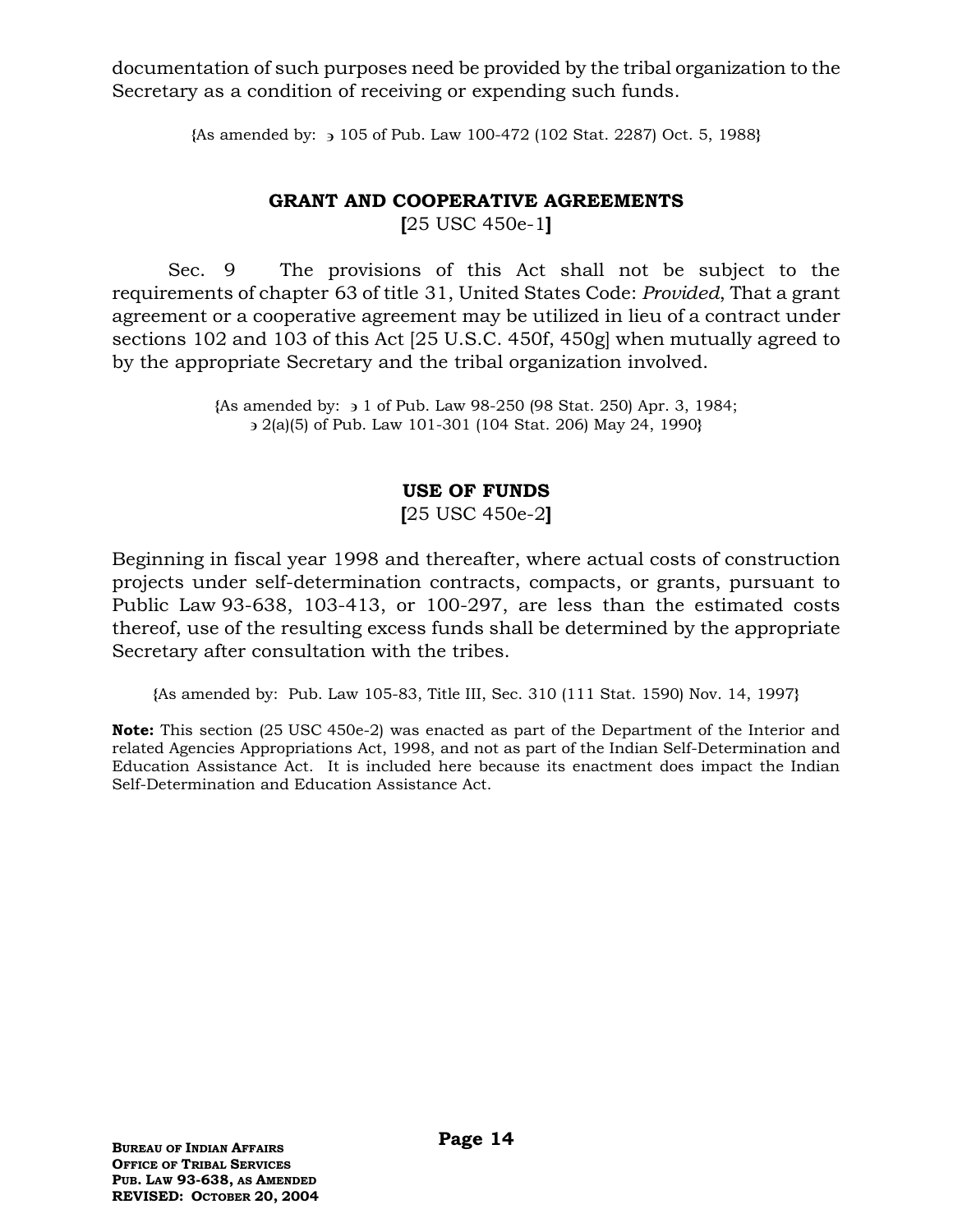documentation of such purposes need be provided by the tribal organization to the Secretary as a condition of receiving or expending such funds.

**{**As amended by: 105 of Pub. Law 100-472 (102 Stat. 2287) Oct. 5, 1988**}**

# **GRANT AND COOPERATIVE AGREEMENTS**

**[**25 USC 450e-1**]**

Sec. 9 The provisions of this Act shall not be subject to the requirements of chapter 63 of title 31, United States Code: *Provided*, That a grant agreement or a cooperative agreement may be utilized in lieu of a contract under sections 102 and 103 of this Act [25 U.S.C. 450f, 450g] when mutually agreed to by the appropriate Secretary and the tribal organization involved.

> **{**As amended by: 1 of Pub. Law 98-250 (98 Stat. 250) Apr. 3, 1984; 2(a)(5) of Pub. Law 101-301 (104 Stat. 206) May 24, 1990**}**

## **USE OF FUNDS**

**[**25 USC 450e-2**]**

Beginning in fiscal year 1998 and thereafter, where actual costs of construction projects under self-determination contracts, compacts, or grants, pursuant to Public Law 93-638, 103-413, or 100-297, are less than the estimated costs thereof, use of the resulting excess funds shall be determined by the appropriate Secretary after consultation with the tribes.

**{**As amended by: Pub. Law 105-83, Title III, Sec. 310 (111 Stat. 1590) Nov. 14, 1997**}**

**Note:** This section (25 USC 450e-2) was enacted as part of the Department of the Interior and related Agencies Appropriations Act, 1998, and not as part of the Indian Self-Determination and Education Assistance Act. It is included here because its enactment does impact the Indian Self-Determination and Education Assistance Act.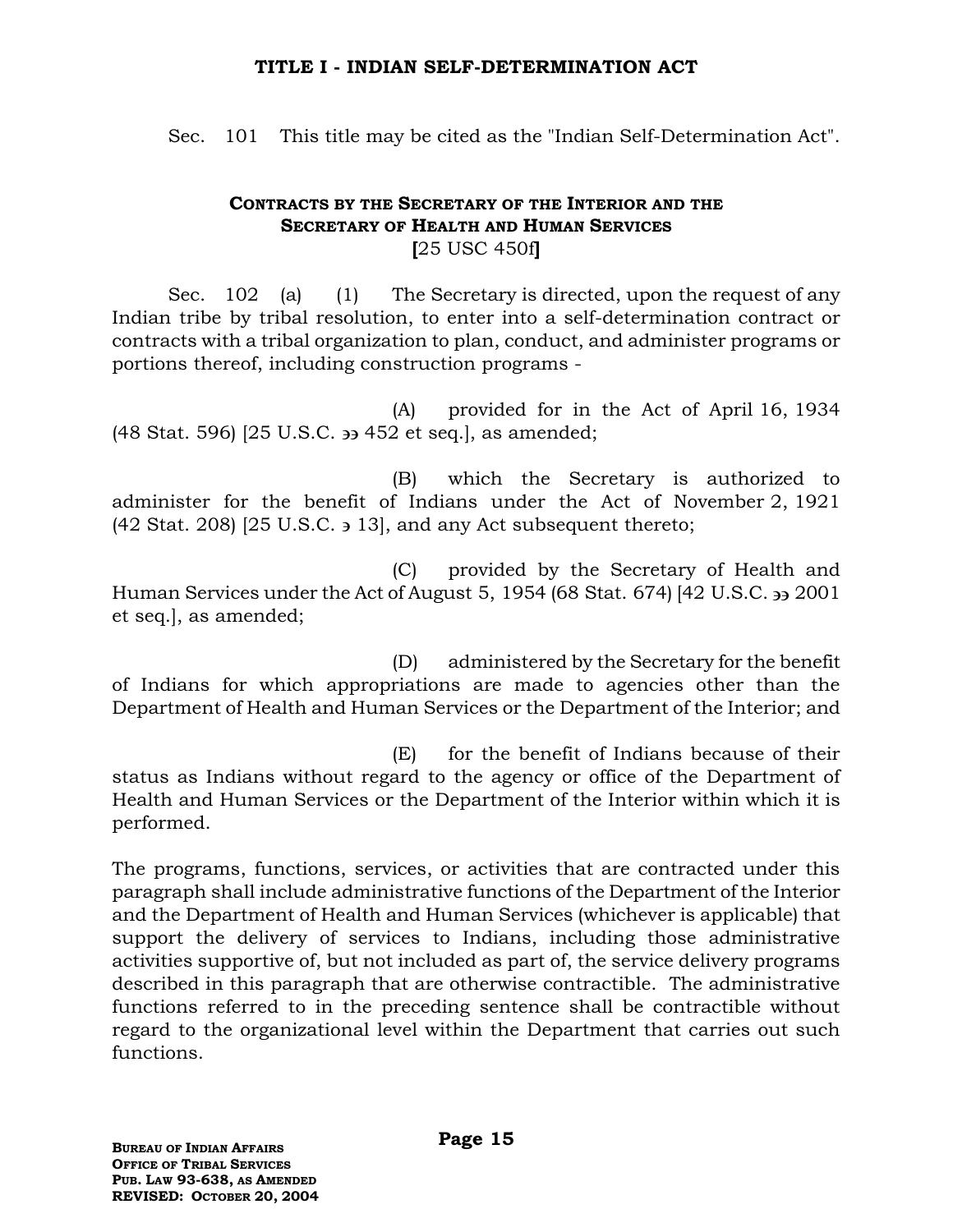#### **TITLE I - INDIAN SELF-DETERMINATION ACT**

Sec. 101 This title may be cited as the "Indian Self-Determination Act".

#### **CONTRACTS BY THE SECRETARY OF THE INTERIOR AND THE SECRETARY OF HEALTH AND HUMAN SERVICES [**25 USC 450f**]**

Sec. 102 (a) (1) The Secretary is directed, upon the request of any Indian tribe by tribal resolution, to enter into a self-determination contract or contracts with a tribal organization to plan, conduct, and administer programs or portions thereof, including construction programs -

(A) provided for in the Act of April 16, 1934 (48 Stat. 596) [25 U.S.C. 452 et seq.], as amended;

(B) which the Secretary is authorized to administer for the benefit of Indians under the Act of November 2, 1921  $(42 \text{ Stat. } 208)$   $[25 \text{ U.S.C. } 3 \text{ 13}]$ , and any Act subsequent thereto;

(C) provided by the Secretary of Health and Human Services under the Act of August 5, 1954 (68 Stat. 674) [42 U.S.C. 33 2001 et seq.], as amended;

(D) administered by the Secretary for the benefit of Indians for which appropriations are made to agencies other than the Department of Health and Human Services or the Department of the Interior; and

(E) for the benefit of Indians because of their status as Indians without regard to the agency or office of the Department of Health and Human Services or the Department of the Interior within which it is performed.

The programs, functions, services, or activities that are contracted under this paragraph shall include administrative functions of the Department of the Interior and the Department of Health and Human Services (whichever is applicable) that support the delivery of services to Indians, including those administrative activities supportive of, but not included as part of, the service delivery programs described in this paragraph that are otherwise contractible. The administrative functions referred to in the preceding sentence shall be contractible without regard to the organizational level within the Department that carries out such functions.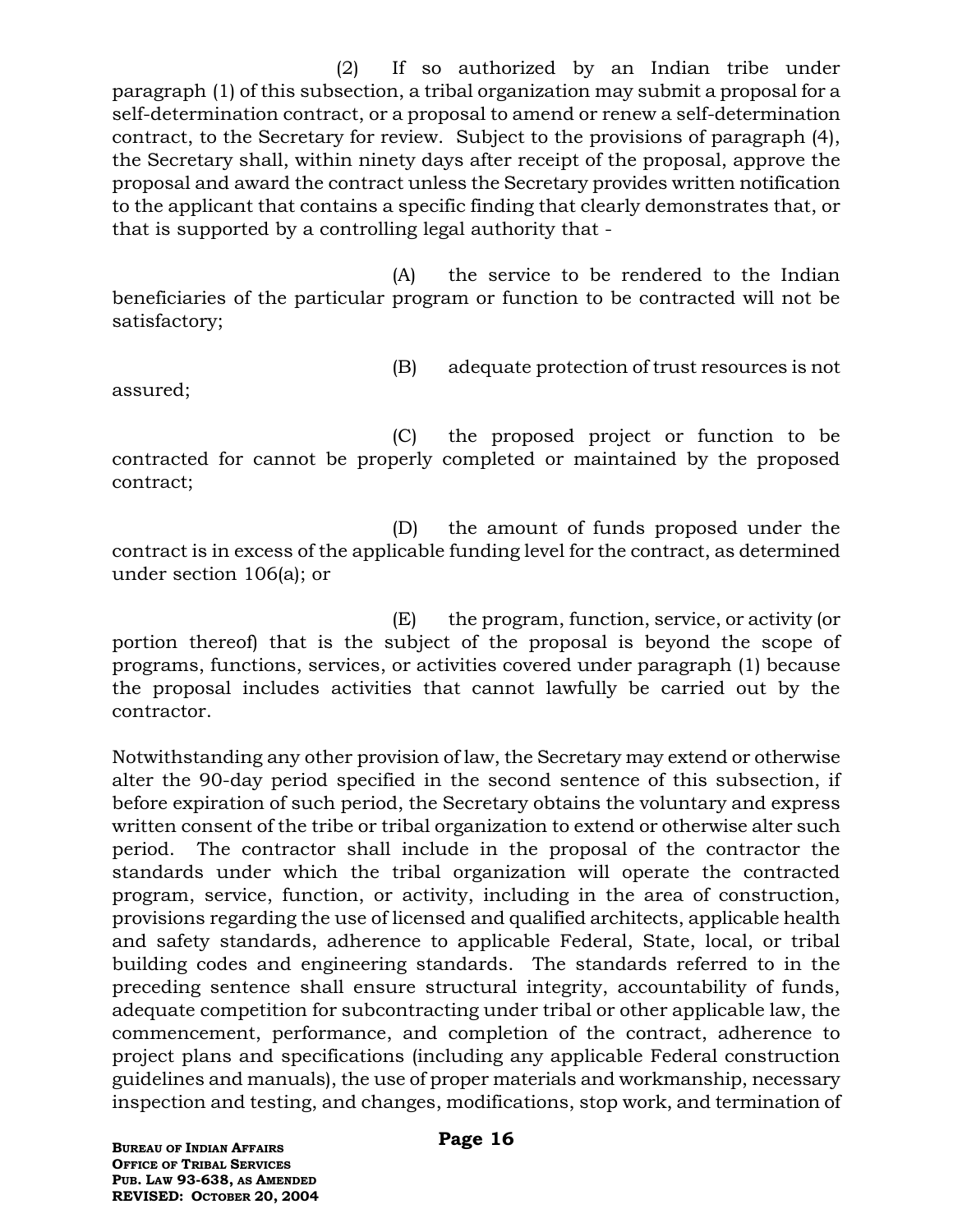(2) If so authorized by an Indian tribe under paragraph (1) of this subsection, a tribal organization may submit a proposal for a self-determination contract, or a proposal to amend or renew a self-determination contract, to the Secretary for review. Subject to the provisions of paragraph (4), the Secretary shall, within ninety days after receipt of the proposal, approve the proposal and award the contract unless the Secretary provides written notification to the applicant that contains a specific finding that clearly demonstrates that, or that is supported by a controlling legal authority that -

(A) the service to be rendered to the Indian beneficiaries of the particular program or function to be contracted will not be satisfactory;

- 
- (B) adequate protection of trust resources is not

assured;

(C) the proposed project or function to be contracted for cannot be properly completed or maintained by the proposed contract;

(D) the amount of funds proposed under the contract is in excess of the applicable funding level for the contract, as determined under section 106(a); or

(E) the program, function, service, or activity (or portion thereof) that is the subject of the proposal is beyond the scope of programs, functions, services, or activities covered under paragraph (1) because the proposal includes activities that cannot lawfully be carried out by the contractor.

Notwithstanding any other provision of law, the Secretary may extend or otherwise alter the 90-day period specified in the second sentence of this subsection, if before expiration of such period, the Secretary obtains the voluntary and express written consent of the tribe or tribal organization to extend or otherwise alter such period. The contractor shall include in the proposal of the contractor the standards under which the tribal organization will operate the contracted program, service, function, or activity, including in the area of construction, provisions regarding the use of licensed and qualified architects, applicable health and safety standards, adherence to applicable Federal, State, local, or tribal building codes and engineering standards. The standards referred to in the preceding sentence shall ensure structural integrity, accountability of funds, adequate competition for subcontracting under tribal or other applicable law, the commencement, performance, and completion of the contract, adherence to project plans and specifications (including any applicable Federal construction guidelines and manuals), the use of proper materials and workmanship, necessary inspection and testing, and changes, modifications, stop work, and termination of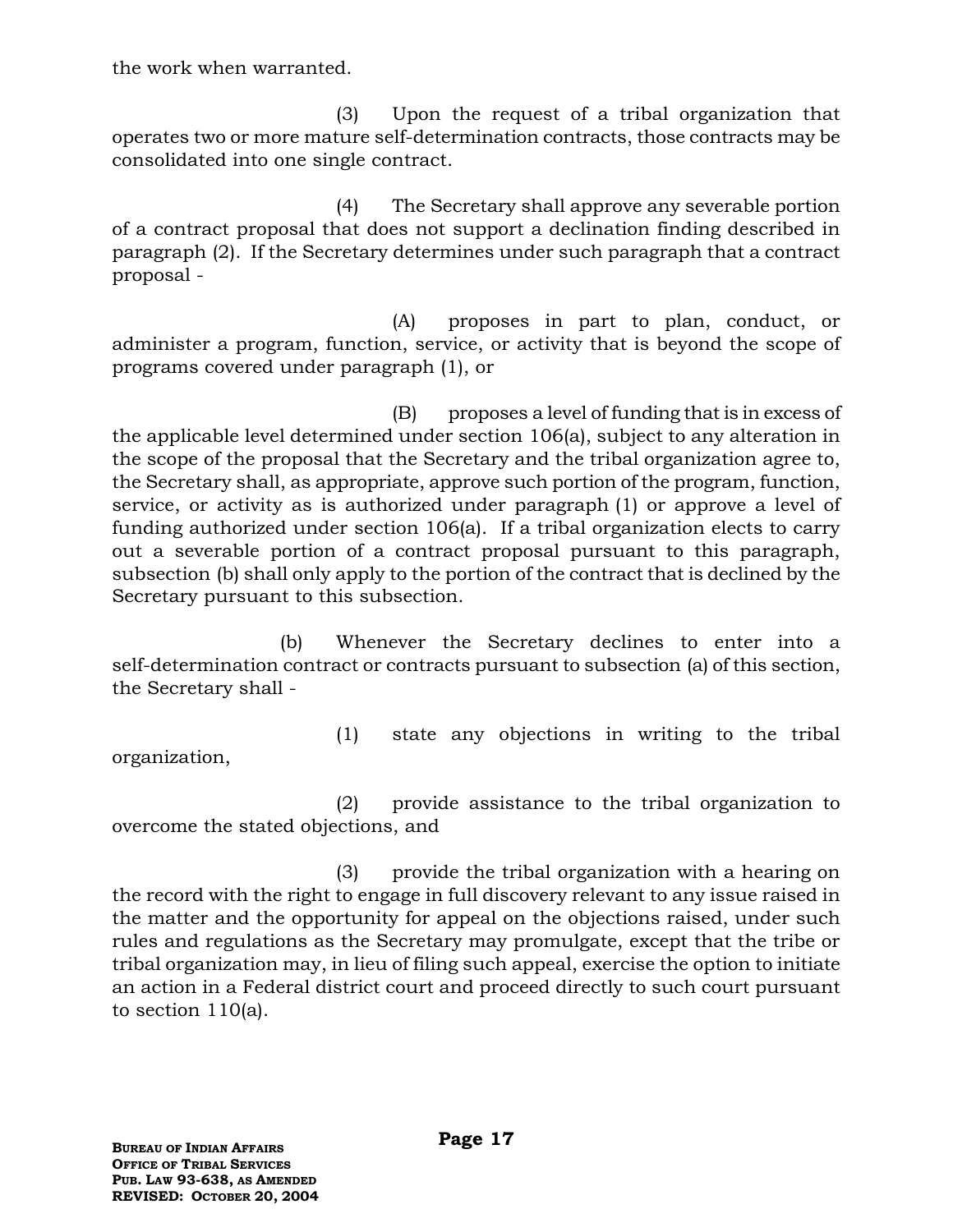the work when warranted.

(3) Upon the request of a tribal organization that operates two or more mature self-determination contracts, those contracts may be consolidated into one single contract.

(4) The Secretary shall approve any severable portion of a contract proposal that does not support a declination finding described in paragraph (2). If the Secretary determines under such paragraph that a contract proposal -

(A) proposes in part to plan, conduct, or administer a program, function, service, or activity that is beyond the scope of programs covered under paragraph (1), or

(B) proposes a level of funding that is in excess of the applicable level determined under section 106(a), subject to any alteration in the scope of the proposal that the Secretary and the tribal organization agree to, the Secretary shall, as appropriate, approve such portion of the program, function, service, or activity as is authorized under paragraph (1) or approve a level of funding authorized under section 106(a). If a tribal organization elects to carry out a severable portion of a contract proposal pursuant to this paragraph, subsection (b) shall only apply to the portion of the contract that is declined by the Secretary pursuant to this subsection.

(b) Whenever the Secretary declines to enter into a self-determination contract or contracts pursuant to subsection (a) of this section, the Secretary shall -

organization,

(1) state any objections in writing to the tribal

(2) provide assistance to the tribal organization to overcome the stated objections, and

(3) provide the tribal organization with a hearing on the record with the right to engage in full discovery relevant to any issue raised in the matter and the opportunity for appeal on the objections raised, under such rules and regulations as the Secretary may promulgate, except that the tribe or tribal organization may, in lieu of filing such appeal, exercise the option to initiate an action in a Federal district court and proceed directly to such court pursuant to section 110(a).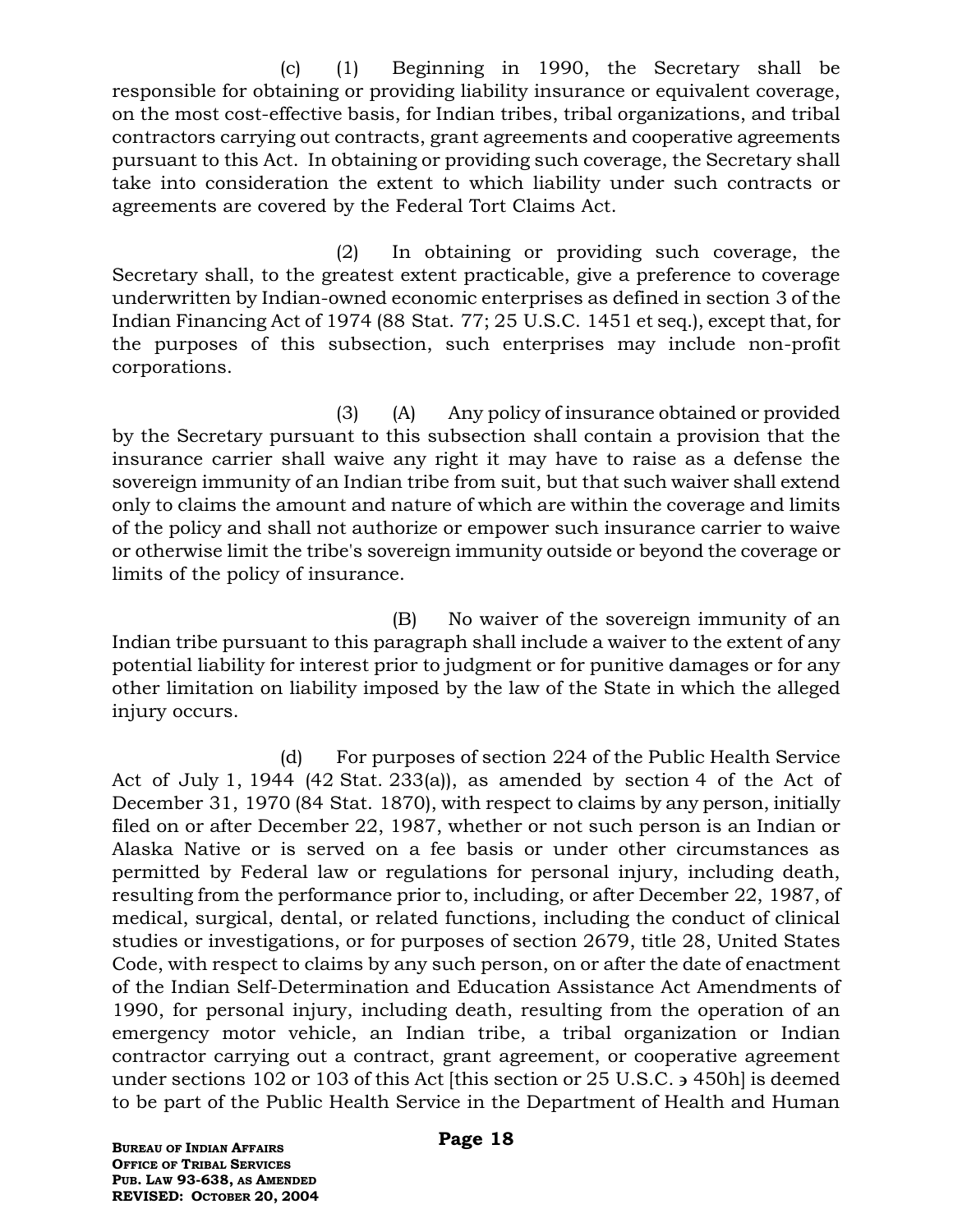(c) (1) Beginning in 1990, the Secretary shall be responsible for obtaining or providing liability insurance or equivalent coverage, on the most cost-effective basis, for Indian tribes, tribal organizations, and tribal contractors carrying out contracts, grant agreements and cooperative agreements pursuant to this Act. In obtaining or providing such coverage, the Secretary shall take into consideration the extent to which liability under such contracts or agreements are covered by the Federal Tort Claims Act.

(2) In obtaining or providing such coverage, the Secretary shall, to the greatest extent practicable, give a preference to coverage underwritten by Indian-owned economic enterprises as defined in section 3 of the Indian Financing Act of 1974 (88 Stat. 77; 25 U.S.C. 1451 et seq.), except that, for the purposes of this subsection, such enterprises may include non-profit corporations.

(3) (A) Any policy of insurance obtained or provided by the Secretary pursuant to this subsection shall contain a provision that the insurance carrier shall waive any right it may have to raise as a defense the sovereign immunity of an Indian tribe from suit, but that such waiver shall extend only to claims the amount and nature of which are within the coverage and limits of the policy and shall not authorize or empower such insurance carrier to waive or otherwise limit the tribe's sovereign immunity outside or beyond the coverage or limits of the policy of insurance.

(B) No waiver of the sovereign immunity of an Indian tribe pursuant to this paragraph shall include a waiver to the extent of any potential liability for interest prior to judgment or for punitive damages or for any other limitation on liability imposed by the law of the State in which the alleged injury occurs.

(d) For purposes of section 224 of the Public Health Service Act of July 1, 1944 (42 Stat. 233(a)), as amended by section 4 of the Act of December 31, 1970 (84 Stat. 1870), with respect to claims by any person, initially filed on or after December 22, 1987, whether or not such person is an Indian or Alaska Native or is served on a fee basis or under other circumstances as permitted by Federal law or regulations for personal injury, including death, resulting from the performance prior to, including, or after December 22, 1987, of medical, surgical, dental, or related functions, including the conduct of clinical studies or investigations, or for purposes of section 2679, title 28, United States Code, with respect to claims by any such person, on or after the date of enactment of the Indian Self-Determination and Education Assistance Act Amendments of 1990, for personal injury, including death, resulting from the operation of an emergency motor vehicle, an Indian tribe, a tribal organization or Indian contractor carrying out a contract, grant agreement, or cooperative agreement under sections 102 or 103 of this Act [this section or 25 U.S.C. 3 450h] is deemed to be part of the Public Health Service in the Department of Health and Human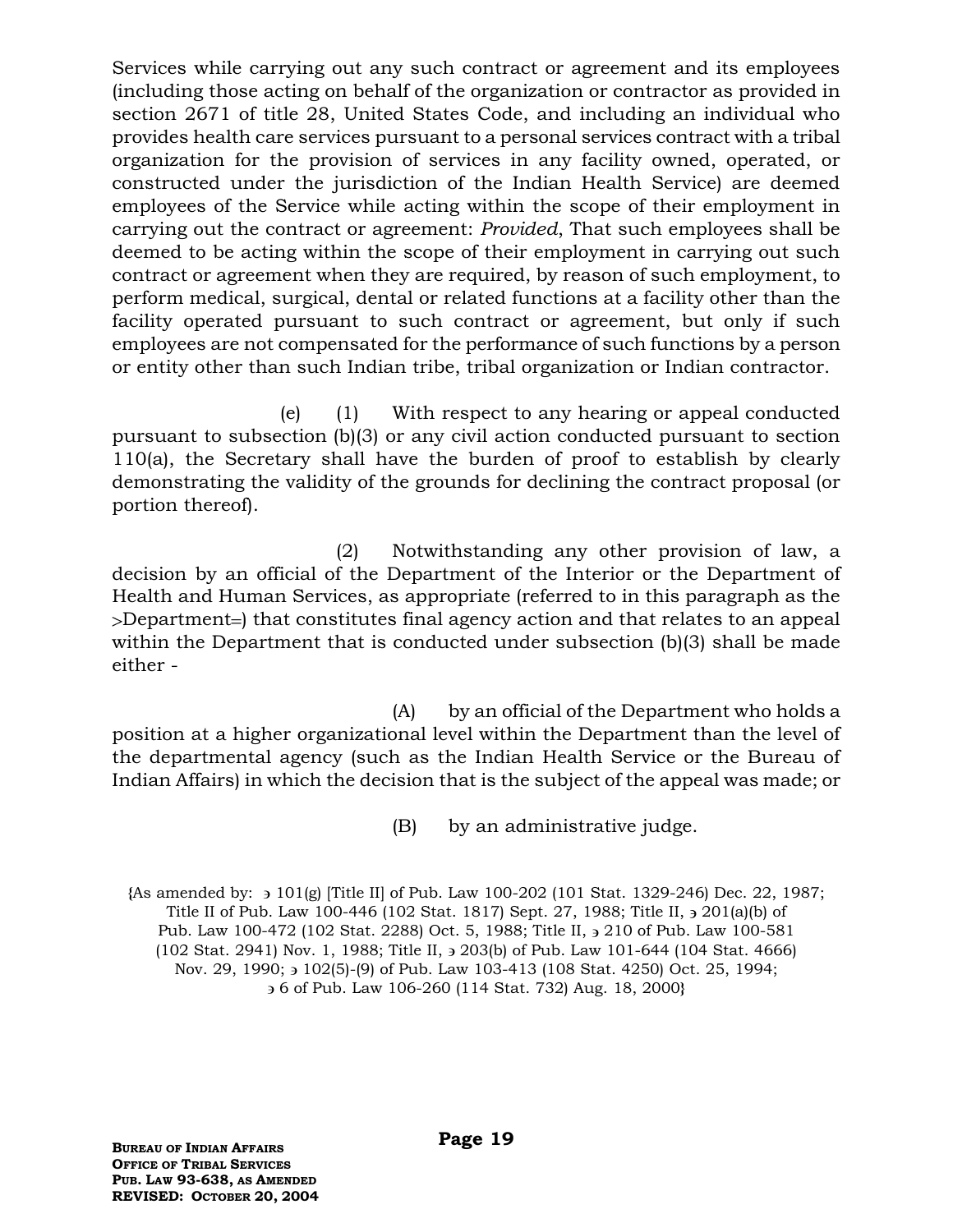Services while carrying out any such contract or agreement and its employees (including those acting on behalf of the organization or contractor as provided in section 2671 of title 28, United States Code, and including an individual who provides health care services pursuant to a personal services contract with a tribal organization for the provision of services in any facility owned, operated, or constructed under the jurisdiction of the Indian Health Service) are deemed employees of the Service while acting within the scope of their employment in carrying out the contract or agreement: *Provided*, That such employees shall be deemed to be acting within the scope of their employment in carrying out such contract or agreement when they are required, by reason of such employment, to perform medical, surgical, dental or related functions at a facility other than the facility operated pursuant to such contract or agreement, but only if such employees are not compensated for the performance of such functions by a person or entity other than such Indian tribe, tribal organization or Indian contractor.

(e) (1) With respect to any hearing or appeal conducted pursuant to subsection (b)(3) or any civil action conducted pursuant to section 110(a), the Secretary shall have the burden of proof to establish by clearly demonstrating the validity of the grounds for declining the contract proposal (or portion thereof).

(2) Notwithstanding any other provision of law, a decision by an official of the Department of the Interior or the Department of Health and Human Services, as appropriate (referred to in this paragraph as the >Department=) that constitutes final agency action and that relates to an appeal within the Department that is conducted under subsection (b)(3) shall be made either -

(A) by an official of the Department who holds a position at a higher organizational level within the Department than the level of the departmental agency (such as the Indian Health Service or the Bureau of Indian Affairs) in which the decision that is the subject of the appeal was made; or

(B) by an administrative judge.

**{**As amended by: 101(g) [Title II] of Pub. Law 100-202 (101 Stat. 1329-246) Dec. 22, 1987; Title II of Pub. Law 100-446 (102 Stat. 1817) Sept. 27, 1988; Title II, 201(a)(b) of Pub. Law 100-472 (102 Stat. 2288) Oct. 5, 1988; Title II,  $\frac{1}{2}$  210 of Pub. Law 100-581 (102 Stat. 2941) Nov. 1, 1988; Title II, 203(b) of Pub. Law 101-644 (104 Stat. 4666) Nov. 29, 1990; 3 102(5)-(9) of Pub. Law 103-413 (108 Stat. 4250) Oct. 25, 1994; 6 of Pub. Law 106-260 (114 Stat. 732) Aug. 18, 2000**}**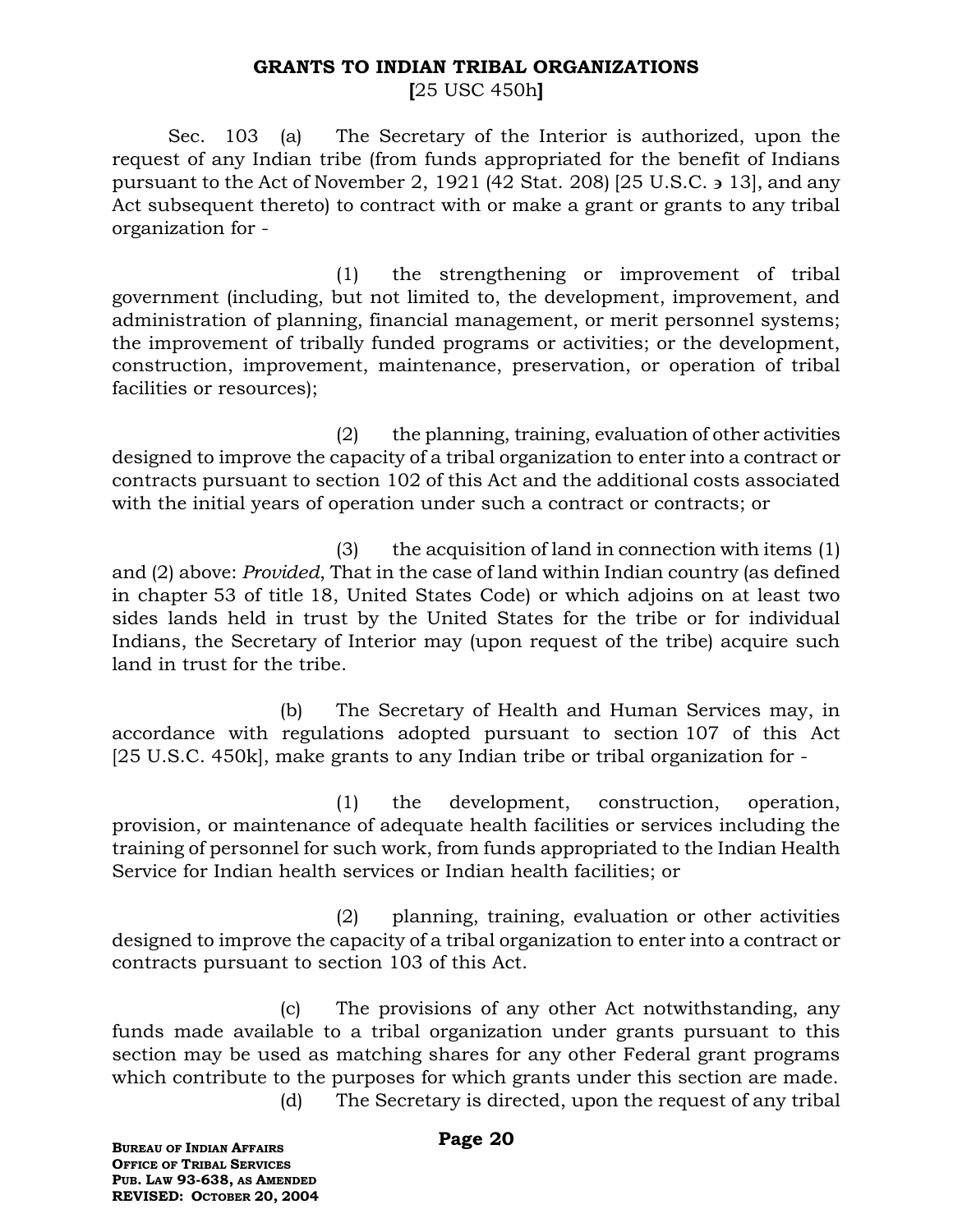#### **GRANTS TO INDIAN TRIBAL ORGANIZATIONS**

**[**25 USC 450h**]**

Sec. 103 (a) The Secretary of the Interior is authorized, upon the request of any Indian tribe (from funds appropriated for the benefit of Indians pursuant to the Act of November 2, 1921 (42 Stat. 208) [25 U.S.C.  $\geq$  13], and any Act subsequent thereto) to contract with or make a grant or grants to any tribal organization for -

(1) the strengthening or improvement of tribal government (including, but not limited to, the development, improvement, and administration of planning, financial management, or merit personnel systems; the improvement of tribally funded programs or activities; or the development, construction, improvement, maintenance, preservation, or operation of tribal facilities or resources);

(2) the planning, training, evaluation of other activities designed to improve the capacity of a tribal organization to enter into a contract or contracts pursuant to section 102 of this Act and the additional costs associated with the initial years of operation under such a contract or contracts; or

(3) the acquisition of land in connection with items (1) and (2) above: *Provided*, That in the case of land within Indian country (as defined in chapter 53 of title 18, United States Code) or which adjoins on at least two sides lands held in trust by the United States for the tribe or for individual Indians, the Secretary of Interior may (upon request of the tribe) acquire such land in trust for the tribe.

(b) The Secretary of Health and Human Services may, in accordance with regulations adopted pursuant to section 107 of this Act [25 U.S.C. 450k], make grants to any Indian tribe or tribal organization for -

(1) the development, construction, operation, provision, or maintenance of adequate health facilities or services including the training of personnel for such work, from funds appropriated to the Indian Health Service for Indian health services or Indian health facilities; or

(2) planning, training, evaluation or other activities designed to improve the capacity of a tribal organization to enter into a contract or contracts pursuant to section 103 of this Act.

(c) The provisions of any other Act notwithstanding, any funds made available to a tribal organization under grants pursuant to this section may be used as matching shares for any other Federal grant programs which contribute to the purposes for which grants under this section are made. (d) The Secretary is directed, upon the request of any tribal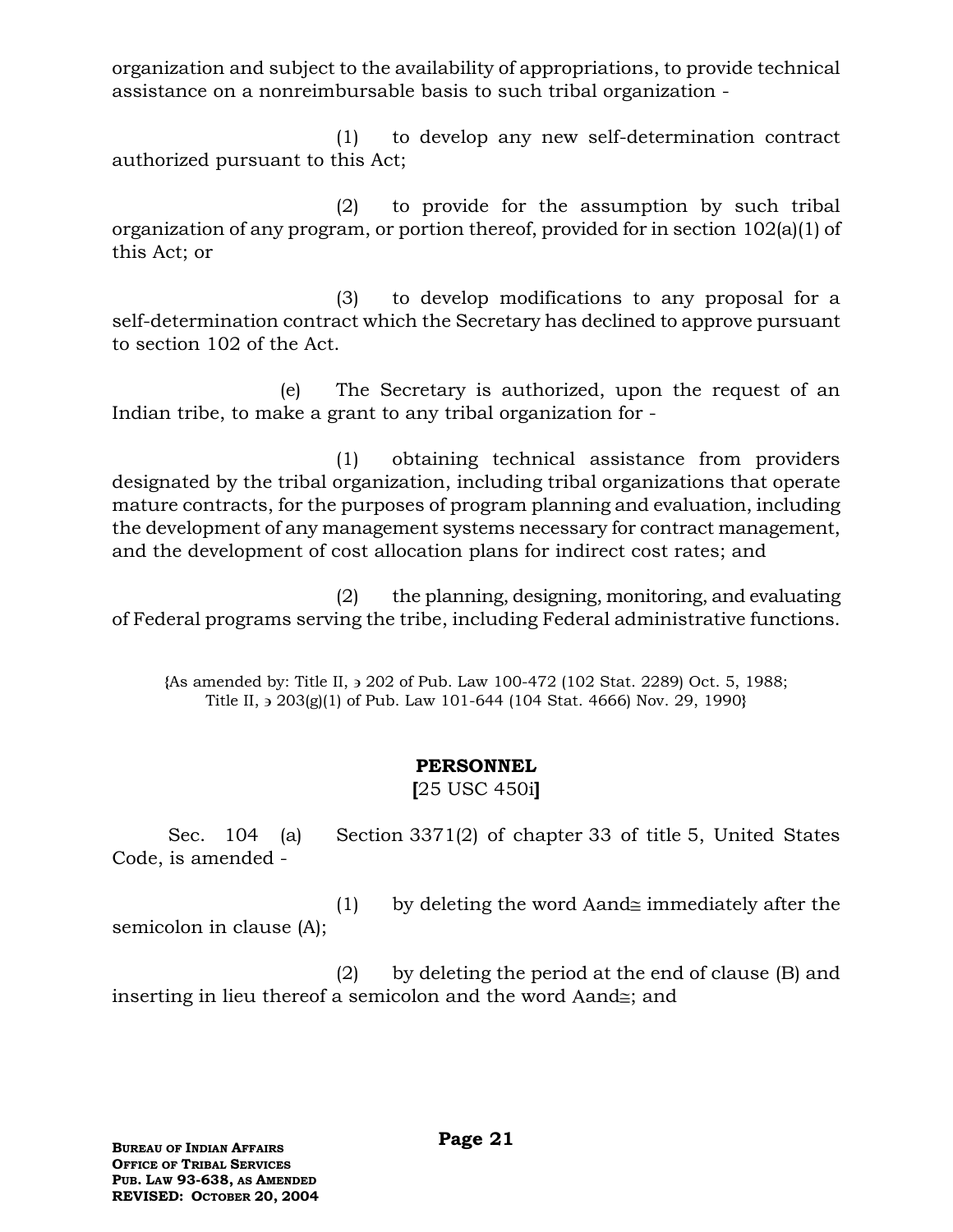organization and subject to the availability of appropriations, to provide technical assistance on a nonreimbursable basis to such tribal organization -

(1) to develop any new self-determination contract authorized pursuant to this Act;

(2) to provide for the assumption by such tribal organization of any program, or portion thereof, provided for in section 102(a)(1) of this Act; or

(3) to develop modifications to any proposal for a self-determination contract which the Secretary has declined to approve pursuant to section 102 of the Act.

(e) The Secretary is authorized, upon the request of an Indian tribe, to make a grant to any tribal organization for -

(1) obtaining technical assistance from providers designated by the tribal organization, including tribal organizations that operate mature contracts, for the purposes of program planning and evaluation, including the development of any management systems necessary for contract management, and the development of cost allocation plans for indirect cost rates; and

(2) the planning, designing, monitoring, and evaluating of Federal programs serving the tribe, including Federal administrative functions.

**{**As amended by: Title II, 202 of Pub. Law 100-472 (102 Stat. 2289) Oct. 5, 1988; Title II, 203(g)(1) of Pub. Law 101-644 (104 Stat. 4666) Nov. 29, 1990**}**

## **PERSONNEL**

**[**25 USC 450i**]**

Sec. 104 (a) Section 3371(2) of chapter 33 of title 5, United States Code, is amended -

(1) by deleting the word Aand $\cong$  immediately after the semicolon in clause (A);

(2) by deleting the period at the end of clause (B) and inserting in lieu thereof a semicolon and the word Aand $\leq$ ; and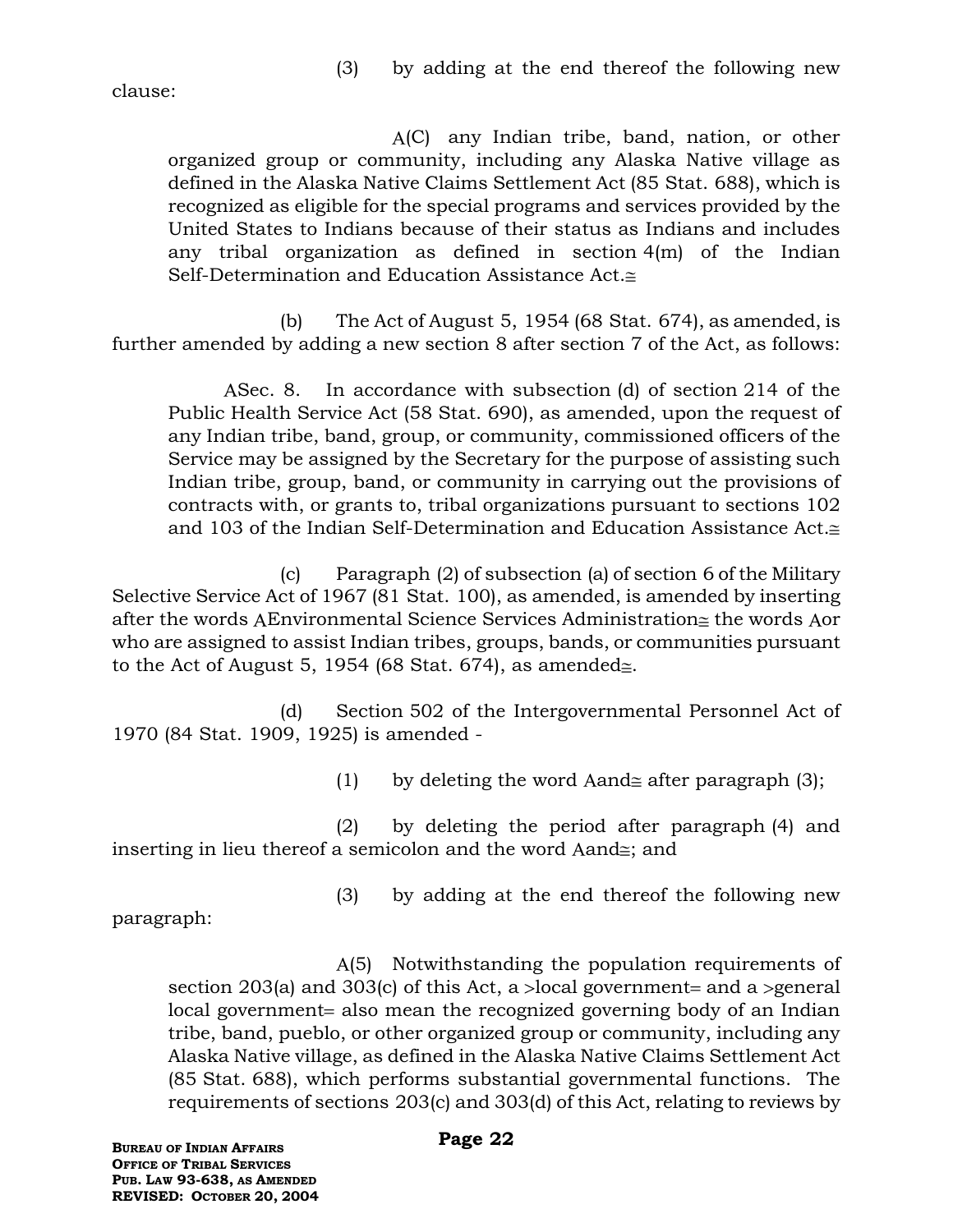clause:

A(C) any Indian tribe, band, nation, or other organized group or community, including any Alaska Native village as defined in the Alaska Native Claims Settlement Act (85 Stat. 688), which is recognized as eligible for the special programs and services provided by the United States to Indians because of their status as Indians and includes any tribal organization as defined in section 4(m) of the Indian Self-Determination and Education Assistance Act.≅

(b) The Act of August 5, 1954 (68 Stat. 674), as amended, is further amended by adding a new section 8 after section 7 of the Act, as follows:

ASec. 8. In accordance with subsection (d) of section 214 of the Public Health Service Act (58 Stat. 690), as amended, upon the request of any Indian tribe, band, group, or community, commissioned officers of the Service may be assigned by the Secretary for the purpose of assisting such Indian tribe, group, band, or community in carrying out the provisions of contracts with, or grants to, tribal organizations pursuant to sections 102 and 103 of the Indian Self-Determination and Education Assistance Act.

(c) Paragraph (2) of subsection (a) of section 6 of the Military Selective Service Act of 1967 (81 Stat. 100), as amended, is amended by inserting after the words AEnvironmental Science Services Administration $\cong$  the words Aor who are assigned to assist Indian tribes, groups, bands, or communities pursuant to the Act of August 5, 1954 (68 Stat. 674), as amended  $\equiv$ .

(d) Section 502 of the Intergovernmental Personnel Act of 1970 (84 Stat. 1909, 1925) is amended -

(1) by deleting the word Aand after paragraph (3);

(2) by deleting the period after paragraph (4) and inserting in lieu thereof a semicolon and the word Aand $\equiv$ ; and

(3) by adding at the end thereof the following new

paragraph:

(5) Notwithstanding the population requirements of section 203(a) and 303(c) of this Act, a  $>$ local government= and a  $>$ general local government also mean the recognized governing body of an Indian tribe, band, pueblo, or other organized group or community, including any Alaska Native village, as defined in the Alaska Native Claims Settlement Act (85 Stat. 688), which performs substantial governmental functions. The requirements of sections 203(c) and 303(d) of this Act, relating to reviews by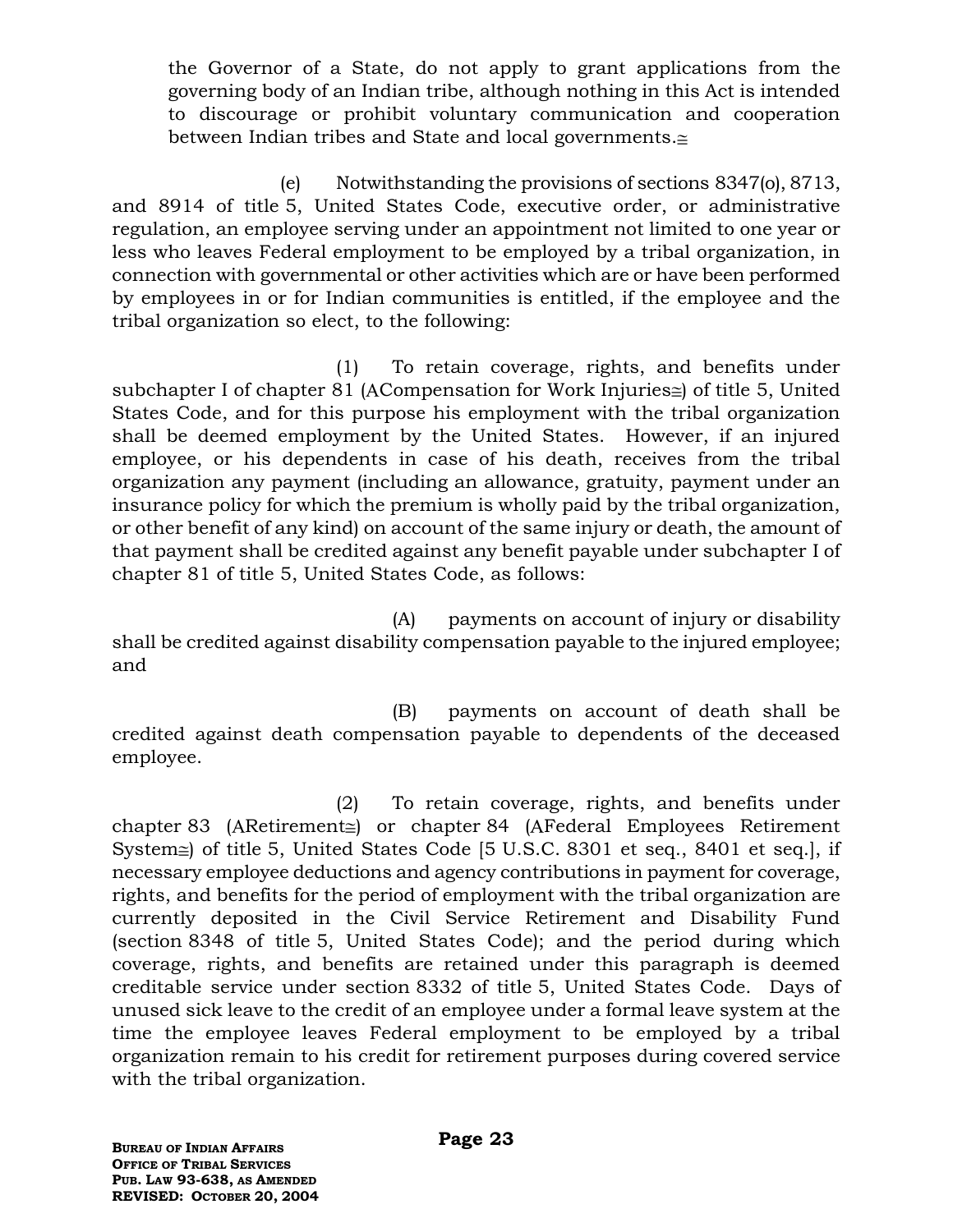the Governor of a State, do not apply to grant applications from the governing body of an Indian tribe, although nothing in this Act is intended to discourage or prohibit voluntary communication and cooperation between Indian tribes and State and local governments.

(e) Notwithstanding the provisions of sections 8347(o), 8713, and 8914 of title 5, United States Code, executive order, or administrative regulation, an employee serving under an appointment not limited to one year or less who leaves Federal employment to be employed by a tribal organization, in connection with governmental or other activities which are or have been performed by employees in or for Indian communities is entitled, if the employee and the tribal organization so elect, to the following:

(1) To retain coverage, rights, and benefits under subchapter I of chapter 81 (ACompensation for Work Injuries $\cong$ ) of title 5, United States Code, and for this purpose his employment with the tribal organization shall be deemed employment by the United States. However, if an injured employee, or his dependents in case of his death, receives from the tribal organization any payment (including an allowance, gratuity, payment under an insurance policy for which the premium is wholly paid by the tribal organization, or other benefit of any kind) on account of the same injury or death, the amount of that payment shall be credited against any benefit payable under subchapter I of chapter 81 of title 5, United States Code, as follows:

(A) payments on account of injury or disability shall be credited against disability compensation payable to the injured employee; and

(B) payments on account of death shall be credited against death compensation payable to dependents of the deceased employee.

(2) To retain coverage, rights, and benefits under chapter 83 (ARetirement $\leq$ ) or chapter 84 (AFederal Employees Retirement System $\cong$  of title 5, United States Code [5 U.S.C. 8301 et seq., 8401 et seq.], if necessary employee deductions and agency contributions in payment for coverage, rights, and benefits for the period of employment with the tribal organization are currently deposited in the Civil Service Retirement and Disability Fund (section 8348 of title 5, United States Code); and the period during which coverage, rights, and benefits are retained under this paragraph is deemed creditable service under section 8332 of title 5, United States Code. Days of unused sick leave to the credit of an employee under a formal leave system at the time the employee leaves Federal employment to be employed by a tribal organization remain to his credit for retirement purposes during covered service with the tribal organization.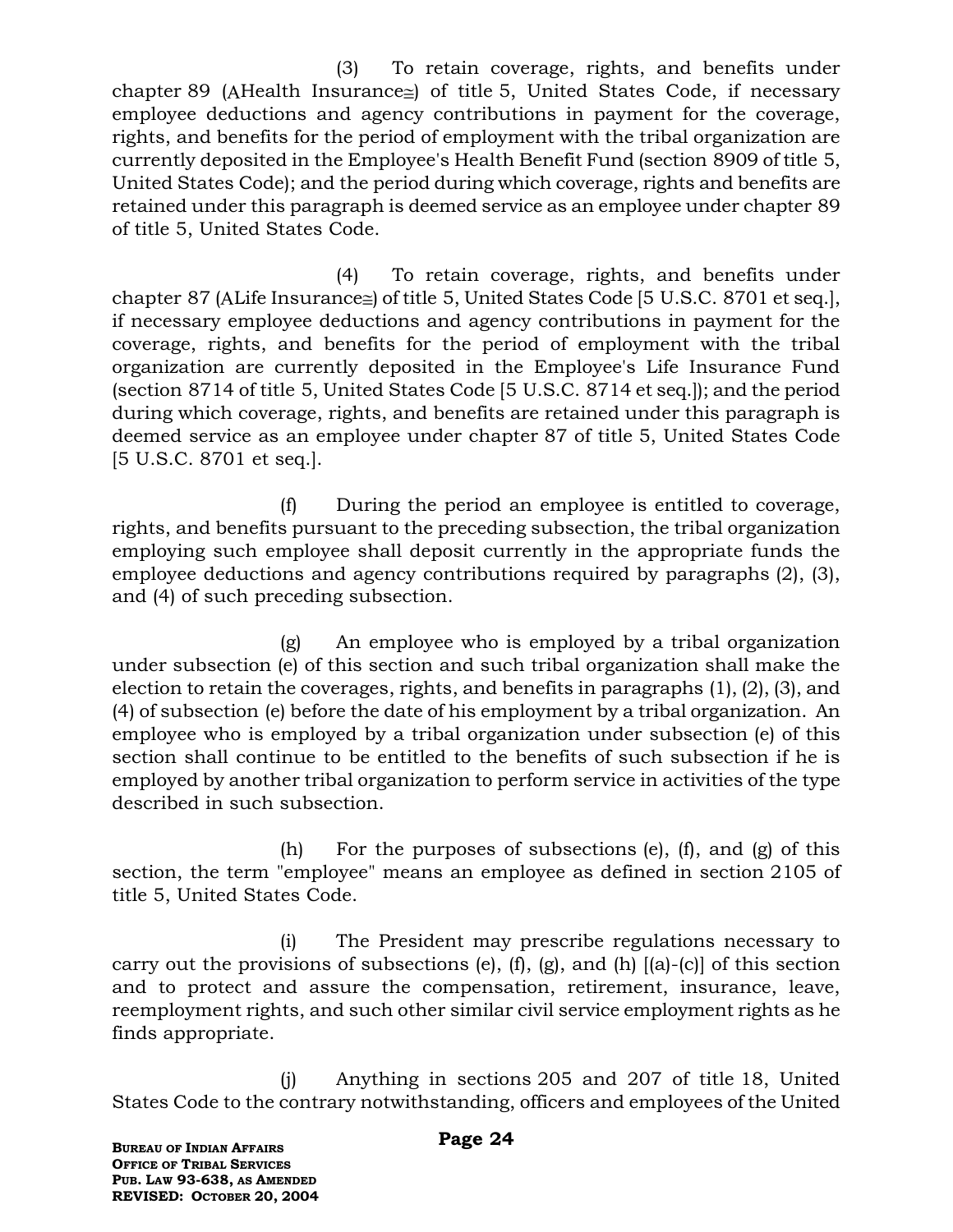(3) To retain coverage, rights, and benefits under chapter 89 (AHealth Insurance $\equiv$ ) of title 5, United States Code, if necessary employee deductions and agency contributions in payment for the coverage, rights, and benefits for the period of employment with the tribal organization are currently deposited in the Employee's Health Benefit Fund (section 8909 of title 5, United States Code); and the period during which coverage, rights and benefits are retained under this paragraph is deemed service as an employee under chapter 89 of title 5, United States Code.

(4) To retain coverage, rights, and benefits under chapter 87 (ALife Insurance $\cong$ ) of title 5, United States Code [5 U.S.C. 8701 et seq.], if necessary employee deductions and agency contributions in payment for the coverage, rights, and benefits for the period of employment with the tribal organization are currently deposited in the Employee's Life Insurance Fund (section 8714 of title 5, United States Code [5 U.S.C. 8714 et seq.]); and the period during which coverage, rights, and benefits are retained under this paragraph is deemed service as an employee under chapter 87 of title 5, United States Code [5 U.S.C. 8701 et seq.].

(f) During the period an employee is entitled to coverage, rights, and benefits pursuant to the preceding subsection, the tribal organization employing such employee shall deposit currently in the appropriate funds the employee deductions and agency contributions required by paragraphs (2), (3), and (4) of such preceding subsection.

(g) An employee who is employed by a tribal organization under subsection (e) of this section and such tribal organization shall make the election to retain the coverages, rights, and benefits in paragraphs (1), (2), (3), and (4) of subsection (e) before the date of his employment by a tribal organization. An employee who is employed by a tribal organization under subsection (e) of this section shall continue to be entitled to the benefits of such subsection if he is employed by another tribal organization to perform service in activities of the type described in such subsection.

(h) For the purposes of subsections (e), (f), and (g) of this section, the term "employee" means an employee as defined in section 2105 of title 5, United States Code.

(i) The President may prescribe regulations necessary to carry out the provisions of subsections  $(e)$ ,  $(f)$ ,  $(g)$ , and  $(h)$   $[(a)-(c)]$  of this section and to protect and assure the compensation, retirement, insurance, leave, reemployment rights, and such other similar civil service employment rights as he finds appropriate.

(j) Anything in sections 205 and 207 of title 18, United States Code to the contrary notwithstanding, officers and employees of the United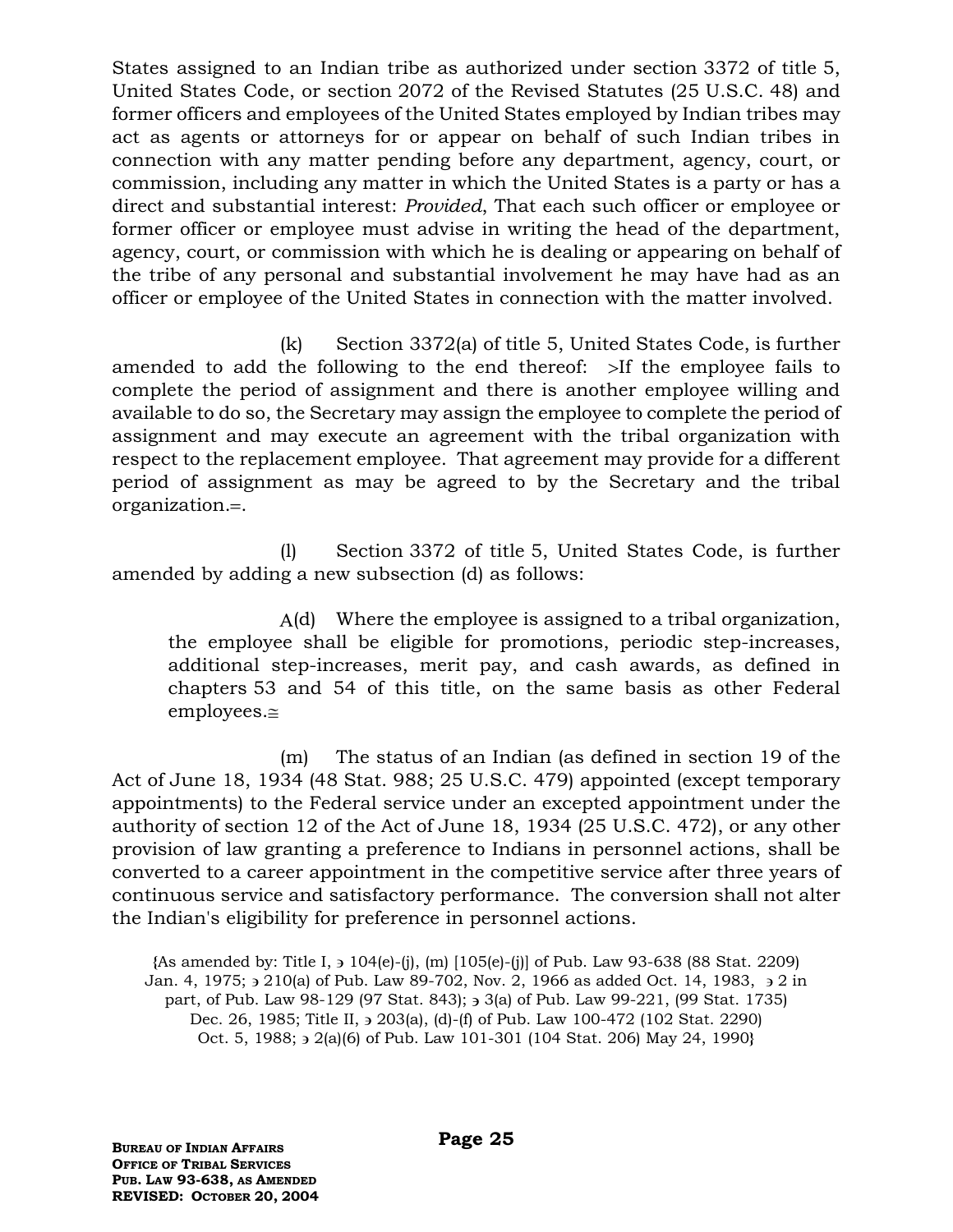States assigned to an Indian tribe as authorized under section 3372 of title 5, United States Code, or section 2072 of the Revised Statutes (25 U.S.C. 48) and former officers and employees of the United States employed by Indian tribes may act as agents or attorneys for or appear on behalf of such Indian tribes in connection with any matter pending before any department, agency, court, or commission, including any matter in which the United States is a party or has a direct and substantial interest: *Provided*, That each such officer or employee or former officer or employee must advise in writing the head of the department, agency, court, or commission with which he is dealing or appearing on behalf of the tribe of any personal and substantial involvement he may have had as an officer or employee of the United States in connection with the matter involved.

(k) Section 3372(a) of title 5, United States Code, is further amended to add the following to the end thereof:  $\geq$  If the employee fails to complete the period of assignment and there is another employee willing and available to do so, the Secretary may assign the employee to complete the period of assignment and may execute an agreement with the tribal organization with respect to the replacement employee. That agreement may provide for a different period of assignment as may be agreed to by the Secretary and the tribal organization.=.

(l) Section 3372 of title 5, United States Code, is further amended by adding a new subsection (d) as follows:

A(d) Where the employee is assigned to a tribal organization, the employee shall be eligible for promotions, periodic step-increases, additional step-increases, merit pay, and cash awards, as defined in chapters 53 and 54 of this title, on the same basis as other Federal  $emplorees. \cong$ 

(m) The status of an Indian (as defined in section 19 of the Act of June 18, 1934 (48 Stat. 988; 25 U.S.C. 479) appointed (except temporary appointments) to the Federal service under an excepted appointment under the authority of section 12 of the Act of June 18, 1934 (25 U.S.C. 472), or any other provision of law granting a preference to Indians in personnel actions, shall be converted to a career appointment in the competitive service after three years of continuous service and satisfactory performance. The conversion shall not alter the Indian's eligibility for preference in personnel actions.

**{**As amended by: Title I, 104(e)-(j), (m) [105(e)-(j)] of Pub. Law 93-638 (88 Stat. 2209) Jan. 4, 1975;  $\frac{1}{2}$  210(a) of Pub. Law 89-702, Nov. 2, 1966 as added Oct. 14, 1983,  $\frac{1}{2}$  in part, of Pub. Law 98-129 (97 Stat. 843); 3(a) of Pub. Law 99-221, (99 Stat. 1735) Dec. 26, 1985; Title II,  $\geq$  203(a), (d)-(f) of Pub. Law 100-472 (102 Stat. 2290) Oct. 5, 1988;  $\frac{1}{2}$  (a)(6) of Pub. Law 101-301 (104 Stat. 206) May 24, 1990**}**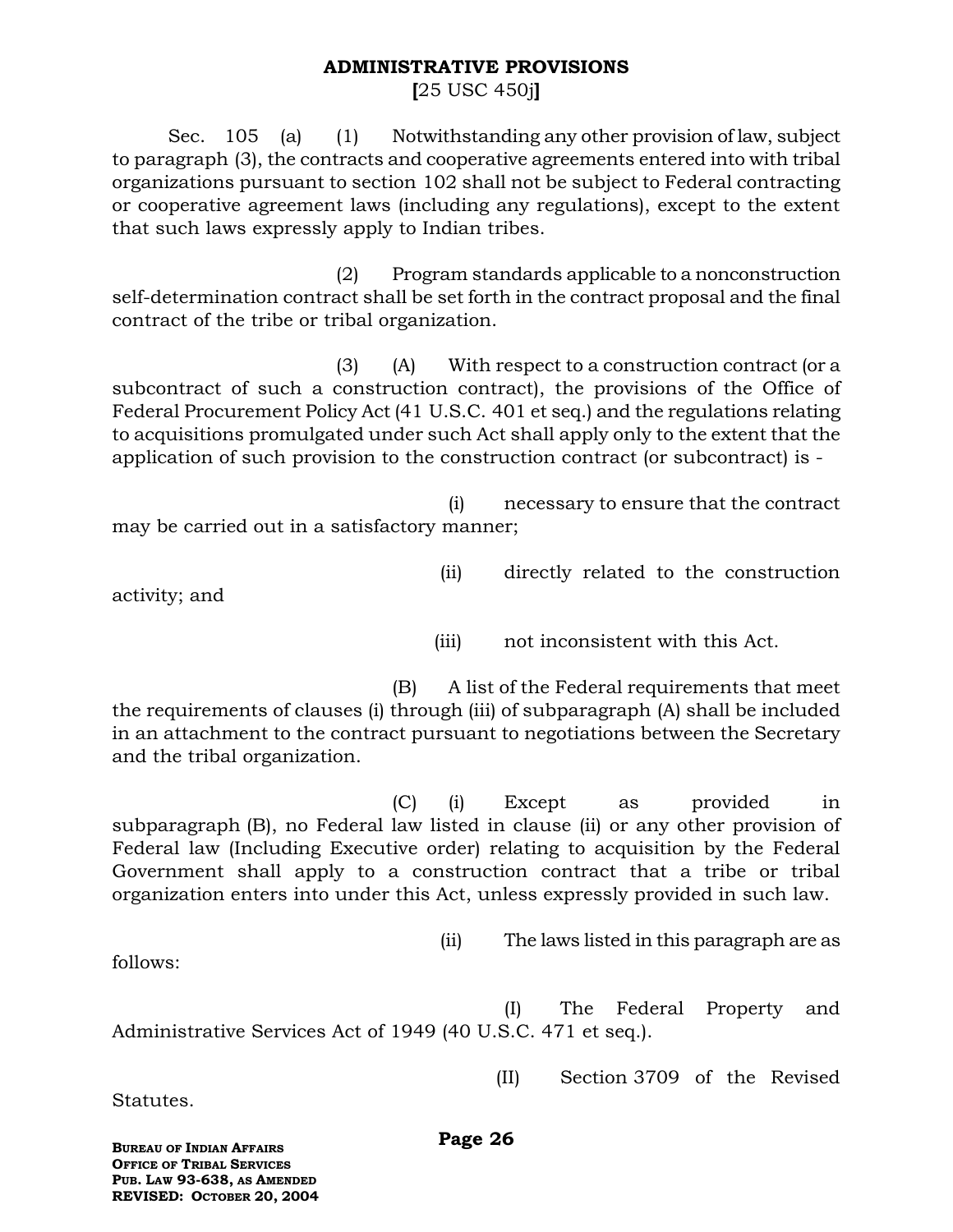#### **ADMINISTRATIVE PROVISIONS**

**[**25 USC 450j**]**

Sec. 105 (a) (1) Notwithstanding any other provision of law, subject to paragraph (3), the contracts and cooperative agreements entered into with tribal organizations pursuant to section 102 shall not be subject to Federal contracting or cooperative agreement laws (including any regulations), except to the extent that such laws expressly apply to Indian tribes.

(2) Program standards applicable to a nonconstruction self-determination contract shall be set forth in the contract proposal and the final contract of the tribe or tribal organization.

(3) (A) With respect to a construction contract (or a subcontract of such a construction contract), the provisions of the Office of Federal Procurement Policy Act (41 U.S.C. 401 et seq.) and the regulations relating to acquisitions promulgated under such Act shall apply only to the extent that the application of such provision to the construction contract (or subcontract) is -

(i) necessary to ensure that the contract may be carried out in a satisfactory manner;

(ii) directly related to the construction

activity; and

(iii) not inconsistent with this Act.

(B) A list of the Federal requirements that meet the requirements of clauses (i) through (iii) of subparagraph (A) shall be included in an attachment to the contract pursuant to negotiations between the Secretary and the tribal organization.

(C) (i) Except as provided in subparagraph (B), no Federal law listed in clause (ii) or any other provision of Federal law (Including Executive order) relating to acquisition by the Federal Government shall apply to a construction contract that a tribe or tribal organization enters into under this Act, unless expressly provided in such law.

(ii) The laws listed in this paragraph are as

(I) The Federal Property and Administrative Services Act of 1949 (40 U.S.C. 471 et seq.).

(II) Section 3709 of the Revised

Statutes.

follows:

**Page 26**

**BUREAU OF INDIAN AFFAIRS OFFICE OF TRIBAL SERVICES PUB. LAW 93-638, AS AMENDED REVISED: OCTOBER 20, 2004**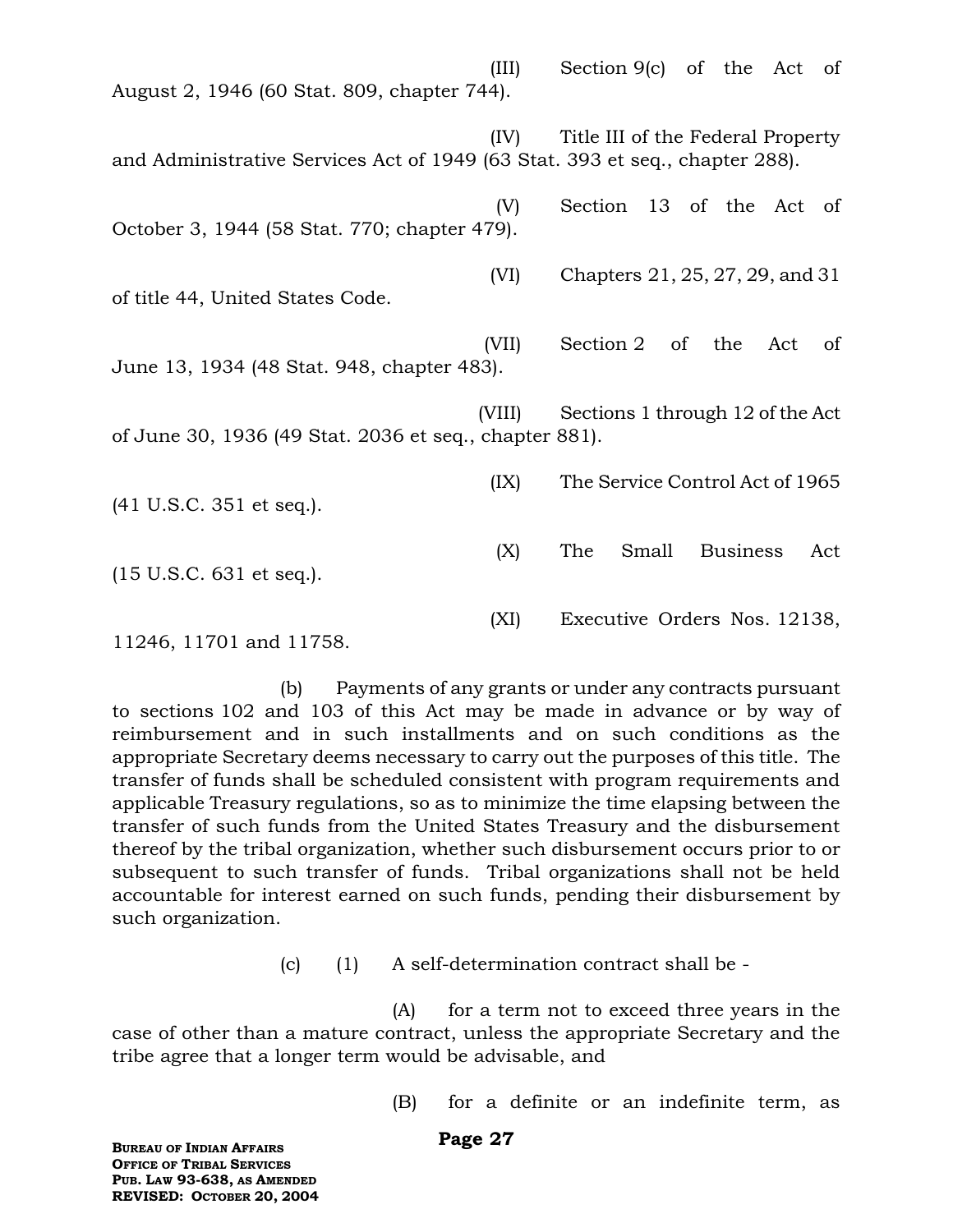(III) Section 9(c) of the Act of August 2, 1946 (60 Stat. 809, chapter 744). (IV) Title III of the Federal Property and Administrative Services Act of 1949 (63 Stat. 393 et seq., chapter 288). (V) Section 13 of the Act of October 3, 1944 (58 Stat. 770; chapter 479). (VI) Chapters 21, 25, 27, 29, and 31 of title 44, United States Code. (VII) Section 2 of the Act of June 13, 1934 (48 Stat. 948, chapter 483). (VIII) Sections 1 through 12 of the Act of June 30, 1936 (49 Stat. 2036 et seq., chapter 881). (IX) The Service Control Act of 1965 (41 U.S.C. 351 et seq.). (X) The Small Business Act (15 U.S.C. 631 et seq.). (XI) Executive Orders Nos. 12138,

11246, 11701 and 11758.

(b) Payments of any grants or under any contracts pursuant to sections 102 and 103 of this Act may be made in advance or by way of reimbursement and in such installments and on such conditions as the appropriate Secretary deems necessary to carry out the purposes of this title. The transfer of funds shall be scheduled consistent with program requirements and applicable Treasury regulations, so as to minimize the time elapsing between the transfer of such funds from the United States Treasury and the disbursement thereof by the tribal organization, whether such disbursement occurs prior to or subsequent to such transfer of funds. Tribal organizations shall not be held accountable for interest earned on such funds, pending their disbursement by such organization.

(c) (1) A self-determination contract shall be -

(A) for a term not to exceed three years in the case of other than a mature contract, unless the appropriate Secretary and the tribe agree that a longer term would be advisable, and

(B) for a definite or an indefinite term, as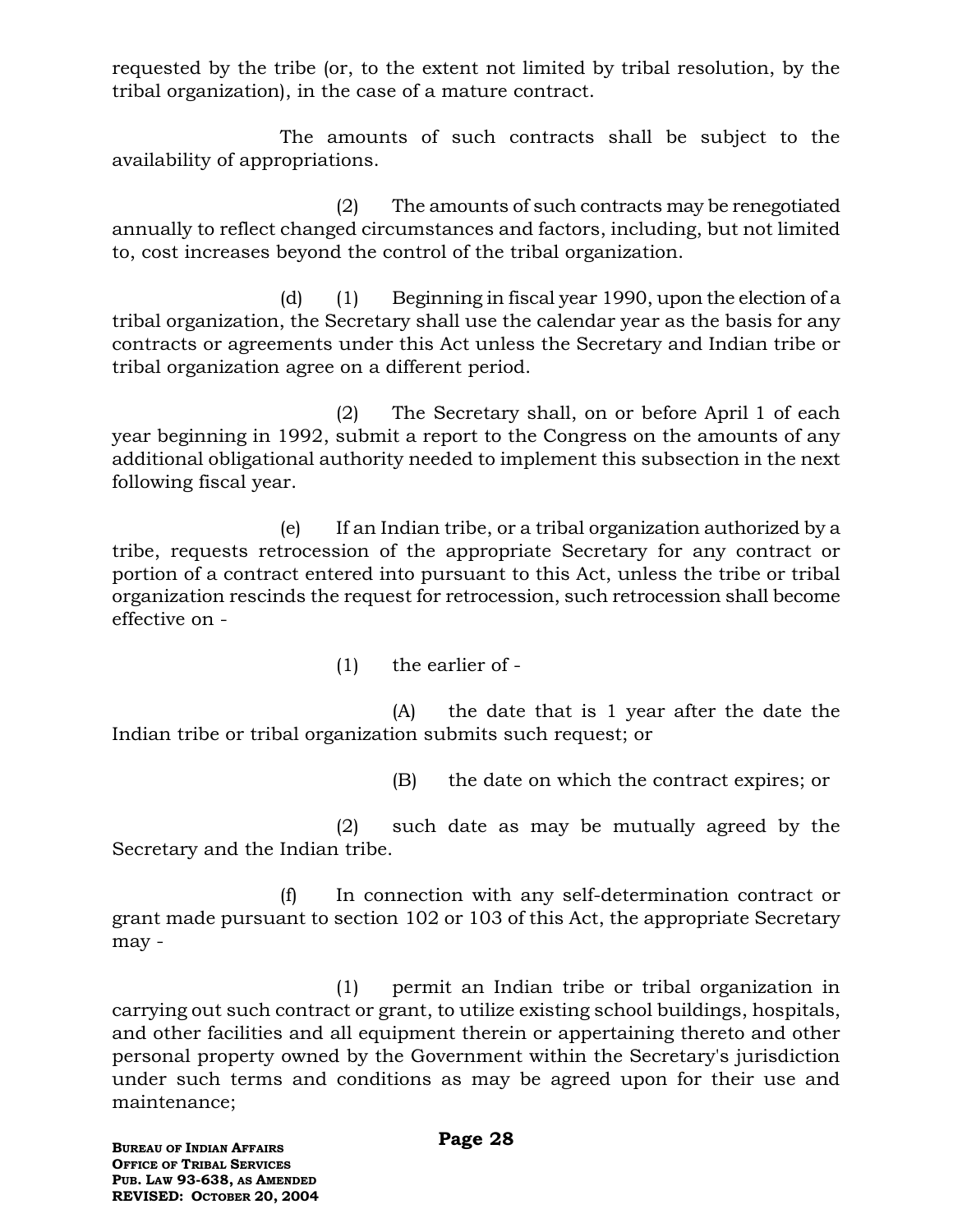requested by the tribe (or, to the extent not limited by tribal resolution, by the tribal organization), in the case of a mature contract.

The amounts of such contracts shall be subject to the availability of appropriations.

(2) The amounts of such contracts may be renegotiated annually to reflect changed circumstances and factors, including, but not limited to, cost increases beyond the control of the tribal organization.

(d) (1) Beginning in fiscal year 1990, upon the election of a tribal organization, the Secretary shall use the calendar year as the basis for any contracts or agreements under this Act unless the Secretary and Indian tribe or tribal organization agree on a different period.

(2) The Secretary shall, on or before April 1 of each year beginning in 1992, submit a report to the Congress on the amounts of any additional obligational authority needed to implement this subsection in the next following fiscal year.

(e) If an Indian tribe, or a tribal organization authorized by a tribe, requests retrocession of the appropriate Secretary for any contract or portion of a contract entered into pursuant to this Act, unless the tribe or tribal organization rescinds the request for retrocession, such retrocession shall become effective on -

(1) the earlier of -

(A) the date that is 1 year after the date the Indian tribe or tribal organization submits such request; or

(B) the date on which the contract expires; or

(2) such date as may be mutually agreed by the Secretary and the Indian tribe.

(f) In connection with any self-determination contract or grant made pursuant to section 102 or 103 of this Act, the appropriate Secretary may -

(1) permit an Indian tribe or tribal organization in carrying out such contract or grant, to utilize existing school buildings, hospitals, and other facilities and all equipment therein or appertaining thereto and other personal property owned by the Government within the Secretary's jurisdiction under such terms and conditions as may be agreed upon for their use and maintenance;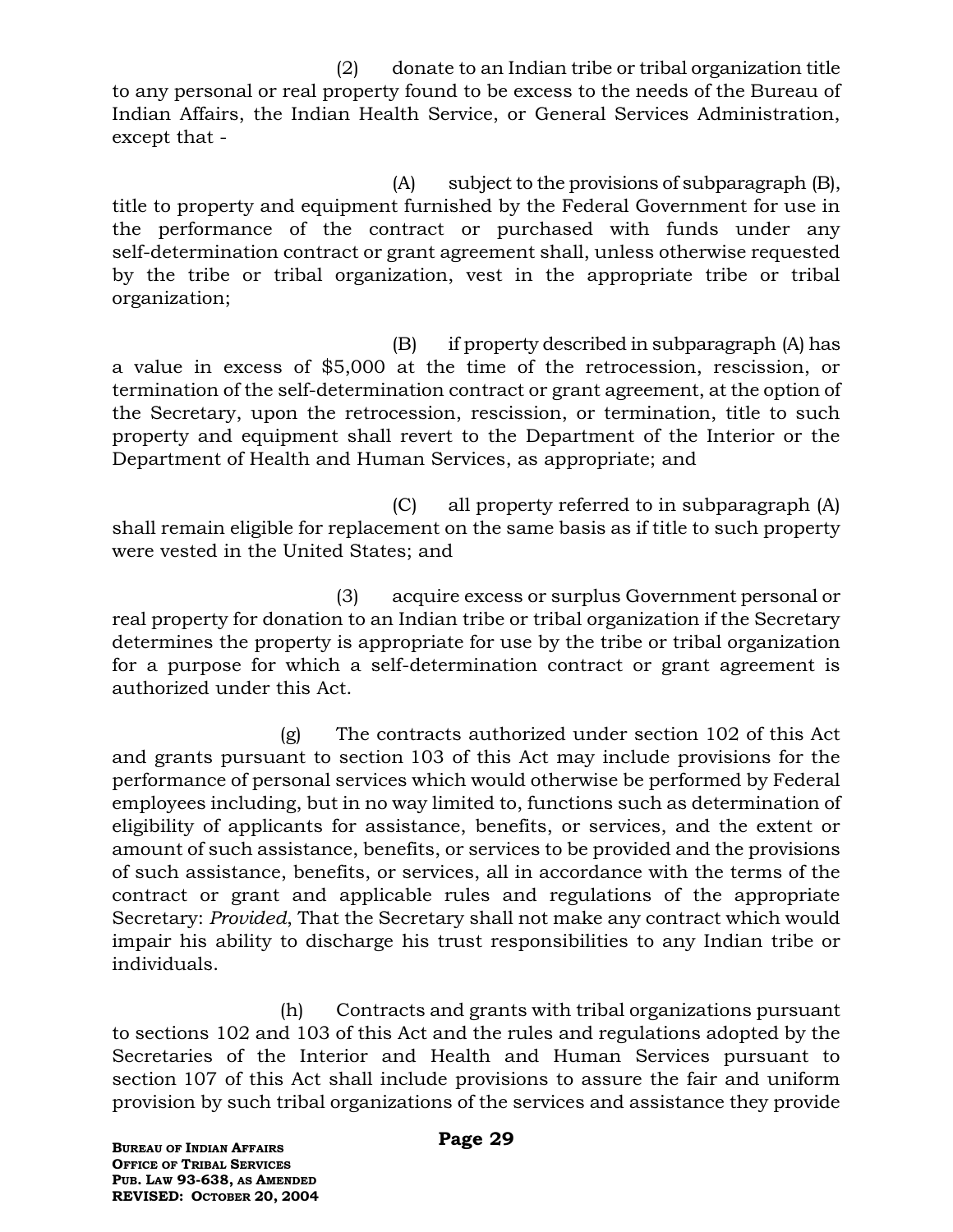(2) donate to an Indian tribe or tribal organization title to any personal or real property found to be excess to the needs of the Bureau of Indian Affairs, the Indian Health Service, or General Services Administration, except that -

(A) subject to the provisions of subparagraph (B), title to property and equipment furnished by the Federal Government for use in the performance of the contract or purchased with funds under any self-determination contract or grant agreement shall, unless otherwise requested by the tribe or tribal organization, vest in the appropriate tribe or tribal organization;

(B) if property described in subparagraph (A) has a value in excess of \$5,000 at the time of the retrocession, rescission, or termination of the self-determination contract or grant agreement, at the option of the Secretary, upon the retrocession, rescission, or termination, title to such property and equipment shall revert to the Department of the Interior or the Department of Health and Human Services, as appropriate; and

(C) all property referred to in subparagraph (A) shall remain eligible for replacement on the same basis as if title to such property were vested in the United States; and

(3) acquire excess or surplus Government personal or real property for donation to an Indian tribe or tribal organization if the Secretary determines the property is appropriate for use by the tribe or tribal organization for a purpose for which a self-determination contract or grant agreement is authorized under this Act.

(g) The contracts authorized under section 102 of this Act and grants pursuant to section 103 of this Act may include provisions for the performance of personal services which would otherwise be performed by Federal employees including, but in no way limited to, functions such as determination of eligibility of applicants for assistance, benefits, or services, and the extent or amount of such assistance, benefits, or services to be provided and the provisions of such assistance, benefits, or services, all in accordance with the terms of the contract or grant and applicable rules and regulations of the appropriate Secretary: *Provided*, That the Secretary shall not make any contract which would impair his ability to discharge his trust responsibilities to any Indian tribe or individuals.

(h) Contracts and grants with tribal organizations pursuant to sections 102 and 103 of this Act and the rules and regulations adopted by the Secretaries of the Interior and Health and Human Services pursuant to section 107 of this Act shall include provisions to assure the fair and uniform provision by such tribal organizations of the services and assistance they provide

**BUREAU OF INDIAN AFFAIRS OFFICE OF TRIBAL SERVICES PUB. LAW 93-638, AS AMENDED REVISED: OCTOBER 20, 2004**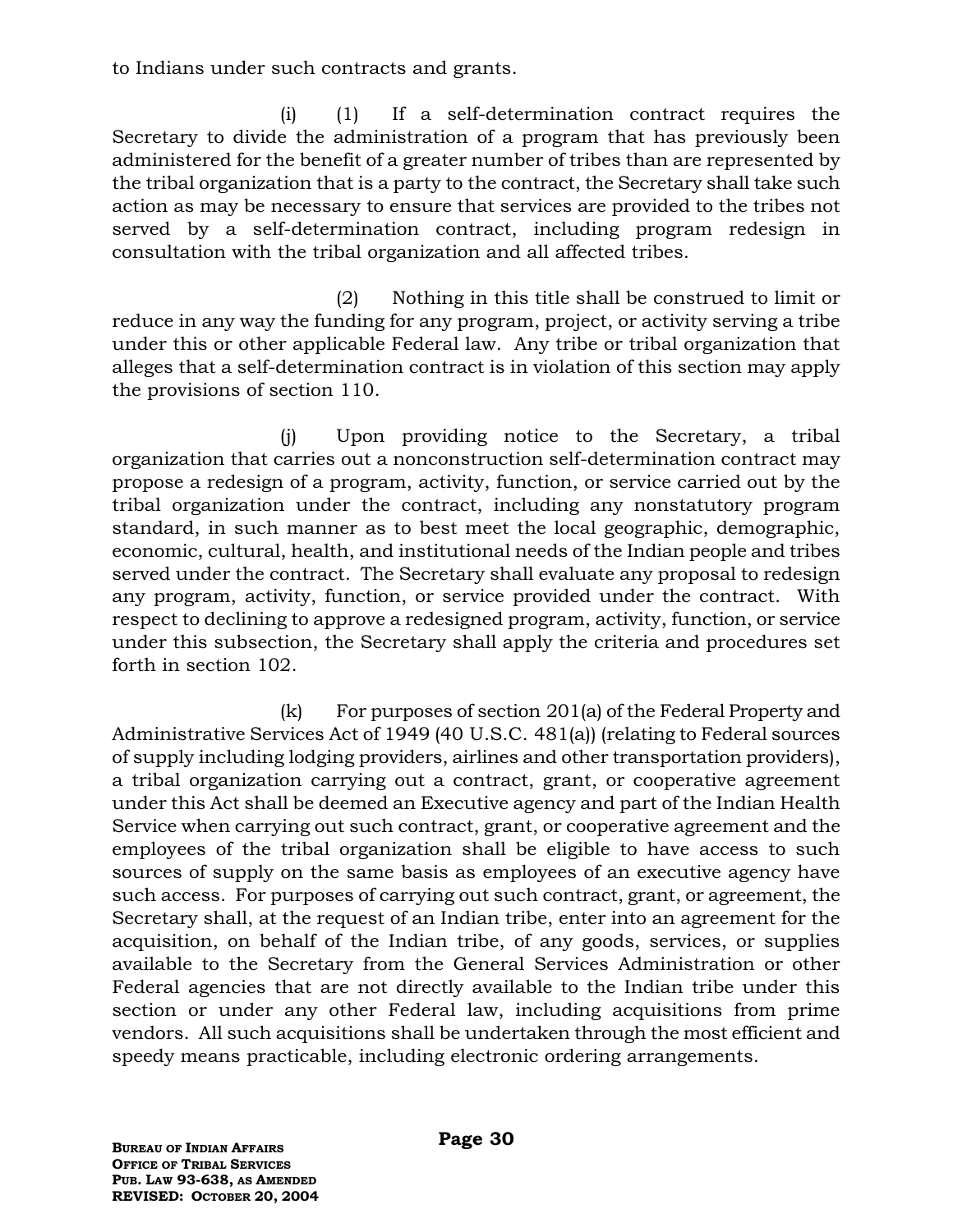to Indians under such contracts and grants.

(i) (1) If a self-determination contract requires the Secretary to divide the administration of a program that has previously been administered for the benefit of a greater number of tribes than are represented by the tribal organization that is a party to the contract, the Secretary shall take such action as may be necessary to ensure that services are provided to the tribes not served by a self-determination contract, including program redesign in consultation with the tribal organization and all affected tribes.

(2) Nothing in this title shall be construed to limit or reduce in any way the funding for any program, project, or activity serving a tribe under this or other applicable Federal law. Any tribe or tribal organization that alleges that a self-determination contract is in violation of this section may apply the provisions of section 110.

(j) Upon providing notice to the Secretary, a tribal organization that carries out a nonconstruction self-determination contract may propose a redesign of a program, activity, function, or service carried out by the tribal organization under the contract, including any nonstatutory program standard, in such manner as to best meet the local geographic, demographic, economic, cultural, health, and institutional needs of the Indian people and tribes served under the contract. The Secretary shall evaluate any proposal to redesign any program, activity, function, or service provided under the contract. With respect to declining to approve a redesigned program, activity, function, or service under this subsection, the Secretary shall apply the criteria and procedures set forth in section 102.

(k) For purposes of section 201(a) of the Federal Property and Administrative Services Act of 1949 (40 U.S.C. 481(a)) (relating to Federal sources of supply including lodging providers, airlines and other transportation providers), a tribal organization carrying out a contract, grant, or cooperative agreement under this Act shall be deemed an Executive agency and part of the Indian Health Service when carrying out such contract, grant, or cooperative agreement and the employees of the tribal organization shall be eligible to have access to such sources of supply on the same basis as employees of an executive agency have such access. For purposes of carrying out such contract, grant, or agreement, the Secretary shall, at the request of an Indian tribe, enter into an agreement for the acquisition, on behalf of the Indian tribe, of any goods, services, or supplies available to the Secretary from the General Services Administration or other Federal agencies that are not directly available to the Indian tribe under this section or under any other Federal law, including acquisitions from prime vendors. All such acquisitions shall be undertaken through the most efficient and speedy means practicable, including electronic ordering arrangements.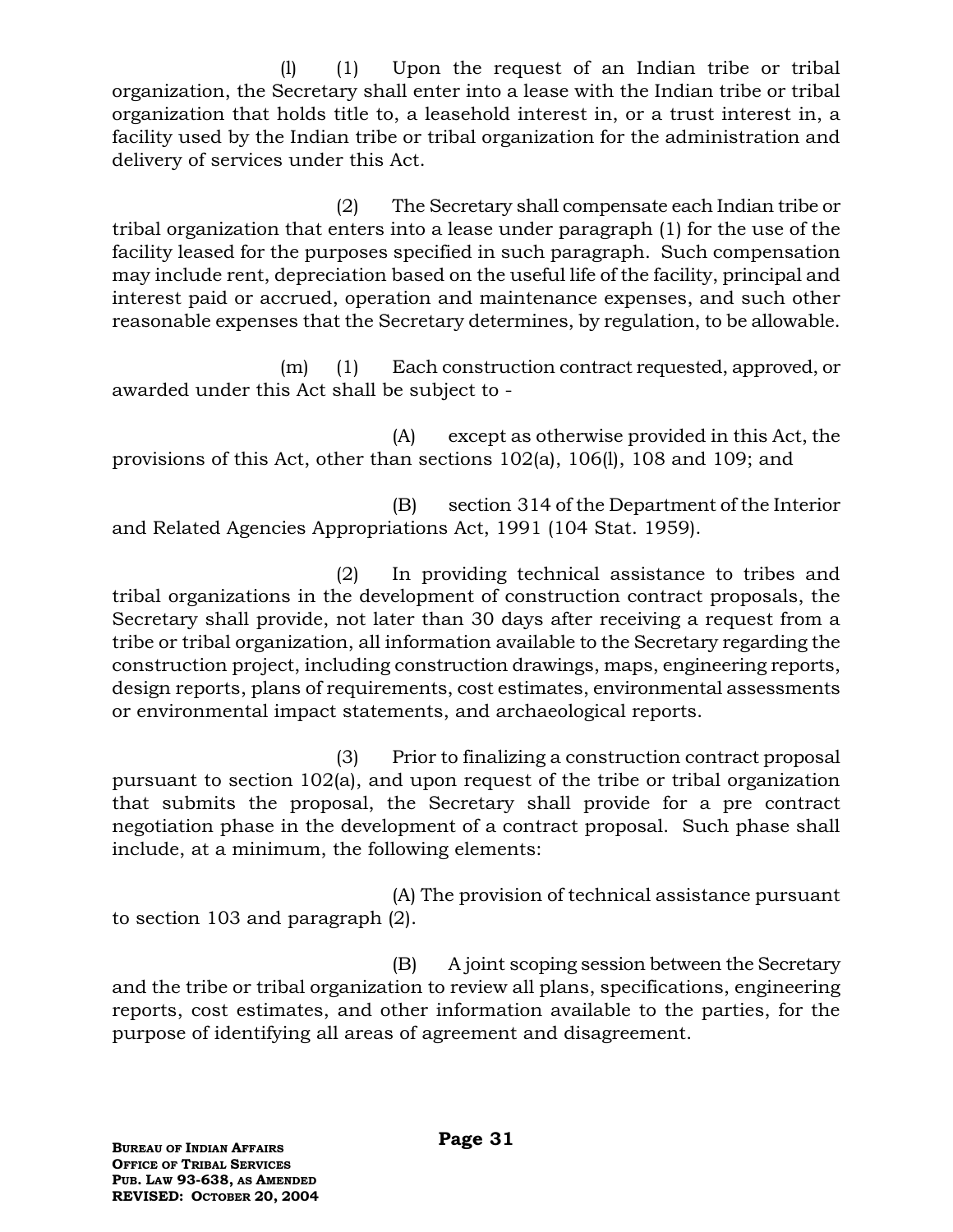(l) (1) Upon the request of an Indian tribe or tribal organization, the Secretary shall enter into a lease with the Indian tribe or tribal organization that holds title to, a leasehold interest in, or a trust interest in, a facility used by the Indian tribe or tribal organization for the administration and delivery of services under this Act.

(2) The Secretary shall compensate each Indian tribe or tribal organization that enters into a lease under paragraph (1) for the use of the facility leased for the purposes specified in such paragraph. Such compensation may include rent, depreciation based on the useful life of the facility, principal and interest paid or accrued, operation and maintenance expenses, and such other reasonable expenses that the Secretary determines, by regulation, to be allowable.

(m) (1) Each construction contract requested, approved, or awarded under this Act shall be subject to -

(A) except as otherwise provided in this Act, the provisions of this Act, other than sections 102(a), 106(l), 108 and 109; and

(B) section 314 of the Department of the Interior and Related Agencies Appropriations Act, 1991 (104 Stat. 1959).

(2) In providing technical assistance to tribes and tribal organizations in the development of construction contract proposals, the Secretary shall provide, not later than 30 days after receiving a request from a tribe or tribal organization, all information available to the Secretary regarding the construction project, including construction drawings, maps, engineering reports, design reports, plans of requirements, cost estimates, environmental assessments or environmental impact statements, and archaeological reports.

(3) Prior to finalizing a construction contract proposal pursuant to section 102(a), and upon request of the tribe or tribal organization that submits the proposal, the Secretary shall provide for a pre contract negotiation phase in the development of a contract proposal. Such phase shall include, at a minimum, the following elements:

(A) The provision of technical assistance pursuant to section 103 and paragraph (2).

(B) A joint scoping session between the Secretary and the tribe or tribal organization to review all plans, specifications, engineering reports, cost estimates, and other information available to the parties, for the purpose of identifying all areas of agreement and disagreement.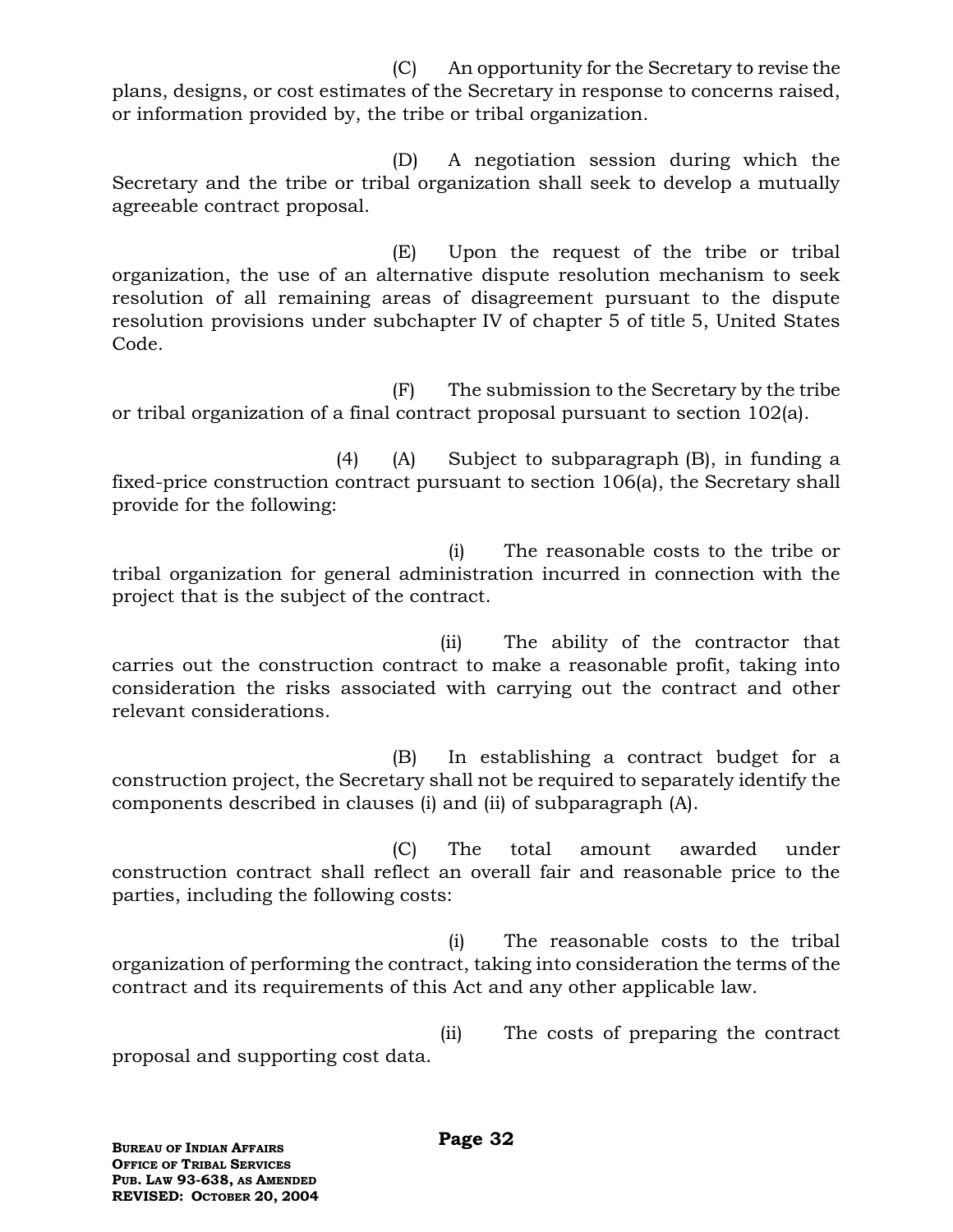(C) An opportunity for the Secretary to revise the plans, designs, or cost estimates of the Secretary in response to concerns raised, or information provided by, the tribe or tribal organization.

(D) A negotiation session during which the Secretary and the tribe or tribal organization shall seek to develop a mutually agreeable contract proposal.

(E) Upon the request of the tribe or tribal organization, the use of an alternative dispute resolution mechanism to seek resolution of all remaining areas of disagreement pursuant to the dispute resolution provisions under subchapter IV of chapter 5 of title 5, United States Code.

(F) The submission to the Secretary by the tribe or tribal organization of a final contract proposal pursuant to section 102(a).

(4) (A) Subject to subparagraph (B), in funding a fixed-price construction contract pursuant to section 106(a), the Secretary shall provide for the following:

(i) The reasonable costs to the tribe or tribal organization for general administration incurred in connection with the project that is the subject of the contract.

 (ii) The ability of the contractor that carries out the construction contract to make a reasonable profit, taking into consideration the risks associated with carrying out the contract and other relevant considerations.

(B) In establishing a contract budget for a construction project, the Secretary shall not be required to separately identify the components described in clauses (i) and (ii) of subparagraph (A).

(C) The total amount awarded under construction contract shall reflect an overall fair and reasonable price to the parties, including the following costs:

(i) The reasonable costs to the tribal organization of performing the contract, taking into consideration the terms of the contract and its requirements of this Act and any other applicable law.

 (ii) The costs of preparing the contract proposal and supporting cost data.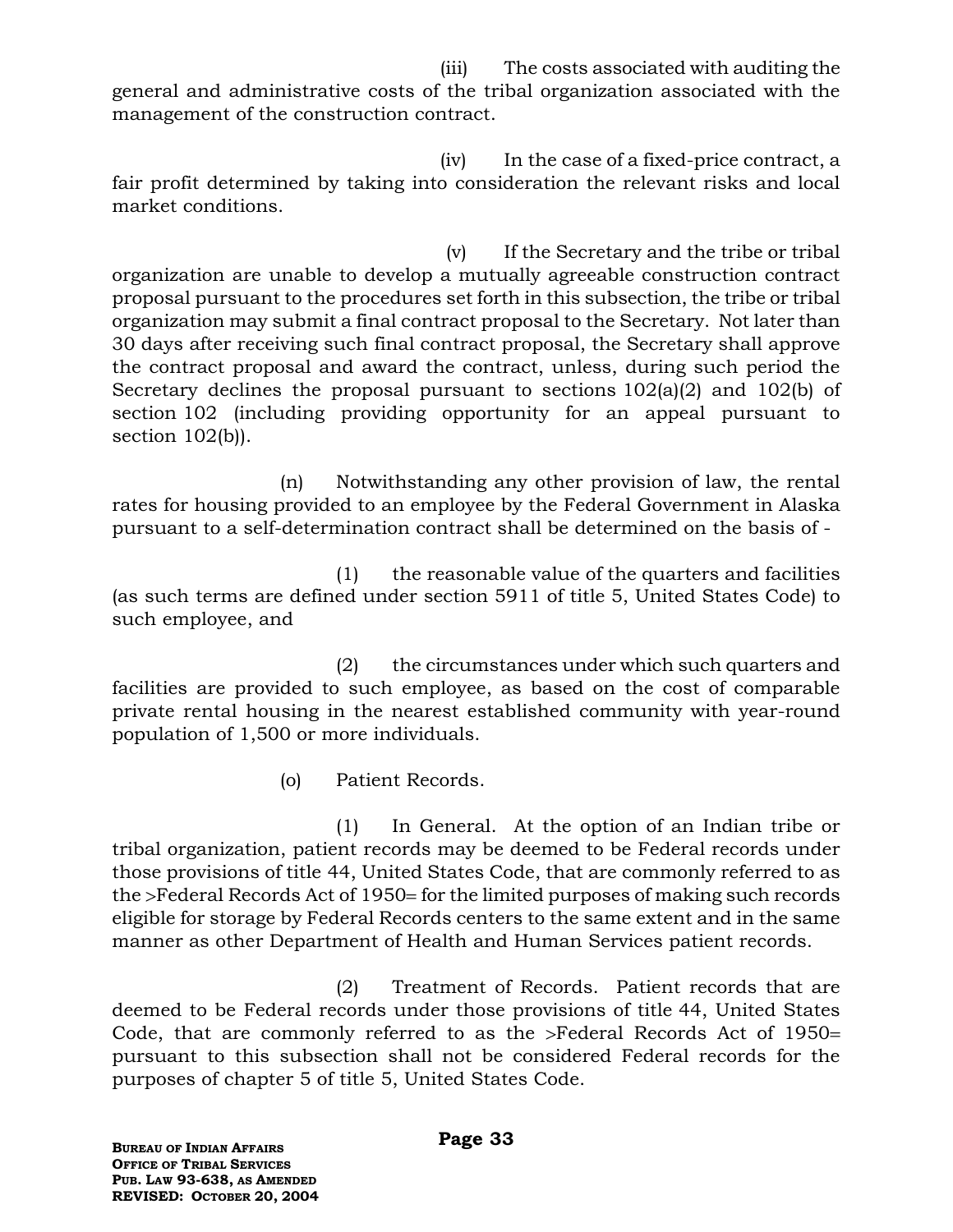(iii) The costs associated with auditing the general and administrative costs of the tribal organization associated with the management of the construction contract.

 (iv) In the case of a fixed-price contract, a fair profit determined by taking into consideration the relevant risks and local market conditions.

 (v) If the Secretary and the tribe or tribal organization are unable to develop a mutually agreeable construction contract proposal pursuant to the procedures set forth in this subsection, the tribe or tribal organization may submit a final contract proposal to the Secretary. Not later than 30 days after receiving such final contract proposal, the Secretary shall approve the contract proposal and award the contract, unless, during such period the Secretary declines the proposal pursuant to sections 102(a)(2) and 102(b) of section 102 (including providing opportunity for an appeal pursuant to section 102(b)).

(n) Notwithstanding any other provision of law, the rental rates for housing provided to an employee by the Federal Government in Alaska pursuant to a self-determination contract shall be determined on the basis of -

(1) the reasonable value of the quarters and facilities (as such terms are defined under section 5911 of title 5, United States Code) to such employee, and

(2) the circumstances under which such quarters and facilities are provided to such employee, as based on the cost of comparable private rental housing in the nearest established community with year-round population of 1,500 or more individuals.

(o) Patient Records.

(1) In General. At the option of an Indian tribe or tribal organization, patient records may be deemed to be Federal records under those provisions of title 44, United States Code, that are commonly referred to as the >Federal Records Act of 1950= for the limited purposes of making such records eligible for storage by Federal Records centers to the same extent and in the same manner as other Department of Health and Human Services patient records.

(2) Treatment of Records. Patient records that are deemed to be Federal records under those provisions of title 44, United States Code, that are commonly referred to as the  $>$ Federal Records Act of 1950= pursuant to this subsection shall not be considered Federal records for the purposes of chapter 5 of title 5, United States Code.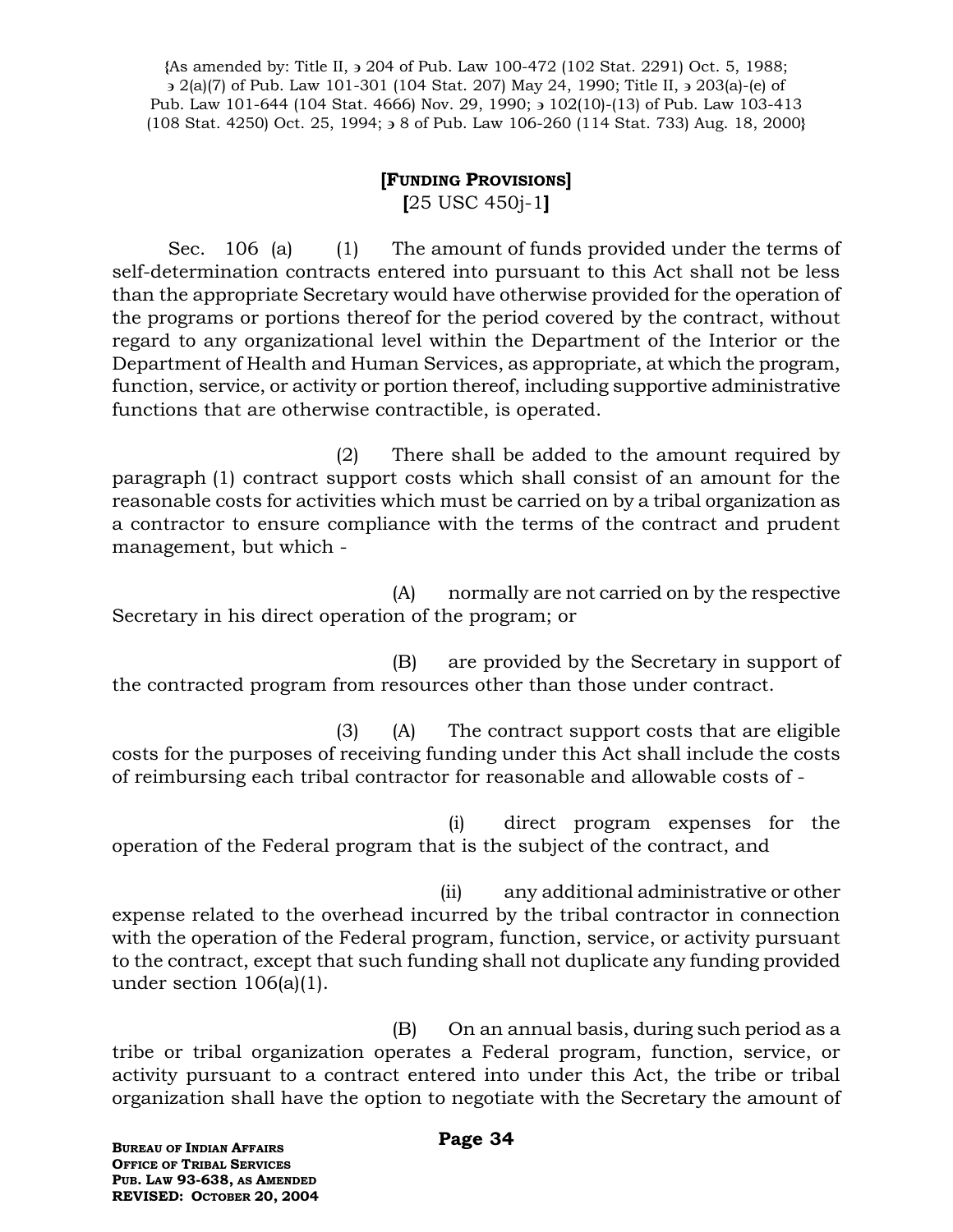**{**As amended by: Title II, 204 of Pub. Law 100-472 (102 Stat. 2291) Oct. 5, 1988; 2(a)(7) of Pub. Law 101-301 (104 Stat. 207) May 24, 1990; Title II, 203(a)-(e) of Pub. Law 101-644 (104 Stat. 4666) Nov. 29, 1990;  $\frac{102(10)-(13)}{10}$  of Pub. Law 103-413 (108 Stat. 4250) Oct. 25, 1994; 8 of Pub. Law 106-260 (114 Stat. 733) Aug. 18, 2000**}**

## **[FUNDING PROVISIONS]**

**[**25 USC 450j-1**]**

Sec. 106 (a) (1) The amount of funds provided under the terms of self-determination contracts entered into pursuant to this Act shall not be less than the appropriate Secretary would have otherwise provided for the operation of the programs or portions thereof for the period covered by the contract, without regard to any organizational level within the Department of the Interior or the Department of Health and Human Services, as appropriate, at which the program, function, service, or activity or portion thereof, including supportive administrative functions that are otherwise contractible, is operated.

(2) There shall be added to the amount required by paragraph (1) contract support costs which shall consist of an amount for the reasonable costs for activities which must be carried on by a tribal organization as a contractor to ensure compliance with the terms of the contract and prudent management, but which -

(A) normally are not carried on by the respective Secretary in his direct operation of the program; or

(B) are provided by the Secretary in support of the contracted program from resources other than those under contract.

(3) (A) The contract support costs that are eligible costs for the purposes of receiving funding under this Act shall include the costs of reimbursing each tribal contractor for reasonable and allowable costs of -

(i) direct program expenses for the operation of the Federal program that is the subject of the contract, and

 (ii) any additional administrative or other expense related to the overhead incurred by the tribal contractor in connection with the operation of the Federal program, function, service, or activity pursuant to the contract, except that such funding shall not duplicate any funding provided under section 106(a)(1).

(B) On an annual basis, during such period as a tribe or tribal organization operates a Federal program, function, service, or activity pursuant to a contract entered into under this Act, the tribe or tribal organization shall have the option to negotiate with the Secretary the amount of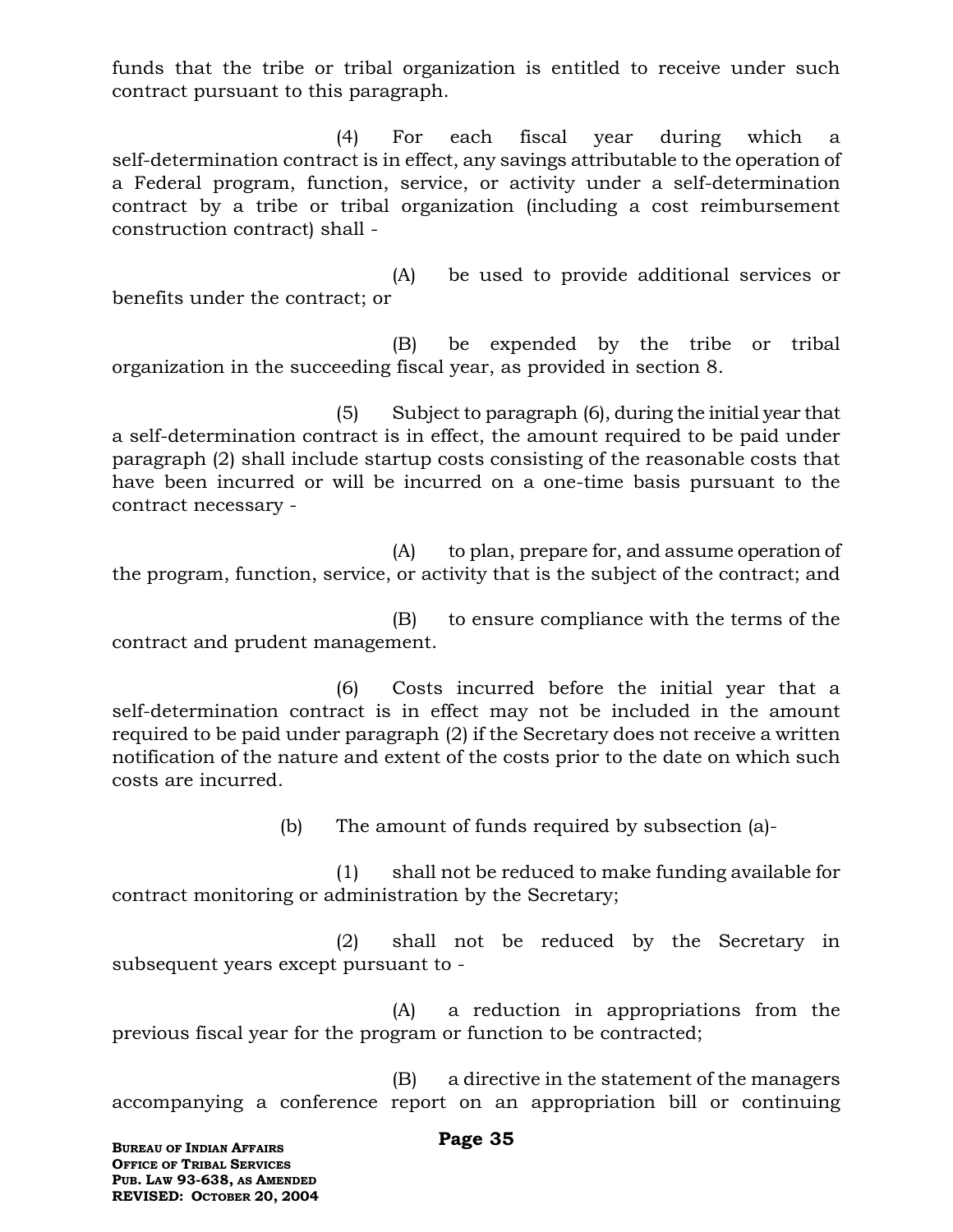funds that the tribe or tribal organization is entitled to receive under such contract pursuant to this paragraph.

(4) For each fiscal year during which a self-determination contract is in effect, any savings attributable to the operation of a Federal program, function, service, or activity under a self-determination contract by a tribe or tribal organization (including a cost reimbursement construction contract) shall -

(A) be used to provide additional services or benefits under the contract; or

(B) be expended by the tribe or tribal organization in the succeeding fiscal year, as provided in section 8.

(5) Subject to paragraph (6), during the initial year that a self-determination contract is in effect, the amount required to be paid under paragraph (2) shall include startup costs consisting of the reasonable costs that have been incurred or will be incurred on a one-time basis pursuant to the contract necessary -

(A) to plan, prepare for, and assume operation of the program, function, service, or activity that is the subject of the contract; and

(B) to ensure compliance with the terms of the contract and prudent management.

(6) Costs incurred before the initial year that a self-determination contract is in effect may not be included in the amount required to be paid under paragraph (2) if the Secretary does not receive a written notification of the nature and extent of the costs prior to the date on which such costs are incurred.

(b) The amount of funds required by subsection (a)-

(1) shall not be reduced to make funding available for contract monitoring or administration by the Secretary;

(2) shall not be reduced by the Secretary in subsequent years except pursuant to -

(A) a reduction in appropriations from the previous fiscal year for the program or function to be contracted;

(B) a directive in the statement of the managers accompanying a conference report on an appropriation bill or continuing

**BUREAU OF INDIAN AFFAIRS OFFICE OF TRIBAL SERVICES PUB. LAW 93-638, AS AMENDED REVISED: OCTOBER 20, 2004**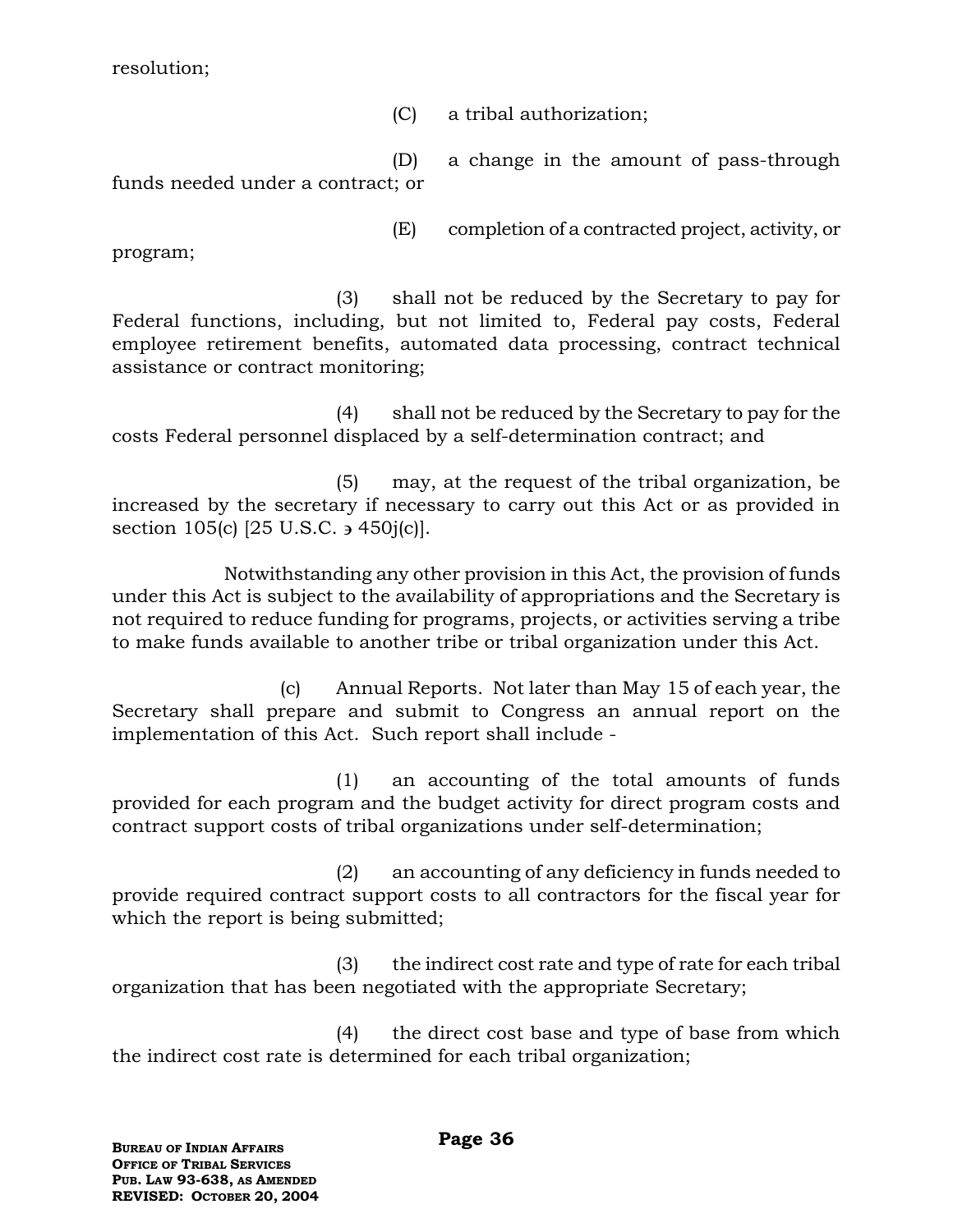resolution;

(C) a tribal authorization;

(D) a change in the amount of pass-through funds needed under a contract; or

(E) completion of a contracted project, activity, or

program;

(3) shall not be reduced by the Secretary to pay for Federal functions, including, but not limited to, Federal pay costs, Federal employee retirement benefits, automated data processing, contract technical assistance or contract monitoring;

(4) shall not be reduced by the Secretary to pay for the costs Federal personnel displaced by a self-determination contract; and

(5) may, at the request of the tribal organization, be increased by the secretary if necessary to carry out this Act or as provided in section 105(c)  $[25 \text{ U.S.C.} \rightarrow 450 \text{j(c)}]$ .

Notwithstanding any other provision in this Act, the provision of funds under this Act is subject to the availability of appropriations and the Secretary is not required to reduce funding for programs, projects, or activities serving a tribe to make funds available to another tribe or tribal organization under this Act.

(c) Annual Reports. Not later than May 15 of each year, the Secretary shall prepare and submit to Congress an annual report on the implementation of this Act. Such report shall include -

(1) an accounting of the total amounts of funds provided for each program and the budget activity for direct program costs and contract support costs of tribal organizations under self-determination;

(2) an accounting of any deficiency in funds needed to provide required contract support costs to all contractors for the fiscal year for which the report is being submitted;

(3) the indirect cost rate and type of rate for each tribal organization that has been negotiated with the appropriate Secretary;

(4) the direct cost base and type of base from which the indirect cost rate is determined for each tribal organization;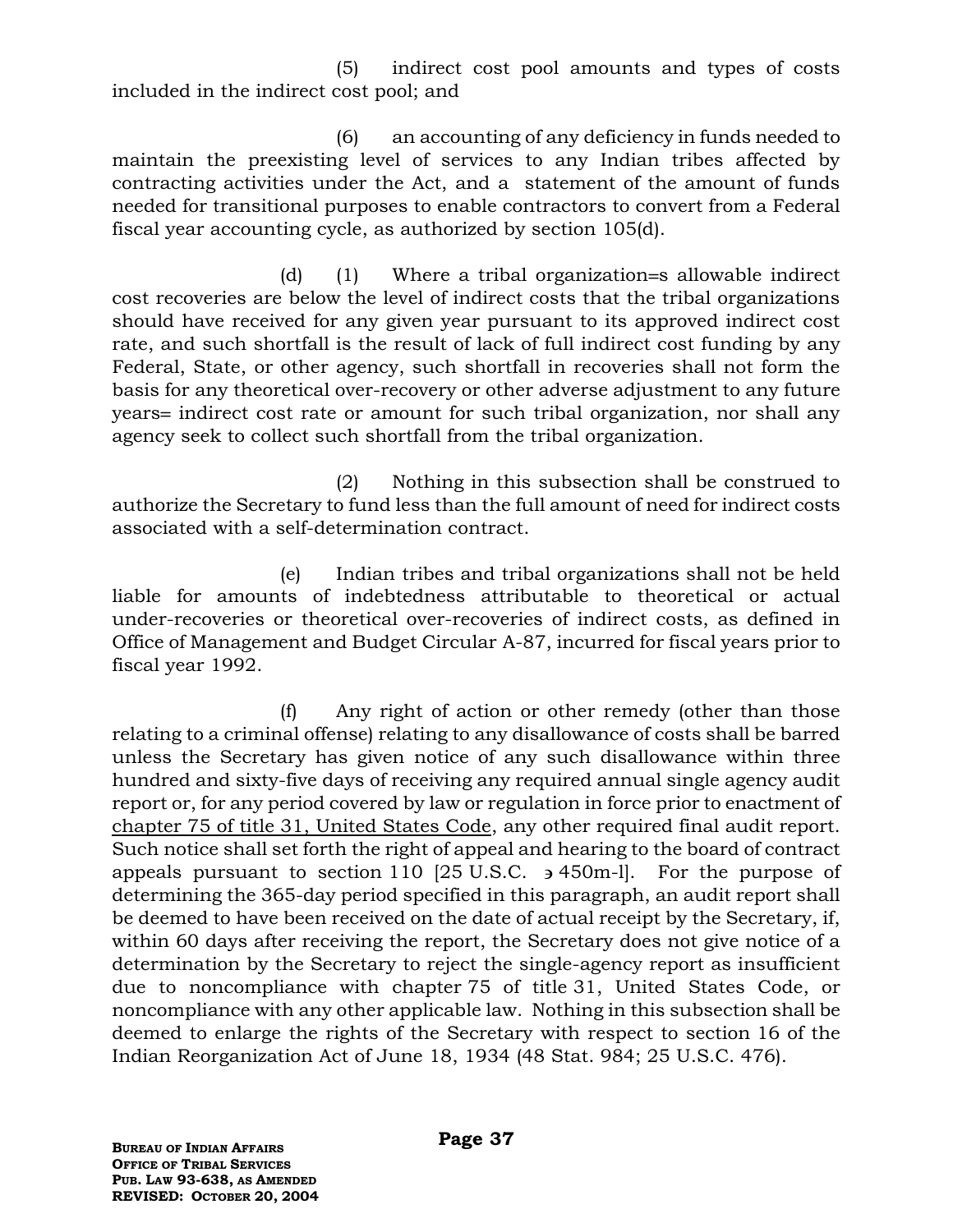(5) indirect cost pool amounts and types of costs included in the indirect cost pool; and

(6) an accounting of any deficiency in funds needed to maintain the preexisting level of services to any Indian tribes affected by contracting activities under the Act, and a statement of the amount of funds needed for transitional purposes to enable contractors to convert from a Federal fiscal year accounting cycle, as authorized by section 105(d).

 $(d)$  (1) Where a tribal organization s allowable indirect cost recoveries are below the level of indirect costs that the tribal organizations should have received for any given year pursuant to its approved indirect cost rate, and such shortfall is the result of lack of full indirect cost funding by any Federal, State, or other agency, such shortfall in recoveries shall not form the basis for any theoretical over-recovery or other adverse adjustment to any future years = indirect cost rate or amount for such tribal organization, nor shall any agency seek to collect such shortfall from the tribal organization.

(2) Nothing in this subsection shall be construed to authorize the Secretary to fund less than the full amount of need for indirect costs associated with a self-determination contract.

(e) Indian tribes and tribal organizations shall not be held liable for amounts of indebtedness attributable to theoretical or actual under-recoveries or theoretical over-recoveries of indirect costs, as defined in Office of Management and Budget Circular A-87, incurred for fiscal years prior to fiscal year 1992.

(f) Any right of action or other remedy (other than those relating to a criminal offense) relating to any disallowance of costs shall be barred unless the Secretary has given notice of any such disallowance within three hundred and sixty-five days of receiving any required annual single agency audit report or, for any period covered by law or regulation in force prior to enactment of chapter 75 of title 31, United States Code, any other required final audit report. Such notice shall set forth the right of appeal and hearing to the board of contract appeals pursuant to section 110 [25 U.S.C.  $\rightarrow$  450m-l]. For the purpose of determining the 365-day period specified in this paragraph, an audit report shall be deemed to have been received on the date of actual receipt by the Secretary, if, within 60 days after receiving the report, the Secretary does not give notice of a determination by the Secretary to reject the single-agency report as insufficient due to noncompliance with chapter 75 of title 31, United States Code, or noncompliance with any other applicable law. Nothing in this subsection shall be deemed to enlarge the rights of the Secretary with respect to section 16 of the Indian Reorganization Act of June 18, 1934 (48 Stat. 984; 25 U.S.C. 476).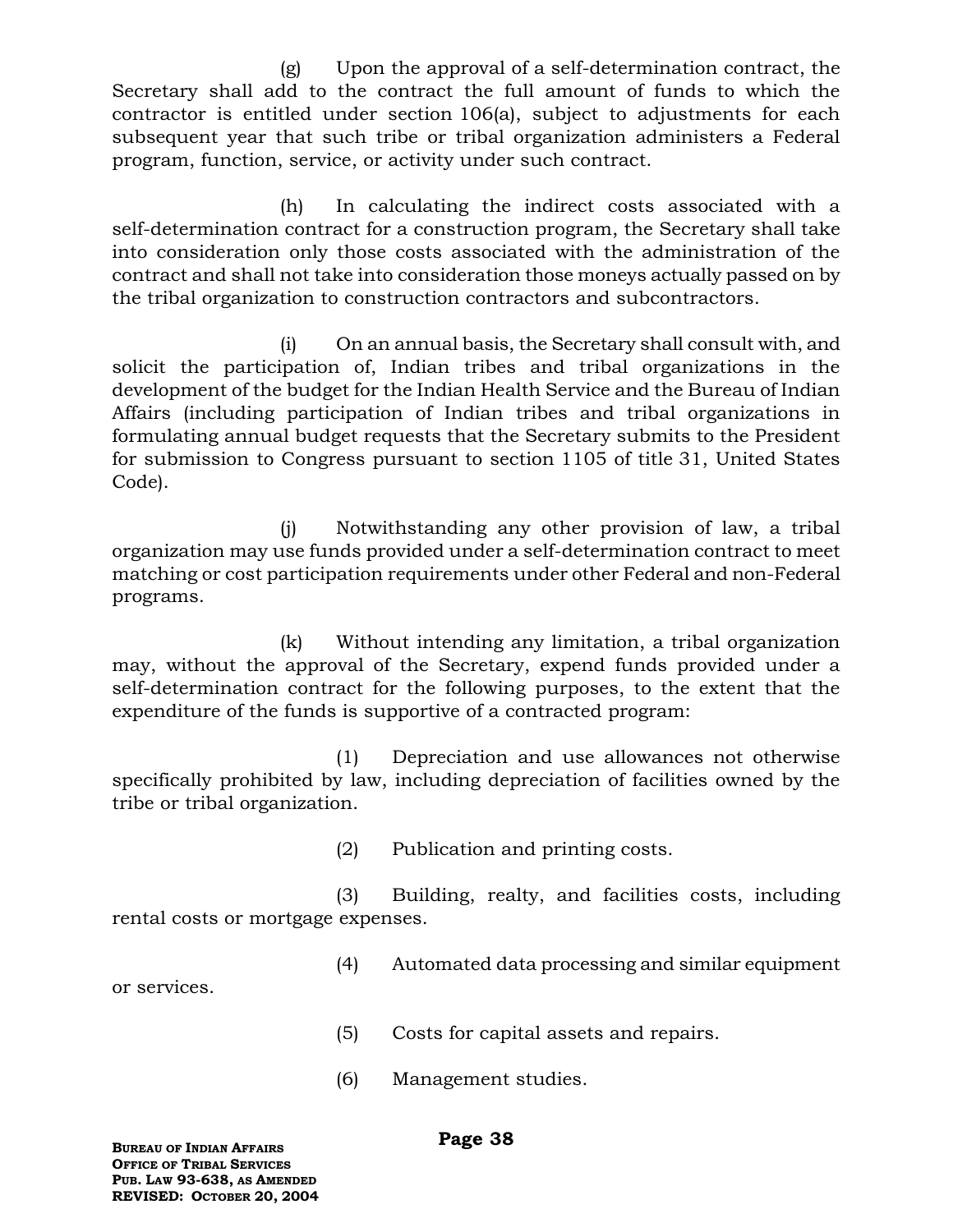(g) Upon the approval of a self-determination contract, the Secretary shall add to the contract the full amount of funds to which the contractor is entitled under section 106(a), subject to adjustments for each subsequent year that such tribe or tribal organization administers a Federal program, function, service, or activity under such contract.

(h) In calculating the indirect costs associated with a self-determination contract for a construction program, the Secretary shall take into consideration only those costs associated with the administration of the contract and shall not take into consideration those moneys actually passed on by the tribal organization to construction contractors and subcontractors.

(i) On an annual basis, the Secretary shall consult with, and solicit the participation of, Indian tribes and tribal organizations in the development of the budget for the Indian Health Service and the Bureau of Indian Affairs (including participation of Indian tribes and tribal organizations in formulating annual budget requests that the Secretary submits to the President for submission to Congress pursuant to section 1105 of title 31, United States Code).

(j) Notwithstanding any other provision of law, a tribal organization may use funds provided under a self-determination contract to meet matching or cost participation requirements under other Federal and non-Federal programs.

(k) Without intending any limitation, a tribal organization may, without the approval of the Secretary, expend funds provided under a self-determination contract for the following purposes, to the extent that the expenditure of the funds is supportive of a contracted program:

(1) Depreciation and use allowances not otherwise specifically prohibited by law, including depreciation of facilities owned by the tribe or tribal organization.

(2) Publication and printing costs.

(3) Building, realty, and facilities costs, including rental costs or mortgage expenses.

(4) Automated data processing and similar equipment

or services.

- (5) Costs for capital assets and repairs.
- (6) Management studies.

### **Page 38**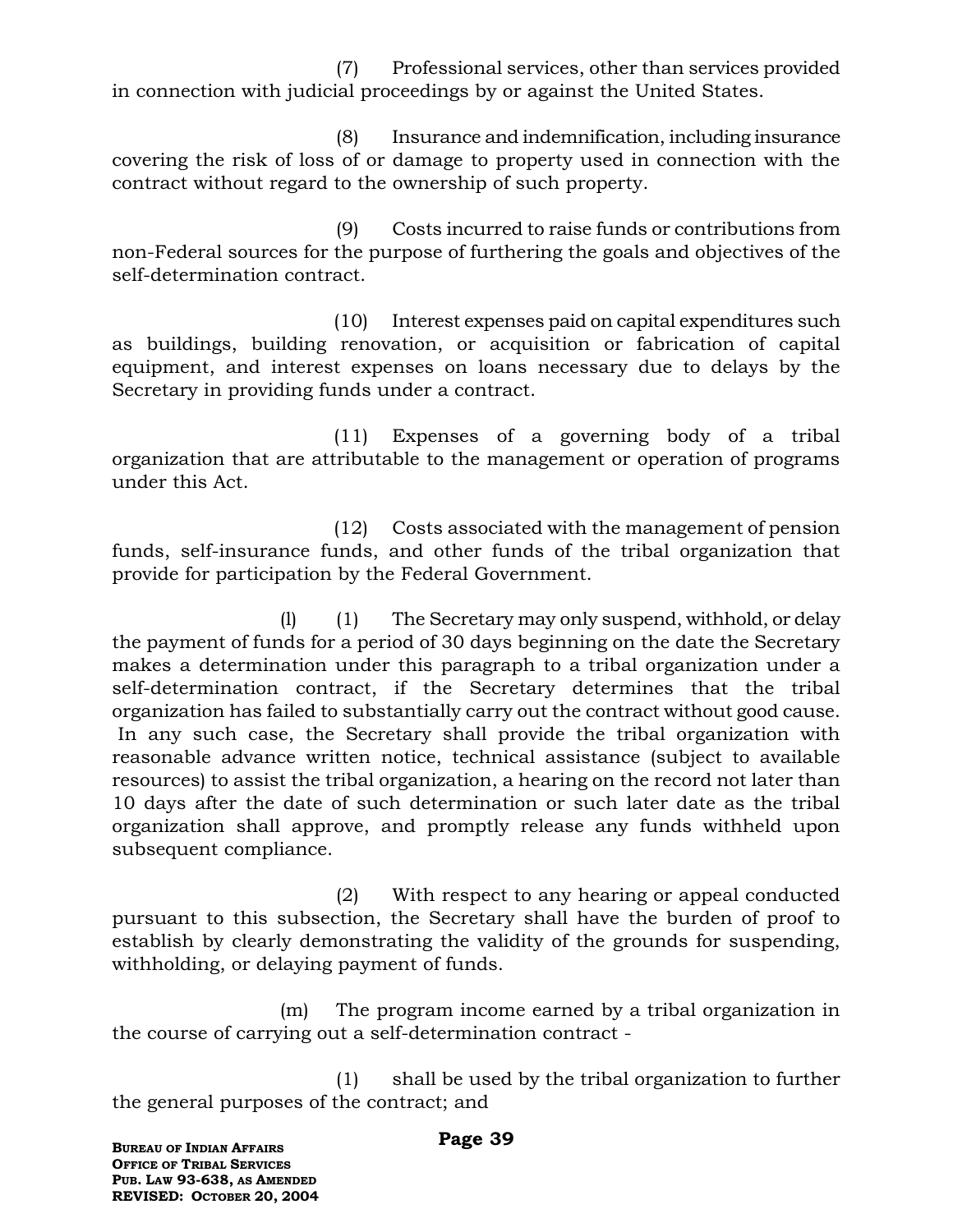(7) Professional services, other than services provided in connection with judicial proceedings by or against the United States.

(8) Insurance and indemnification, including insurance covering the risk of loss of or damage to property used in connection with the contract without regard to the ownership of such property.

(9) Costs incurred to raise funds or contributions from non-Federal sources for the purpose of furthering the goals and objectives of the self-determination contract.

 (10) Interest expenses paid on capital expenditures such as buildings, building renovation, or acquisition or fabrication of capital equipment, and interest expenses on loans necessary due to delays by the Secretary in providing funds under a contract.

 (11) Expenses of a governing body of a tribal organization that are attributable to the management or operation of programs under this Act.

 (12) Costs associated with the management of pension funds, self-insurance funds, and other funds of the tribal organization that provide for participation by the Federal Government.

(l) (1) The Secretary may only suspend, withhold, or delay the payment of funds for a period of 30 days beginning on the date the Secretary makes a determination under this paragraph to a tribal organization under a self-determination contract, if the Secretary determines that the tribal organization has failed to substantially carry out the contract without good cause. In any such case, the Secretary shall provide the tribal organization with reasonable advance written notice, technical assistance (subject to available resources) to assist the tribal organization, a hearing on the record not later than 10 days after the date of such determination or such later date as the tribal organization shall approve, and promptly release any funds withheld upon subsequent compliance.

(2) With respect to any hearing or appeal conducted pursuant to this subsection, the Secretary shall have the burden of proof to establish by clearly demonstrating the validity of the grounds for suspending, withholding, or delaying payment of funds.

(m) The program income earned by a tribal organization in the course of carrying out a self-determination contract -

(1) shall be used by the tribal organization to further the general purposes of the contract; and

**BUREAU OF INDIAN AFFAIRS OFFICE OF TRIBAL SERVICES PUB. LAW 93-638, AS AMENDED REVISED: OCTOBER 20, 2004** **Page 39**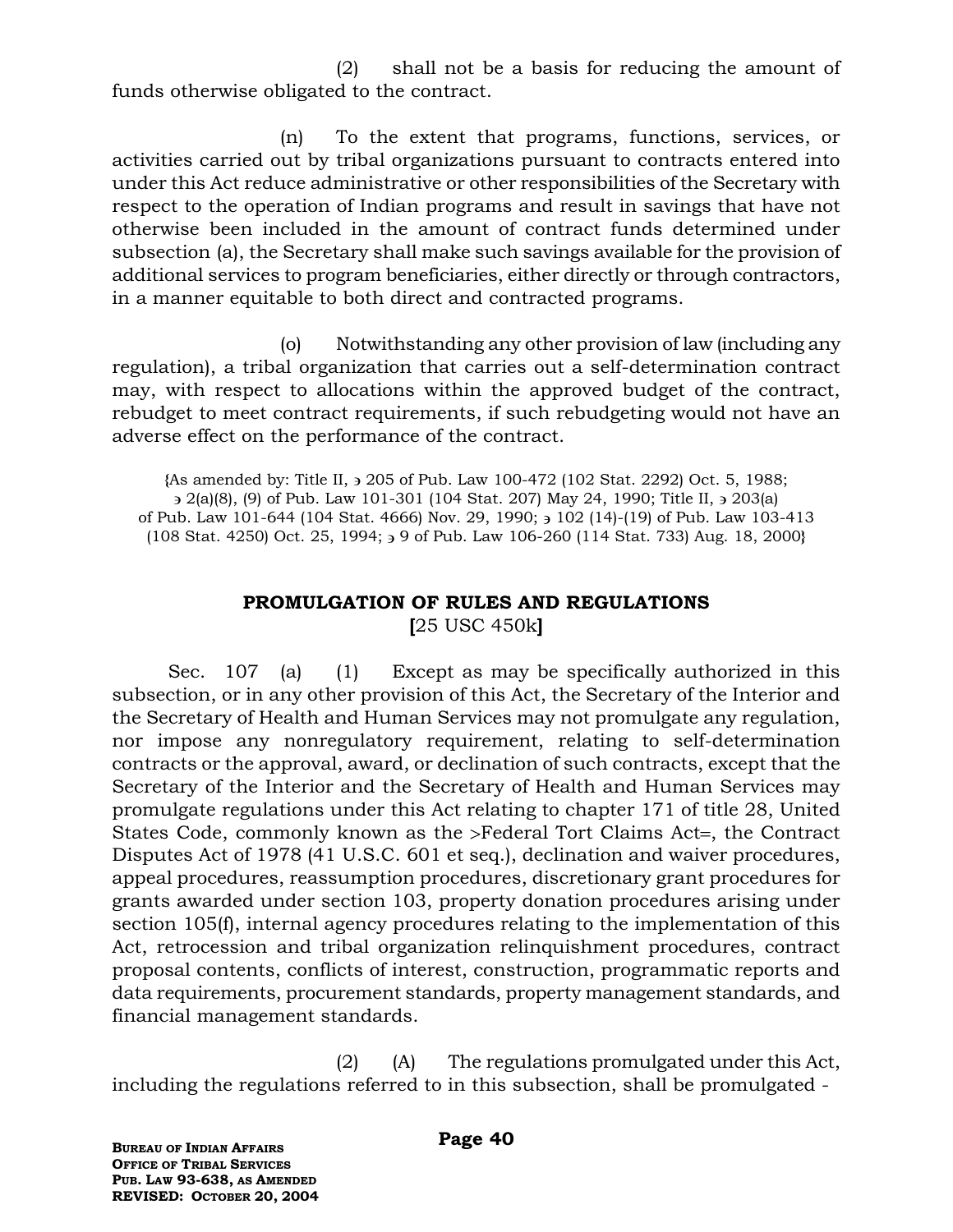(2) shall not be a basis for reducing the amount of funds otherwise obligated to the contract.

(n) To the extent that programs, functions, services, or activities carried out by tribal organizations pursuant to contracts entered into under this Act reduce administrative or other responsibilities of the Secretary with respect to the operation of Indian programs and result in savings that have not otherwise been included in the amount of contract funds determined under subsection (a), the Secretary shall make such savings available for the provision of additional services to program beneficiaries, either directly or through contractors, in a manner equitable to both direct and contracted programs.

(o) Notwithstanding any other provision of law (including any regulation), a tribal organization that carries out a self-determination contract may, with respect to allocations within the approved budget of the contract, rebudget to meet contract requirements, if such rebudgeting would not have an adverse effect on the performance of the contract.

**{**As amended by: Title II, 205 of Pub. Law 100-472 (102 Stat. 2292) Oct. 5, 1988;  $3$  2(a)(8), (9) of Pub. Law 101-301 (104 Stat. 207) May 24, 1990; Title II,  $3$  203(a) of Pub. Law 101-644 (104 Stat. 4666) Nov. 29, 1990; 3 102 (14)-(19) of Pub. Law 103-413 (108 Stat. 4250) Oct. 25, 1994; 9 of Pub. Law 106-260 (114 Stat. 733) Aug. 18, 2000**}**

# **PROMULGATION OF RULES AND REGULATIONS [**25 USC 450k**]**

Sec. 107 (a) (1) Except as may be specifically authorized in this subsection, or in any other provision of this Act, the Secretary of the Interior and the Secretary of Health and Human Services may not promulgate any regulation, nor impose any nonregulatory requirement, relating to self-determination contracts or the approval, award, or declination of such contracts, except that the Secretary of the Interior and the Secretary of Health and Human Services may promulgate regulations under this Act relating to chapter 171 of title 28, United States Code, commonly known as the >Federal Tort Claims Act=, the Contract Disputes Act of 1978 (41 U.S.C. 601 et seq.), declination and waiver procedures, appeal procedures, reassumption procedures, discretionary grant procedures for grants awarded under section 103, property donation procedures arising under section 105(f), internal agency procedures relating to the implementation of this Act, retrocession and tribal organization relinquishment procedures, contract proposal contents, conflicts of interest, construction, programmatic reports and data requirements, procurement standards, property management standards, and financial management standards.

(2) (A) The regulations promulgated under this Act, including the regulations referred to in this subsection, shall be promulgated -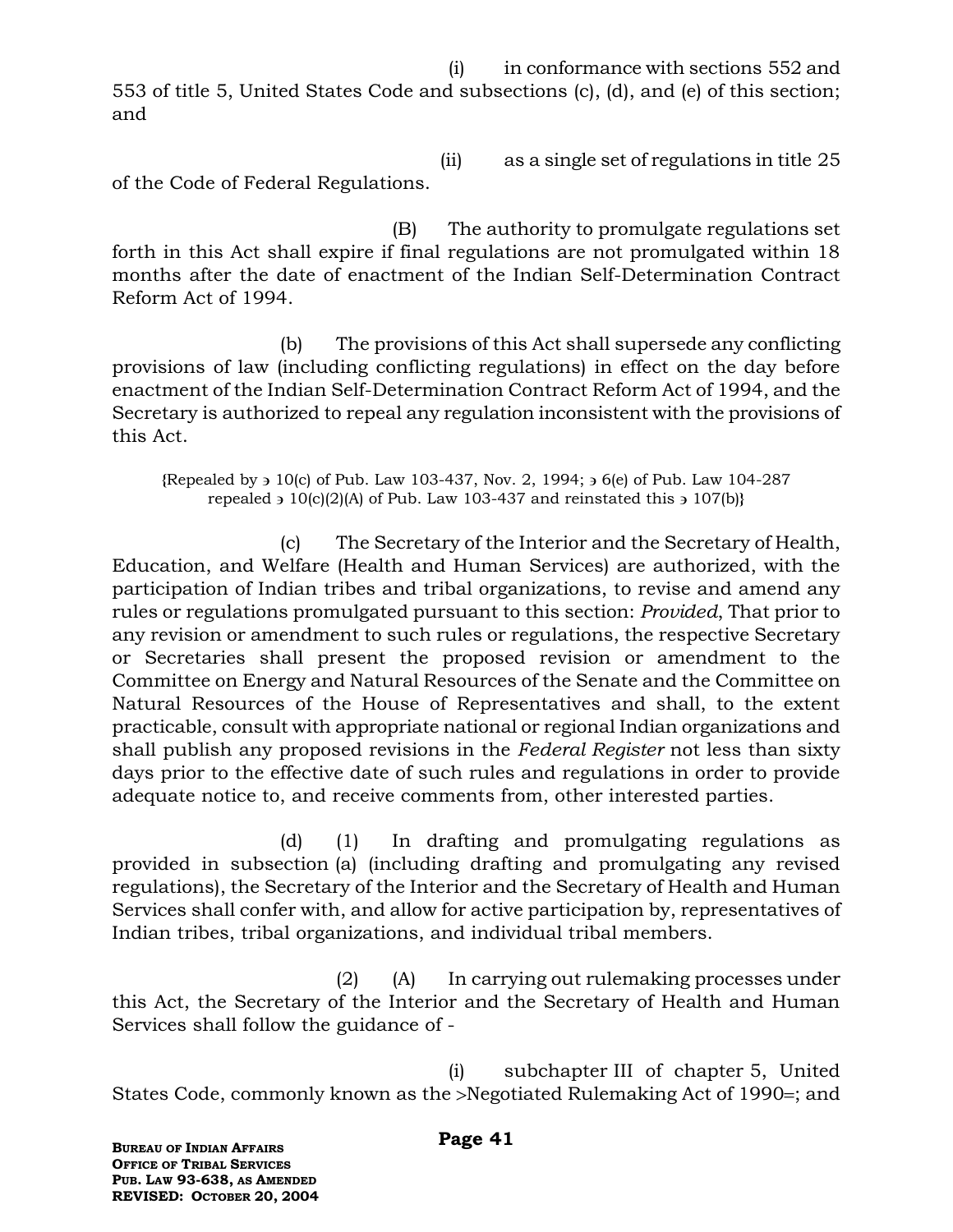(i) in conformance with sections 552 and 553 of title 5, United States Code and subsections (c), (d), and (e) of this section; and

 (ii) as a single set of regulations in title 25 of the Code of Federal Regulations.

(B) The authority to promulgate regulations set forth in this Act shall expire if final regulations are not promulgated within 18 months after the date of enactment of the Indian Self-Determination Contract Reform Act of 1994.

(b) The provisions of this Act shall supersede any conflicting provisions of law (including conflicting regulations) in effect on the day before enactment of the Indian Self-Determination Contract Reform Act of 1994, and the Secretary is authorized to repeal any regulation inconsistent with the provisions of this Act.

**{**Repealed by 10(c) of Pub. Law 103-437, Nov. 2, 1994; 6(e) of Pub. Law 104-287 repealed  $\rightarrow 10(c)(2)(A)$  of Pub. Law 103-437 and reinstated this  $\rightarrow 107(b)$ }

(c) The Secretary of the Interior and the Secretary of Health, Education, and Welfare (Health and Human Services) are authorized, with the participation of Indian tribes and tribal organizations, to revise and amend any rules or regulations promulgated pursuant to this section: *Provided*, That prior to any revision or amendment to such rules or regulations, the respective Secretary or Secretaries shall present the proposed revision or amendment to the Committee on Energy and Natural Resources of the Senate and the Committee on Natural Resources of the House of Representatives and shall, to the extent practicable, consult with appropriate national or regional Indian organizations and shall publish any proposed revisions in the *Federal Register* not less than sixty days prior to the effective date of such rules and regulations in order to provide adequate notice to, and receive comments from, other interested parties.

(d) (1) In drafting and promulgating regulations as provided in subsection (a) (including drafting and promulgating any revised regulations), the Secretary of the Interior and the Secretary of Health and Human Services shall confer with, and allow for active participation by, representatives of Indian tribes, tribal organizations, and individual tribal members.

(2) (A) In carrying out rulemaking processes under this Act, the Secretary of the Interior and the Secretary of Health and Human Services shall follow the guidance of -

(i) subchapter III of chapter 5, United States Code, commonly known as the >Negotiated Rulemaking Act of 1990=; and

**BUREAU OF INDIAN AFFAIRS OFFICE OF TRIBAL SERVICES PUB. LAW 93-638, AS AMENDED REVISED: OCTOBER 20, 2004** **Page 41**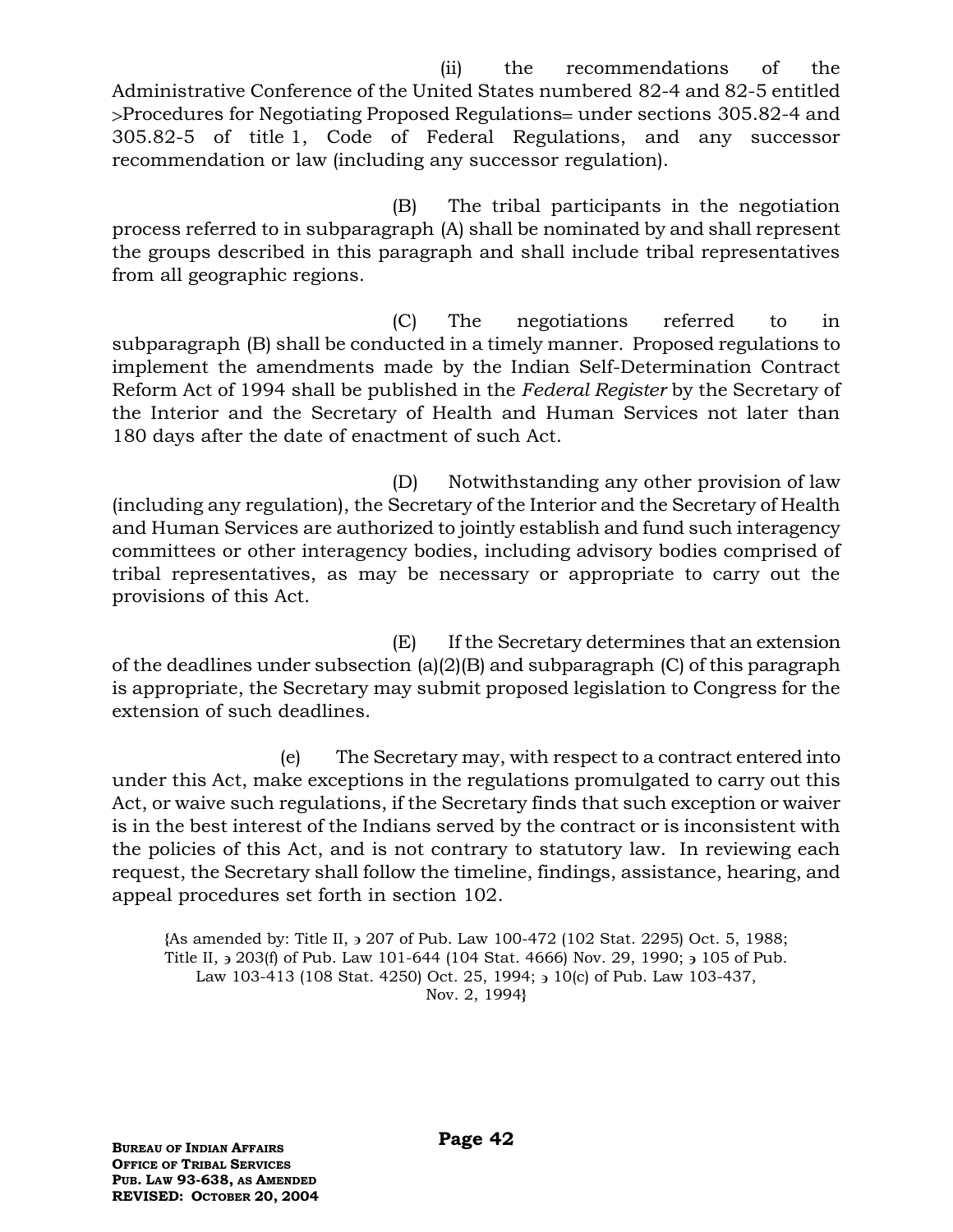(ii) the recommendations of the Administrative Conference of the United States numbered 82-4 and 82-5 entitled >Procedures for Negotiating Proposed Regulations= under sections 305.82-4 and 305.82-5 of title 1, Code of Federal Regulations, and any successor recommendation or law (including any successor regulation).

(B) The tribal participants in the negotiation process referred to in subparagraph (A) shall be nominated by and shall represent the groups described in this paragraph and shall include tribal representatives from all geographic regions.

(C) The negotiations referred to in subparagraph (B) shall be conducted in a timely manner. Proposed regulations to implement the amendments made by the Indian Self-Determination Contract Reform Act of 1994 shall be published in the *Federal Register* by the Secretary of the Interior and the Secretary of Health and Human Services not later than 180 days after the date of enactment of such Act.

(D) Notwithstanding any other provision of law (including any regulation), the Secretary of the Interior and the Secretary of Health and Human Services are authorized to jointly establish and fund such interagency committees or other interagency bodies, including advisory bodies comprised of tribal representatives, as may be necessary or appropriate to carry out the provisions of this Act.

(E) If the Secretary determines that an extension of the deadlines under subsection (a)(2)(B) and subparagraph (C) of this paragraph is appropriate, the Secretary may submit proposed legislation to Congress for the extension of such deadlines.

(e) The Secretary may, with respect to a contract entered into under this Act, make exceptions in the regulations promulgated to carry out this Act, or waive such regulations, if the Secretary finds that such exception or waiver is in the best interest of the Indians served by the contract or is inconsistent with the policies of this Act, and is not contrary to statutory law. In reviewing each request, the Secretary shall follow the timeline, findings, assistance, hearing, and appeal procedures set forth in section 102.

**{**As amended by: Title II, 207 of Pub. Law 100-472 (102 Stat. 2295) Oct. 5, 1988; Title II,  $\frac{1}{2}$  203(f) of Pub. Law 101-644 (104 Stat. 4666) Nov. 29, 1990;  $\frac{1}{2}$  105 of Pub. Law 103-413 (108 Stat. 4250) Oct. 25, 1994;  $\frac{1}{2}$  10(c) of Pub. Law 103-437, Nov. 2, 1994**}**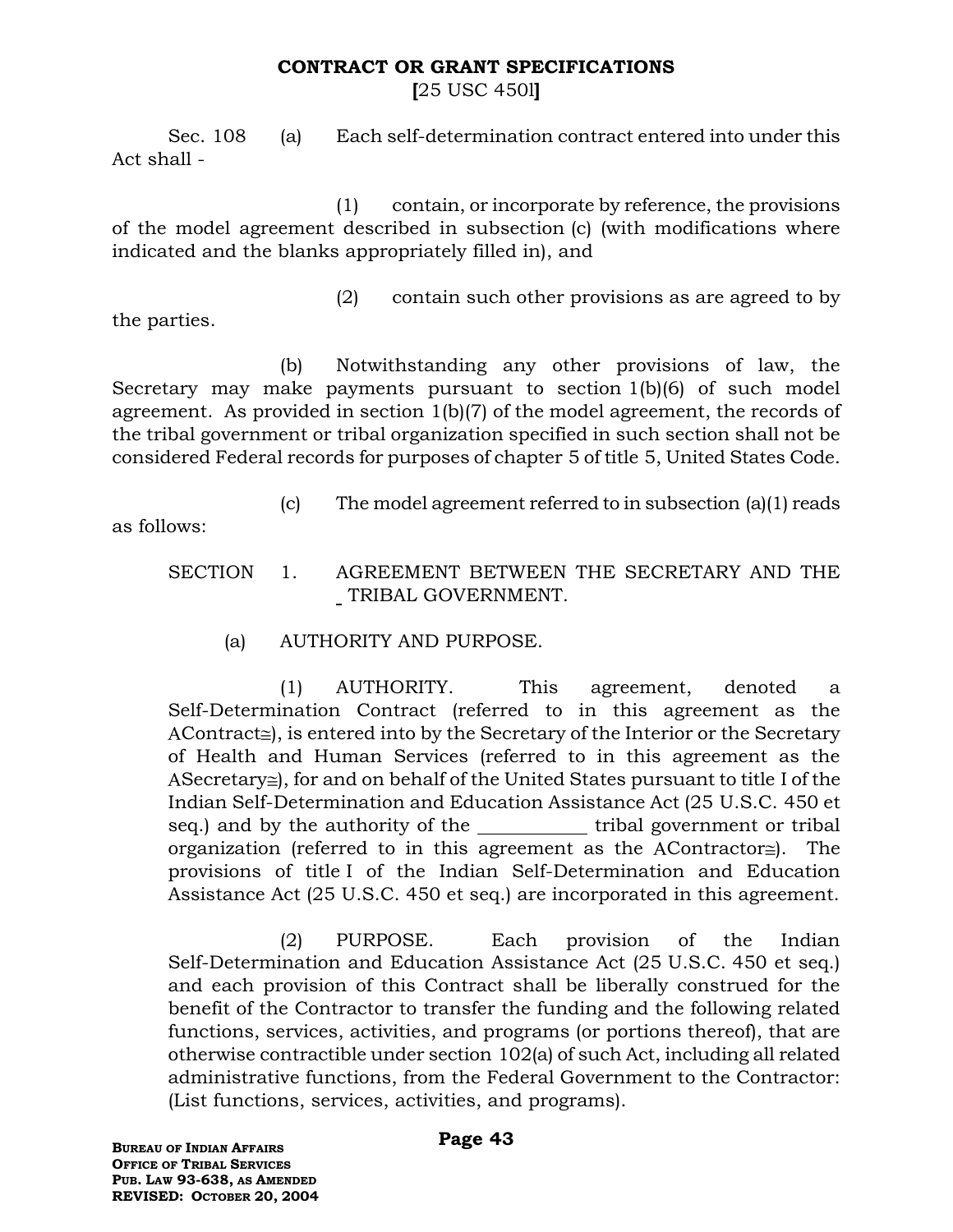# **CONTRACT OR GRANT SPECIFICATIONS**

**[**25 USC 450l**]**

Sec. 108 (a) Each self-determination contract entered into under this Act shall -

(1) contain, or incorporate by reference, the provisions of the model agreement described in subsection (c) (with modifications where indicated and the blanks appropriately filled in), and

(2) contain such other provisions as are agreed to by

the parties.

(b) Notwithstanding any other provisions of law, the Secretary may make payments pursuant to section 1(b)(6) of such model agreement. As provided in section 1(b)(7) of the model agreement, the records of the tribal government or tribal organization specified in such section shall not be considered Federal records for purposes of chapter 5 of title 5, United States Code.

(c) The model agreement referred to in subsection (a)(1) reads

as follows:

- SECTION 1. AGREEMENT BETWEEN THE SECRETARY AND THE TRIBAL GOVERNMENT.
	- (a) AUTHORITY AND PURPOSE.

(1) AUTHORITY. This agreement, denoted a Self-Determination Contract (referred to in this agreement as the  $AContract \cong$ ), is entered into by the Secretary of the Interior or the Secretary of Health and Human Services (referred to in this agreement as the  $A$ Secretary $\equiv$ ), for and on behalf of the United States pursuant to title I of the Indian Self-Determination and Education Assistance Act (25 U.S.C. 450 et seq.) and by the authority of the tribal government or tribal organization (referred to in this agreement as the AContractor $\cong$ ). The provisions of title I of the Indian Self-Determination and Education Assistance Act (25 U.S.C. 450 et seq.) are incorporated in this agreement.

(2) PURPOSE. Each provision of the Indian Self-Determination and Education Assistance Act (25 U.S.C. 450 et seq.) and each provision of this Contract shall be liberally construed for the benefit of the Contractor to transfer the funding and the following related functions, services, activities, and programs (or portions thereof), that are otherwise contractible under section 102(a) of such Act, including all related administrative functions, from the Federal Government to the Contractor: (List functions, services, activities, and programs).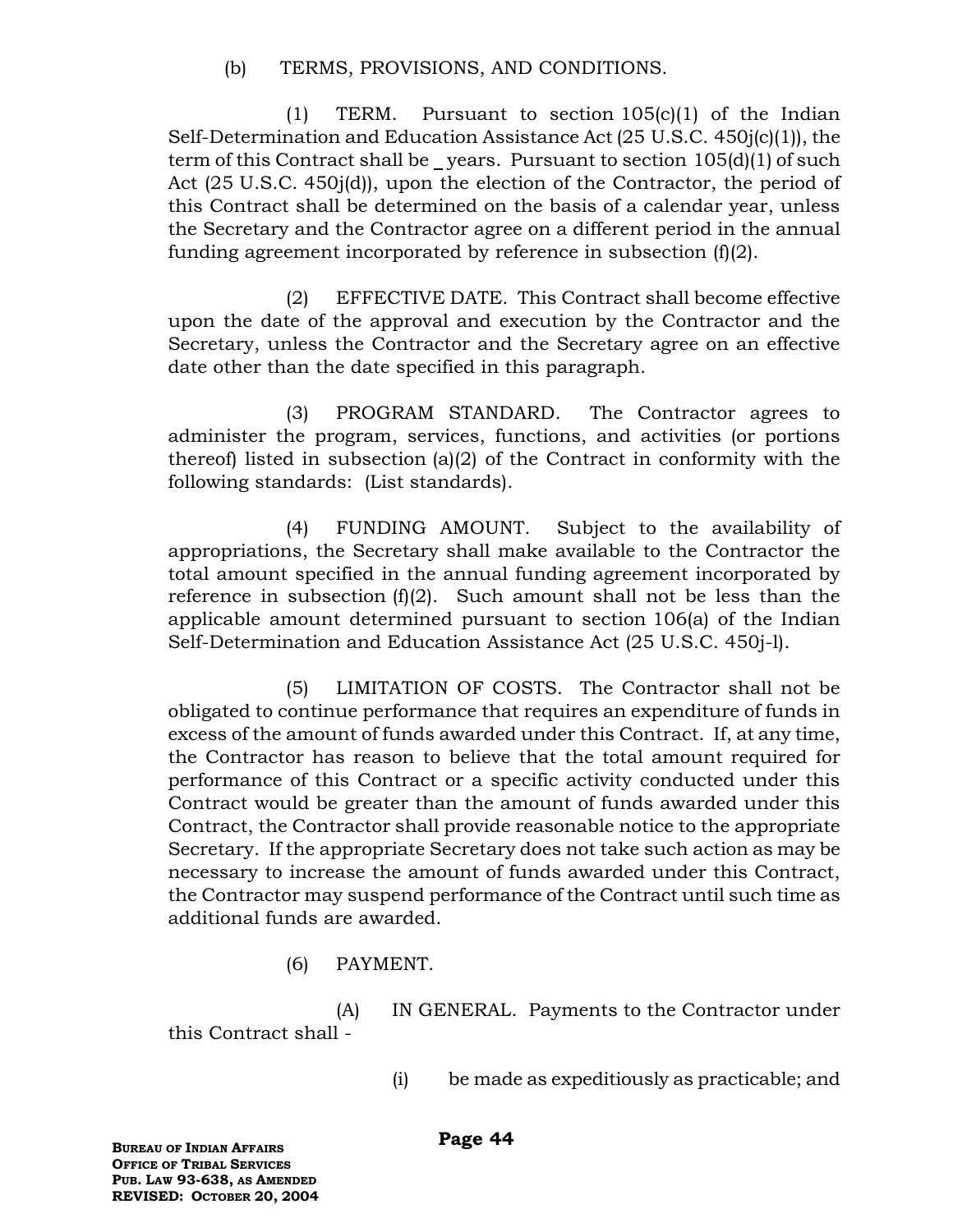(b) TERMS, PROVISIONS, AND CONDITIONS.

(1) TERM. Pursuant to section 105(c)(1) of the Indian Self-Determination and Education Assistance Act (25 U.S.C. 450j(c)(1)), the term of this Contract shall be \_years. Pursuant to section  $105(d)(1)$  of such Act (25 U.S.C. 450j(d)), upon the election of the Contractor, the period of this Contract shall be determined on the basis of a calendar year, unless the Secretary and the Contractor agree on a different period in the annual funding agreement incorporated by reference in subsection (f)(2).

(2) EFFECTIVE DATE. This Contract shall become effective upon the date of the approval and execution by the Contractor and the Secretary, unless the Contractor and the Secretary agree on an effective date other than the date specified in this paragraph.

(3) PROGRAM STANDARD. The Contractor agrees to administer the program, services, functions, and activities (or portions thereof) listed in subsection (a)(2) of the Contract in conformity with the following standards: (List standards).

(4) FUNDING AMOUNT. Subject to the availability of appropriations, the Secretary shall make available to the Contractor the total amount specified in the annual funding agreement incorporated by reference in subsection  $(f)(2)$ . Such amount shall not be less than the applicable amount determined pursuant to section 106(a) of the Indian Self-Determination and Education Assistance Act (25 U.S.C. 450j-l).

(5) LIMITATION OF COSTS. The Contractor shall not be obligated to continue performance that requires an expenditure of funds in excess of the amount of funds awarded under this Contract. If, at any time, the Contractor has reason to believe that the total amount required for performance of this Contract or a specific activity conducted under this Contract would be greater than the amount of funds awarded under this Contract, the Contractor shall provide reasonable notice to the appropriate Secretary. If the appropriate Secretary does not take such action as may be necessary to increase the amount of funds awarded under this Contract, the Contractor may suspend performance of the Contract until such time as additional funds are awarded.

(6) PAYMENT.

(A) IN GENERAL. Payments to the Contractor under this Contract shall -

(i) be made as expeditiously as practicable; and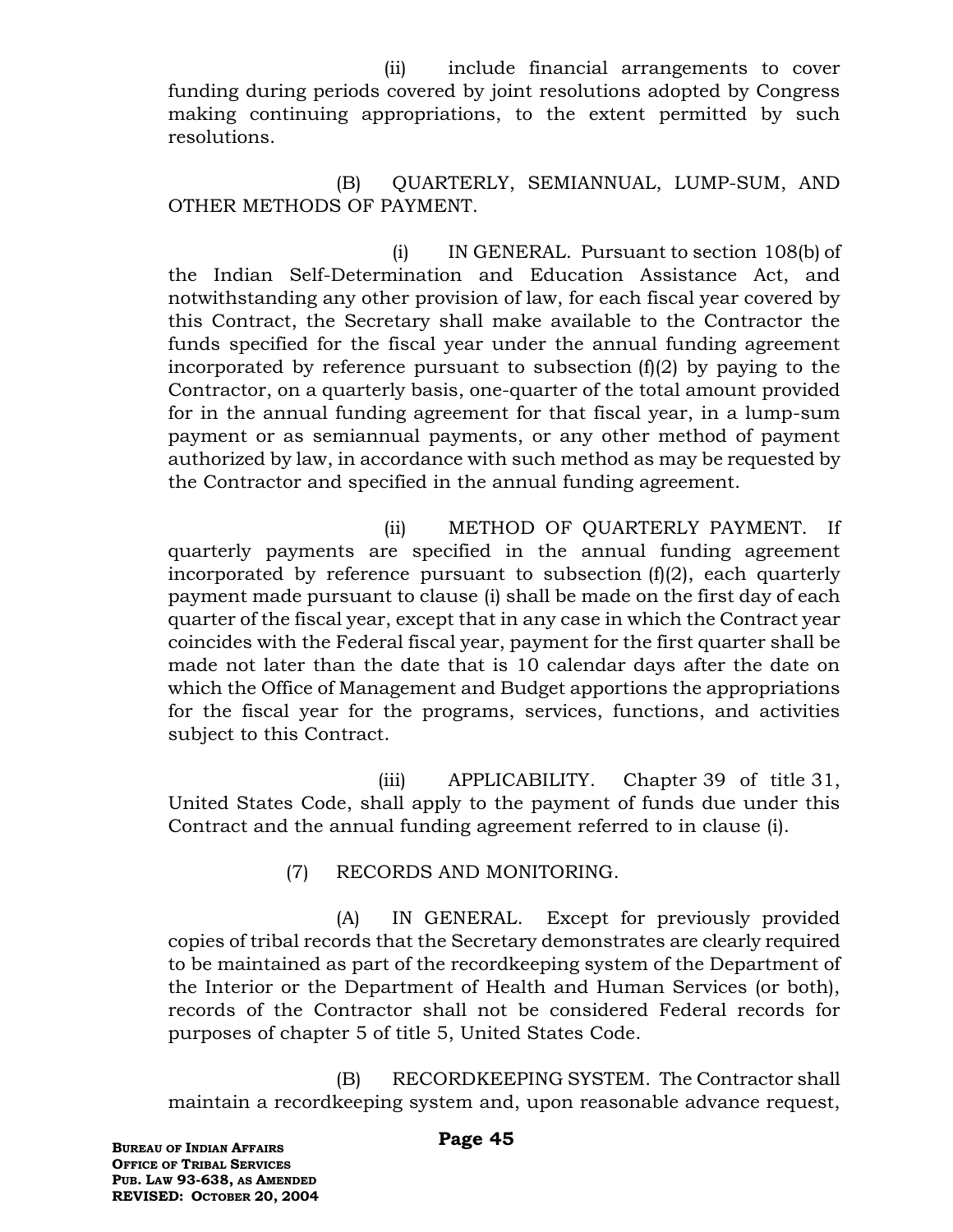(ii) include financial arrangements to cover funding during periods covered by joint resolutions adopted by Congress making continuing appropriations, to the extent permitted by such resolutions.

(B) QUARTERLY, SEMIANNUAL, LUMP-SUM, AND OTHER METHODS OF PAYMENT.

(i) IN GENERAL. Pursuant to section 108(b) of the Indian Self-Determination and Education Assistance Act, and notwithstanding any other provision of law, for each fiscal year covered by this Contract, the Secretary shall make available to the Contractor the funds specified for the fiscal year under the annual funding agreement incorporated by reference pursuant to subsection (f)(2) by paying to the Contractor, on a quarterly basis, one-quarter of the total amount provided for in the annual funding agreement for that fiscal year, in a lump-sum payment or as semiannual payments, or any other method of payment authorized by law, in accordance with such method as may be requested by the Contractor and specified in the annual funding agreement.

 (ii) METHOD OF QUARTERLY PAYMENT. If quarterly payments are specified in the annual funding agreement incorporated by reference pursuant to subsection (f)(2), each quarterly payment made pursuant to clause (i) shall be made on the first day of each quarter of the fiscal year, except that in any case in which the Contract year coincides with the Federal fiscal year, payment for the first quarter shall be made not later than the date that is 10 calendar days after the date on which the Office of Management and Budget apportions the appropriations for the fiscal year for the programs, services, functions, and activities subject to this Contract.

 (iii) APPLICABILITY. Chapter 39 of title 31, United States Code, shall apply to the payment of funds due under this Contract and the annual funding agreement referred to in clause (i).

(7) RECORDS AND MONITORING.

(A) IN GENERAL. Except for previously provided copies of tribal records that the Secretary demonstrates are clearly required to be maintained as part of the recordkeeping system of the Department of the Interior or the Department of Health and Human Services (or both), records of the Contractor shall not be considered Federal records for purposes of chapter 5 of title 5, United States Code.

(B) RECORDKEEPING SYSTEM. The Contractor shall maintain a recordkeeping system and, upon reasonable advance request,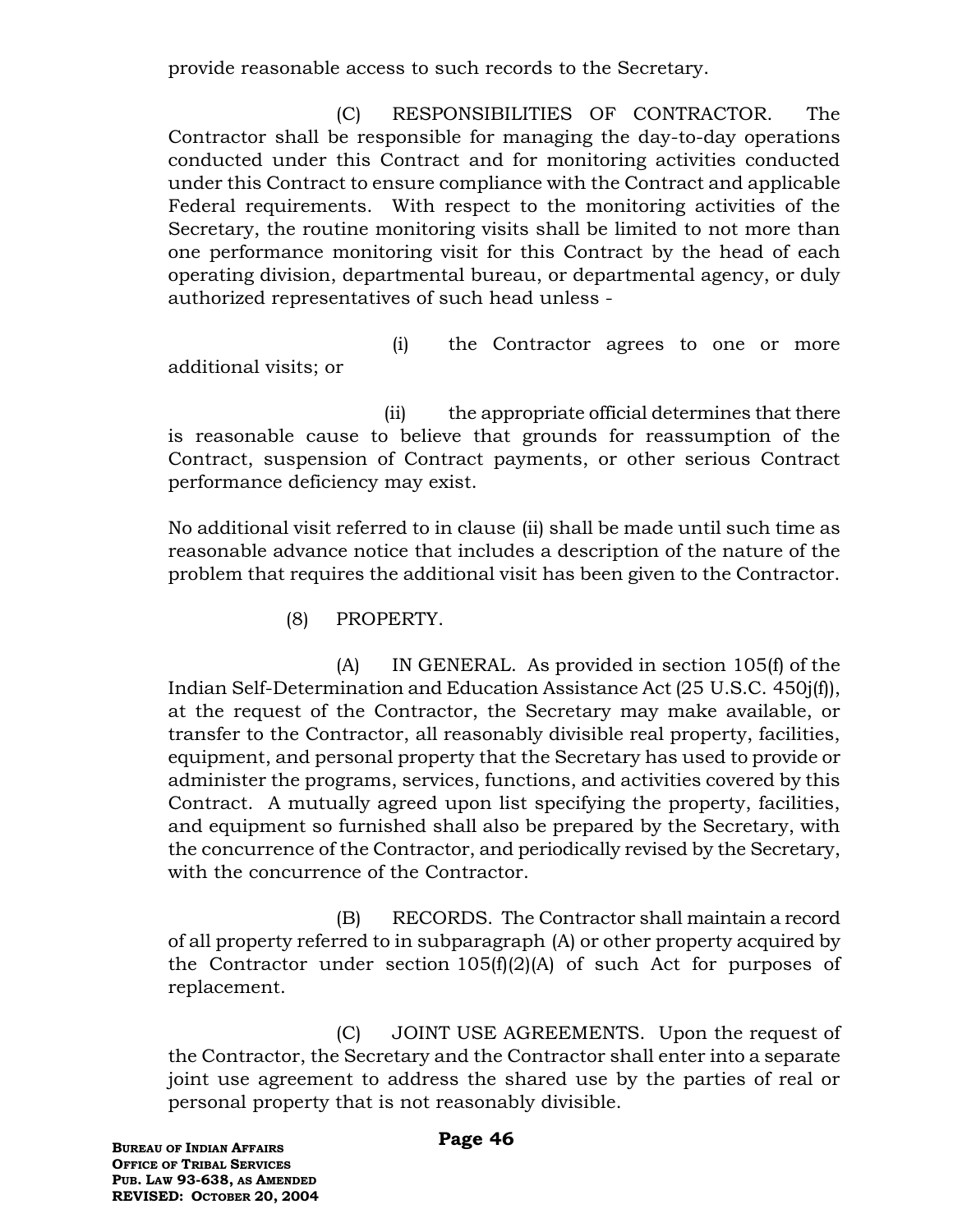provide reasonable access to such records to the Secretary.

(C) RESPONSIBILITIES OF CONTRACTOR. The Contractor shall be responsible for managing the day-to-day operations conducted under this Contract and for monitoring activities conducted under this Contract to ensure compliance with the Contract and applicable Federal requirements. With respect to the monitoring activities of the Secretary, the routine monitoring visits shall be limited to not more than one performance monitoring visit for this Contract by the head of each operating division, departmental bureau, or departmental agency, or duly authorized representatives of such head unless -

(i) the Contractor agrees to one or more additional visits; or

 (ii) the appropriate official determines that there is reasonable cause to believe that grounds for reassumption of the Contract, suspension of Contract payments, or other serious Contract performance deficiency may exist.

No additional visit referred to in clause (ii) shall be made until such time as reasonable advance notice that includes a description of the nature of the problem that requires the additional visit has been given to the Contractor.

(8) PROPERTY.

(A) IN GENERAL. As provided in section 105(f) of the Indian Self-Determination and Education Assistance Act (25 U.S.C. 450j(f)), at the request of the Contractor, the Secretary may make available, or transfer to the Contractor, all reasonably divisible real property, facilities, equipment, and personal property that the Secretary has used to provide or administer the programs, services, functions, and activities covered by this Contract. A mutually agreed upon list specifying the property, facilities, and equipment so furnished shall also be prepared by the Secretary, with the concurrence of the Contractor, and periodically revised by the Secretary, with the concurrence of the Contractor.

(B) RECORDS. The Contractor shall maintain a record of all property referred to in subparagraph (A) or other property acquired by the Contractor under section  $105(f)(2)(A)$  of such Act for purposes of replacement.

(C) JOINT USE AGREEMENTS. Upon the request of the Contractor, the Secretary and the Contractor shall enter into a separate joint use agreement to address the shared use by the parties of real or personal property that is not reasonably divisible.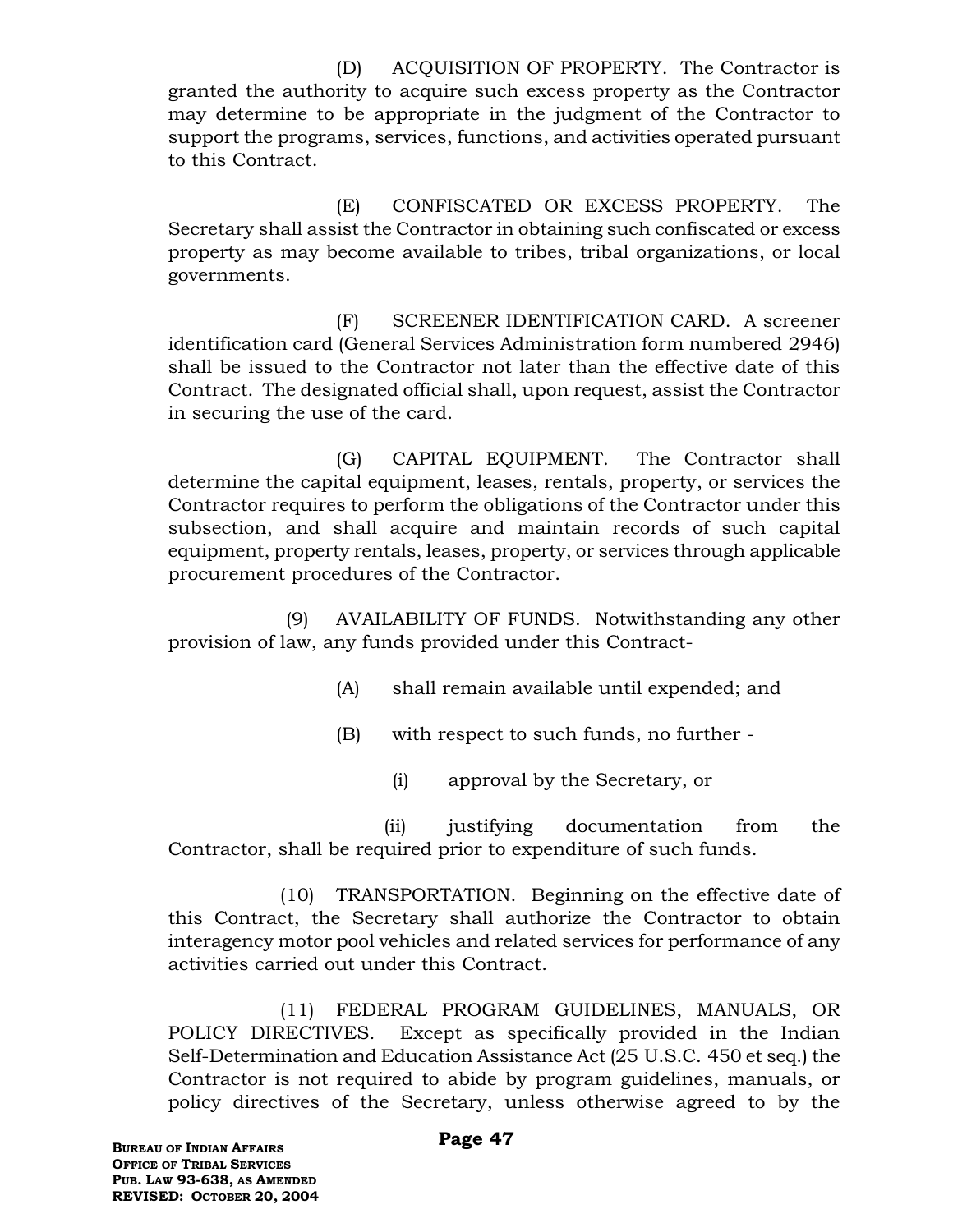(D) ACQUISITION OF PROPERTY. The Contractor is granted the authority to acquire such excess property as the Contractor may determine to be appropriate in the judgment of the Contractor to support the programs, services, functions, and activities operated pursuant to this Contract.

(E) CONFISCATED OR EXCESS PROPERTY. The Secretary shall assist the Contractor in obtaining such confiscated or excess property as may become available to tribes, tribal organizations, or local governments.

(F) SCREENER IDENTIFICATION CARD. A screener identification card (General Services Administration form numbered 2946) shall be issued to the Contractor not later than the effective date of this Contract. The designated official shall, upon request, assist the Contractor in securing the use of the card.

(G) CAPITAL EQUIPMENT. The Contractor shall determine the capital equipment, leases, rentals, property, or services the Contractor requires to perform the obligations of the Contractor under this subsection, and shall acquire and maintain records of such capital equipment, property rentals, leases, property, or services through applicable procurement procedures of the Contractor.

(9) AVAILABILITY OF FUNDS. Notwithstanding any other provision of law, any funds provided under this Contract-

- (A) shall remain available until expended; and
- (B) with respect to such funds, no further
	- (i) approval by the Secretary, or

 (ii) justifying documentation from the Contractor, shall be required prior to expenditure of such funds.

(10) TRANSPORTATION. Beginning on the effective date of this Contract, the Secretary shall authorize the Contractor to obtain interagency motor pool vehicles and related services for performance of any activities carried out under this Contract.

(11) FEDERAL PROGRAM GUIDELINES, MANUALS, OR POLICY DIRECTIVES. Except as specifically provided in the Indian Self-Determination and Education Assistance Act (25 U.S.C. 450 et seq.) the Contractor is not required to abide by program guidelines, manuals, or policy directives of the Secretary, unless otherwise agreed to by the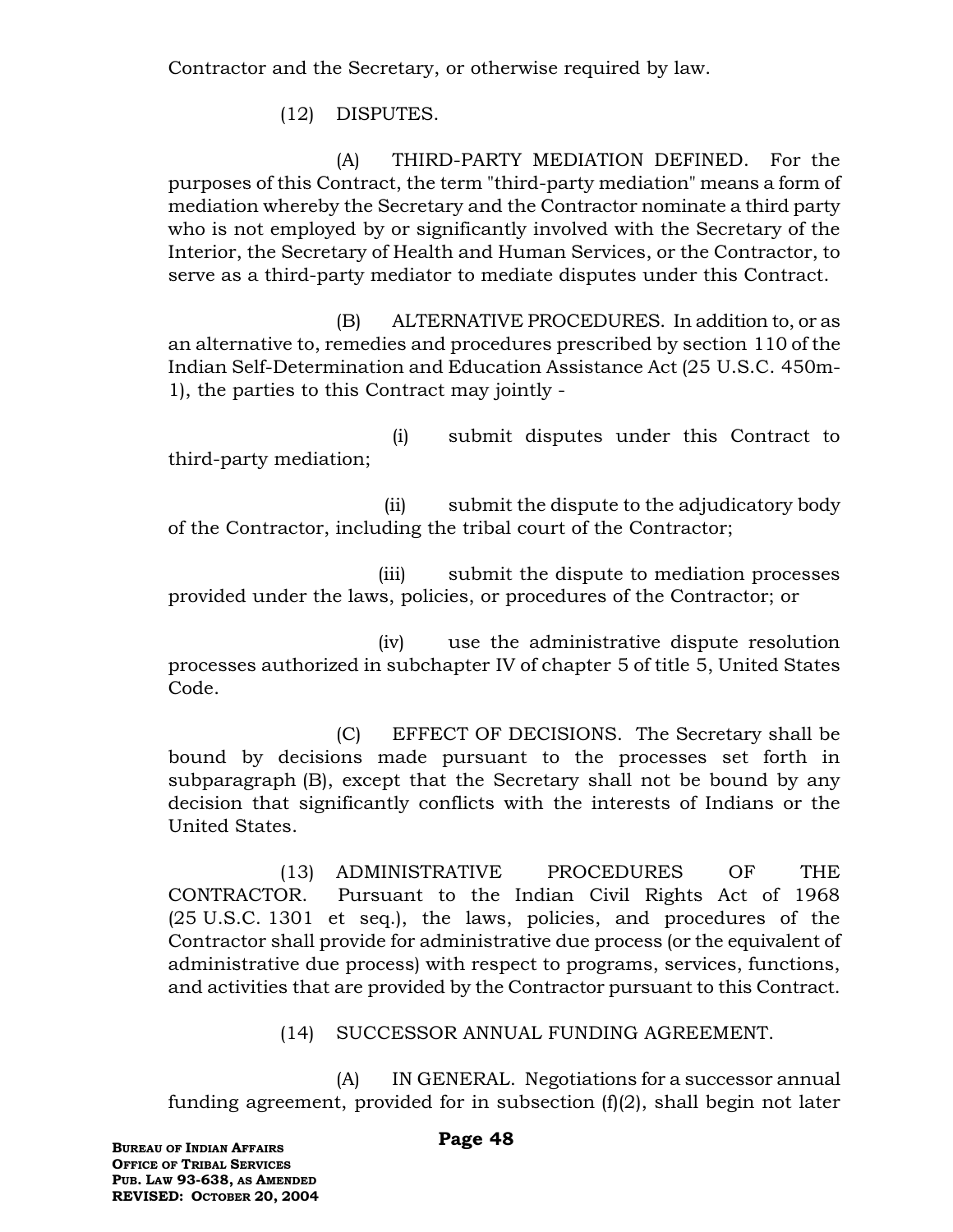Contractor and the Secretary, or otherwise required by law.

(12) DISPUTES.

(A) THIRD-PARTY MEDIATION DEFINED. For the purposes of this Contract, the term "third-party mediation" means a form of mediation whereby the Secretary and the Contractor nominate a third party who is not employed by or significantly involved with the Secretary of the Interior, the Secretary of Health and Human Services, or the Contractor, to serve as a third-party mediator to mediate disputes under this Contract.

(B) ALTERNATIVE PROCEDURES. In addition to, or as an alternative to, remedies and procedures prescribed by section 110 of the Indian Self-Determination and Education Assistance Act (25 U.S.C. 450m-1), the parties to this Contract may jointly -

(i) submit disputes under this Contract to third-party mediation;

 (ii) submit the dispute to the adjudicatory body of the Contractor, including the tribal court of the Contractor;

 (iii) submit the dispute to mediation processes provided under the laws, policies, or procedures of the Contractor; or

 (iv) use the administrative dispute resolution processes authorized in subchapter IV of chapter 5 of title 5, United States Code.

(C) EFFECT OF DECISIONS. The Secretary shall be bound by decisions made pursuant to the processes set forth in subparagraph (B), except that the Secretary shall not be bound by any decision that significantly conflicts with the interests of Indians or the United States.

(13) ADMINISTRATIVE PROCEDURES OF THE CONTRACTOR. Pursuant to the Indian Civil Rights Act of 1968 (25 U.S.C. 1301 et seq.), the laws, policies, and procedures of the Contractor shall provide for administrative due process (or the equivalent of administrative due process) with respect to programs, services, functions, and activities that are provided by the Contractor pursuant to this Contract.

(14) SUCCESSOR ANNUAL FUNDING AGREEMENT.

(A) IN GENERAL. Negotiations for a successor annual funding agreement, provided for in subsection  $(f)(2)$ , shall begin not later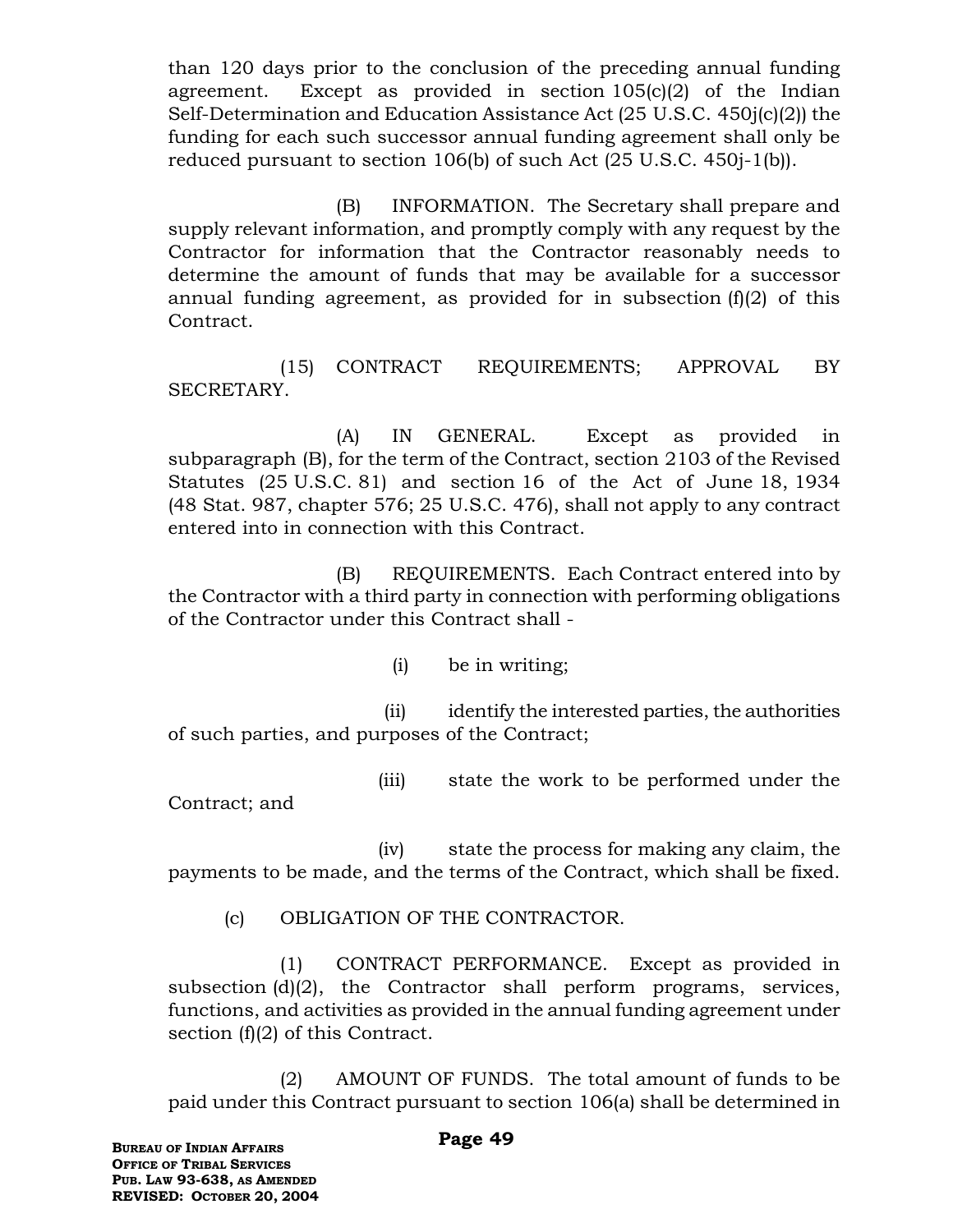than 120 days prior to the conclusion of the preceding annual funding agreement. Except as provided in section 105(c)(2) of the Indian Self-Determination and Education Assistance Act (25 U.S.C. 450j(c)(2)) the funding for each such successor annual funding agreement shall only be reduced pursuant to section 106(b) of such Act (25 U.S.C. 450j-1(b)).

(B) INFORMATION. The Secretary shall prepare and supply relevant information, and promptly comply with any request by the Contractor for information that the Contractor reasonably needs to determine the amount of funds that may be available for a successor annual funding agreement, as provided for in subsection  $(f)(2)$  of this Contract.

(15) CONTRACT REQUIREMENTS; APPROVAL BY SECRETARY.

(A) IN GENERAL. Except as provided in subparagraph (B), for the term of the Contract, section 2103 of the Revised Statutes (25 U.S.C. 81) and section 16 of the Act of June 18, 1934 (48 Stat. 987, chapter 576; 25 U.S.C. 476), shall not apply to any contract entered into in connection with this Contract.

(B) REQUIREMENTS. Each Contract entered into by the Contractor with a third party in connection with performing obligations of the Contractor under this Contract shall -

(i) be in writing;

 (ii) identify the interested parties, the authorities of such parties, and purposes of the Contract;

(iii) state the work to be performed under the

Contract; and

 (iv) state the process for making any claim, the payments to be made, and the terms of the Contract, which shall be fixed.

(c) OBLIGATION OF THE CONTRACTOR.

(1) CONTRACT PERFORMANCE. Except as provided in subsection (d)(2), the Contractor shall perform programs, services, functions, and activities as provided in the annual funding agreement under section (f)(2) of this Contract.

(2) AMOUNT OF FUNDS. The total amount of funds to be paid under this Contract pursuant to section 106(a) shall be determined in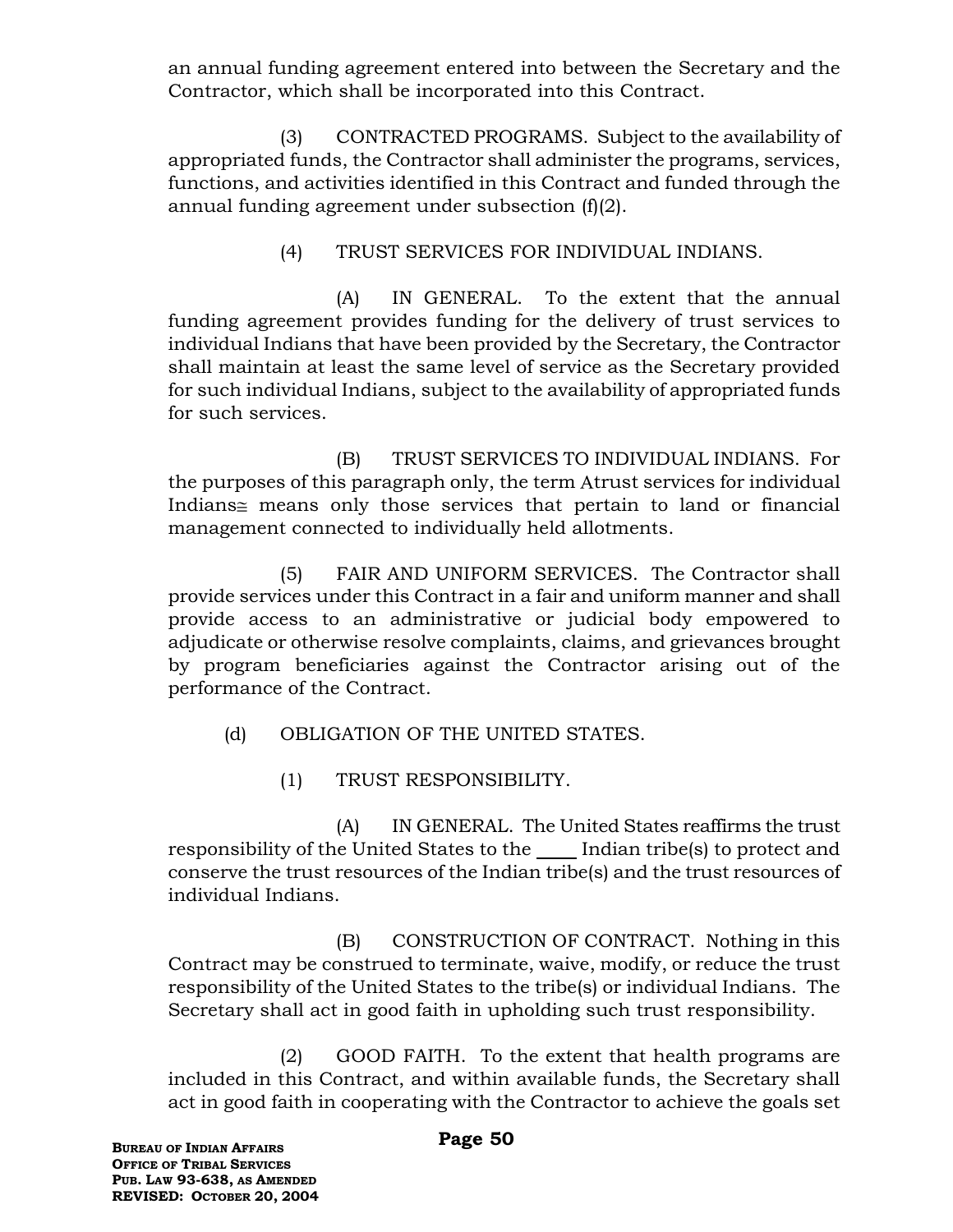an annual funding agreement entered into between the Secretary and the Contractor, which shall be incorporated into this Contract.

(3) CONTRACTED PROGRAMS. Subject to the availability of appropriated funds, the Contractor shall administer the programs, services, functions, and activities identified in this Contract and funded through the annual funding agreement under subsection (f)(2).

(4) TRUST SERVICES FOR INDIVIDUAL INDIANS.

(A) IN GENERAL. To the extent that the annual funding agreement provides funding for the delivery of trust services to individual Indians that have been provided by the Secretary, the Contractor shall maintain at least the same level of service as the Secretary provided for such individual Indians, subject to the availability of appropriated funds for such services.

(B) TRUST SERVICES TO INDIVIDUAL INDIANS. For the purposes of this paragraph only, the term Atrust services for individual Indians $\cong$  means only those services that pertain to land or financial management connected to individually held allotments.

(5) FAIR AND UNIFORM SERVICES. The Contractor shall provide services under this Contract in a fair and uniform manner and shall provide access to an administrative or judicial body empowered to adjudicate or otherwise resolve complaints, claims, and grievances brought by program beneficiaries against the Contractor arising out of the performance of the Contract.

(d) OBLIGATION OF THE UNITED STATES.

(1) TRUST RESPONSIBILITY.

(A) IN GENERAL. The United States reaffirms the trust responsibility of the United States to the Indian tribe(s) to protect and conserve the trust resources of the Indian tribe(s) and the trust resources of individual Indians.

(B) CONSTRUCTION OF CONTRACT. Nothing in this Contract may be construed to terminate, waive, modify, or reduce the trust responsibility of the United States to the tribe(s) or individual Indians. The Secretary shall act in good faith in upholding such trust responsibility.

(2) GOOD FAITH. To the extent that health programs are included in this Contract, and within available funds, the Secretary shall act in good faith in cooperating with the Contractor to achieve the goals set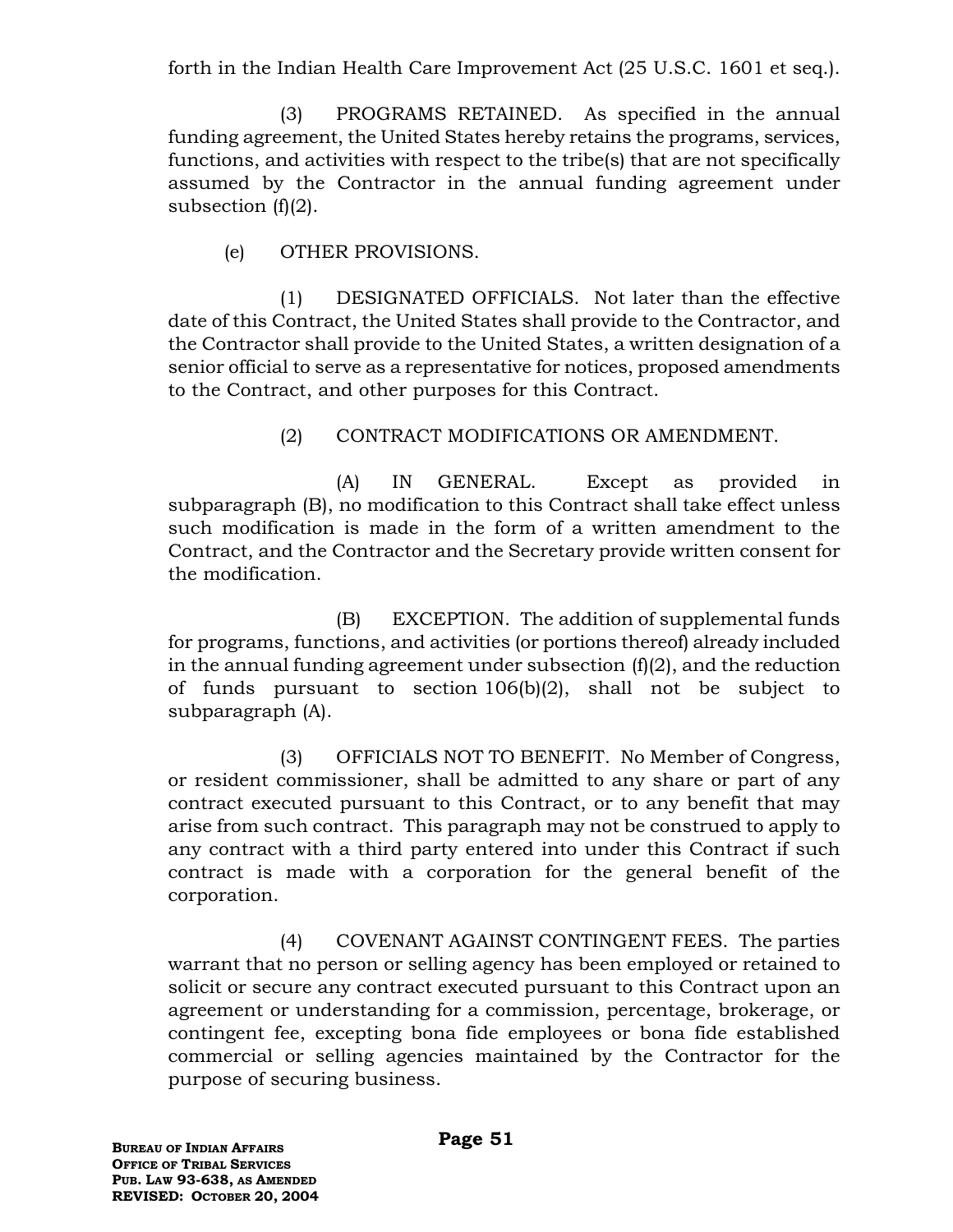forth in the Indian Health Care Improvement Act (25 U.S.C. 1601 et seq.).

(3) PROGRAMS RETAINED. As specified in the annual funding agreement, the United States hereby retains the programs, services, functions, and activities with respect to the tribe(s) that are not specifically assumed by the Contractor in the annual funding agreement under subsection  $(f)(2)$ .

(e) OTHER PROVISIONS.

(1) DESIGNATED OFFICIALS. Not later than the effective date of this Contract, the United States shall provide to the Contractor, and the Contractor shall provide to the United States, a written designation of a senior official to serve as a representative for notices, proposed amendments to the Contract, and other purposes for this Contract.

(2) CONTRACT MODIFICATIONS OR AMENDMENT.

(A) IN GENERAL. Except as provided in subparagraph (B), no modification to this Contract shall take effect unless such modification is made in the form of a written amendment to the Contract, and the Contractor and the Secretary provide written consent for the modification.

(B) EXCEPTION. The addition of supplemental funds for programs, functions, and activities (or portions thereof) already included in the annual funding agreement under subsection  $(f)(2)$ , and the reduction of funds pursuant to section 106(b)(2), shall not be subject to subparagraph (A).

(3) OFFICIALS NOT TO BENEFIT. No Member of Congress, or resident commissioner, shall be admitted to any share or part of any contract executed pursuant to this Contract, or to any benefit that may arise from such contract. This paragraph may not be construed to apply to any contract with a third party entered into under this Contract if such contract is made with a corporation for the general benefit of the corporation.

(4) COVENANT AGAINST CONTINGENT FEES. The parties warrant that no person or selling agency has been employed or retained to solicit or secure any contract executed pursuant to this Contract upon an agreement or understanding for a commission, percentage, brokerage, or contingent fee, excepting bona fide employees or bona fide established commercial or selling agencies maintained by the Contractor for the purpose of securing business.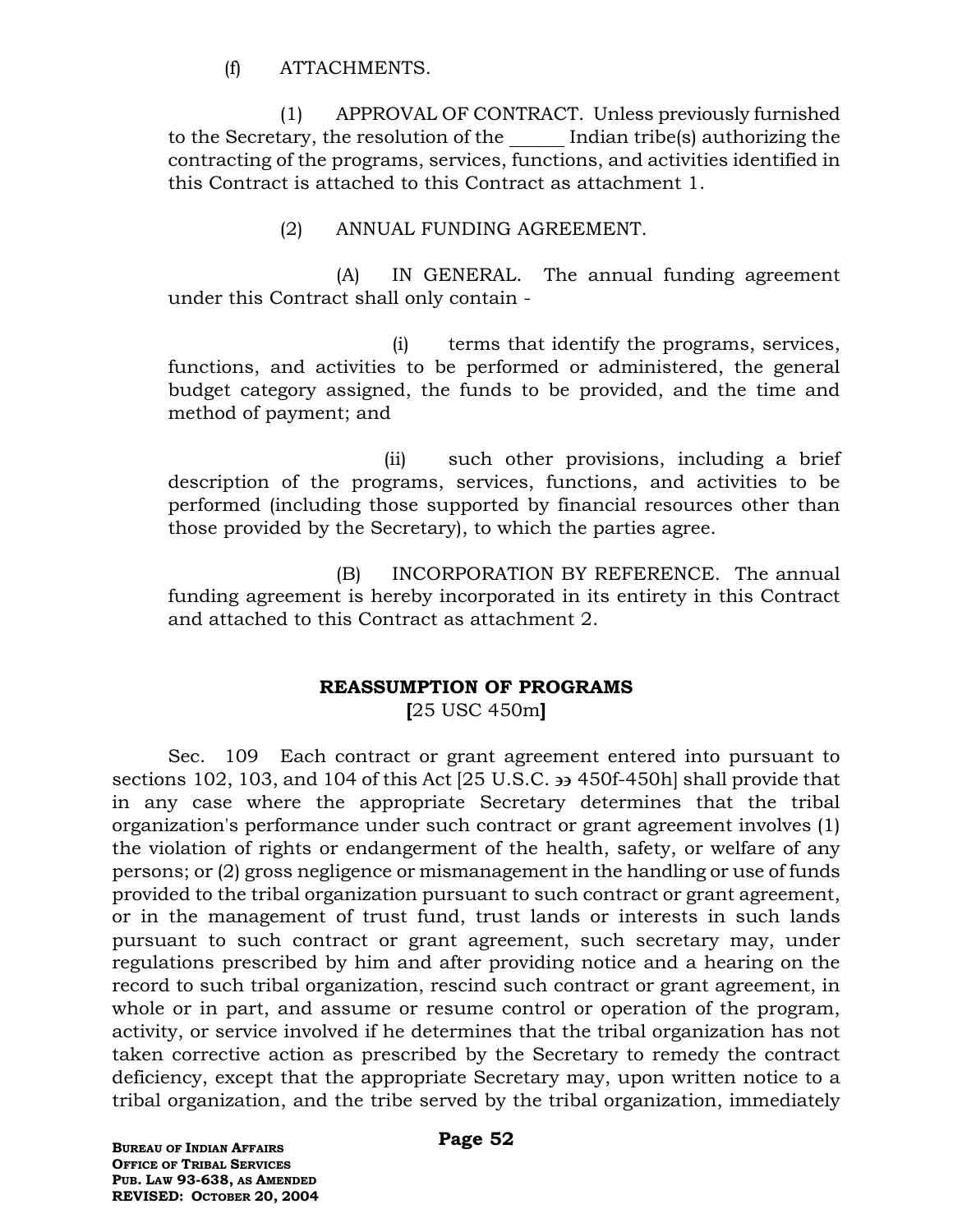(f) ATTACHMENTS.

(1) APPROVAL OF CONTRACT. Unless previously furnished to the Secretary, the resolution of the Indian tribe(s) authorizing the contracting of the programs, services, functions, and activities identified in this Contract is attached to this Contract as attachment 1.

### (2) ANNUAL FUNDING AGREEMENT.

(A) IN GENERAL. The annual funding agreement under this Contract shall only contain -

(i) terms that identify the programs, services, functions, and activities to be performed or administered, the general budget category assigned, the funds to be provided, and the time and method of payment; and

 (ii) such other provisions, including a brief description of the programs, services, functions, and activities to be performed (including those supported by financial resources other than those provided by the Secretary), to which the parties agree.

(B) INCORPORATION BY REFERENCE. The annual funding agreement is hereby incorporated in its entirety in this Contract and attached to this Contract as attachment 2.

### **REASSUMPTION OF PROGRAMS**

**[**25 USC 450m**]**

Sec. 109 Each contract or grant agreement entered into pursuant to sections 102, 103, and 104 of this Act  $[25 \text{ U.S.C.} \rightarrow 450f-450h]$  shall provide that in any case where the appropriate Secretary determines that the tribal organization's performance under such contract or grant agreement involves (1) the violation of rights or endangerment of the health, safety, or welfare of any persons; or (2) gross negligence or mismanagement in the handling or use of funds provided to the tribal organization pursuant to such contract or grant agreement, or in the management of trust fund, trust lands or interests in such lands pursuant to such contract or grant agreement, such secretary may, under regulations prescribed by him and after providing notice and a hearing on the record to such tribal organization, rescind such contract or grant agreement, in whole or in part, and assume or resume control or operation of the program, activity, or service involved if he determines that the tribal organization has not taken corrective action as prescribed by the Secretary to remedy the contract deficiency, except that the appropriate Secretary may, upon written notice to a tribal organization, and the tribe served by the tribal organization, immediately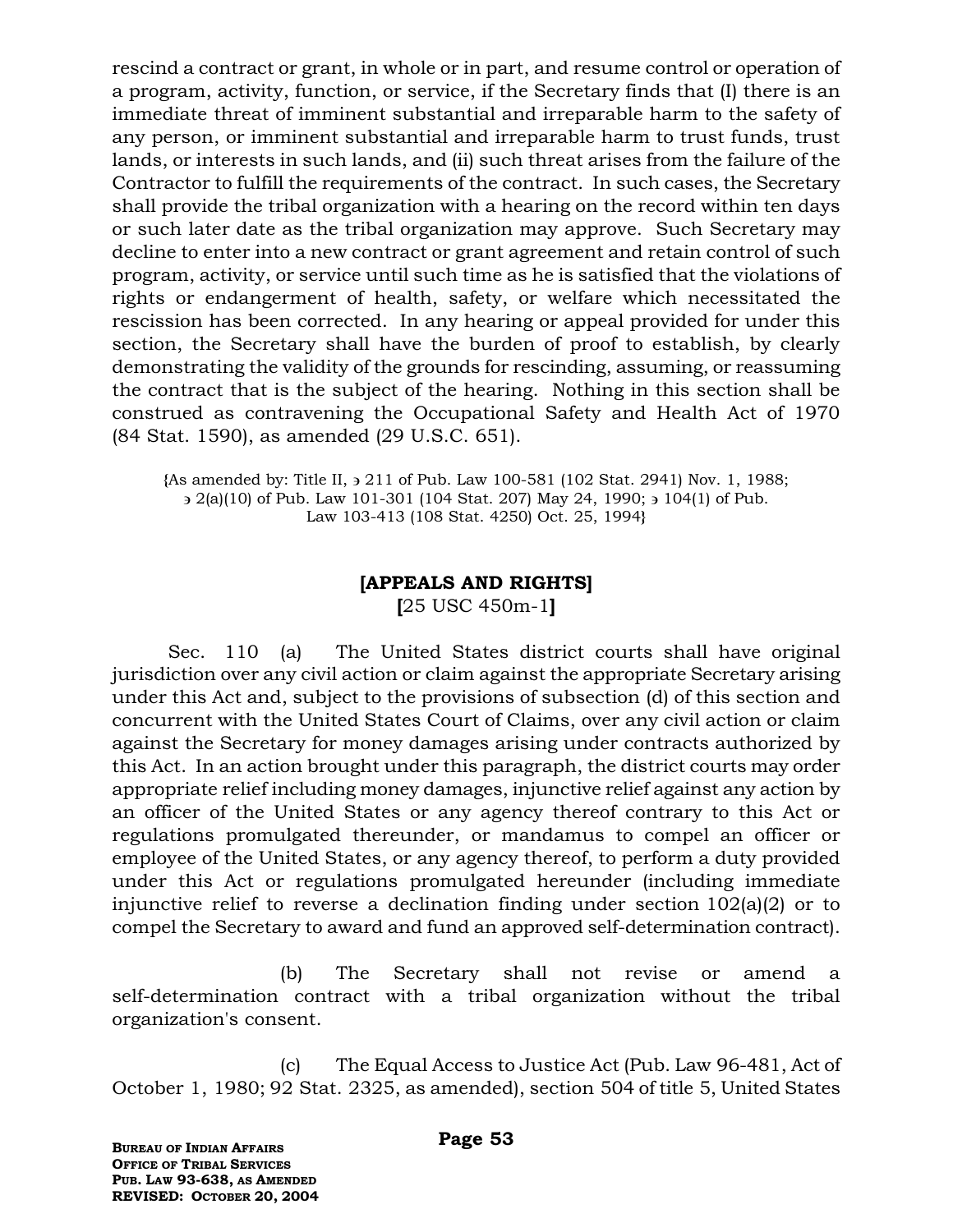rescind a contract or grant, in whole or in part, and resume control or operation of a program, activity, function, or service, if the Secretary finds that (I) there is an immediate threat of imminent substantial and irreparable harm to the safety of any person, or imminent substantial and irreparable harm to trust funds, trust lands, or interests in such lands, and (ii) such threat arises from the failure of the Contractor to fulfill the requirements of the contract. In such cases, the Secretary shall provide the tribal organization with a hearing on the record within ten days or such later date as the tribal organization may approve. Such Secretary may decline to enter into a new contract or grant agreement and retain control of such program, activity, or service until such time as he is satisfied that the violations of rights or endangerment of health, safety, or welfare which necessitated the rescission has been corrected. In any hearing or appeal provided for under this section, the Secretary shall have the burden of proof to establish, by clearly demonstrating the validity of the grounds for rescinding, assuming, or reassuming the contract that is the subject of the hearing. Nothing in this section shall be construed as contravening the Occupational Safety and Health Act of 1970 (84 Stat. 1590), as amended (29 U.S.C. 651).

**{**As amended by: Title II, 211 of Pub. Law 100-581 (102 Stat. 2941) Nov. 1, 1988;  $\geq 2(a)(10)$  of Pub. Law 101-301 (104 Stat. 207) May 24, 1990;  $\geq 104(1)$  of Pub. Law 103-413 (108 Stat. 4250) Oct. 25, 1994**}**

# **[APPEALS AND RIGHTS]**

**[**25 USC 450m-1**]**

Sec. 110 (a) The United States district courts shall have original jurisdiction over any civil action or claim against the appropriate Secretary arising under this Act and, subject to the provisions of subsection (d) of this section and concurrent with the United States Court of Claims, over any civil action or claim against the Secretary for money damages arising under contracts authorized by this Act. In an action brought under this paragraph, the district courts may order appropriate relief including money damages, injunctive relief against any action by an officer of the United States or any agency thereof contrary to this Act or regulations promulgated thereunder, or mandamus to compel an officer or employee of the United States, or any agency thereof, to perform a duty provided under this Act or regulations promulgated hereunder (including immediate injunctive relief to reverse a declination finding under section 102(a)(2) or to compel the Secretary to award and fund an approved self-determination contract).

(b) The Secretary shall not revise or amend a self-determination contract with a tribal organization without the tribal organization's consent.

(c) The Equal Access to Justice Act (Pub. Law 96-481, Act of October 1, 1980; 92 Stat. 2325, as amended), section 504 of title 5, United States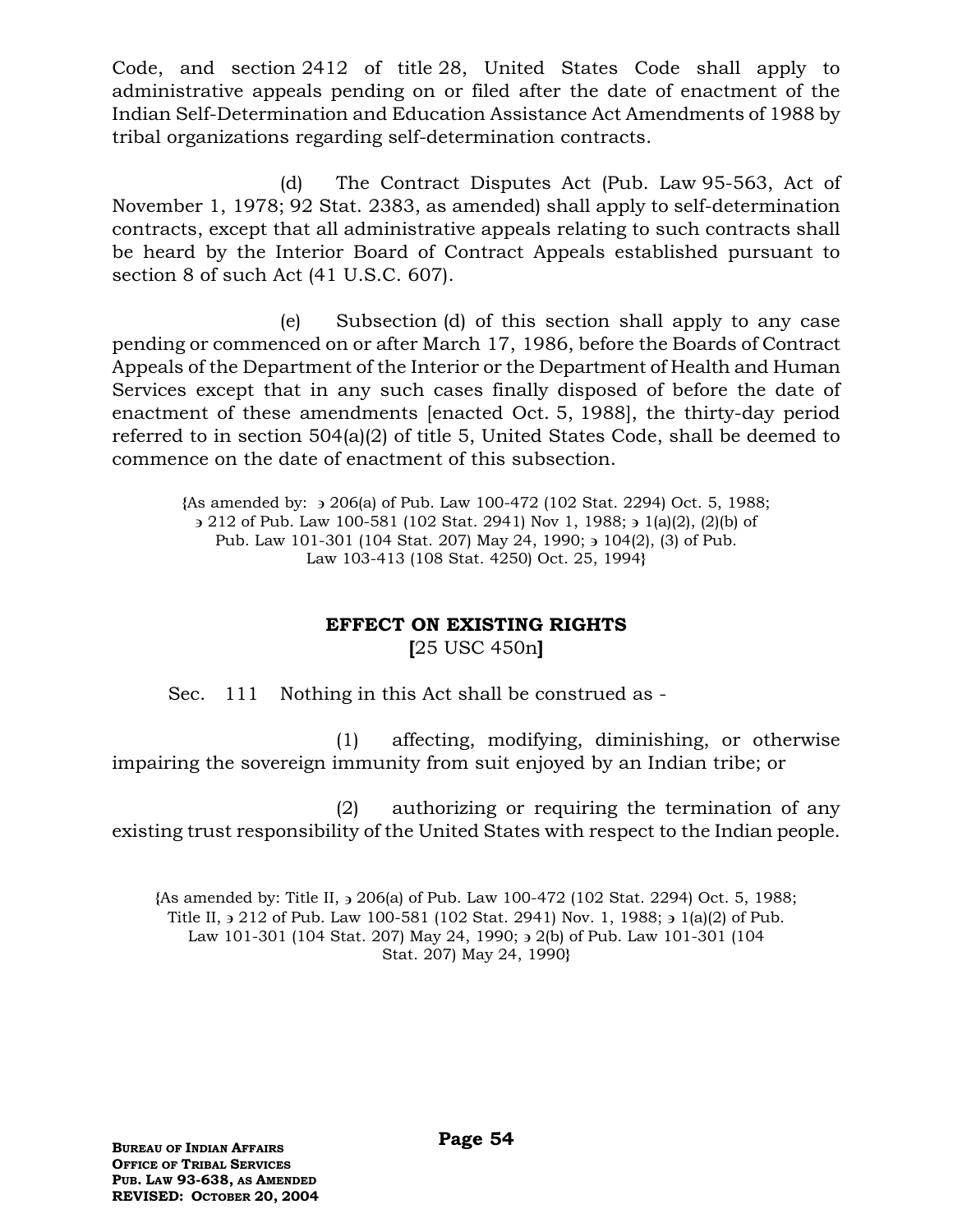Code, and section 2412 of title 28, United States Code shall apply to administrative appeals pending on or filed after the date of enactment of the Indian Self-Determination and Education Assistance Act Amendments of 1988 by tribal organizations regarding self-determination contracts.

(d) The Contract Disputes Act (Pub. Law 95-563, Act of November 1, 1978; 92 Stat. 2383, as amended) shall apply to self-determination contracts, except that all administrative appeals relating to such contracts shall be heard by the Interior Board of Contract Appeals established pursuant to section 8 of such Act (41 U.S.C. 607).

(e) Subsection (d) of this section shall apply to any case pending or commenced on or after March 17, 1986, before the Boards of Contract Appeals of the Department of the Interior or the Department of Health and Human Services except that in any such cases finally disposed of before the date of enactment of these amendments [enacted Oct. 5, 1988], the thirty-day period referred to in section 504(a)(2) of title 5, United States Code, shall be deemed to commence on the date of enactment of this subsection.

**{**As amended by: 206(a) of Pub. Law 100-472 (102 Stat. 2294) Oct. 5, 1988;  $\rightarrow$  212 of Pub. Law 100-581 (102 Stat. 2941) Nov 1, 1988;  $\rightarrow$  1(a)(2), (2)(b) of Pub. Law 101-301 (104 Stat. 207) May 24, 1990;  $\frac{1}{2}$  104(2), (3) of Pub. Law 103-413 (108 Stat. 4250) Oct. 25, 1994**}**

# **EFFECT ON EXISTING RIGHTS [**25 USC 450n**]**

Sec. 111 Nothing in this Act shall be construed as -

(1) affecting, modifying, diminishing, or otherwise impairing the sovereign immunity from suit enjoyed by an Indian tribe; or

(2) authorizing or requiring the termination of any existing trust responsibility of the United States with respect to the Indian people.

**{**As amended by: Title II, 206(a) of Pub. Law 100-472 (102 Stat. 2294) Oct. 5, 1988; Title II,  $\frac{1}{2}$  212 of Pub. Law 100-581 (102 Stat. 2941) Nov. 1, 1988;  $\frac{1}{2}$  1(a)(2) of Pub. Law 101-301 (104 Stat. 207) May 24, 1990;  $\frac{1}{2}$  2(b) of Pub. Law 101-301 (104 Stat. 207) May 24, 1990**}**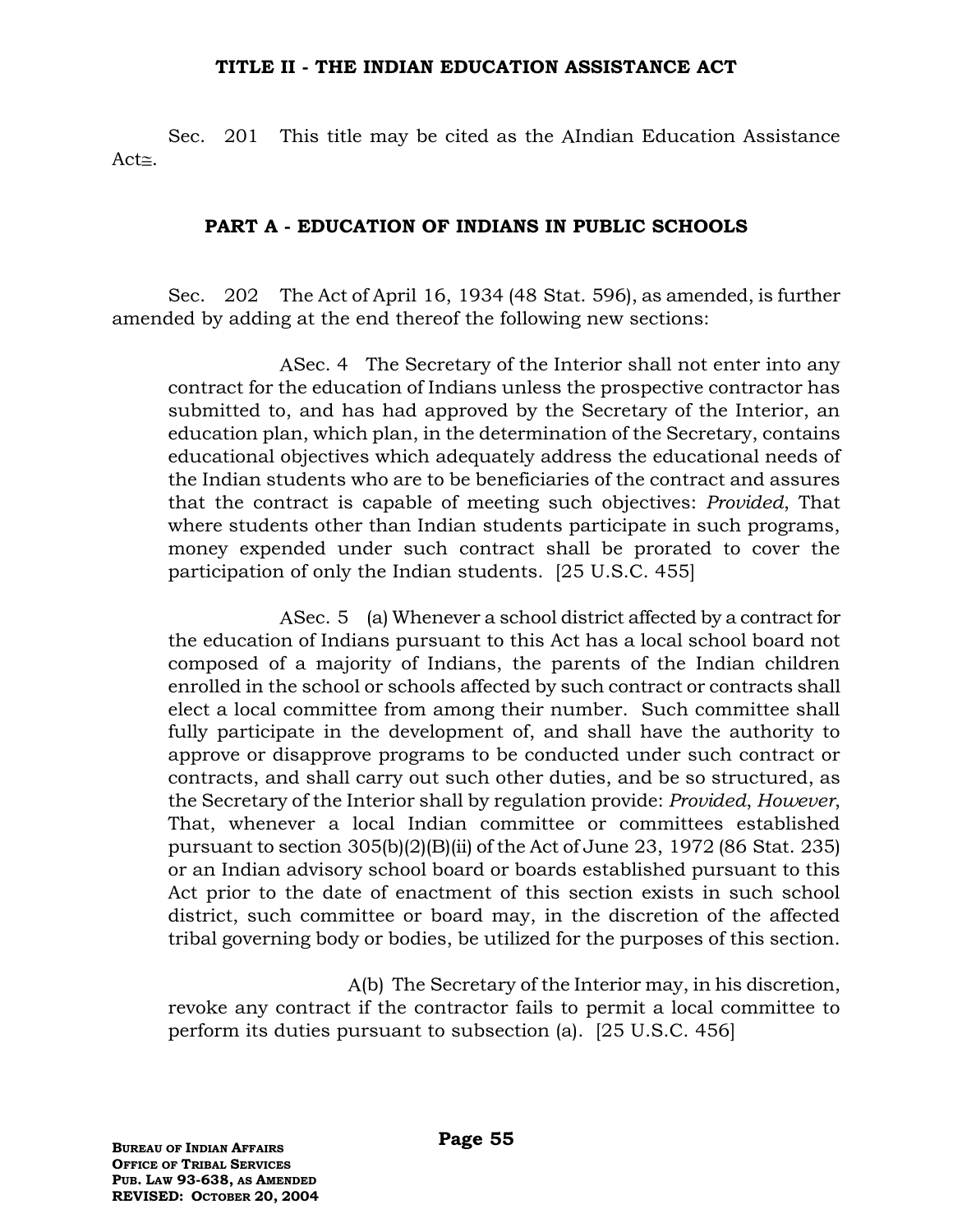#### **TITLE II - THE INDIAN EDUCATION ASSISTANCE ACT**

Sec. 201 This title may be cited as the AIndian Education Assistance Act $\approx$ .

### **PART A - EDUCATION OF INDIANS IN PUBLIC SCHOOLS**

Sec. 202 The Act of April 16, 1934 (48 Stat. 596), as amended, is further amended by adding at the end thereof the following new sections:

ASec. 4 The Secretary of the Interior shall not enter into any contract for the education of Indians unless the prospective contractor has submitted to, and has had approved by the Secretary of the Interior, an education plan, which plan, in the determination of the Secretary, contains educational objectives which adequately address the educational needs of the Indian students who are to be beneficiaries of the contract and assures that the contract is capable of meeting such objectives: *Provided*, That where students other than Indian students participate in such programs, money expended under such contract shall be prorated to cover the participation of only the Indian students. [25 U.S.C. 455]

ASec. 5 (a) Whenever a school district affected by a contract for the education of Indians pursuant to this Act has a local school board not composed of a majority of Indians, the parents of the Indian children enrolled in the school or schools affected by such contract or contracts shall elect a local committee from among their number. Such committee shall fully participate in the development of, and shall have the authority to approve or disapprove programs to be conducted under such contract or contracts, and shall carry out such other duties, and be so structured, as the Secretary of the Interior shall by regulation provide: *Provided*, *However*, That, whenever a local Indian committee or committees established pursuant to section 305(b)(2)(B)(ii) of the Act of June 23, 1972 (86 Stat. 235) or an Indian advisory school board or boards established pursuant to this Act prior to the date of enactment of this section exists in such school district, such committee or board may, in the discretion of the affected tribal governing body or bodies, be utilized for the purposes of this section.

 (b) The Secretary of the Interior may, in his discretion, revoke any contract if the contractor fails to permit a local committee to perform its duties pursuant to subsection (a). [25 U.S.C. 456]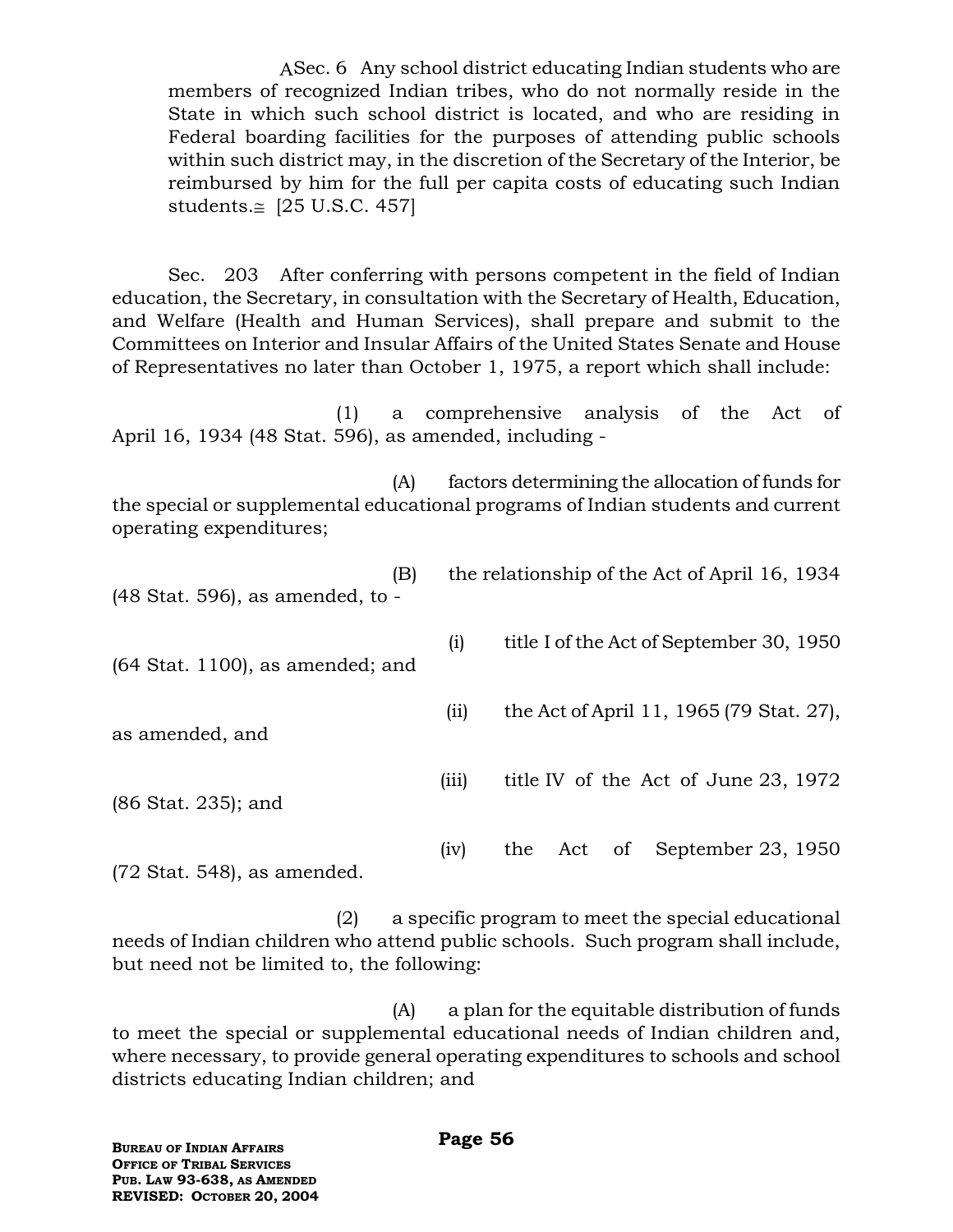ASec. 6 Any school district educating Indian students who are members of recognized Indian tribes, who do not normally reside in the State in which such school district is located, and who are residing in Federal boarding facilities for the purposes of attending public schools within such district may, in the discretion of the Secretary of the Interior, be reimbursed by him for the full per capita costs of educating such Indian students. $\leq$  [25 U.S.C. 457]

Sec. 203 After conferring with persons competent in the field of Indian education, the Secretary, in consultation with the Secretary of Health, Education, and Welfare (Health and Human Services), shall prepare and submit to the Committees on Interior and Insular Affairs of the United States Senate and House of Representatives no later than October 1, 1975, a report which shall include:

(1) a comprehensive analysis of the Act of April 16, 1934 (48 Stat. 596), as amended, including -

(A) factors determining the allocation of funds for the special or supplemental educational programs of Indian students and current operating expenditures;

| (B)<br>$(48 \text{ Stat. } 596)$ , as amended, to - |       | the relationship of the Act of April 16, 1934 |
|-----------------------------------------------------|-------|-----------------------------------------------|
| $(64 \text{ Stat. } 1100)$ , as amended; and        | (i)   | title I of the Act of September 30, 1950      |
| as amended, and                                     | (i)   | the Act of April 11, 1965 (79 Stat. 27),      |
| (86 Stat. 235); and                                 | (iii) | title IV of the Act of June 23, 1972          |
|                                                     | (iv)  | September 23, 1950<br>of<br>Act<br>the        |

(72 Stat. 548), as amended.

(2) a specific program to meet the special educational needs of Indian children who attend public schools. Such program shall include, but need not be limited to, the following:

(A) a plan for the equitable distribution of funds to meet the special or supplemental educational needs of Indian children and, where necessary, to provide general operating expenditures to schools and school districts educating Indian children; and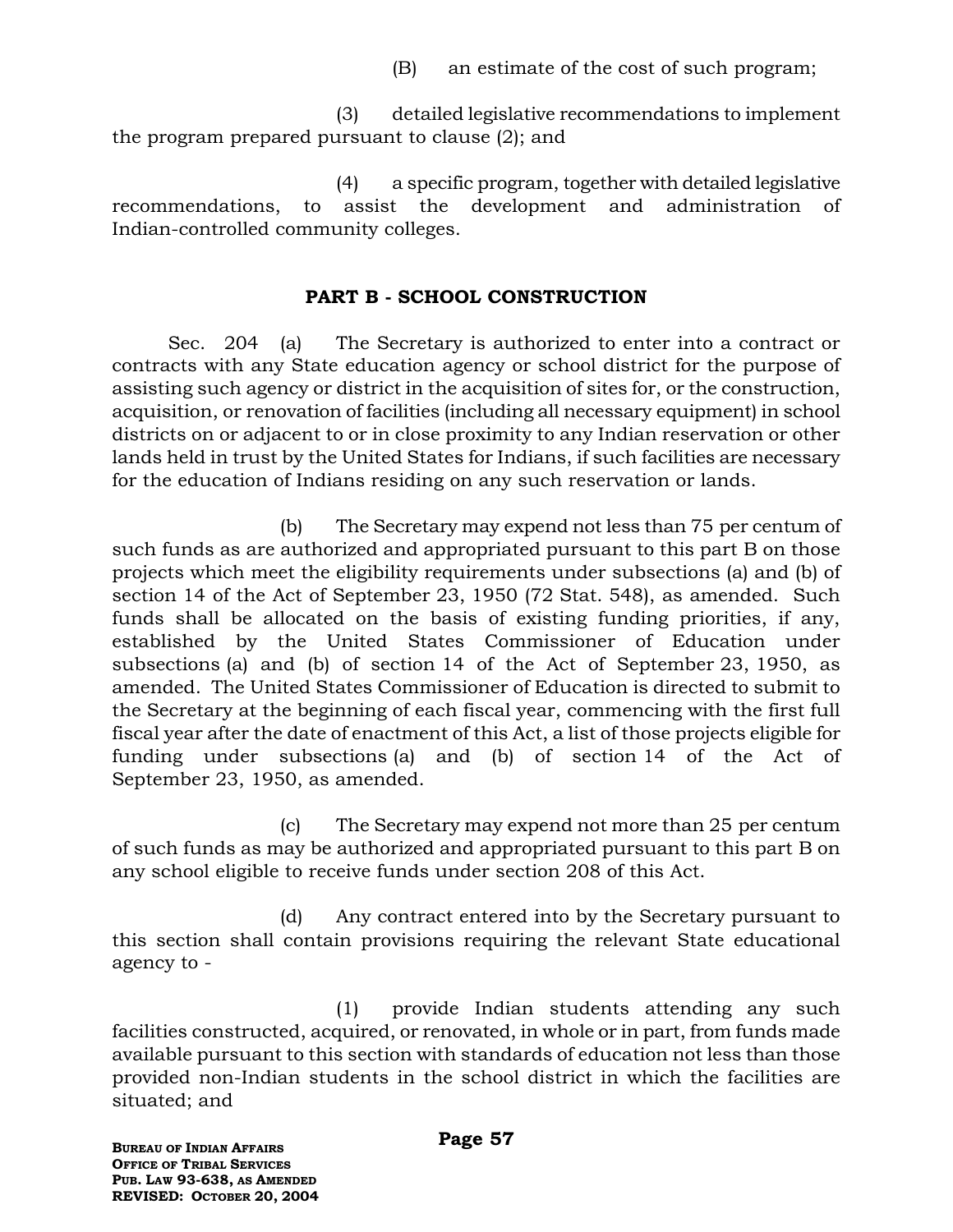(B) an estimate of the cost of such program;

(3) detailed legislative recommendations to implement the program prepared pursuant to clause (2); and

(4) a specific program, together with detailed legislative recommendations, to assist the development and administration of Indian-controlled community colleges.

# **PART B - SCHOOL CONSTRUCTION**

Sec. 204 (a) The Secretary is authorized to enter into a contract or contracts with any State education agency or school district for the purpose of assisting such agency or district in the acquisition of sites for, or the construction, acquisition, or renovation of facilities (including all necessary equipment) in school districts on or adjacent to or in close proximity to any Indian reservation or other lands held in trust by the United States for Indians, if such facilities are necessary for the education of Indians residing on any such reservation or lands.

(b) The Secretary may expend not less than 75 per centum of such funds as are authorized and appropriated pursuant to this part B on those projects which meet the eligibility requirements under subsections (a) and (b) of section 14 of the Act of September 23, 1950 (72 Stat. 548), as amended. Such funds shall be allocated on the basis of existing funding priorities, if any, established by the United States Commissioner of Education under subsections (a) and (b) of section 14 of the Act of September 23, 1950, as amended. The United States Commissioner of Education is directed to submit to the Secretary at the beginning of each fiscal year, commencing with the first full fiscal year after the date of enactment of this Act, a list of those projects eligible for funding under subsections (a) and (b) of section 14 of the Act of September 23, 1950, as amended.

(c) The Secretary may expend not more than 25 per centum of such funds as may be authorized and appropriated pursuant to this part B on any school eligible to receive funds under section 208 of this Act.

(d) Any contract entered into by the Secretary pursuant to this section shall contain provisions requiring the relevant State educational agency to -

(1) provide Indian students attending any such facilities constructed, acquired, or renovated, in whole or in part, from funds made available pursuant to this section with standards of education not less than those provided non-Indian students in the school district in which the facilities are situated; and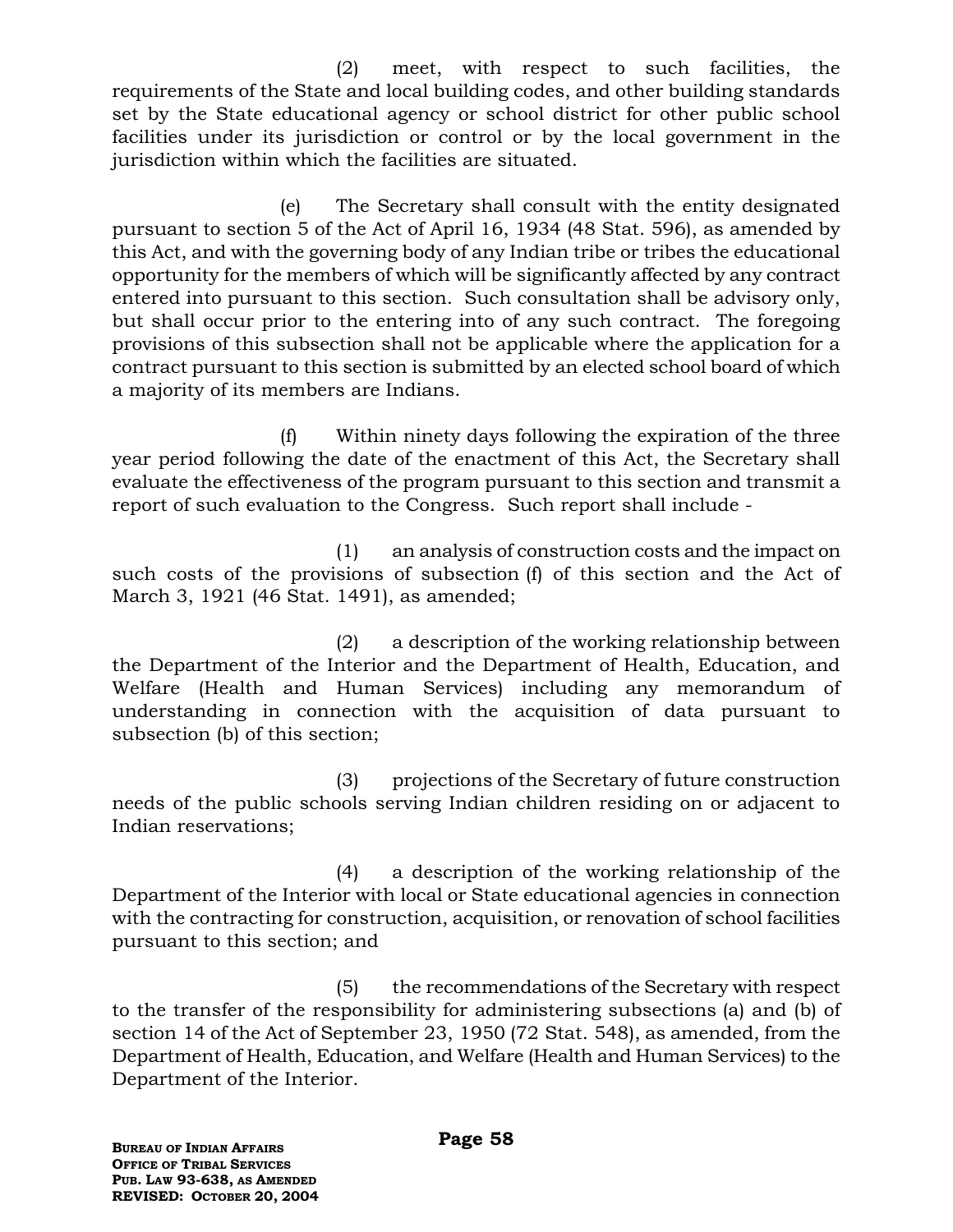(2) meet, with respect to such facilities, the requirements of the State and local building codes, and other building standards set by the State educational agency or school district for other public school facilities under its jurisdiction or control or by the local government in the jurisdiction within which the facilities are situated.

(e) The Secretary shall consult with the entity designated pursuant to section 5 of the Act of April 16, 1934 (48 Stat. 596), as amended by this Act, and with the governing body of any Indian tribe or tribes the educational opportunity for the members of which will be significantly affected by any contract entered into pursuant to this section. Such consultation shall be advisory only, but shall occur prior to the entering into of any such contract. The foregoing provisions of this subsection shall not be applicable where the application for a contract pursuant to this section is submitted by an elected school board of which a majority of its members are Indians.

(f) Within ninety days following the expiration of the three year period following the date of the enactment of this Act, the Secretary shall evaluate the effectiveness of the program pursuant to this section and transmit a report of such evaluation to the Congress. Such report shall include -

(1) an analysis of construction costs and the impact on such costs of the provisions of subsection (f) of this section and the Act of March 3, 1921 (46 Stat. 1491), as amended;

(2) a description of the working relationship between the Department of the Interior and the Department of Health, Education, and Welfare (Health and Human Services) including any memorandum of understanding in connection with the acquisition of data pursuant to subsection (b) of this section;

(3) projections of the Secretary of future construction needs of the public schools serving Indian children residing on or adjacent to Indian reservations;

(4) a description of the working relationship of the Department of the Interior with local or State educational agencies in connection with the contracting for construction, acquisition, or renovation of school facilities pursuant to this section; and

(5) the recommendations of the Secretary with respect to the transfer of the responsibility for administering subsections (a) and (b) of section 14 of the Act of September 23, 1950 (72 Stat. 548), as amended, from the Department of Health, Education, and Welfare (Health and Human Services) to the Department of the Interior.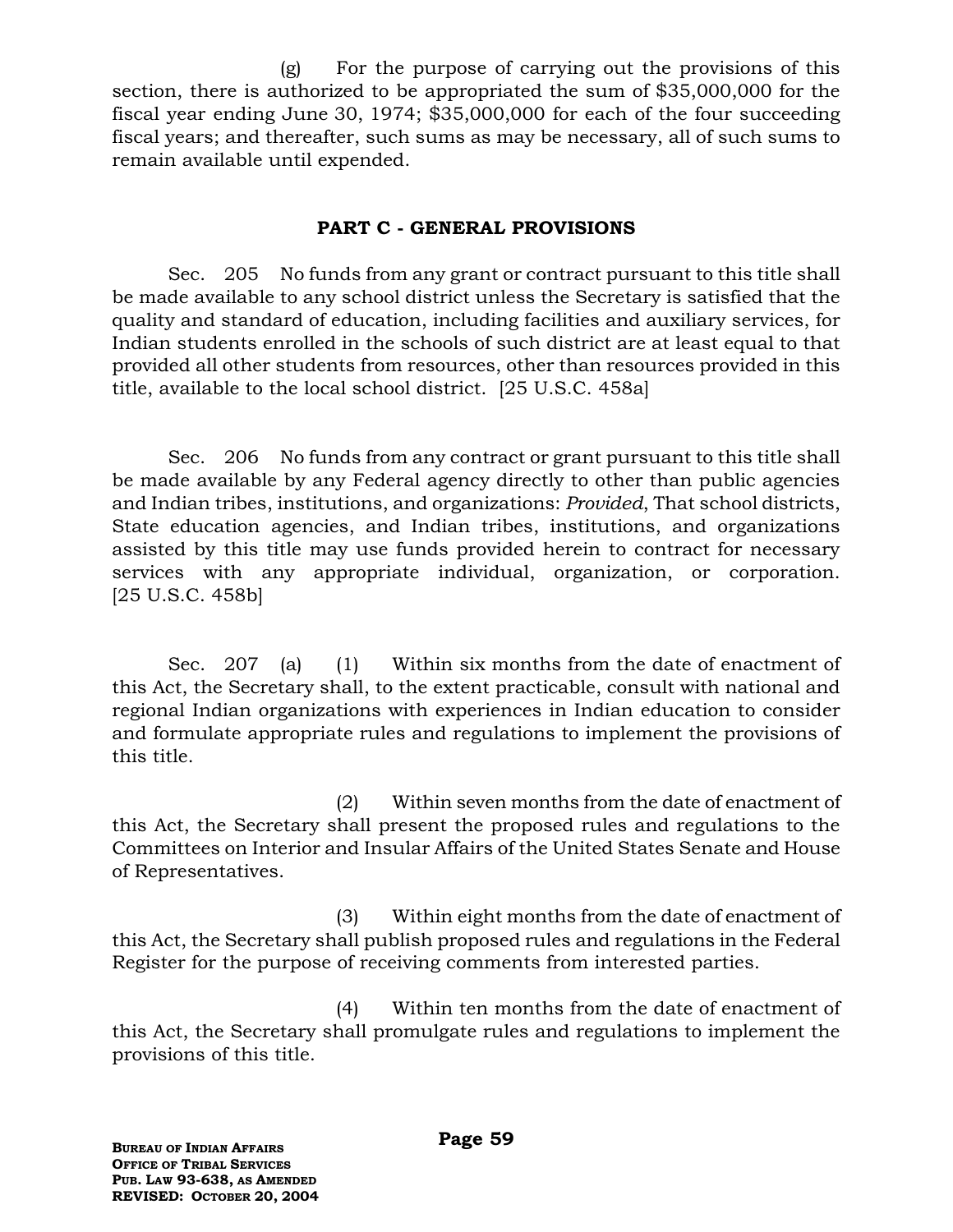(g) For the purpose of carrying out the provisions of this section, there is authorized to be appropriated the sum of \$35,000,000 for the fiscal year ending June 30, 1974; \$35,000,000 for each of the four succeeding fiscal years; and thereafter, such sums as may be necessary, all of such sums to remain available until expended.

## **PART C - GENERAL PROVISIONS**

Sec. 205 No funds from any grant or contract pursuant to this title shall be made available to any school district unless the Secretary is satisfied that the quality and standard of education, including facilities and auxiliary services, for Indian students enrolled in the schools of such district are at least equal to that provided all other students from resources, other than resources provided in this title, available to the local school district. [25 U.S.C. 458a]

Sec. 206 No funds from any contract or grant pursuant to this title shall be made available by any Federal agency directly to other than public agencies and Indian tribes, institutions, and organizations: *Provided*, That school districts, State education agencies, and Indian tribes, institutions, and organizations assisted by this title may use funds provided herein to contract for necessary services with any appropriate individual, organization, or corporation. [25 U.S.C. 458b]

Sec. 207 (a) (1) Within six months from the date of enactment of this Act, the Secretary shall, to the extent practicable, consult with national and regional Indian organizations with experiences in Indian education to consider and formulate appropriate rules and regulations to implement the provisions of this title.

(2) Within seven months from the date of enactment of this Act, the Secretary shall present the proposed rules and regulations to the Committees on Interior and Insular Affairs of the United States Senate and House of Representatives.

(3) Within eight months from the date of enactment of this Act, the Secretary shall publish proposed rules and regulations in the Federal Register for the purpose of receiving comments from interested parties.

(4) Within ten months from the date of enactment of this Act, the Secretary shall promulgate rules and regulations to implement the provisions of this title.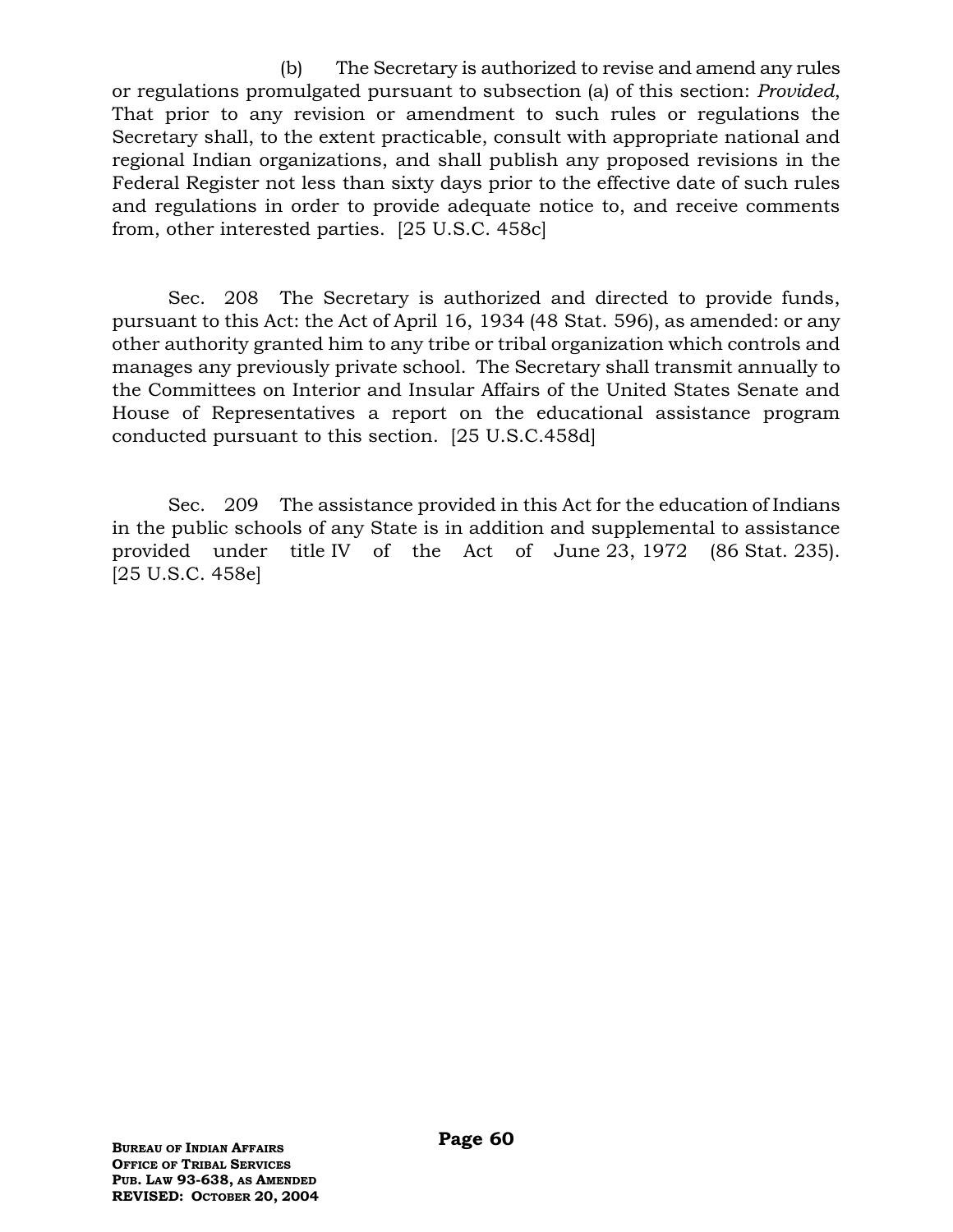(b) The Secretary is authorized to revise and amend any rules or regulations promulgated pursuant to subsection (a) of this section: *Provided*, That prior to any revision or amendment to such rules or regulations the Secretary shall, to the extent practicable, consult with appropriate national and regional Indian organizations, and shall publish any proposed revisions in the Federal Register not less than sixty days prior to the effective date of such rules and regulations in order to provide adequate notice to, and receive comments from, other interested parties. [25 U.S.C. 458c]

Sec. 208 The Secretary is authorized and directed to provide funds, pursuant to this Act: the Act of April 16, 1934 (48 Stat. 596), as amended: or any other authority granted him to any tribe or tribal organization which controls and manages any previously private school. The Secretary shall transmit annually to the Committees on Interior and Insular Affairs of the United States Senate and House of Representatives a report on the educational assistance program conducted pursuant to this section. [25 U.S.C.458d]

Sec. 209 The assistance provided in this Act for the education of Indians in the public schools of any State is in addition and supplemental to assistance provided under title IV of the Act of June 23, 1972 (86 Stat. 235). [25 U.S.C. 458e]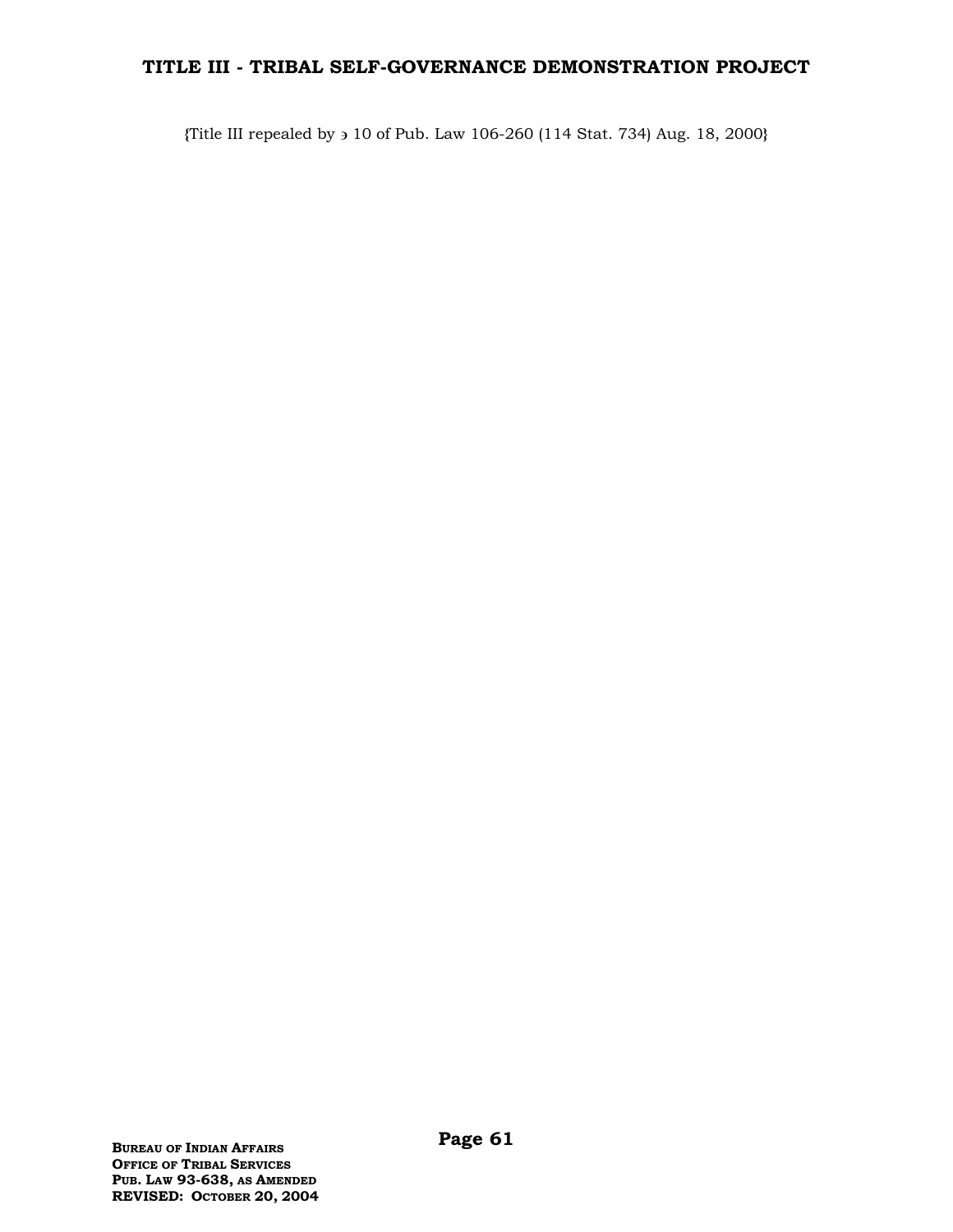# **TITLE III - TRIBAL SELF-GOVERNANCE DEMONSTRATION PROJECT**

**{**Title III repealed by 10 of Pub. Law 106-260 (114 Stat. 734) Aug. 18, 2000**}**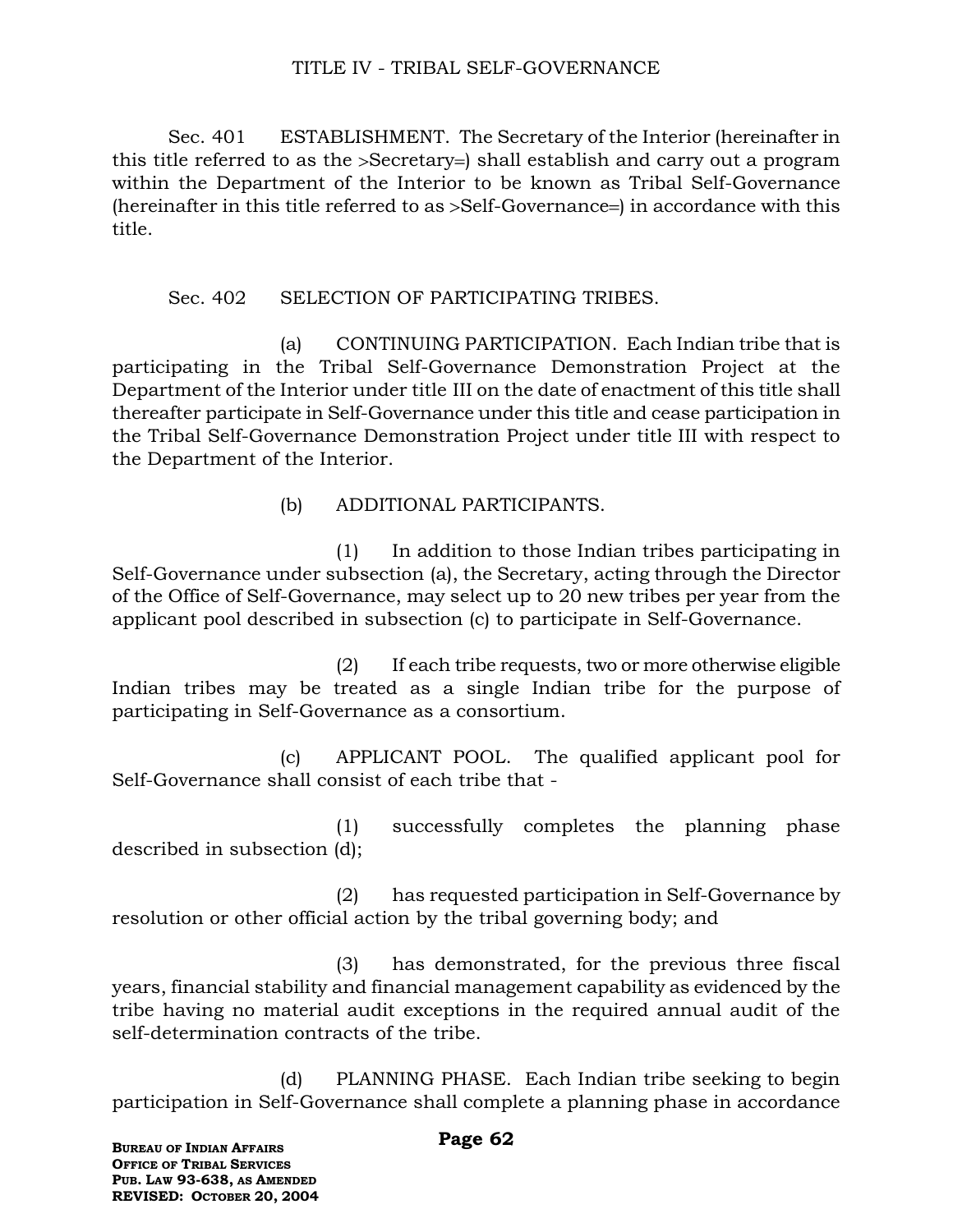## TITLE IV - TRIBAL SELF-GOVERNANCE

Sec. 401 ESTABLISHMENT. The Secretary of the Interior (hereinafter in this title referred to as the >Secretary=) shall establish and carry out a program within the Department of the Interior to be known as Tribal Self-Governance (hereinafter in this title referred to as  $>$ Self-Governance=) in accordance with this title.

### Sec. 402 SELECTION OF PARTICIPATING TRIBES.

(a) CONTINUING PARTICIPATION. Each Indian tribe that is participating in the Tribal Self-Governance Demonstration Project at the Department of the Interior under title III on the date of enactment of this title shall thereafter participate in Self-Governance under this title and cease participation in the Tribal Self-Governance Demonstration Project under title III with respect to the Department of the Interior.

(b) ADDITIONAL PARTICIPANTS.

(1) In addition to those Indian tribes participating in Self-Governance under subsection (a), the Secretary, acting through the Director of the Office of Self-Governance, may select up to 20 new tribes per year from the applicant pool described in subsection (c) to participate in Self-Governance.

(2) If each tribe requests, two or more otherwise eligible Indian tribes may be treated as a single Indian tribe for the purpose of participating in Self-Governance as a consortium.

(c) APPLICANT POOL. The qualified applicant pool for Self-Governance shall consist of each tribe that -

(1) successfully completes the planning phase described in subsection (d);

(2) has requested participation in Self-Governance by resolution or other official action by the tribal governing body; and

(3) has demonstrated, for the previous three fiscal years, financial stability and financial management capability as evidenced by the tribe having no material audit exceptions in the required annual audit of the self-determination contracts of the tribe.

(d) PLANNING PHASE. Each Indian tribe seeking to begin participation in Self-Governance shall complete a planning phase in accordance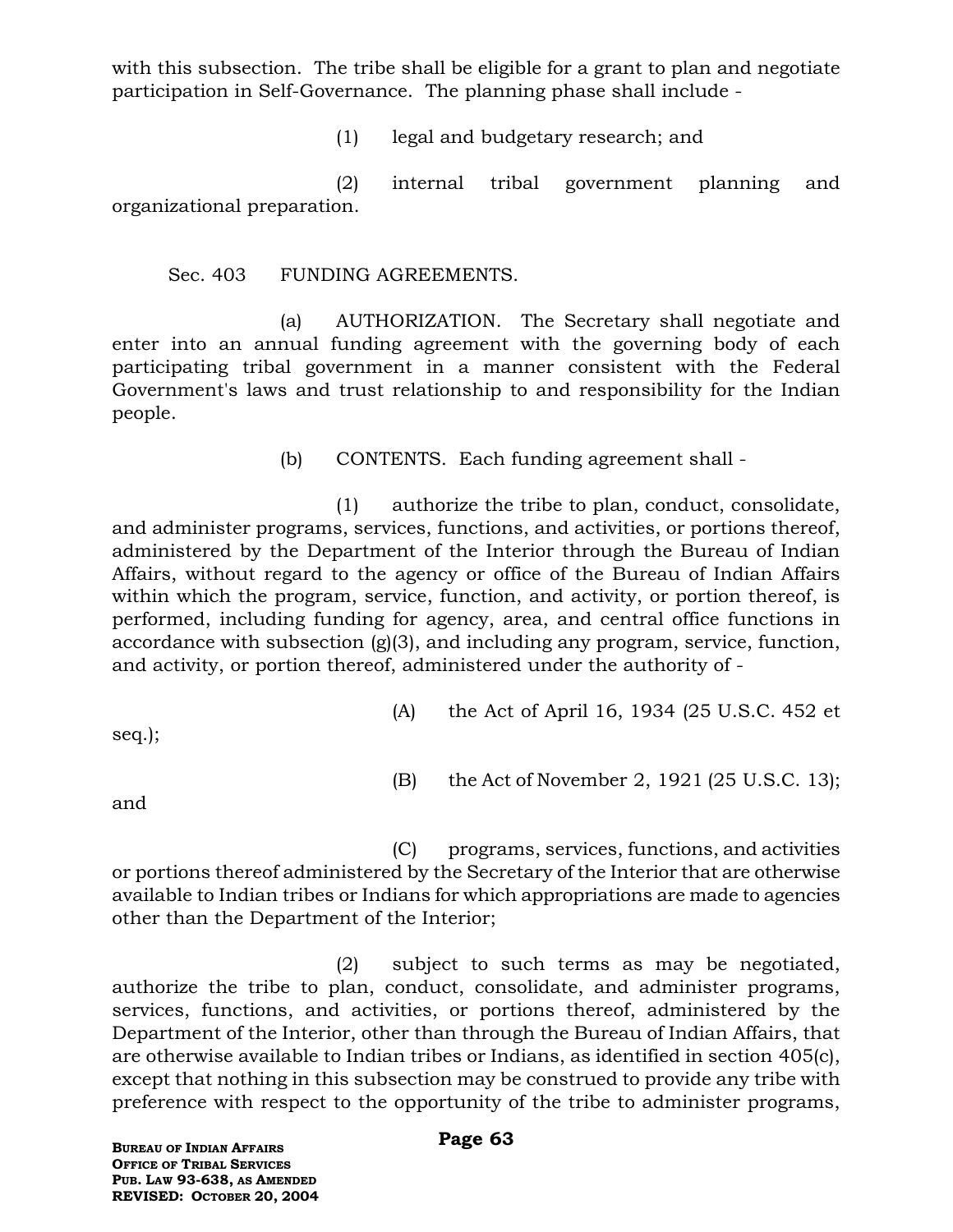with this subsection. The tribe shall be eligible for a grant to plan and negotiate participation in Self-Governance. The planning phase shall include -

(1) legal and budgetary research; and

(2) internal tribal government planning and organizational preparation.

Sec. 403 FUNDING AGREEMENTS.

(a) AUTHORIZATION. The Secretary shall negotiate and enter into an annual funding agreement with the governing body of each participating tribal government in a manner consistent with the Federal Government's laws and trust relationship to and responsibility for the Indian people.

(b) CONTENTS. Each funding agreement shall -

(1) authorize the tribe to plan, conduct, consolidate, and administer programs, services, functions, and activities, or portions thereof, administered by the Department of the Interior through the Bureau of Indian Affairs, without regard to the agency or office of the Bureau of Indian Affairs within which the program, service, function, and activity, or portion thereof, is performed, including funding for agency, area, and central office functions in accordance with subsection (g)(3), and including any program, service, function, and activity, or portion thereof, administered under the authority of -

seq.);

- (A) the Act of April 16, 1934 (25 U.S.C. 452 et
- (B) the Act of November 2, 1921 (25 U.S.C. 13);

and

(C) programs, services, functions, and activities or portions thereof administered by the Secretary of the Interior that are otherwise available to Indian tribes or Indians for which appropriations are made to agencies other than the Department of the Interior;

(2) subject to such terms as may be negotiated, authorize the tribe to plan, conduct, consolidate, and administer programs, services, functions, and activities, or portions thereof, administered by the Department of the Interior, other than through the Bureau of Indian Affairs, that are otherwise available to Indian tribes or Indians, as identified in section 405(c), except that nothing in this subsection may be construed to provide any tribe with preference with respect to the opportunity of the tribe to administer programs,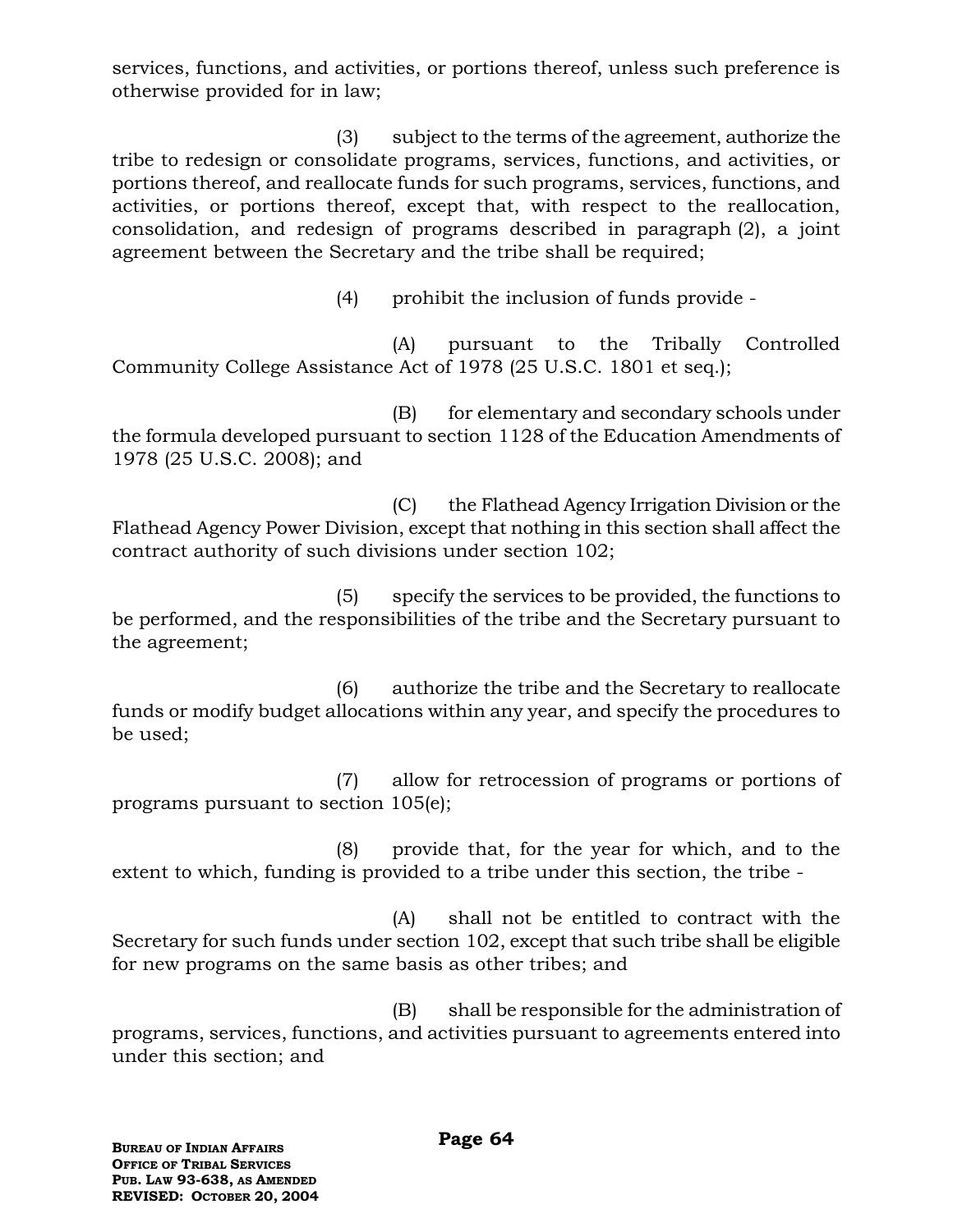services, functions, and activities, or portions thereof, unless such preference is otherwise provided for in law;

(3) subject to the terms of the agreement, authorize the tribe to redesign or consolidate programs, services, functions, and activities, or portions thereof, and reallocate funds for such programs, services, functions, and activities, or portions thereof, except that, with respect to the reallocation, consolidation, and redesign of programs described in paragraph (2), a joint agreement between the Secretary and the tribe shall be required;

(4) prohibit the inclusion of funds provide -

(A) pursuant to the Tribally Controlled Community College Assistance Act of 1978 (25 U.S.C. 1801 et seq.);

(B) for elementary and secondary schools under the formula developed pursuant to section 1128 of the Education Amendments of 1978 (25 U.S.C. 2008); and

(C) the Flathead Agency Irrigation Division or the Flathead Agency Power Division, except that nothing in this section shall affect the contract authority of such divisions under section 102;

(5) specify the services to be provided, the functions to be performed, and the responsibilities of the tribe and the Secretary pursuant to the agreement;

(6) authorize the tribe and the Secretary to reallocate funds or modify budget allocations within any year, and specify the procedures to be used;

(7) allow for retrocession of programs or portions of programs pursuant to section 105(e);

(8) provide that, for the year for which, and to the extent to which, funding is provided to a tribe under this section, the tribe -

(A) shall not be entitled to contract with the Secretary for such funds under section 102, except that such tribe shall be eligible for new programs on the same basis as other tribes; and

(B) shall be responsible for the administration of programs, services, functions, and activities pursuant to agreements entered into under this section; and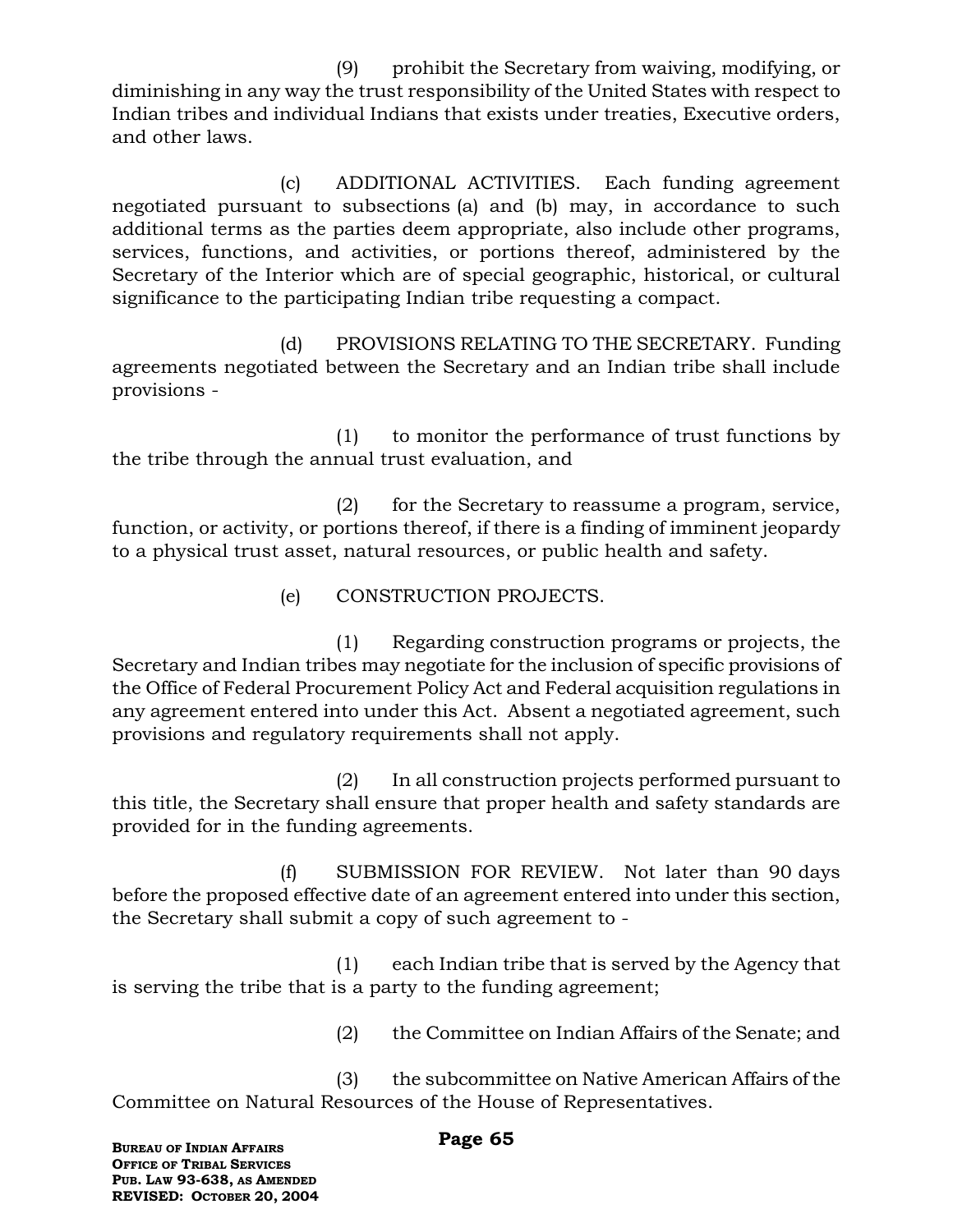(9) prohibit the Secretary from waiving, modifying, or diminishing in any way the trust responsibility of the United States with respect to Indian tribes and individual Indians that exists under treaties, Executive orders, and other laws.

(c) ADDITIONAL ACTIVITIES. Each funding agreement negotiated pursuant to subsections (a) and (b) may, in accordance to such additional terms as the parties deem appropriate, also include other programs, services, functions, and activities, or portions thereof, administered by the Secretary of the Interior which are of special geographic, historical, or cultural significance to the participating Indian tribe requesting a compact.

(d) PROVISIONS RELATING TO THE SECRETARY. Funding agreements negotiated between the Secretary and an Indian tribe shall include provisions -

(1) to monitor the performance of trust functions by the tribe through the annual trust evaluation, and

(2) for the Secretary to reassume a program, service, function, or activity, or portions thereof, if there is a finding of imminent jeopardy to a physical trust asset, natural resources, or public health and safety.

(e) CONSTRUCTION PROJECTS.

(1) Regarding construction programs or projects, the Secretary and Indian tribes may negotiate for the inclusion of specific provisions of the Office of Federal Procurement Policy Act and Federal acquisition regulations in any agreement entered into under this Act. Absent a negotiated agreement, such provisions and regulatory requirements shall not apply.

(2) In all construction projects performed pursuant to this title, the Secretary shall ensure that proper health and safety standards are provided for in the funding agreements.

(f) SUBMISSION FOR REVIEW. Not later than 90 days before the proposed effective date of an agreement entered into under this section, the Secretary shall submit a copy of such agreement to -

(1) each Indian tribe that is served by the Agency that is serving the tribe that is a party to the funding agreement;

(2) the Committee on Indian Affairs of the Senate; and

(3) the subcommittee on Native American Affairs of the Committee on Natural Resources of the House of Representatives.

#### **Page 65**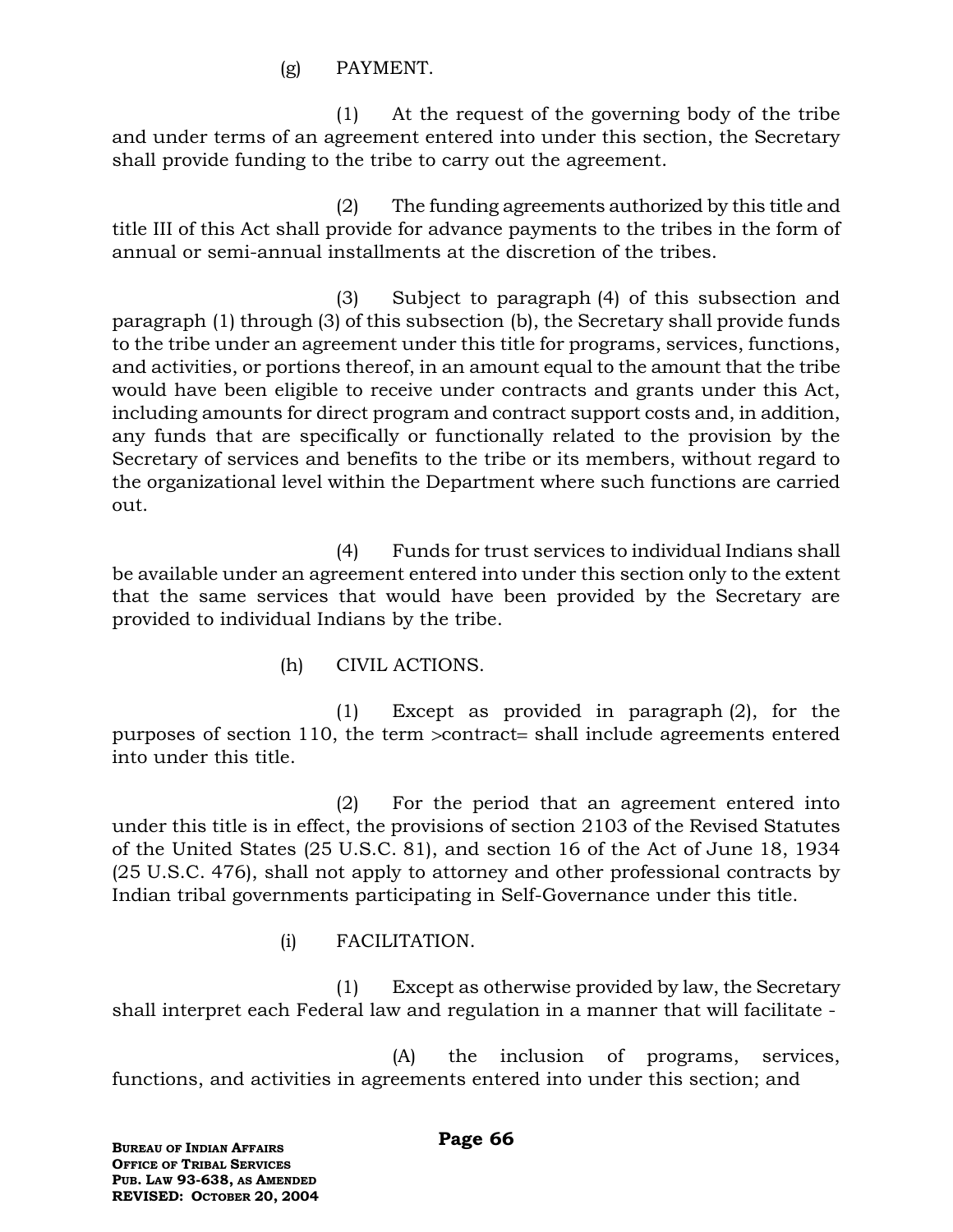(g) PAYMENT.

(1) At the request of the governing body of the tribe and under terms of an agreement entered into under this section, the Secretary shall provide funding to the tribe to carry out the agreement.

(2) The funding agreements authorized by this title and title III of this Act shall provide for advance payments to the tribes in the form of annual or semi-annual installments at the discretion of the tribes.

(3) Subject to paragraph (4) of this subsection and paragraph (1) through (3) of this subsection (b), the Secretary shall provide funds to the tribe under an agreement under this title for programs, services, functions, and activities, or portions thereof, in an amount equal to the amount that the tribe would have been eligible to receive under contracts and grants under this Act, including amounts for direct program and contract support costs and, in addition, any funds that are specifically or functionally related to the provision by the Secretary of services and benefits to the tribe or its members, without regard to the organizational level within the Department where such functions are carried out.

(4) Funds for trust services to individual Indians shall be available under an agreement entered into under this section only to the extent that the same services that would have been provided by the Secretary are provided to individual Indians by the tribe.

(h) CIVIL ACTIONS.

(1) Except as provided in paragraph (2), for the purposes of section 110, the term  $\alpha$  contract = shall include agreements entered into under this title.

(2) For the period that an agreement entered into under this title is in effect, the provisions of section 2103 of the Revised Statutes of the United States (25 U.S.C. 81), and section 16 of the Act of June 18, 1934 (25 U.S.C. 476), shall not apply to attorney and other professional contracts by Indian tribal governments participating in Self-Governance under this title.

(i) FACILITATION.

(1) Except as otherwise provided by law, the Secretary shall interpret each Federal law and regulation in a manner that will facilitate -

(A) the inclusion of programs, services, functions, and activities in agreements entered into under this section; and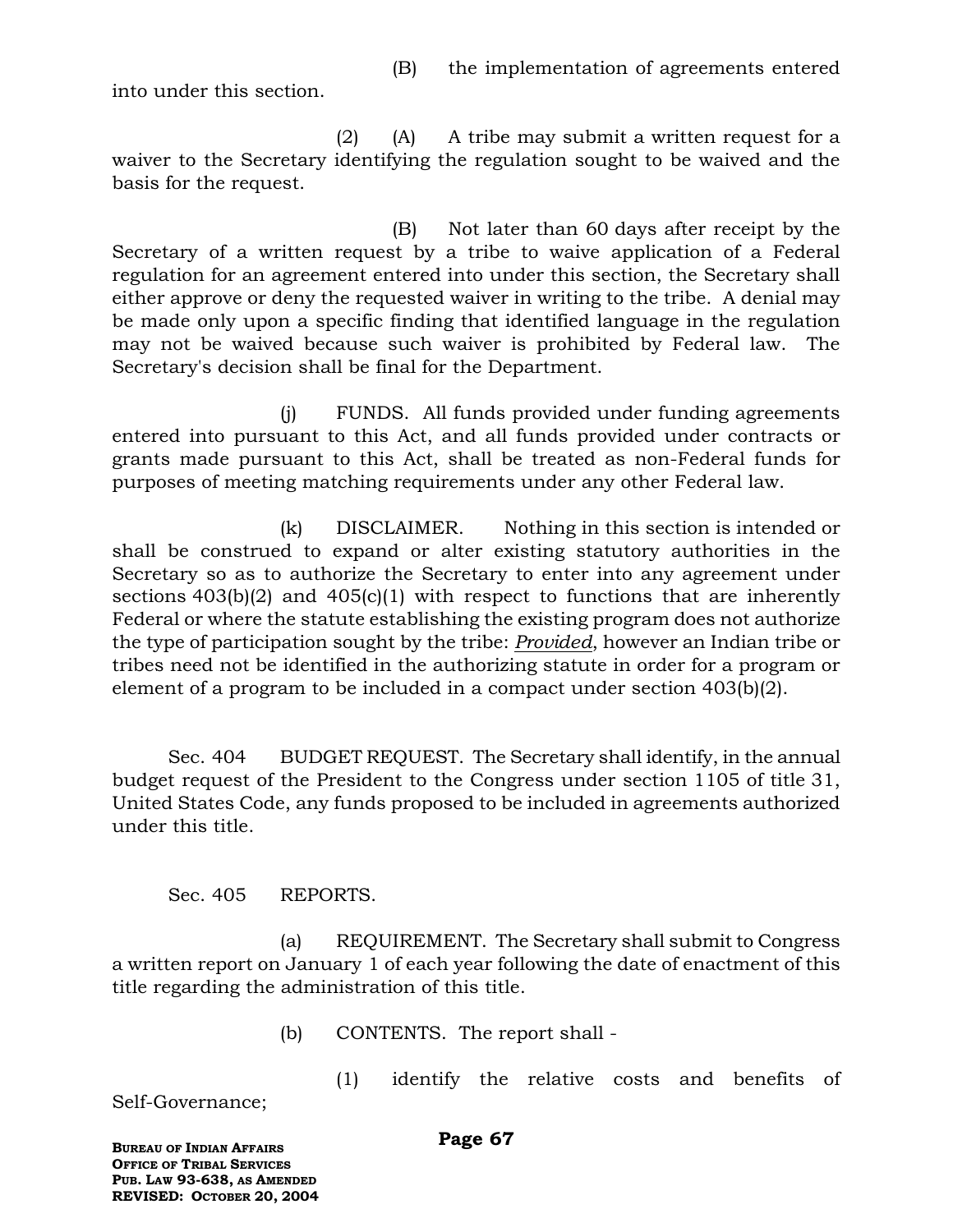(B) the implementation of agreements entered

into under this section.

(2) (A) A tribe may submit a written request for a waiver to the Secretary identifying the regulation sought to be waived and the basis for the request.

(B) Not later than 60 days after receipt by the Secretary of a written request by a tribe to waive application of a Federal regulation for an agreement entered into under this section, the Secretary shall either approve or deny the requested waiver in writing to the tribe. A denial may be made only upon a specific finding that identified language in the regulation may not be waived because such waiver is prohibited by Federal law. The Secretary's decision shall be final for the Department.

(j) FUNDS. All funds provided under funding agreements entered into pursuant to this Act, and all funds provided under contracts or grants made pursuant to this Act, shall be treated as non-Federal funds for purposes of meeting matching requirements under any other Federal law.

(k) DISCLAIMER. Nothing in this section is intended or shall be construed to expand or alter existing statutory authorities in the Secretary so as to authorize the Secretary to enter into any agreement under sections  $403(b)(2)$  and  $405(c)(1)$  with respect to functions that are inherently Federal or where the statute establishing the existing program does not authorize the type of participation sought by the tribe: *Provided*, however an Indian tribe or tribes need not be identified in the authorizing statute in order for a program or element of a program to be included in a compact under section 403(b)(2).

Sec. 404 BUDGET REQUEST. The Secretary shall identify, in the annual budget request of the President to the Congress under section 1105 of title 31, United States Code, any funds proposed to be included in agreements authorized under this title.

Sec. 405 REPORTS.

(a) REQUIREMENT. The Secretary shall submit to Congress a written report on January 1 of each year following the date of enactment of this title regarding the administration of this title.

(b) CONTENTS. The report shall -

Self-Governance;

(1) identify the relative costs and benefits of

**BUREAU OF INDIAN AFFAIRS OFFICE OF TRIBAL SERVICES PUB. LAW 93-638, AS AMENDED REVISED: OCTOBER 20, 2004**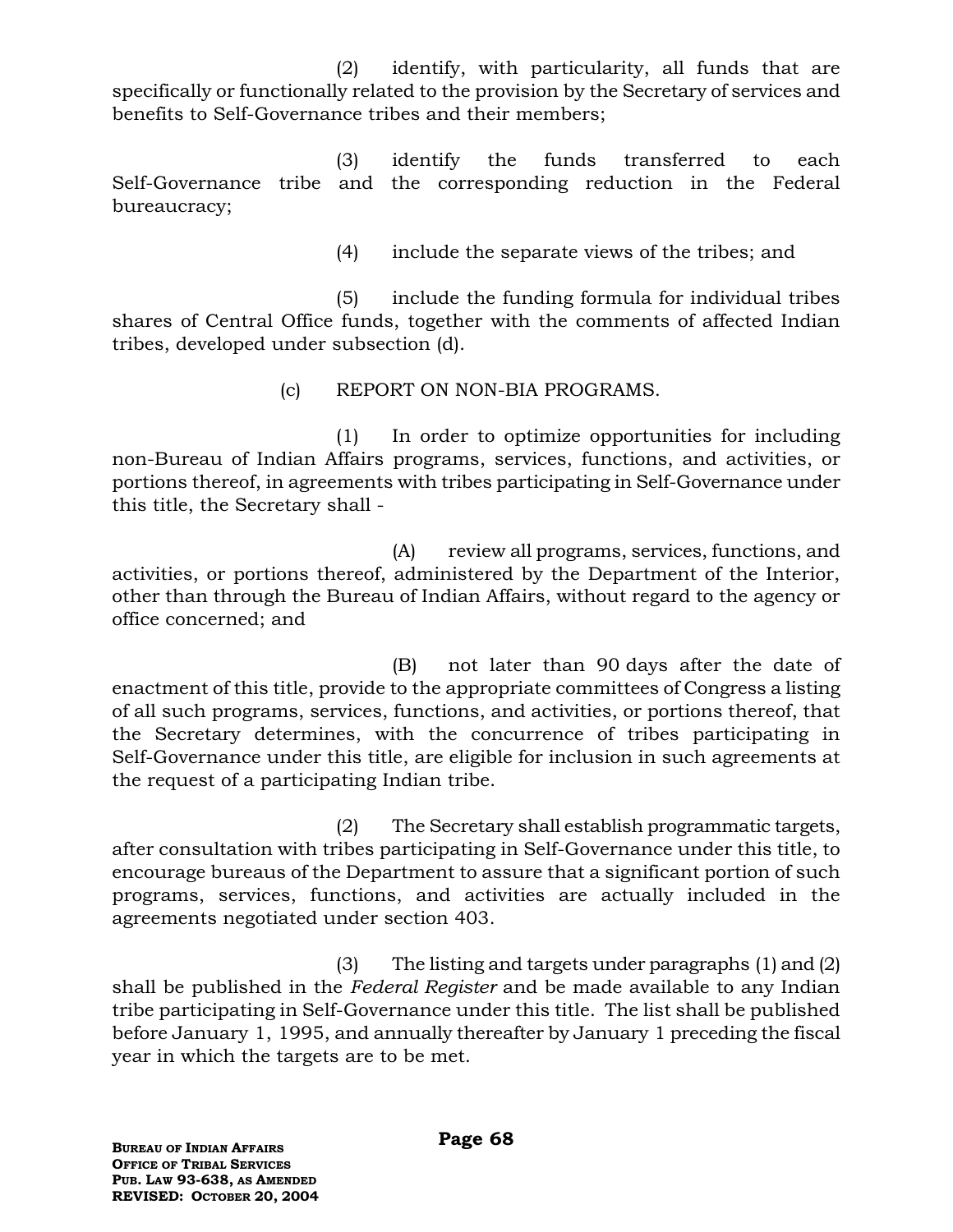(2) identify, with particularity, all funds that are specifically or functionally related to the provision by the Secretary of services and benefits to Self-Governance tribes and their members;

(3) identify the funds transferred to each Self-Governance tribe and the corresponding reduction in the Federal bureaucracy;

(4) include the separate views of the tribes; and

(5) include the funding formula for individual tribes shares of Central Office funds, together with the comments of affected Indian tribes, developed under subsection (d).

(c) REPORT ON NON-BIA PROGRAMS.

(1) In order to optimize opportunities for including non-Bureau of Indian Affairs programs, services, functions, and activities, or portions thereof, in agreements with tribes participating in Self-Governance under this title, the Secretary shall -

(A) review all programs, services, functions, and activities, or portions thereof, administered by the Department of the Interior, other than through the Bureau of Indian Affairs, without regard to the agency or office concerned; and

(B) not later than 90 days after the date of enactment of this title, provide to the appropriate committees of Congress a listing of all such programs, services, functions, and activities, or portions thereof, that the Secretary determines, with the concurrence of tribes participating in Self-Governance under this title, are eligible for inclusion in such agreements at the request of a participating Indian tribe.

(2) The Secretary shall establish programmatic targets, after consultation with tribes participating in Self-Governance under this title, to encourage bureaus of the Department to assure that a significant portion of such programs, services, functions, and activities are actually included in the agreements negotiated under section 403.

(3) The listing and targets under paragraphs (1) and (2) shall be published in the *Federal Register* and be made available to any Indian tribe participating in Self-Governance under this title. The list shall be published before January 1, 1995, and annually thereafter by January 1 preceding the fiscal year in which the targets are to be met.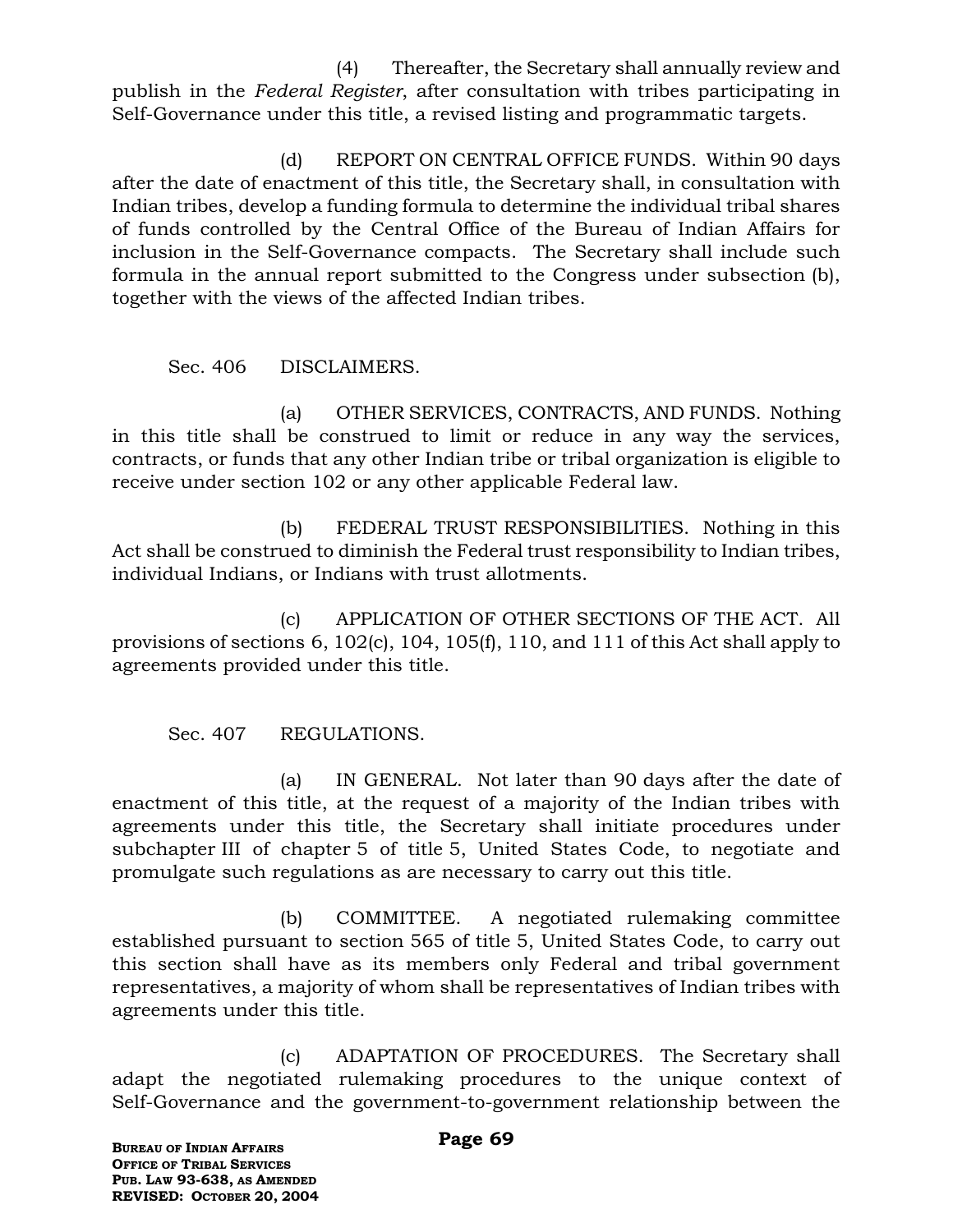(4) Thereafter, the Secretary shall annually review and publish in the *Federal Register*, after consultation with tribes participating in Self-Governance under this title, a revised listing and programmatic targets.

(d) REPORT ON CENTRAL OFFICE FUNDS. Within 90 days after the date of enactment of this title, the Secretary shall, in consultation with Indian tribes, develop a funding formula to determine the individual tribal shares of funds controlled by the Central Office of the Bureau of Indian Affairs for inclusion in the Self-Governance compacts. The Secretary shall include such formula in the annual report submitted to the Congress under subsection (b), together with the views of the affected Indian tribes.

### Sec. 406 DISCLAIMERS.

(a) OTHER SERVICES, CONTRACTS, AND FUNDS. Nothing in this title shall be construed to limit or reduce in any way the services, contracts, or funds that any other Indian tribe or tribal organization is eligible to receive under section 102 or any other applicable Federal law.

(b) FEDERAL TRUST RESPONSIBILITIES. Nothing in this Act shall be construed to diminish the Federal trust responsibility to Indian tribes, individual Indians, or Indians with trust allotments.

(c) APPLICATION OF OTHER SECTIONS OF THE ACT. All provisions of sections 6, 102(c), 104, 105(f), 110, and 111 of this Act shall apply to agreements provided under this title.

Sec. 407 REGULATIONS.

(a) IN GENERAL. Not later than 90 days after the date of enactment of this title, at the request of a majority of the Indian tribes with agreements under this title, the Secretary shall initiate procedures under subchapter III of chapter 5 of title 5, United States Code, to negotiate and promulgate such regulations as are necessary to carry out this title.

(b) COMMITTEE. A negotiated rulemaking committee established pursuant to section 565 of title 5, United States Code, to carry out this section shall have as its members only Federal and tribal government representatives, a majority of whom shall be representatives of Indian tribes with agreements under this title.

(c) ADAPTATION OF PROCEDURES. The Secretary shall adapt the negotiated rulemaking procedures to the unique context of Self-Governance and the government-to-government relationship between the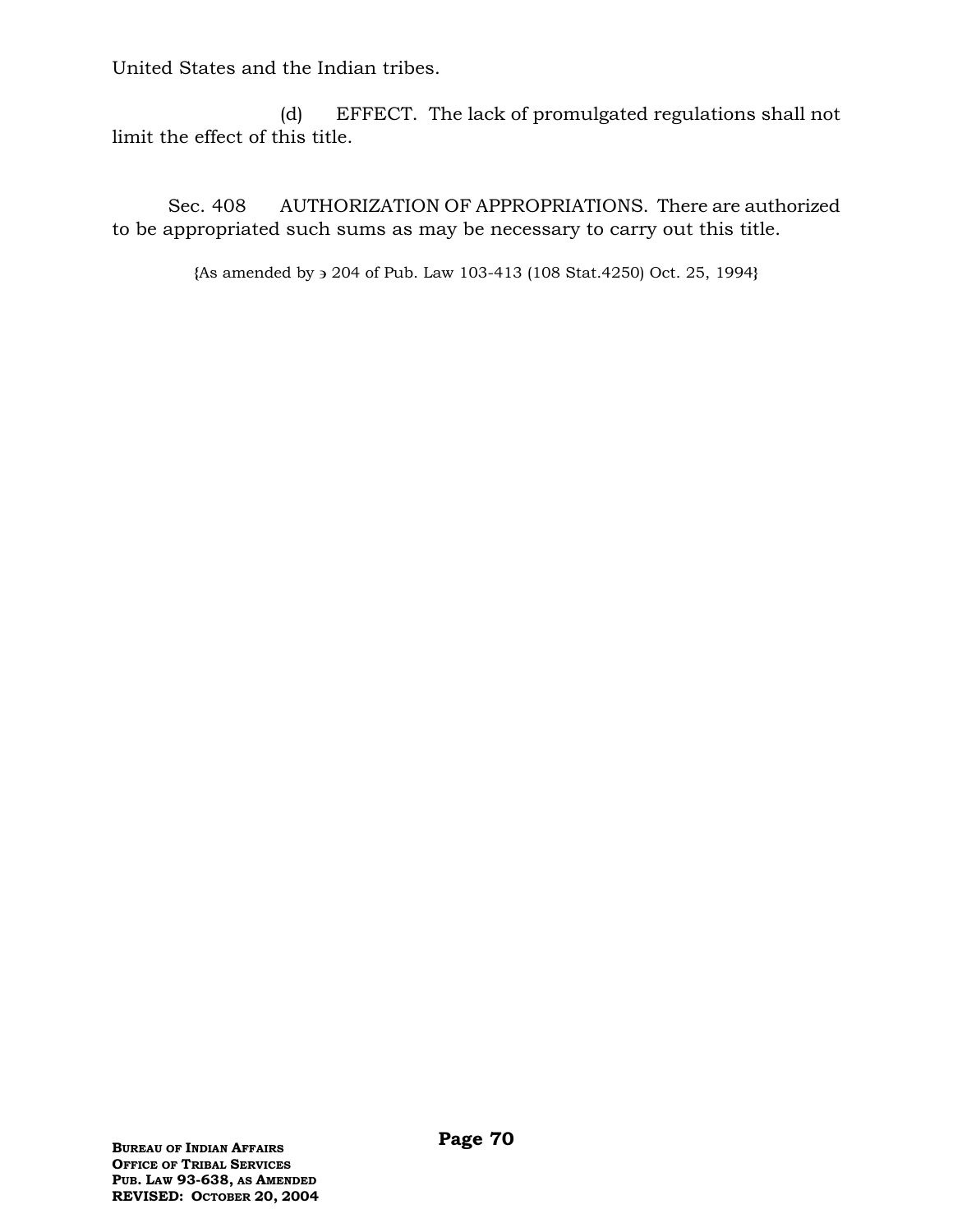United States and the Indian tribes.

(d) EFFECT. The lack of promulgated regulations shall not limit the effect of this title.

Sec. 408 AUTHORIZATION OF APPROPRIATIONS. There are authorized to be appropriated such sums as may be necessary to carry out this title.

**{**As amended by 204 of Pub. Law 103-413 (108 Stat.4250) Oct. 25, 1994**}**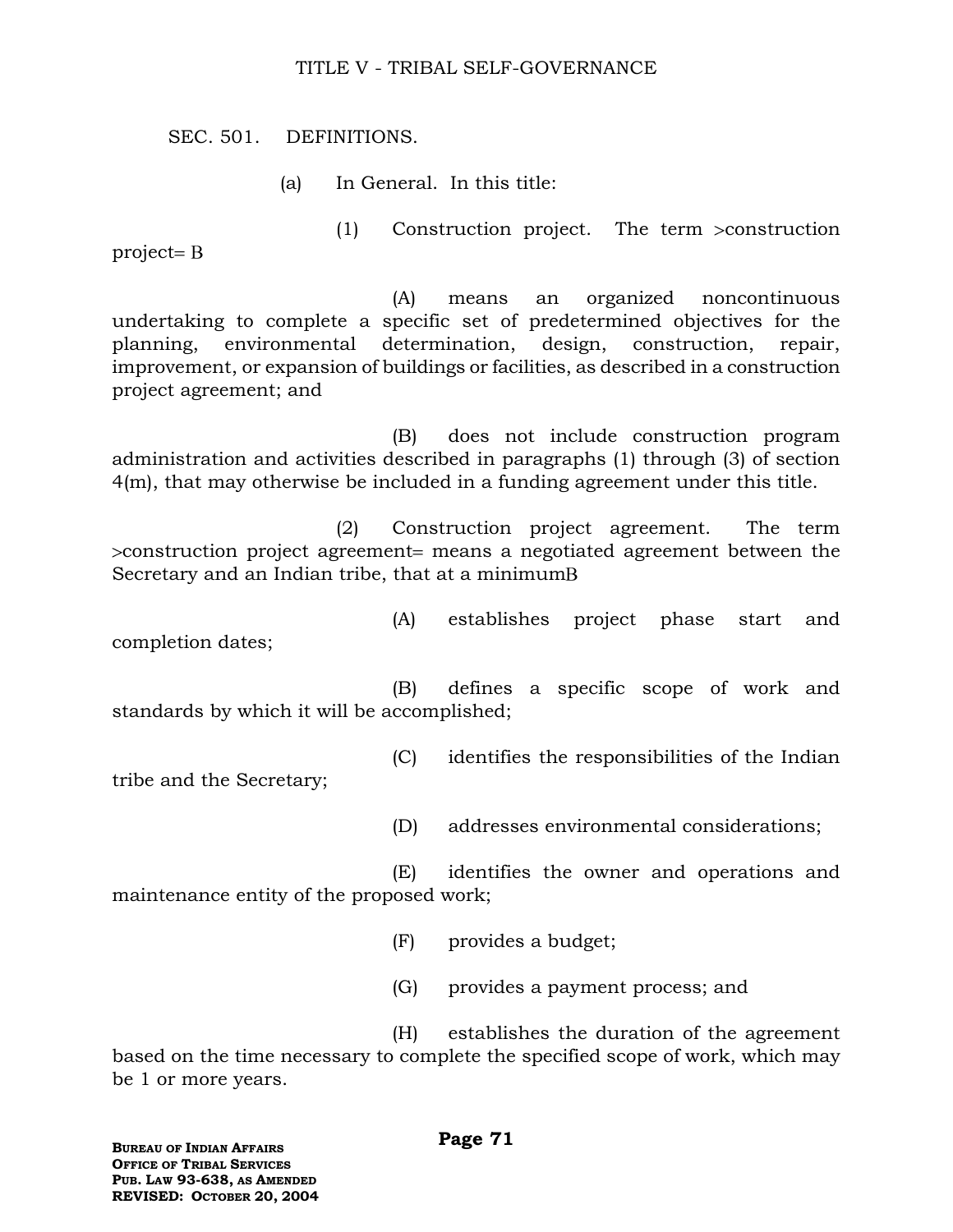#### TITLE V - TRIBAL SELF-GOVERNANCE

SEC. 501. DEFINITIONS.

(a) In General. In this title:

project

(A) means an organized noncontinuous undertaking to complete a specific set of predetermined objectives for the planning, environmental determination, design, construction, repair, improvement, or expansion of buildings or facilities, as described in a construction project agreement; and

 $(1)$  Construction project. The term  $\geq$ construction

(B) does not include construction program administration and activities described in paragraphs (1) through (3) of section 4(m), that may otherwise be included in a funding agreement under this title.

(2) Construction project agreement. The term  $\infty$ construction project agreement means a negotiated agreement between the Secretary and an Indian tribe, that at a minimum

(A) establishes project phase start and completion dates;

(B) defines a specific scope of work and standards by which it will be accomplished;

(C) identifies the responsibilities of the Indian

tribe and the Secretary;

(D) addresses environmental considerations;

(E) identifies the owner and operations and maintenance entity of the proposed work;

(F) provides a budget;

(G) provides a payment process; and

(H) establishes the duration of the agreement based on the time necessary to complete the specified scope of work, which may be 1 or more years.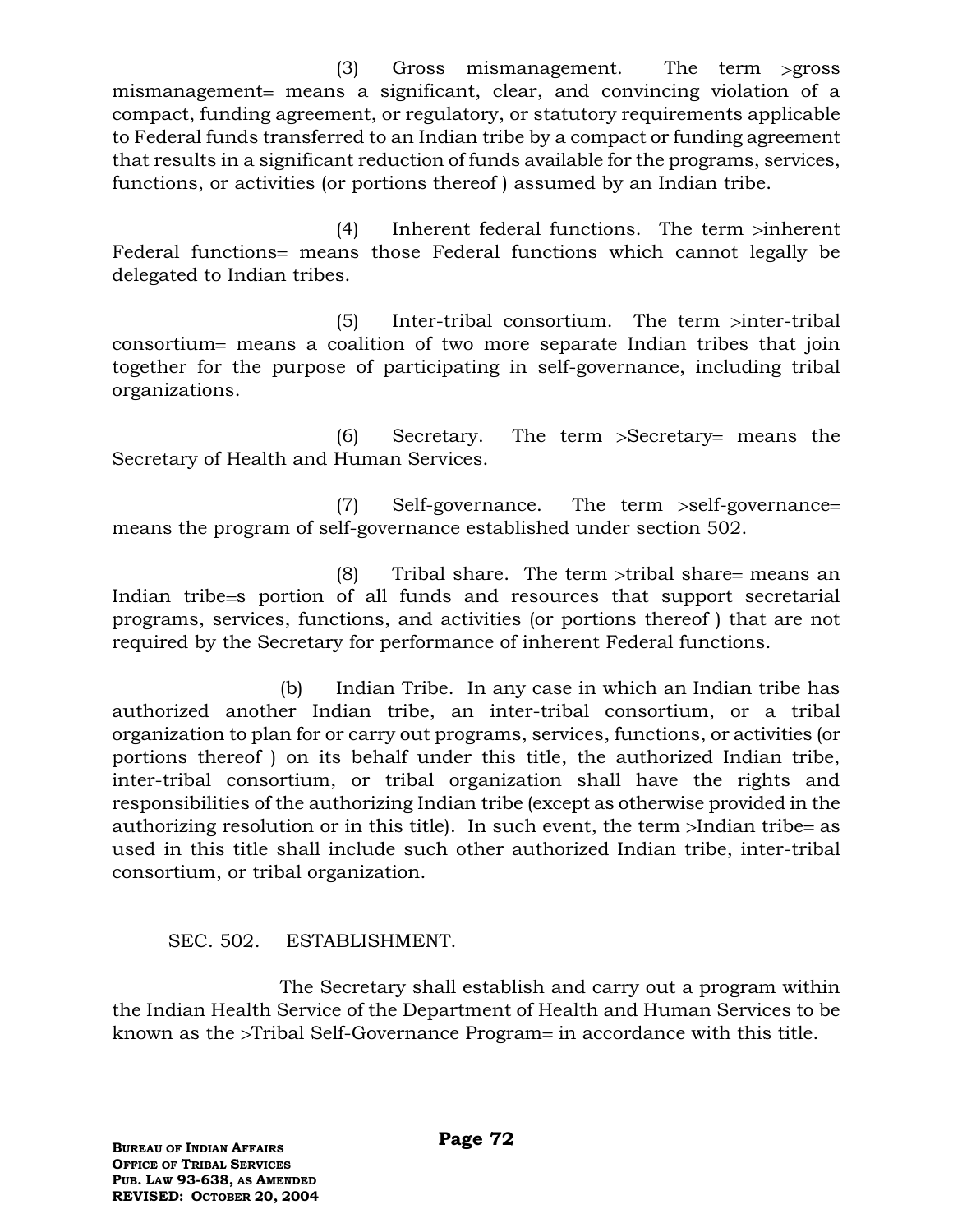$(3)$  Gross mismanagement. The term > gross mismanagement= means a significant, clear, and convincing violation of a compact, funding agreement, or regulatory, or statutory requirements applicable to Federal funds transferred to an Indian tribe by a compact or funding agreement that results in a significant reduction of funds available for the programs, services, functions, or activities (or portions thereof ) assumed by an Indian tribe.

 $(4)$  Inherent federal functions. The term  $\sinh$ Federal functions = means those Federal functions which cannot legally be delegated to Indian tribes.

 $(5)$  Inter-tribal consortium. The term >inter-tribal consortium = means a coalition of two more separate Indian tribes that join together for the purpose of participating in self-governance, including tribal organizations.

 $(6)$  Secretary. The term  $>$ Secretary= means the Secretary of Health and Human Services.

 $(7)$  Self-governance. The term  $>$ self-governance= means the program of self-governance established under section 502.

(8) Tribal share. The term  $\ge$ tribal share = means an Indian tribe s portion of all funds and resources that support secretarial programs, services, functions, and activities (or portions thereof ) that are not required by the Secretary for performance of inherent Federal functions.

(b) Indian Tribe. In any case in which an Indian tribe has authorized another Indian tribe, an inter-tribal consortium, or a tribal organization to plan for or carry out programs, services, functions, or activities (or portions thereof ) on its behalf under this title, the authorized Indian tribe, inter-tribal consortium, or tribal organization shall have the rights and responsibilities of the authorizing Indian tribe (except as otherwise provided in the authorizing resolution or in this title). In such event, the term  $>$ Indian tribe= as used in this title shall include such other authorized Indian tribe, inter-tribal consortium, or tribal organization.

# SEC. 502. ESTABLISHMENT.

The Secretary shall establish and carry out a program within the Indian Health Service of the Department of Health and Human Services to be known as the >Tribal Self-Governance Program= in accordance with this title.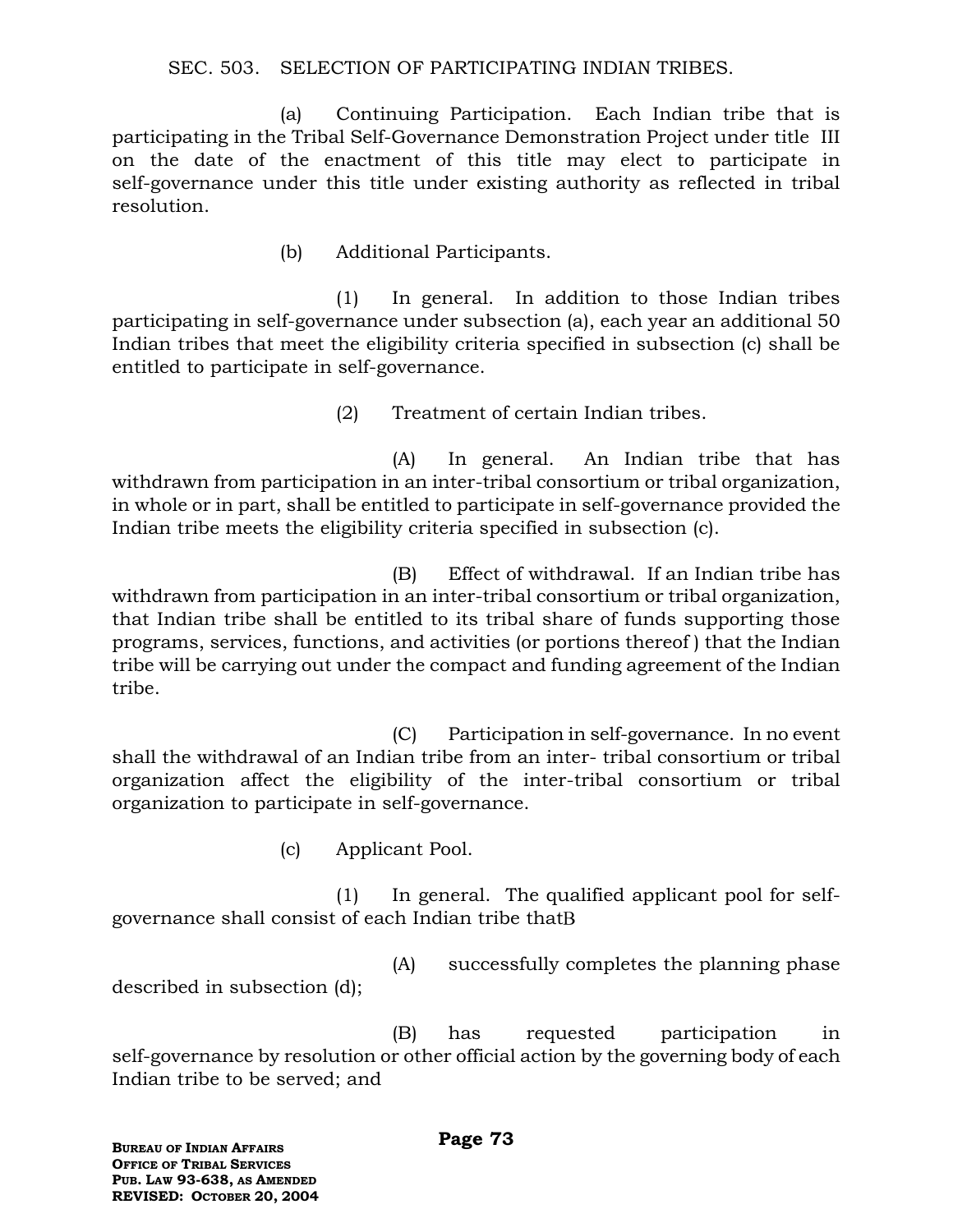### SEC. 503. SELECTION OF PARTICIPATING INDIAN TRIBES.

(a) Continuing Participation. Each Indian tribe that is participating in the Tribal Self-Governance Demonstration Project under title III on the date of the enactment of this title may elect to participate in self-governance under this title under existing authority as reflected in tribal resolution.

(b) Additional Participants.

(1) In general. In addition to those Indian tribes participating in self-governance under subsection (a), each year an additional 50 Indian tribes that meet the eligibility criteria specified in subsection (c) shall be entitled to participate in self-governance.

(2) Treatment of certain Indian tribes.

(A) In general. An Indian tribe that has withdrawn from participation in an inter-tribal consortium or tribal organization, in whole or in part, shall be entitled to participate in self-governance provided the Indian tribe meets the eligibility criteria specified in subsection (c).

(B) Effect of withdrawal. If an Indian tribe has withdrawn from participation in an inter-tribal consortium or tribal organization, that Indian tribe shall be entitled to its tribal share of funds supporting those programs, services, functions, and activities (or portions thereof ) that the Indian tribe will be carrying out under the compact and funding agreement of the Indian tribe.

(C) Participation in self-governance. In no event shall the withdrawal of an Indian tribe from an inter- tribal consortium or tribal organization affect the eligibility of the inter-tribal consortium or tribal organization to participate in self-governance.

(c) Applicant Pool.

(1) In general. The qualified applicant pool for selfgovernance shall consist of each Indian tribe that

(A) successfully completes the planning phase described in subsection (d);

(B) has requested participation in self-governance by resolution or other official action by the governing body of each Indian tribe to be served; and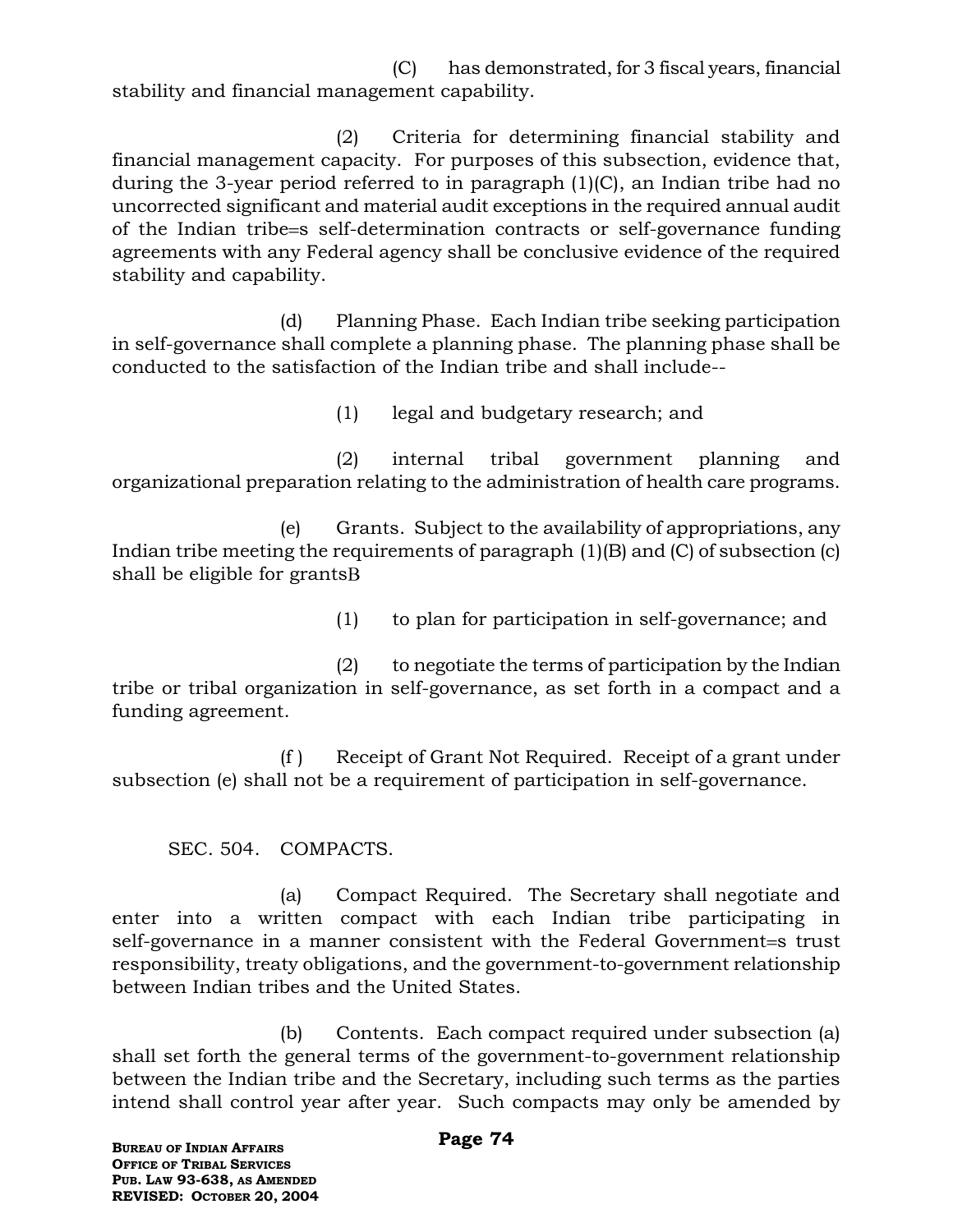(C) has demonstrated, for 3 fiscal years, financial stability and financial management capability.

(2) Criteria for determining financial stability and financial management capacity. For purposes of this subsection, evidence that, during the 3-year period referred to in paragraph (1)(C), an Indian tribe had no uncorrected significant and material audit exceptions in the required annual audit of the Indian tribe = s self-determination contracts or self-governance funding agreements with any Federal agency shall be conclusive evidence of the required stability and capability.

(d) Planning Phase. Each Indian tribe seeking participation in self-governance shall complete a planning phase. The planning phase shall be conducted to the satisfaction of the Indian tribe and shall include--

(1) legal and budgetary research; and

(2) internal tribal government planning and organizational preparation relating to the administration of health care programs.

(e) Grants. Subject to the availability of appropriations, any Indian tribe meeting the requirements of paragraph (1)(B) and (C) of subsection (c) shall be eligible for grants

(1) to plan for participation in self-governance; and

(2) to negotiate the terms of participation by the Indian tribe or tribal organization in self-governance, as set forth in a compact and a funding agreement.

(f ) Receipt of Grant Not Required. Receipt of a grant under subsection (e) shall not be a requirement of participation in self-governance.

SEC. 504. COMPACTS.

(a) Compact Required. The Secretary shall negotiate and enter into a written compact with each Indian tribe participating in self-governance in a manner consistent with the Federal Government=s trust responsibility, treaty obligations, and the government-to-government relationship between Indian tribes and the United States.

(b) Contents. Each compact required under subsection (a) shall set forth the general terms of the government-to-government relationship between the Indian tribe and the Secretary, including such terms as the parties intend shall control year after year. Such compacts may only be amended by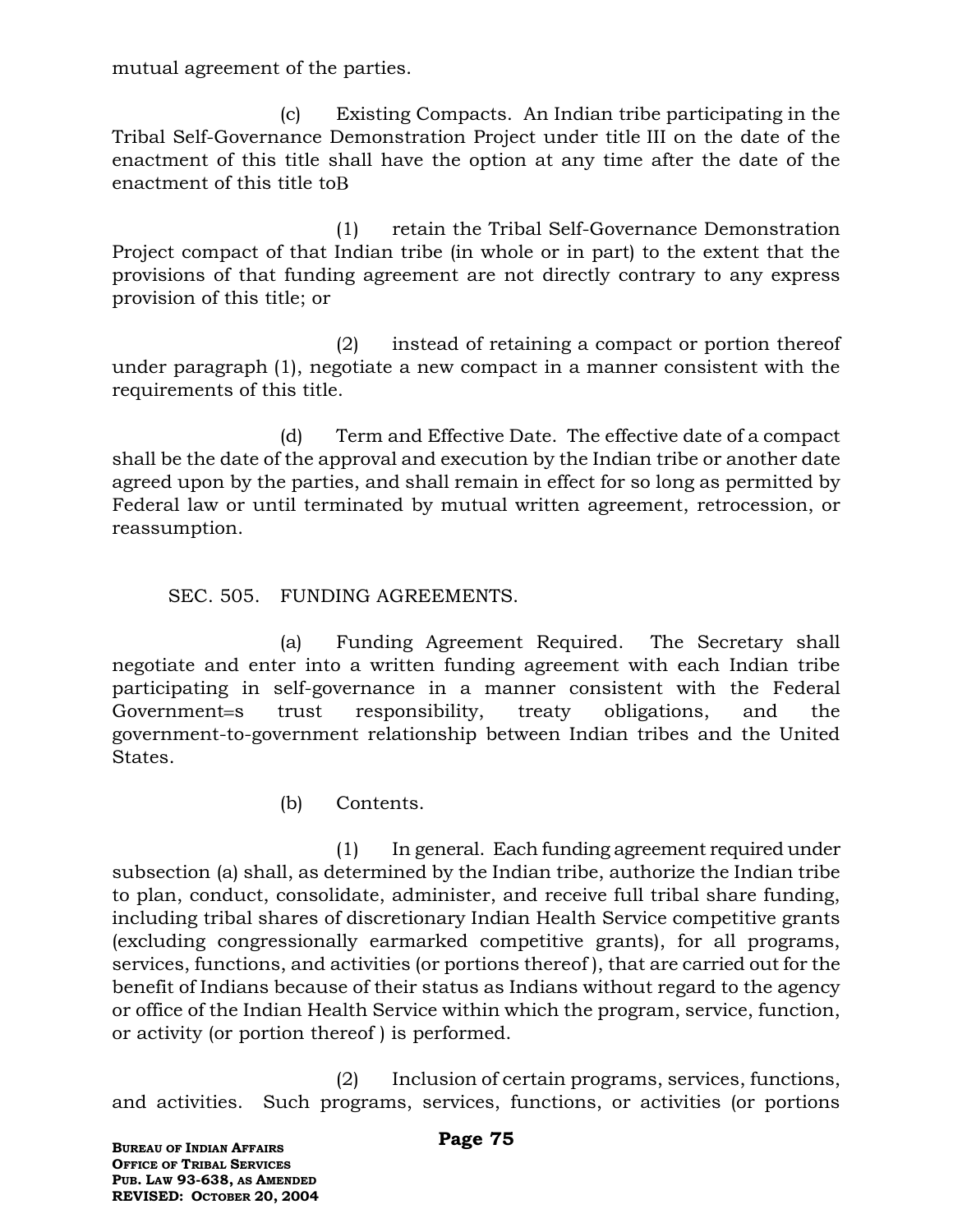mutual agreement of the parties.

(c) Existing Compacts. An Indian tribe participating in the Tribal Self-Governance Demonstration Project under title III on the date of the enactment of this title shall have the option at any time after the date of the enactment of this title to

(1) retain the Tribal Self-Governance Demonstration Project compact of that Indian tribe (in whole or in part) to the extent that the provisions of that funding agreement are not directly contrary to any express provision of this title; or

(2) instead of retaining a compact or portion thereof under paragraph (1), negotiate a new compact in a manner consistent with the requirements of this title.

(d) Term and Effective Date. The effective date of a compact shall be the date of the approval and execution by the Indian tribe or another date agreed upon by the parties, and shall remain in effect for so long as permitted by Federal law or until terminated by mutual written agreement, retrocession, or reassumption.

### SEC. 505. FUNDING AGREEMENTS.

(a) Funding Agreement Required. The Secretary shall negotiate and enter into a written funding agreement with each Indian tribe participating in self-governance in a manner consistent with the Federal Government=s trust responsibility, treaty obligations, and the government-to-government relationship between Indian tribes and the United States.

(b) Contents.

(1) In general. Each funding agreement required under subsection (a) shall, as determined by the Indian tribe, authorize the Indian tribe to plan, conduct, consolidate, administer, and receive full tribal share funding, including tribal shares of discretionary Indian Health Service competitive grants (excluding congressionally earmarked competitive grants), for all programs, services, functions, and activities (or portions thereof ), that are carried out for the benefit of Indians because of their status as Indians without regard to the agency or office of the Indian Health Service within which the program, service, function, or activity (or portion thereof ) is performed.

(2) Inclusion of certain programs, services, functions, and activities. Such programs, services, functions, or activities (or portions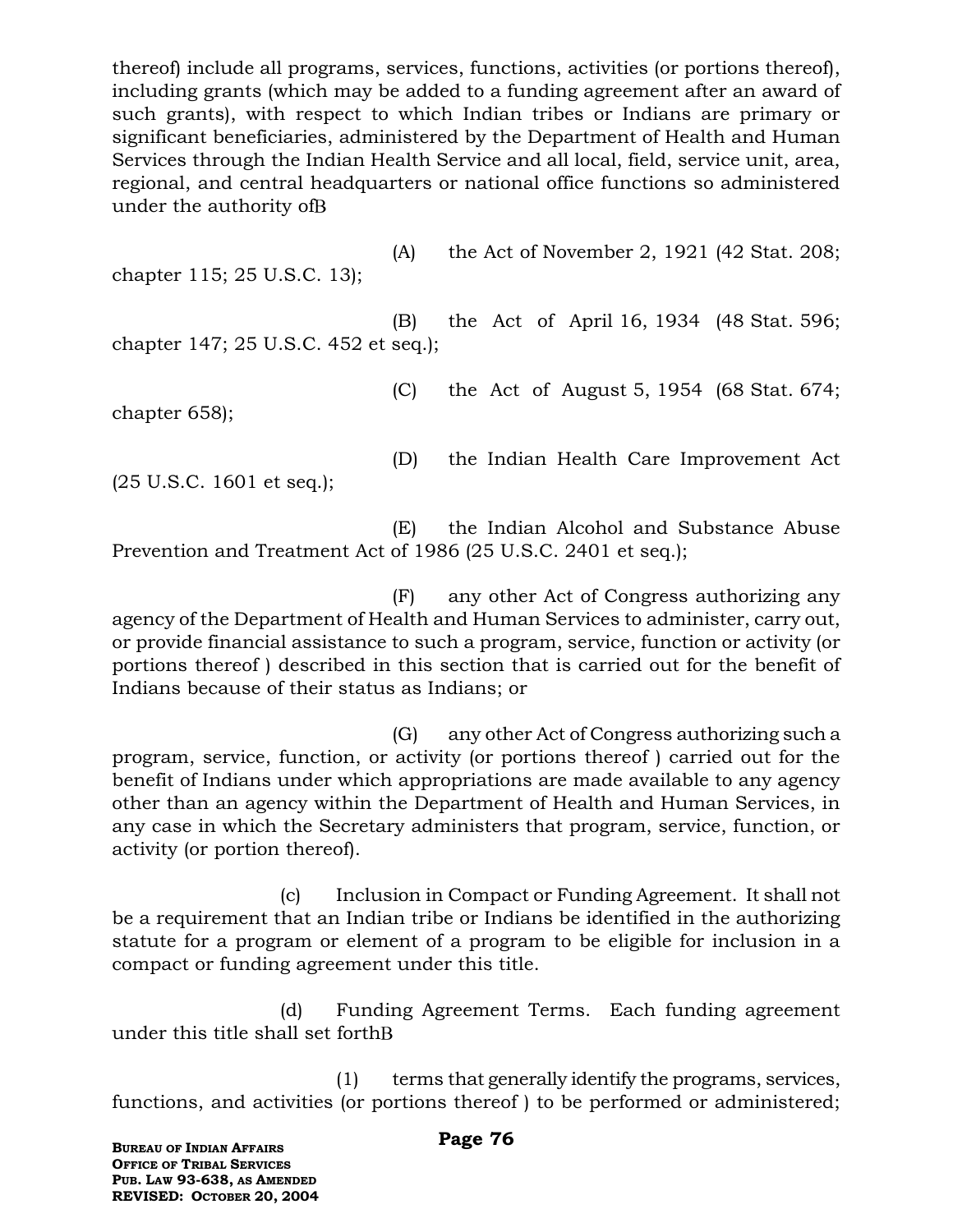thereof) include all programs, services, functions, activities (or portions thereof), including grants (which may be added to a funding agreement after an award of such grants), with respect to which Indian tribes or Indians are primary or significant beneficiaries, administered by the Department of Health and Human Services through the Indian Health Service and all local, field, service unit, area, regional, and central headquarters or national office functions so administered under the authority of

chapter 115; 25 U.S.C. 13);

(A) the Act of November 2, 1921 (42 Stat. 208;

(B) the Act of April 16, 1934 (48 Stat. 596; chapter 147; 25 U.S.C. 452 et seq.);

chapter 658);

(C) the Act of August 5, 1954 (68 Stat. 674;

(25 U.S.C. 1601 et seq.);

(D) the Indian Health Care Improvement Act

(E) the Indian Alcohol and Substance Abuse Prevention and Treatment Act of 1986 (25 U.S.C. 2401 et seq.);

(F) any other Act of Congress authorizing any agency of the Department of Health and Human Services to administer, carry out, or provide financial assistance to such a program, service, function or activity (or portions thereof ) described in this section that is carried out for the benefit of Indians because of their status as Indians; or

(G) any other Act of Congress authorizing such a program, service, function, or activity (or portions thereof ) carried out for the benefit of Indians under which appropriations are made available to any agency other than an agency within the Department of Health and Human Services, in any case in which the Secretary administers that program, service, function, or activity (or portion thereof).

(c) Inclusion in Compact or Funding Agreement. It shall not be a requirement that an Indian tribe or Indians be identified in the authorizing statute for a program or element of a program to be eligible for inclusion in a compact or funding agreement under this title.

(d) Funding Agreement Terms. Each funding agreement under this title shall set forth

(1) terms that generally identify the programs, services, functions, and activities (or portions thereof ) to be performed or administered;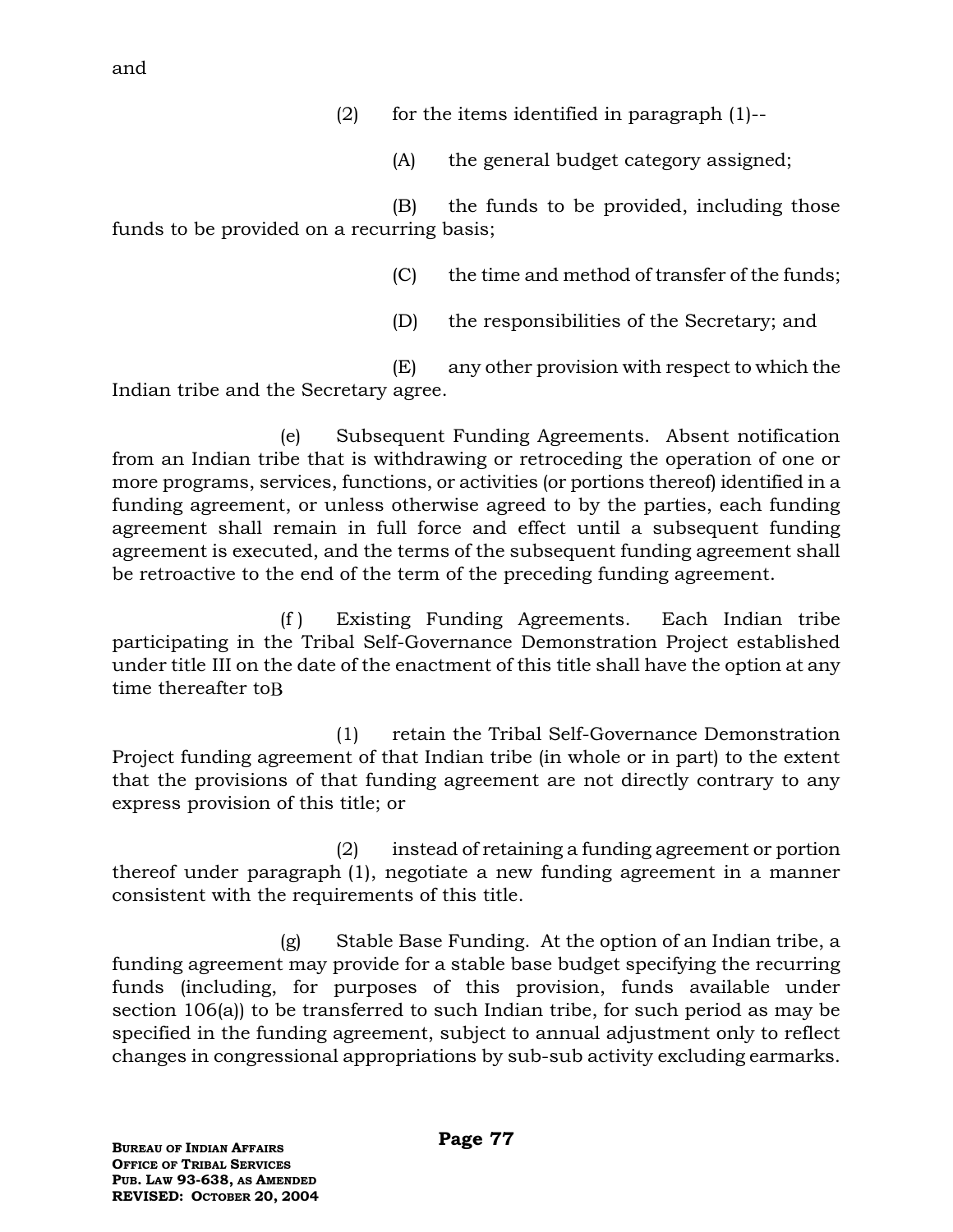and

(2) for the items identified in paragraph  $(1)$ --

(A) the general budget category assigned;

(B) the funds to be provided, including those funds to be provided on a recurring basis;

(C) the time and method of transfer of the funds;

(D) the responsibilities of the Secretary; and

(E) any other provision with respect to which the Indian tribe and the Secretary agree.

(e) Subsequent Funding Agreements. Absent notification from an Indian tribe that is withdrawing or retroceding the operation of one or more programs, services, functions, or activities (or portions thereof) identified in a funding agreement, or unless otherwise agreed to by the parties, each funding agreement shall remain in full force and effect until a subsequent funding agreement is executed, and the terms of the subsequent funding agreement shall be retroactive to the end of the term of the preceding funding agreement.

(f ) Existing Funding Agreements. Each Indian tribe participating in the Tribal Self-Governance Demonstration Project established under title III on the date of the enactment of this title shall have the option at any time thereafter to B

(1) retain the Tribal Self-Governance Demonstration Project funding agreement of that Indian tribe (in whole or in part) to the extent that the provisions of that funding agreement are not directly contrary to any express provision of this title; or

(2) instead of retaining a funding agreement or portion thereof under paragraph (1), negotiate a new funding agreement in a manner consistent with the requirements of this title.

(g) Stable Base Funding. At the option of an Indian tribe, a funding agreement may provide for a stable base budget specifying the recurring funds (including, for purposes of this provision, funds available under section 106(a)) to be transferred to such Indian tribe, for such period as may be specified in the funding agreement, subject to annual adjustment only to reflect changes in congressional appropriations by sub-sub activity excluding earmarks.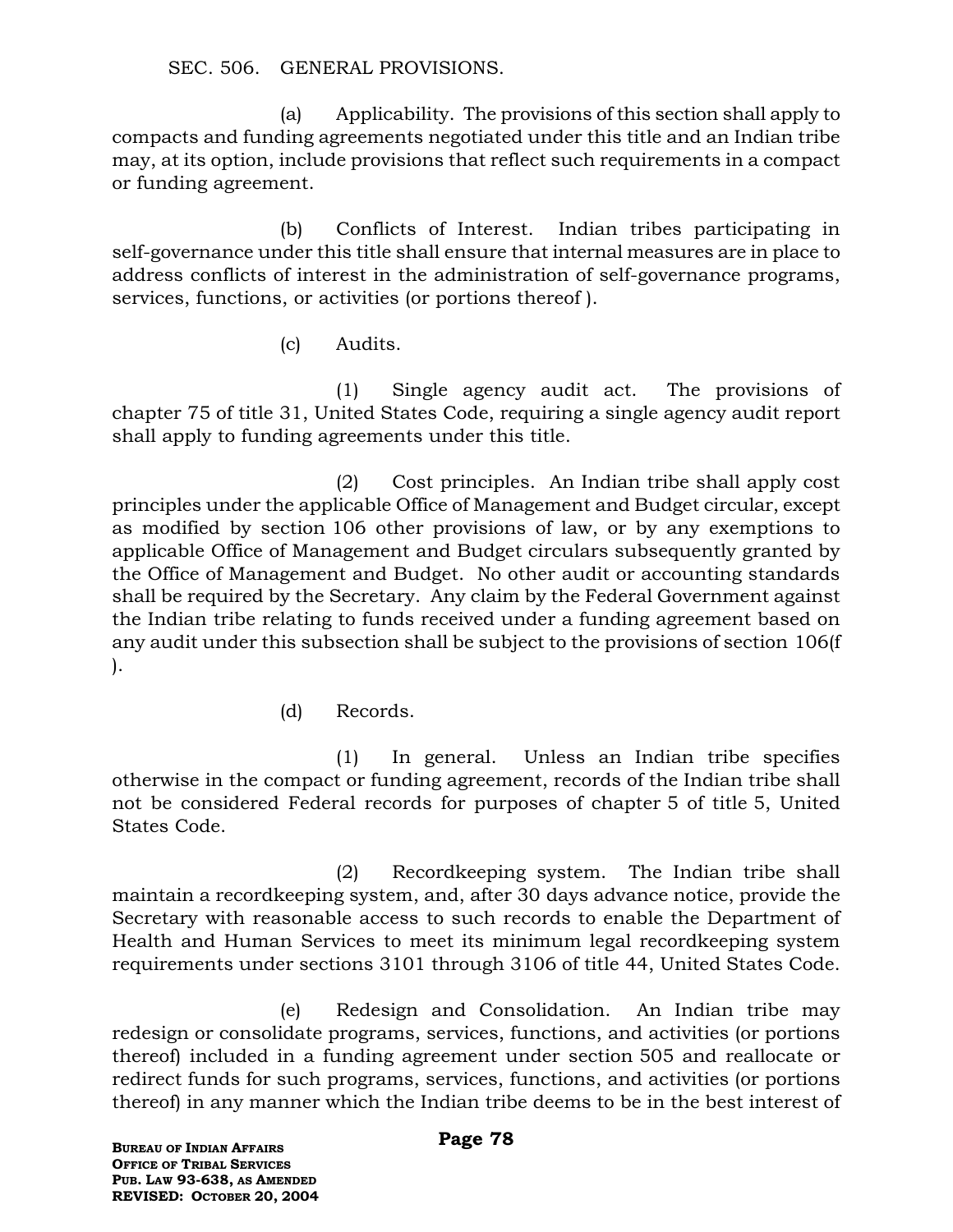SEC. 506. GENERAL PROVISIONS.

(a) Applicability. The provisions of this section shall apply to compacts and funding agreements negotiated under this title and an Indian tribe may, at its option, include provisions that reflect such requirements in a compact or funding agreement.

(b) Conflicts of Interest. Indian tribes participating in self-governance under this title shall ensure that internal measures are in place to address conflicts of interest in the administration of self-governance programs, services, functions, or activities (or portions thereof ).

(c) Audits.

(1) Single agency audit act. The provisions of chapter 75 of title 31, United States Code, requiring a single agency audit report shall apply to funding agreements under this title.

(2) Cost principles. An Indian tribe shall apply cost principles under the applicable Office of Management and Budget circular, except as modified by section 106 other provisions of law, or by any exemptions to applicable Office of Management and Budget circulars subsequently granted by the Office of Management and Budget. No other audit or accounting standards shall be required by the Secretary. Any claim by the Federal Government against the Indian tribe relating to funds received under a funding agreement based on any audit under this subsection shall be subject to the provisions of section 106(f ).

(d) Records.

(1) In general. Unless an Indian tribe specifies otherwise in the compact or funding agreement, records of the Indian tribe shall not be considered Federal records for purposes of chapter 5 of title 5, United States Code.

(2) Recordkeeping system. The Indian tribe shall maintain a recordkeeping system, and, after 30 days advance notice, provide the Secretary with reasonable access to such records to enable the Department of Health and Human Services to meet its minimum legal recordkeeping system requirements under sections 3101 through 3106 of title 44, United States Code.

(e) Redesign and Consolidation. An Indian tribe may redesign or consolidate programs, services, functions, and activities (or portions thereof) included in a funding agreement under section 505 and reallocate or redirect funds for such programs, services, functions, and activities (or portions thereof) in any manner which the Indian tribe deems to be in the best interest of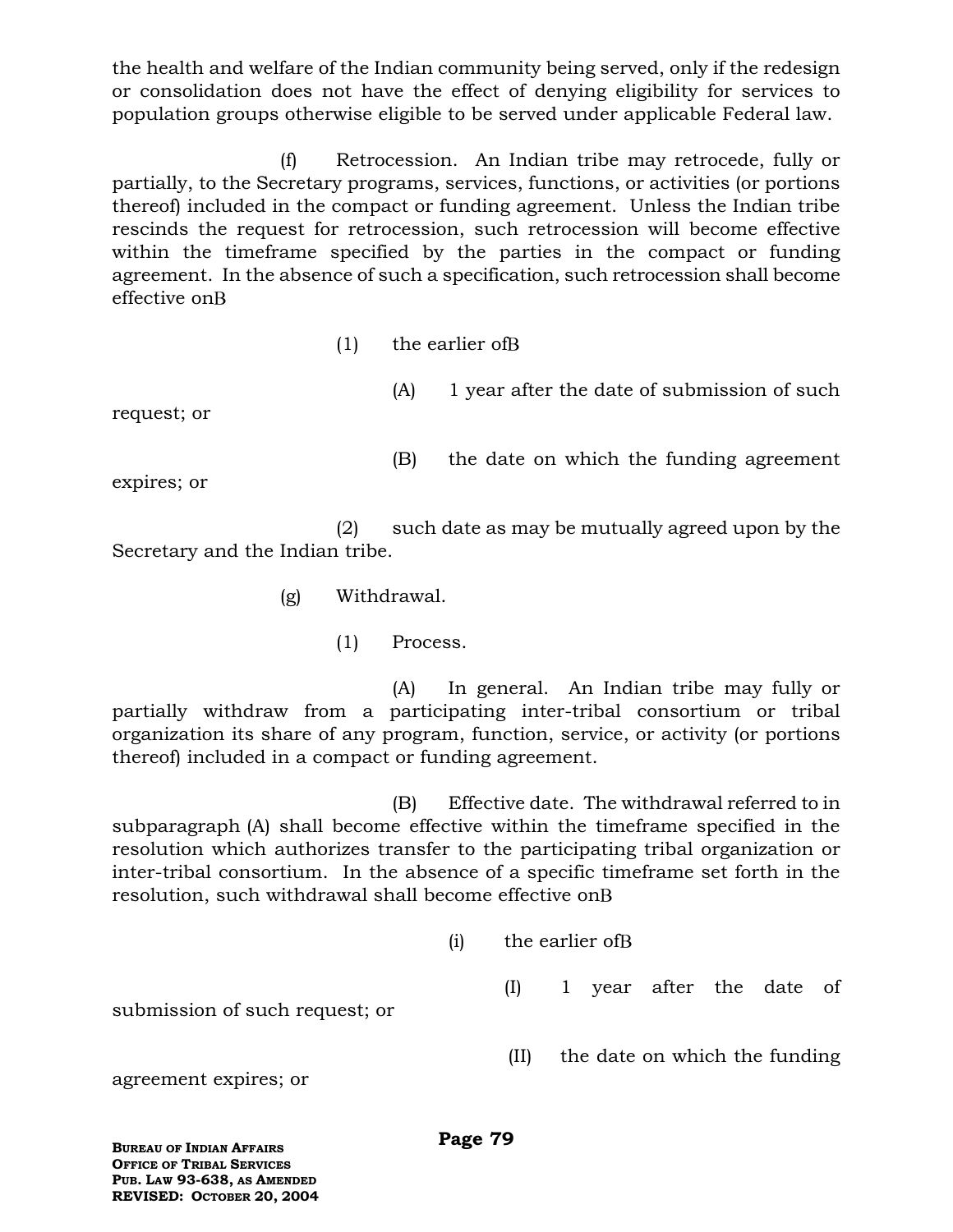the health and welfare of the Indian community being served, only if the redesign or consolidation does not have the effect of denying eligibility for services to population groups otherwise eligible to be served under applicable Federal law.

(f) Retrocession. An Indian tribe may retrocede, fully or partially, to the Secretary programs, services, functions, or activities (or portions thereof) included in the compact or funding agreement. Unless the Indian tribe rescinds the request for retrocession, such retrocession will become effective within the timeframe specified by the parties in the compact or funding agreement. In the absence of such a specification, such retrocession shall become effective on

(1) the earlier of

request; or

(B) the date on which the funding agreement

(A) 1 year after the date of submission of such

expires; or

(2) such date as may be mutually agreed upon by the Secretary and the Indian tribe.

- (g) Withdrawal.
	- (1) Process.

(A) In general. An Indian tribe may fully or partially withdraw from a participating inter-tribal consortium or tribal organization its share of any program, function, service, or activity (or portions thereof) included in a compact or funding agreement.

(B) Effective date. The withdrawal referred to in subparagraph (A) shall become effective within the timeframe specified in the resolution which authorizes transfer to the participating tribal organization or inter-tribal consortium. In the absence of a specific timeframe set forth in the resolution, such withdrawal shall become effective on

|                                | (i) | the earlier of B |  |  |                               |  |  |  |
|--------------------------------|-----|------------------|--|--|-------------------------------|--|--|--|
| submission of such request; or |     | (1)              |  |  | 1 year after the date of      |  |  |  |
| agreement expires; or          |     | (II)             |  |  | the date on which the funding |  |  |  |

**BUREAU OF INDIAN AFFAIRS OFFICE OF TRIBAL SERVICES PUB. LAW 93-638, AS AMENDED REVISED: OCTOBER 20, 2004**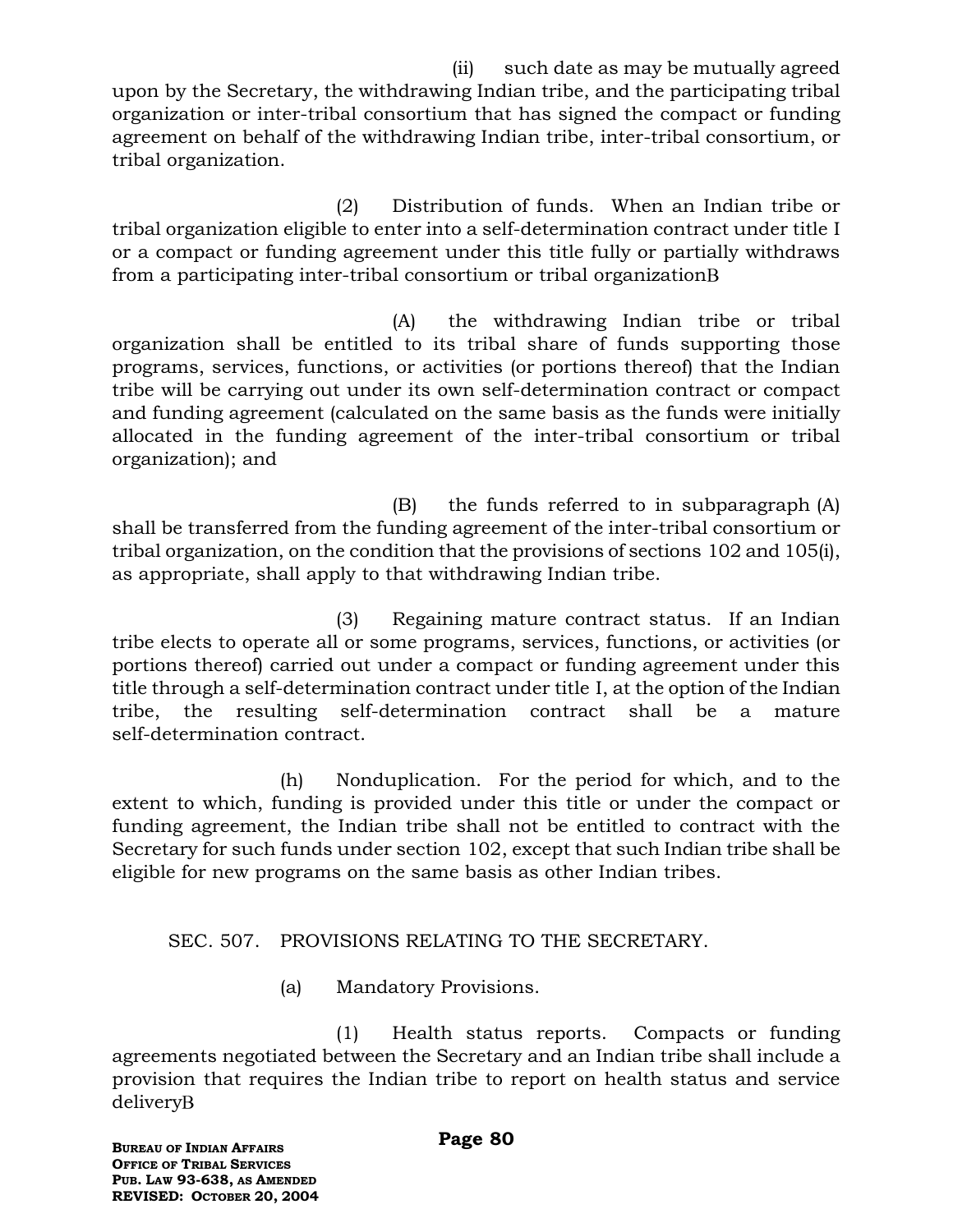(ii) such date as may be mutually agreed upon by the Secretary, the withdrawing Indian tribe, and the participating tribal organization or inter-tribal consortium that has signed the compact or funding agreement on behalf of the withdrawing Indian tribe, inter-tribal consortium, or tribal organization.

(2) Distribution of funds. When an Indian tribe or tribal organization eligible to enter into a self-determination contract under title I or a compact or funding agreement under this title fully or partially withdraws from a participating inter-tribal consortium or tribal organization

(A) the withdrawing Indian tribe or tribal organization shall be entitled to its tribal share of funds supporting those programs, services, functions, or activities (or portions thereof) that the Indian tribe will be carrying out under its own self-determination contract or compact and funding agreement (calculated on the same basis as the funds were initially allocated in the funding agreement of the inter-tribal consortium or tribal organization); and

(B) the funds referred to in subparagraph (A) shall be transferred from the funding agreement of the inter-tribal consortium or tribal organization, on the condition that the provisions of sections 102 and 105(i), as appropriate, shall apply to that withdrawing Indian tribe.

(3) Regaining mature contract status. If an Indian tribe elects to operate all or some programs, services, functions, or activities (or portions thereof) carried out under a compact or funding agreement under this title through a self-determination contract under title I, at the option of the Indian tribe, the resulting self-determination contract shall be a mature self-determination contract.

(h) Nonduplication. For the period for which, and to the extent to which, funding is provided under this title or under the compact or funding agreement, the Indian tribe shall not be entitled to contract with the Secretary for such funds under section 102, except that such Indian tribe shall be eligible for new programs on the same basis as other Indian tribes.

# SEC. 507. PROVISIONS RELATING TO THE SECRETARY.

(a) Mandatory Provisions.

(1) Health status reports. Compacts or funding agreements negotiated between the Secretary and an Indian tribe shall include a provision that requires the Indian tribe to report on health status and service delivery

**BUREAU OF INDIAN AFFAIRS OFFICE OF TRIBAL SERVICES PUB. LAW 93-638, AS AMENDED REVISED: OCTOBER 20, 2004**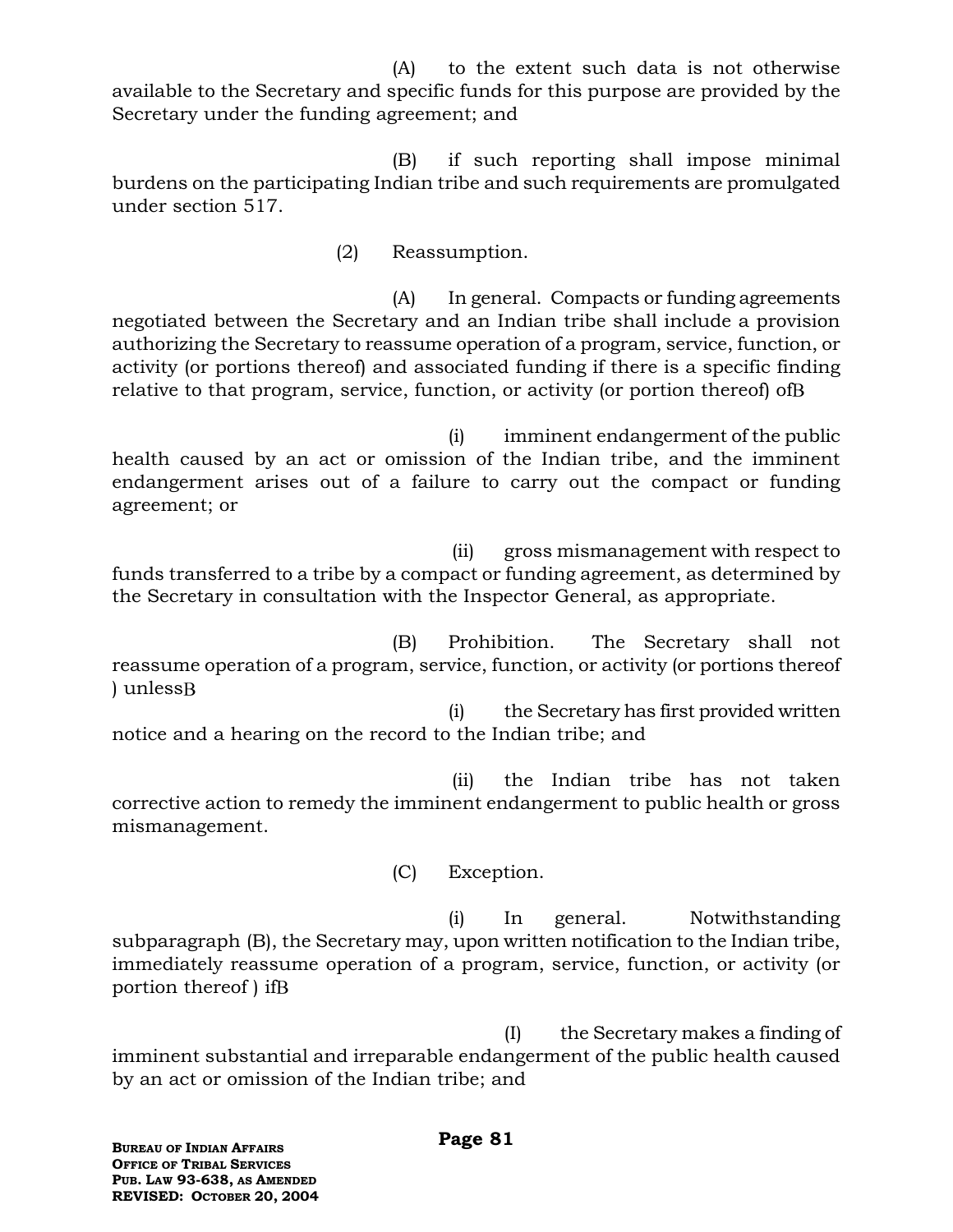(A) to the extent such data is not otherwise available to the Secretary and specific funds for this purpose are provided by the Secretary under the funding agreement; and

(B) if such reporting shall impose minimal burdens on the participating Indian tribe and such requirements are promulgated under section 517.

(2) Reassumption.

(A) In general. Compacts or funding agreements negotiated between the Secretary and an Indian tribe shall include a provision authorizing the Secretary to reassume operation of a program, service, function, or activity (or portions thereof) and associated funding if there is a specific finding relative to that program, service, function, or activity (or portion thereof) of B

(i) imminent endangerment of the public health caused by an act or omission of the Indian tribe, and the imminent endangerment arises out of a failure to carry out the compact or funding agreement; or

 (ii) gross mismanagement with respect to funds transferred to a tribe by a compact or funding agreement, as determined by the Secretary in consultation with the Inspector General, as appropriate.

(B) Prohibition. The Secretary shall not reassume operation of a program, service, function, or activity (or portions thereof ) unless

(i) the Secretary has first provided written notice and a hearing on the record to the Indian tribe; and

 (ii) the Indian tribe has not taken corrective action to remedy the imminent endangerment to public health or gross mismanagement.

(C) Exception.

(i) In general. Notwithstanding subparagraph (B), the Secretary may, upon written notification to the Indian tribe, immediately reassume operation of a program, service, function, or activity (or portion thereof ) if

(I) the Secretary makes a finding of imminent substantial and irreparable endangerment of the public health caused by an act or omission of the Indian tribe; and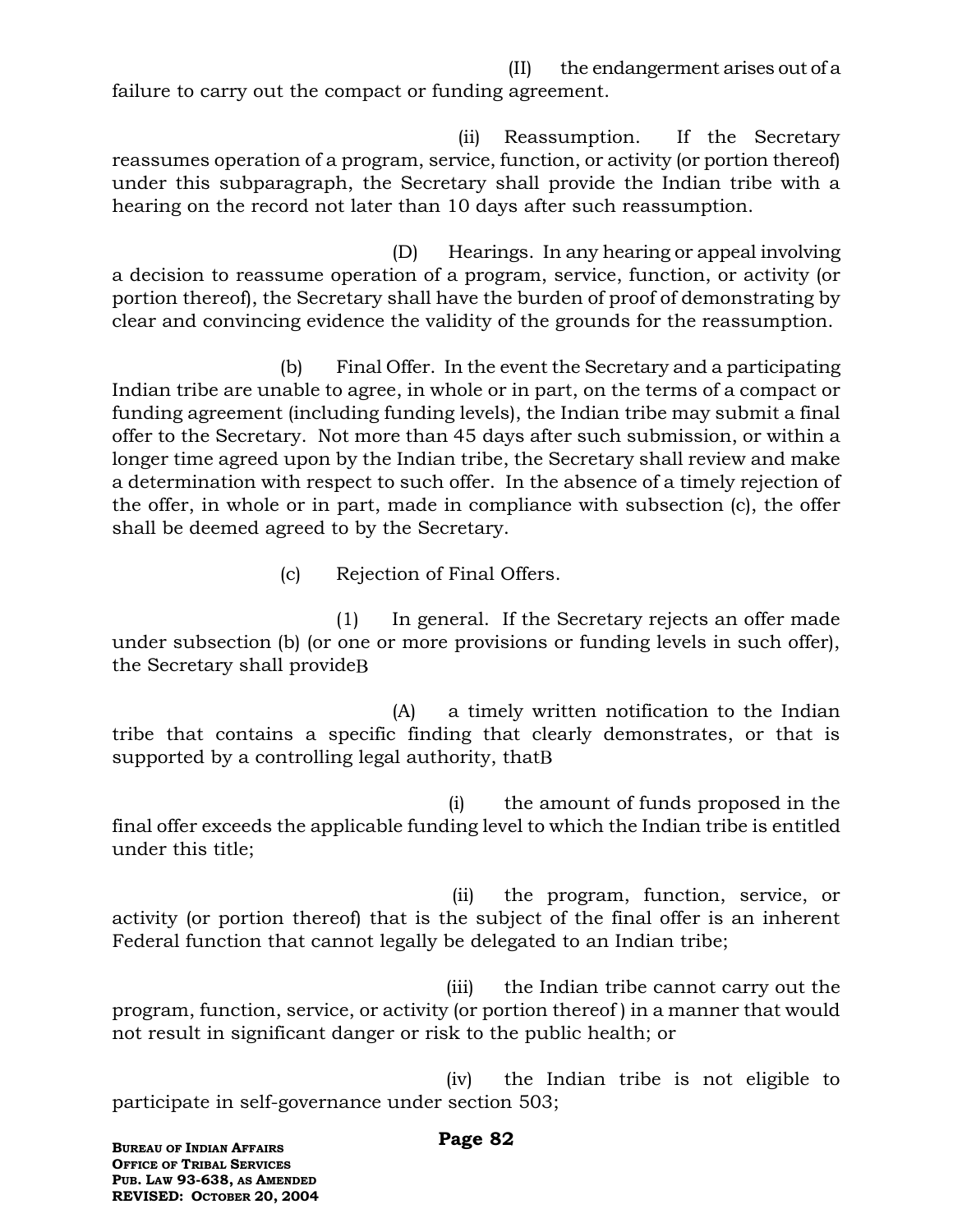(II) the endangerment arises out of a failure to carry out the compact or funding agreement.

 (ii) Reassumption. If the Secretary reassumes operation of a program, service, function, or activity (or portion thereof) under this subparagraph, the Secretary shall provide the Indian tribe with a hearing on the record not later than 10 days after such reassumption.

(D) Hearings. In any hearing or appeal involving a decision to reassume operation of a program, service, function, or activity (or portion thereof), the Secretary shall have the burden of proof of demonstrating by clear and convincing evidence the validity of the grounds for the reassumption.

(b) Final Offer. In the event the Secretary and a participating Indian tribe are unable to agree, in whole or in part, on the terms of a compact or funding agreement (including funding levels), the Indian tribe may submit a final offer to the Secretary. Not more than 45 days after such submission, or within a longer time agreed upon by the Indian tribe, the Secretary shall review and make a determination with respect to such offer. In the absence of a timely rejection of the offer, in whole or in part, made in compliance with subsection (c), the offer shall be deemed agreed to by the Secretary.

(c) Rejection of Final Offers.

(1) In general. If the Secretary rejects an offer made under subsection (b) (or one or more provisions or funding levels in such offer), the Secretary shall provide

(A) a timely written notification to the Indian tribe that contains a specific finding that clearly demonstrates, or that is supported by a controlling legal authority, that B

(i) the amount of funds proposed in the final offer exceeds the applicable funding level to which the Indian tribe is entitled under this title;

 (ii) the program, function, service, or activity (or portion thereof) that is the subject of the final offer is an inherent Federal function that cannot legally be delegated to an Indian tribe;

 (iii) the Indian tribe cannot carry out the program, function, service, or activity (or portion thereof ) in a manner that would not result in significant danger or risk to the public health; or

 (iv) the Indian tribe is not eligible to participate in self-governance under section 503;

#### **Page 82**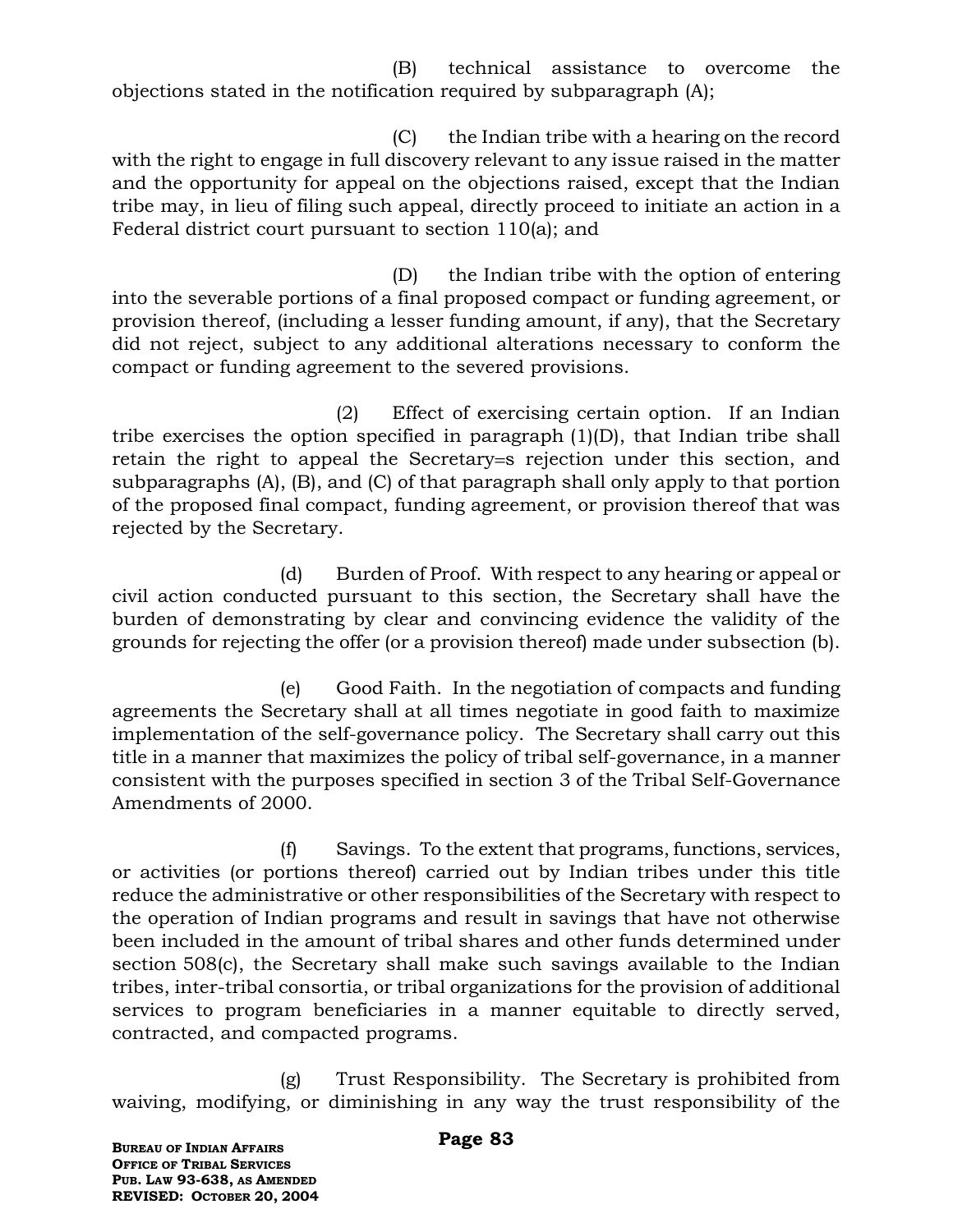(B) technical assistance to overcome the objections stated in the notification required by subparagraph (A);

(C) the Indian tribe with a hearing on the record with the right to engage in full discovery relevant to any issue raised in the matter and the opportunity for appeal on the objections raised, except that the Indian tribe may, in lieu of filing such appeal, directly proceed to initiate an action in a Federal district court pursuant to section 110(a); and

(D) the Indian tribe with the option of entering into the severable portions of a final proposed compact or funding agreement, or provision thereof, (including a lesser funding amount, if any), that the Secretary did not reject, subject to any additional alterations necessary to conform the compact or funding agreement to the severed provisions.

(2) Effect of exercising certain option. If an Indian tribe exercises the option specified in paragraph (1)(D), that Indian tribe shall retain the right to appeal the Secretary=s rejection under this section, and subparagraphs (A), (B), and (C) of that paragraph shall only apply to that portion of the proposed final compact, funding agreement, or provision thereof that was rejected by the Secretary.

(d) Burden of Proof. With respect to any hearing or appeal or civil action conducted pursuant to this section, the Secretary shall have the burden of demonstrating by clear and convincing evidence the validity of the grounds for rejecting the offer (or a provision thereof) made under subsection (b).

(e) Good Faith. In the negotiation of compacts and funding agreements the Secretary shall at all times negotiate in good faith to maximize implementation of the self-governance policy. The Secretary shall carry out this title in a manner that maximizes the policy of tribal self-governance, in a manner consistent with the purposes specified in section 3 of the Tribal Self-Governance Amendments of 2000.

(f) Savings. To the extent that programs, functions, services, or activities (or portions thereof) carried out by Indian tribes under this title reduce the administrative or other responsibilities of the Secretary with respect to the operation of Indian programs and result in savings that have not otherwise been included in the amount of tribal shares and other funds determined under section 508(c), the Secretary shall make such savings available to the Indian tribes, inter-tribal consortia, or tribal organizations for the provision of additional services to program beneficiaries in a manner equitable to directly served, contracted, and compacted programs.

(g) Trust Responsibility. The Secretary is prohibited from waiving, modifying, or diminishing in any way the trust responsibility of the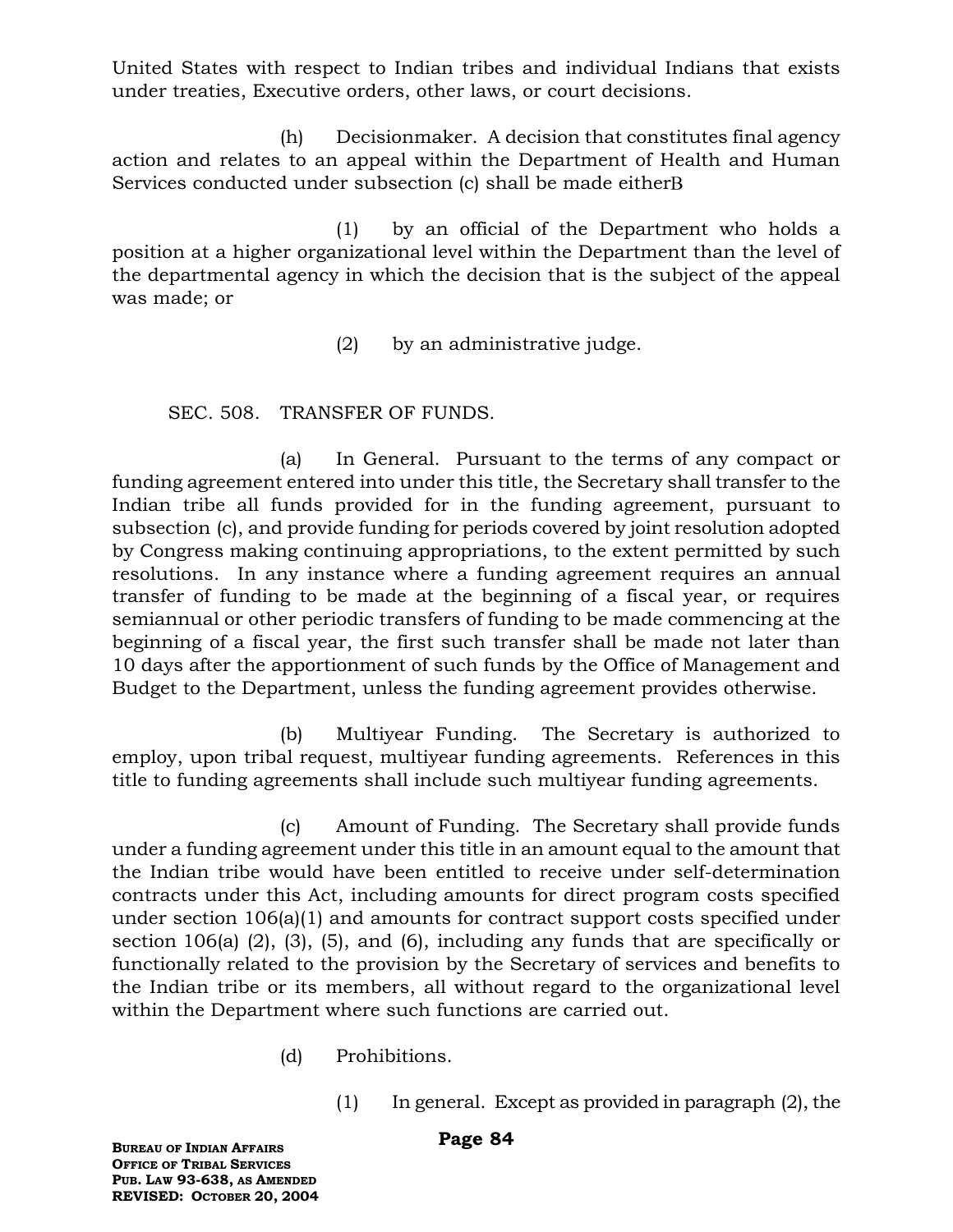United States with respect to Indian tribes and individual Indians that exists under treaties, Executive orders, other laws, or court decisions.

(h) Decisionmaker. A decision that constitutes final agency action and relates to an appeal within the Department of Health and Human Services conducted under subsection (c) shall be made either B

(1) by an official of the Department who holds a position at a higher organizational level within the Department than the level of the departmental agency in which the decision that is the subject of the appeal was made; or

(2) by an administrative judge.

## SEC. 508. TRANSFER OF FUNDS.

(a) In General. Pursuant to the terms of any compact or funding agreement entered into under this title, the Secretary shall transfer to the Indian tribe all funds provided for in the funding agreement, pursuant to subsection (c), and provide funding for periods covered by joint resolution adopted by Congress making continuing appropriations, to the extent permitted by such resolutions. In any instance where a funding agreement requires an annual transfer of funding to be made at the beginning of a fiscal year, or requires semiannual or other periodic transfers of funding to be made commencing at the beginning of a fiscal year, the first such transfer shall be made not later than 10 days after the apportionment of such funds by the Office of Management and Budget to the Department, unless the funding agreement provides otherwise.

(b) Multiyear Funding. The Secretary is authorized to employ, upon tribal request, multiyear funding agreements. References in this title to funding agreements shall include such multiyear funding agreements.

(c) Amount of Funding. The Secretary shall provide funds under a funding agreement under this title in an amount equal to the amount that the Indian tribe would have been entitled to receive under self-determination contracts under this Act, including amounts for direct program costs specified under section 106(a)(1) and amounts for contract support costs specified under section 106(a) (2), (3), (5), and (6), including any funds that are specifically or functionally related to the provision by the Secretary of services and benefits to the Indian tribe or its members, all without regard to the organizational level within the Department where such functions are carried out.

- (d) Prohibitions.
	- (1) In general. Except as provided in paragraph (2), the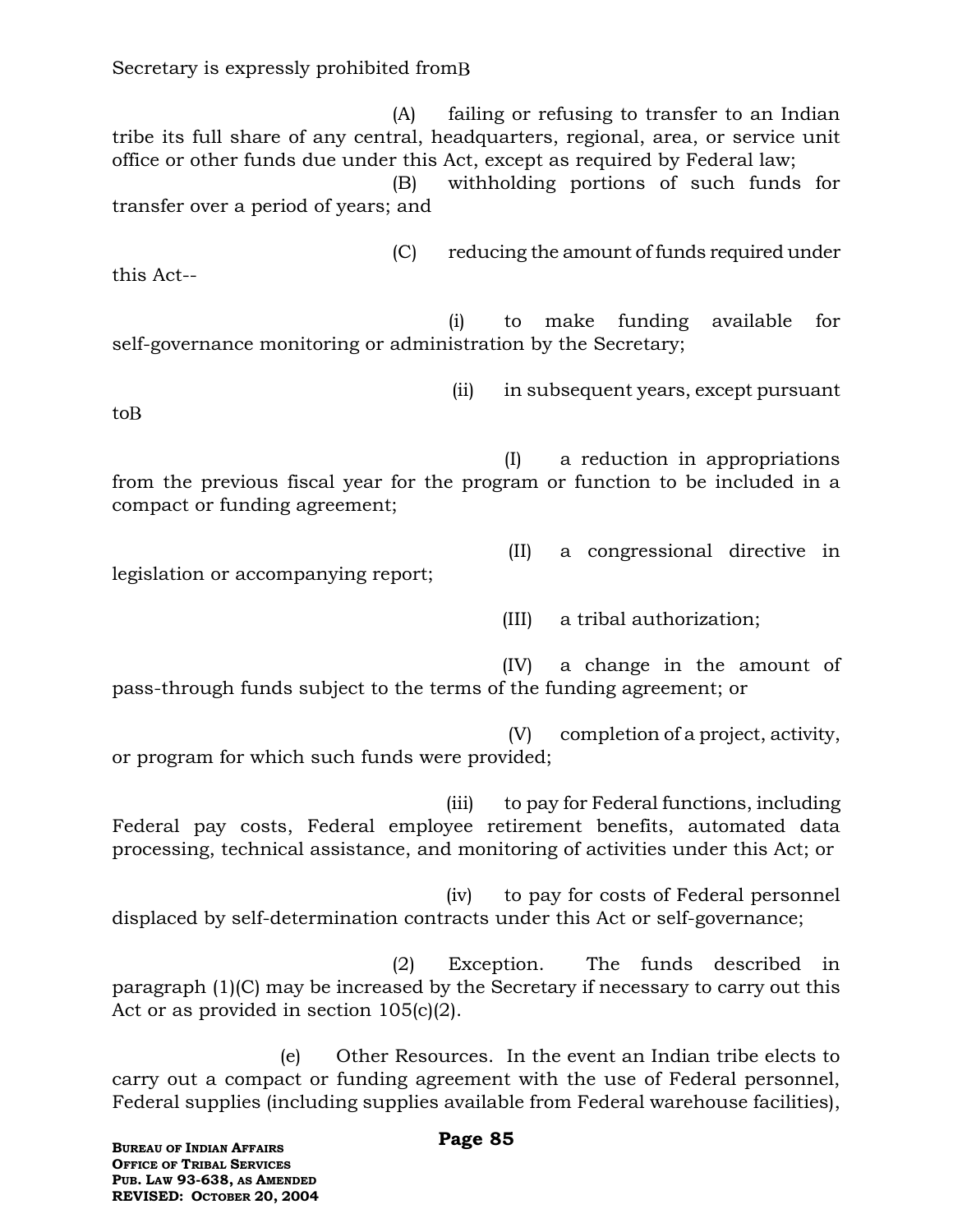(A) failing or refusing to transfer to an Indian tribe its full share of any central, headquarters, regional, area, or service unit office or other funds due under this Act, except as required by Federal law; (B) withholding portions of such funds for transfer over a period of years; and

(C) reducing the amount of funds required under this Act--

(i) to make funding available for self-governance monitoring or administration by the Secretary;

(ii) in subsequent years, except pursuant

to

(I) a reduction in appropriations from the previous fiscal year for the program or function to be included in a compact or funding agreement;

legislation or accompanying report;

(III) a tribal authorization;

(II) a congressional directive in

 (IV) a change in the amount of pass-through funds subject to the terms of the funding agreement; or

 (V) completion of a project, activity, or program for which such funds were provided;

 (iii) to pay for Federal functions, including Federal pay costs, Federal employee retirement benefits, automated data processing, technical assistance, and monitoring of activities under this Act; or

 (iv) to pay for costs of Federal personnel displaced by self-determination contracts under this Act or self-governance;

(2) Exception. The funds described in paragraph (1)(C) may be increased by the Secretary if necessary to carry out this Act or as provided in section 105(c)(2).

(e) Other Resources. In the event an Indian tribe elects to carry out a compact or funding agreement with the use of Federal personnel, Federal supplies (including supplies available from Federal warehouse facilities),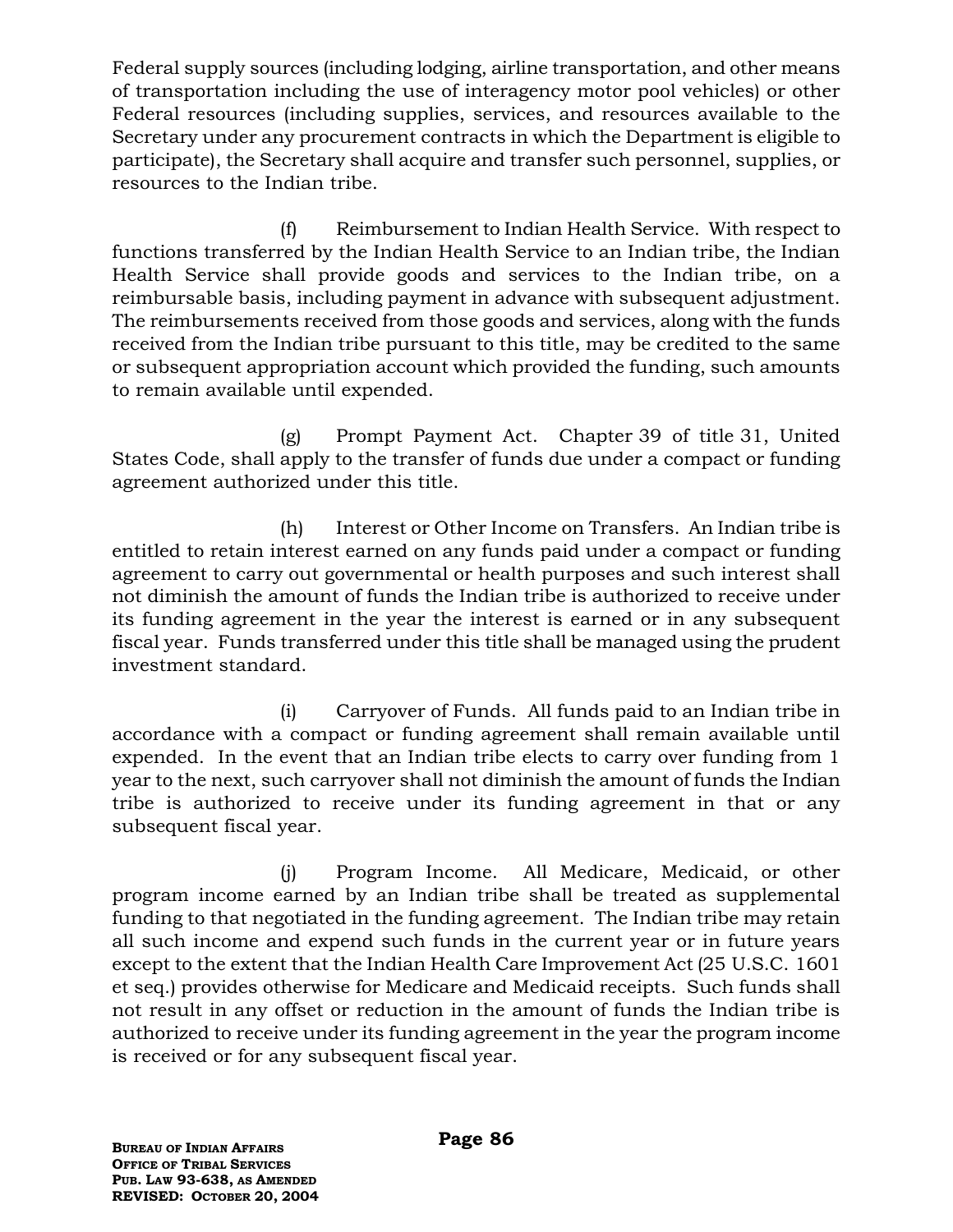Federal supply sources (including lodging, airline transportation, and other means of transportation including the use of interagency motor pool vehicles) or other Federal resources (including supplies, services, and resources available to the Secretary under any procurement contracts in which the Department is eligible to participate), the Secretary shall acquire and transfer such personnel, supplies, or resources to the Indian tribe.

(f) Reimbursement to Indian Health Service. With respect to functions transferred by the Indian Health Service to an Indian tribe, the Indian Health Service shall provide goods and services to the Indian tribe, on a reimbursable basis, including payment in advance with subsequent adjustment. The reimbursements received from those goods and services, along with the funds received from the Indian tribe pursuant to this title, may be credited to the same or subsequent appropriation account which provided the funding, such amounts to remain available until expended.

(g) Prompt Payment Act. Chapter 39 of title 31, United States Code, shall apply to the transfer of funds due under a compact or funding agreement authorized under this title.

(h) Interest or Other Income on Transfers. An Indian tribe is entitled to retain interest earned on any funds paid under a compact or funding agreement to carry out governmental or health purposes and such interest shall not diminish the amount of funds the Indian tribe is authorized to receive under its funding agreement in the year the interest is earned or in any subsequent fiscal year. Funds transferred under this title shall be managed using the prudent investment standard.

(i) Carryover of Funds. All funds paid to an Indian tribe in accordance with a compact or funding agreement shall remain available until expended. In the event that an Indian tribe elects to carry over funding from 1 year to the next, such carryover shall not diminish the amount of funds the Indian tribe is authorized to receive under its funding agreement in that or any subsequent fiscal year.

(j) Program Income. All Medicare, Medicaid, or other program income earned by an Indian tribe shall be treated as supplemental funding to that negotiated in the funding agreement. The Indian tribe may retain all such income and expend such funds in the current year or in future years except to the extent that the Indian Health Care Improvement Act (25 U.S.C. 1601 et seq.) provides otherwise for Medicare and Medicaid receipts. Such funds shall not result in any offset or reduction in the amount of funds the Indian tribe is authorized to receive under its funding agreement in the year the program income is received or for any subsequent fiscal year.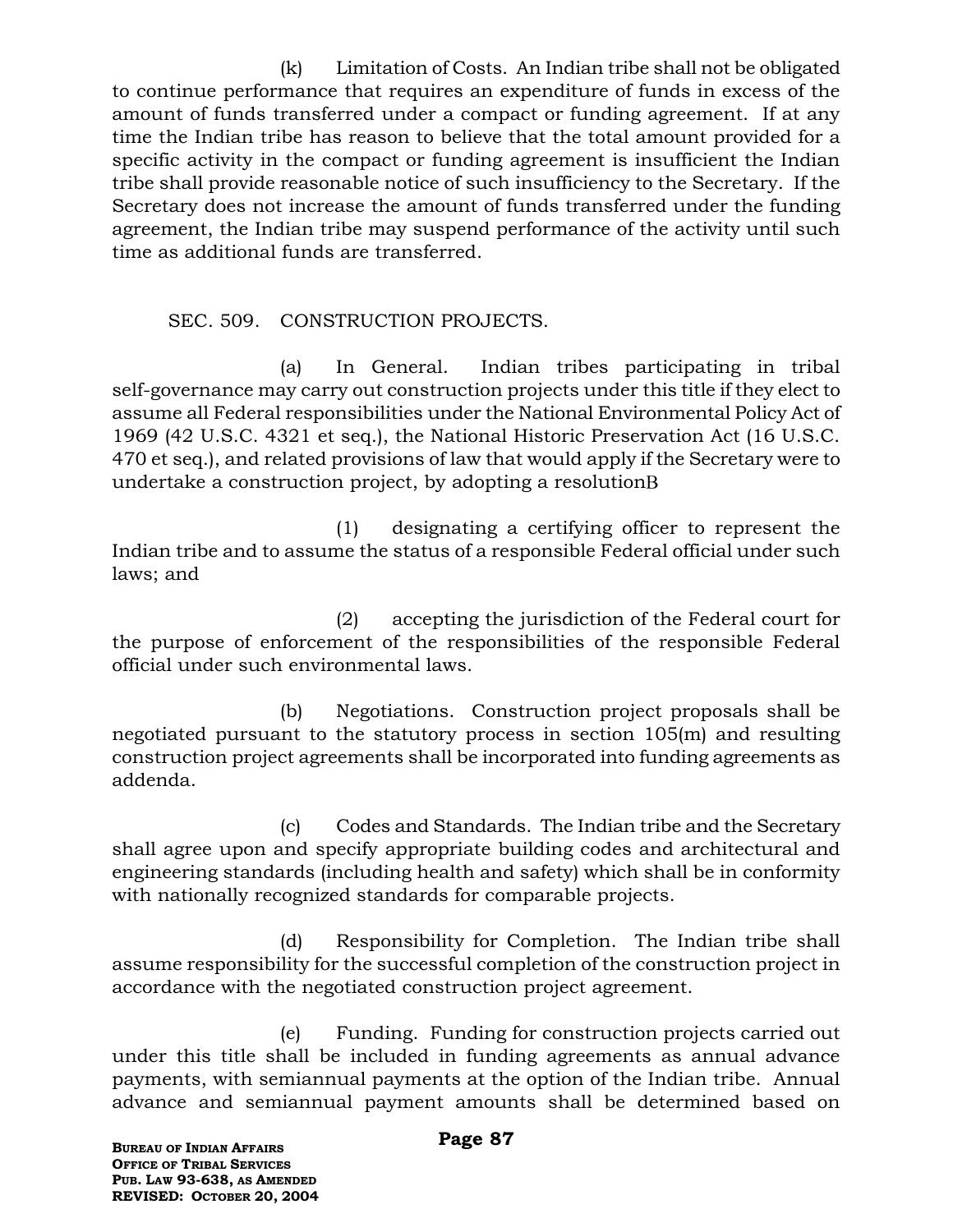(k) Limitation of Costs. An Indian tribe shall not be obligated to continue performance that requires an expenditure of funds in excess of the amount of funds transferred under a compact or funding agreement. If at any time the Indian tribe has reason to believe that the total amount provided for a specific activity in the compact or funding agreement is insufficient the Indian tribe shall provide reasonable notice of such insufficiency to the Secretary. If the Secretary does not increase the amount of funds transferred under the funding agreement, the Indian tribe may suspend performance of the activity until such time as additional funds are transferred.

## SEC. 509. CONSTRUCTION PROJECTS.

(a) In General. Indian tribes participating in tribal self-governance may carry out construction projects under this title if they elect to assume all Federal responsibilities under the National Environmental Policy Act of 1969 (42 U.S.C. 4321 et seq.), the National Historic Preservation Act (16 U.S.C. 470 et seq.), and related provisions of law that would apply if the Secretary were to undertake a construction project, by adopting a resolution

(1) designating a certifying officer to represent the Indian tribe and to assume the status of a responsible Federal official under such laws; and

(2) accepting the jurisdiction of the Federal court for the purpose of enforcement of the responsibilities of the responsible Federal official under such environmental laws.

(b) Negotiations. Construction project proposals shall be negotiated pursuant to the statutory process in section 105(m) and resulting construction project agreements shall be incorporated into funding agreements as addenda.

(c) Codes and Standards. The Indian tribe and the Secretary shall agree upon and specify appropriate building codes and architectural and engineering standards (including health and safety) which shall be in conformity with nationally recognized standards for comparable projects.

(d) Responsibility for Completion. The Indian tribe shall assume responsibility for the successful completion of the construction project in accordance with the negotiated construction project agreement.

(e) Funding. Funding for construction projects carried out under this title shall be included in funding agreements as annual advance payments, with semiannual payments at the option of the Indian tribe. Annual advance and semiannual payment amounts shall be determined based on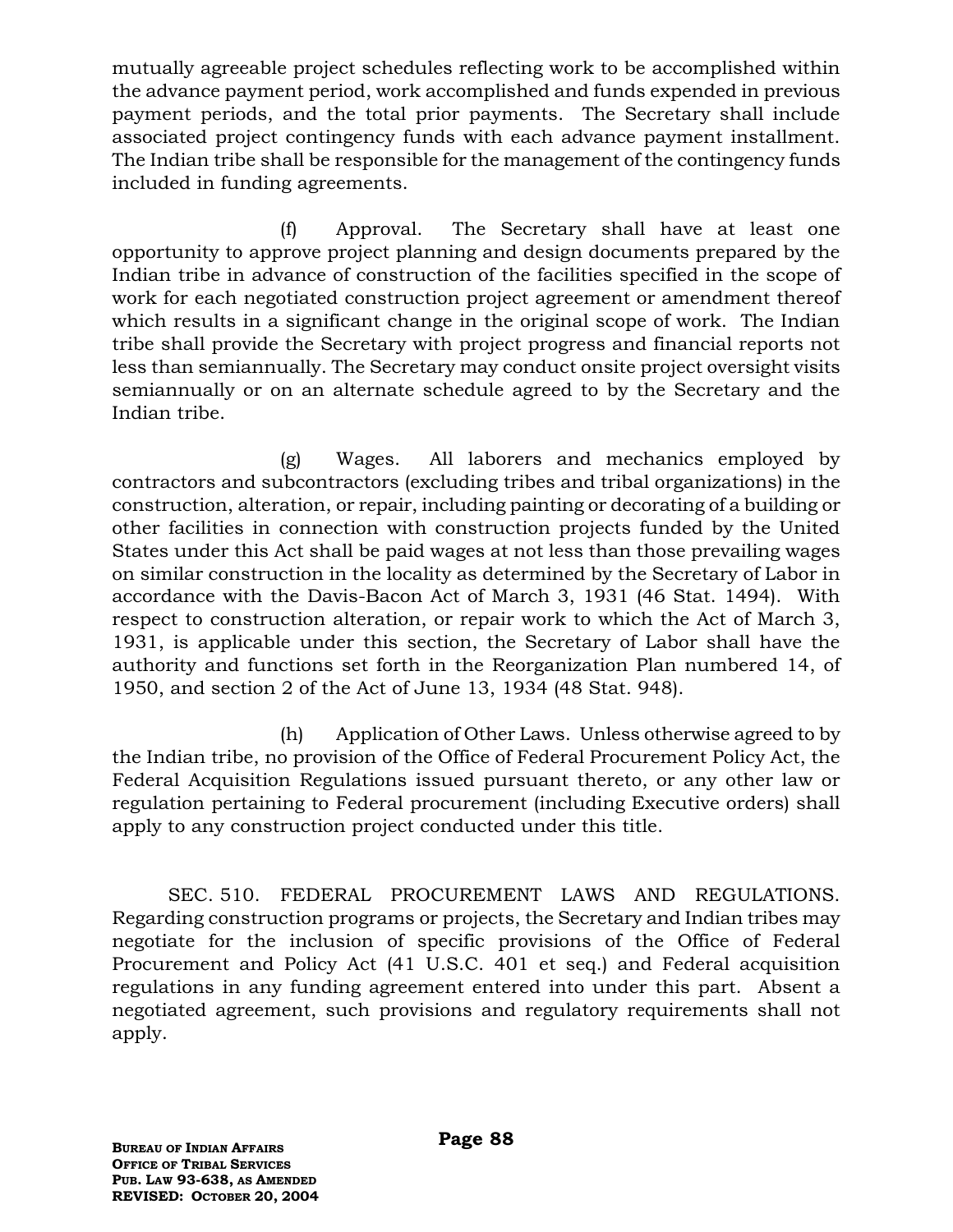mutually agreeable project schedules reflecting work to be accomplished within the advance payment period, work accomplished and funds expended in previous payment periods, and the total prior payments. The Secretary shall include associated project contingency funds with each advance payment installment. The Indian tribe shall be responsible for the management of the contingency funds included in funding agreements.

(f) Approval. The Secretary shall have at least one opportunity to approve project planning and design documents prepared by the Indian tribe in advance of construction of the facilities specified in the scope of work for each negotiated construction project agreement or amendment thereof which results in a significant change in the original scope of work. The Indian tribe shall provide the Secretary with project progress and financial reports not less than semiannually. The Secretary may conduct onsite project oversight visits semiannually or on an alternate schedule agreed to by the Secretary and the Indian tribe.

(g) Wages. All laborers and mechanics employed by contractors and subcontractors (excluding tribes and tribal organizations) in the construction, alteration, or repair, including painting or decorating of a building or other facilities in connection with construction projects funded by the United States under this Act shall be paid wages at not less than those prevailing wages on similar construction in the locality as determined by the Secretary of Labor in accordance with the Davis-Bacon Act of March 3, 1931 (46 Stat. 1494). With respect to construction alteration, or repair work to which the Act of March 3, 1931, is applicable under this section, the Secretary of Labor shall have the authority and functions set forth in the Reorganization Plan numbered 14, of 1950, and section 2 of the Act of June 13, 1934 (48 Stat. 948).

(h) Application of Other Laws. Unless otherwise agreed to by the Indian tribe, no provision of the Office of Federal Procurement Policy Act, the Federal Acquisition Regulations issued pursuant thereto, or any other law or regulation pertaining to Federal procurement (including Executive orders) shall apply to any construction project conducted under this title.

SEC. 510. FEDERAL PROCUREMENT LAWS AND REGULATIONS. Regarding construction programs or projects, the Secretary and Indian tribes may negotiate for the inclusion of specific provisions of the Office of Federal Procurement and Policy Act (41 U.S.C. 401 et seq.) and Federal acquisition regulations in any funding agreement entered into under this part. Absent a negotiated agreement, such provisions and regulatory requirements shall not apply.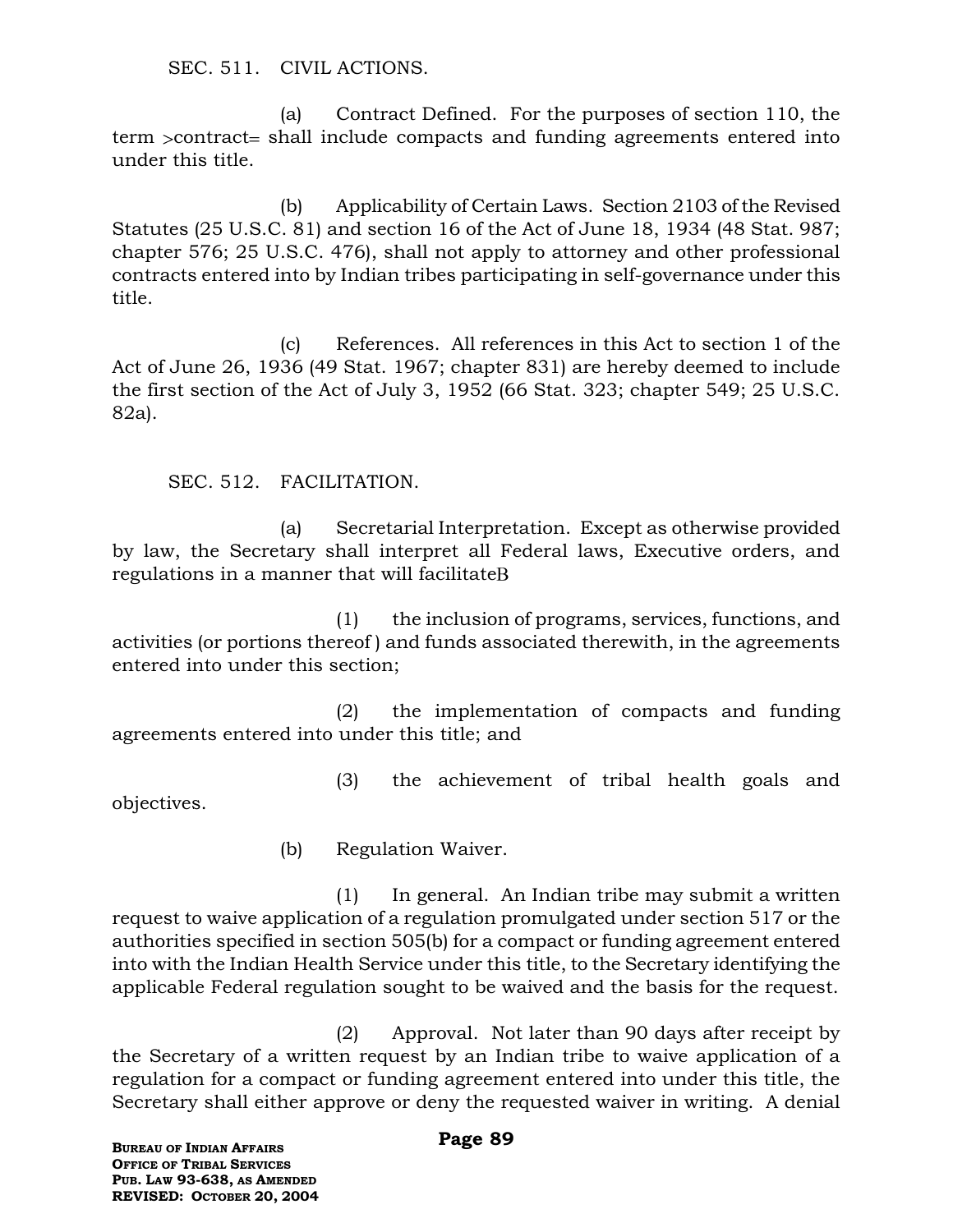SEC. 511. CIVIL ACTIONS.

(a) Contract Defined. For the purposes of section 110, the term  $\alpha$  scontract shall include compacts and funding agreements entered into under this title.

(b) Applicability of Certain Laws. Section 2103 of the Revised Statutes (25 U.S.C. 81) and section 16 of the Act of June 18, 1934 (48 Stat. 987; chapter 576; 25 U.S.C. 476), shall not apply to attorney and other professional contracts entered into by Indian tribes participating in self-governance under this title.

(c) References. All references in this Act to section 1 of the Act of June 26, 1936 (49 Stat. 1967; chapter 831) are hereby deemed to include the first section of the Act of July 3, 1952 (66 Stat. 323; chapter 549; 25 U.S.C. 82a).

SEC. 512. FACILITATION.

(a) Secretarial Interpretation. Except as otherwise provided by law, the Secretary shall interpret all Federal laws, Executive orders, and regulations in a manner that will facilitate

(1) the inclusion of programs, services, functions, and activities (or portions thereof ) and funds associated therewith, in the agreements entered into under this section;

(2) the implementation of compacts and funding agreements entered into under this title; and

(3) the achievement of tribal health goals and

objectives.

(b) Regulation Waiver.

(1) In general. An Indian tribe may submit a written request to waive application of a regulation promulgated under section 517 or the authorities specified in section 505(b) for a compact or funding agreement entered into with the Indian Health Service under this title, to the Secretary identifying the applicable Federal regulation sought to be waived and the basis for the request.

(2) Approval. Not later than 90 days after receipt by the Secretary of a written request by an Indian tribe to waive application of a regulation for a compact or funding agreement entered into under this title, the Secretary shall either approve or deny the requested waiver in writing. A denial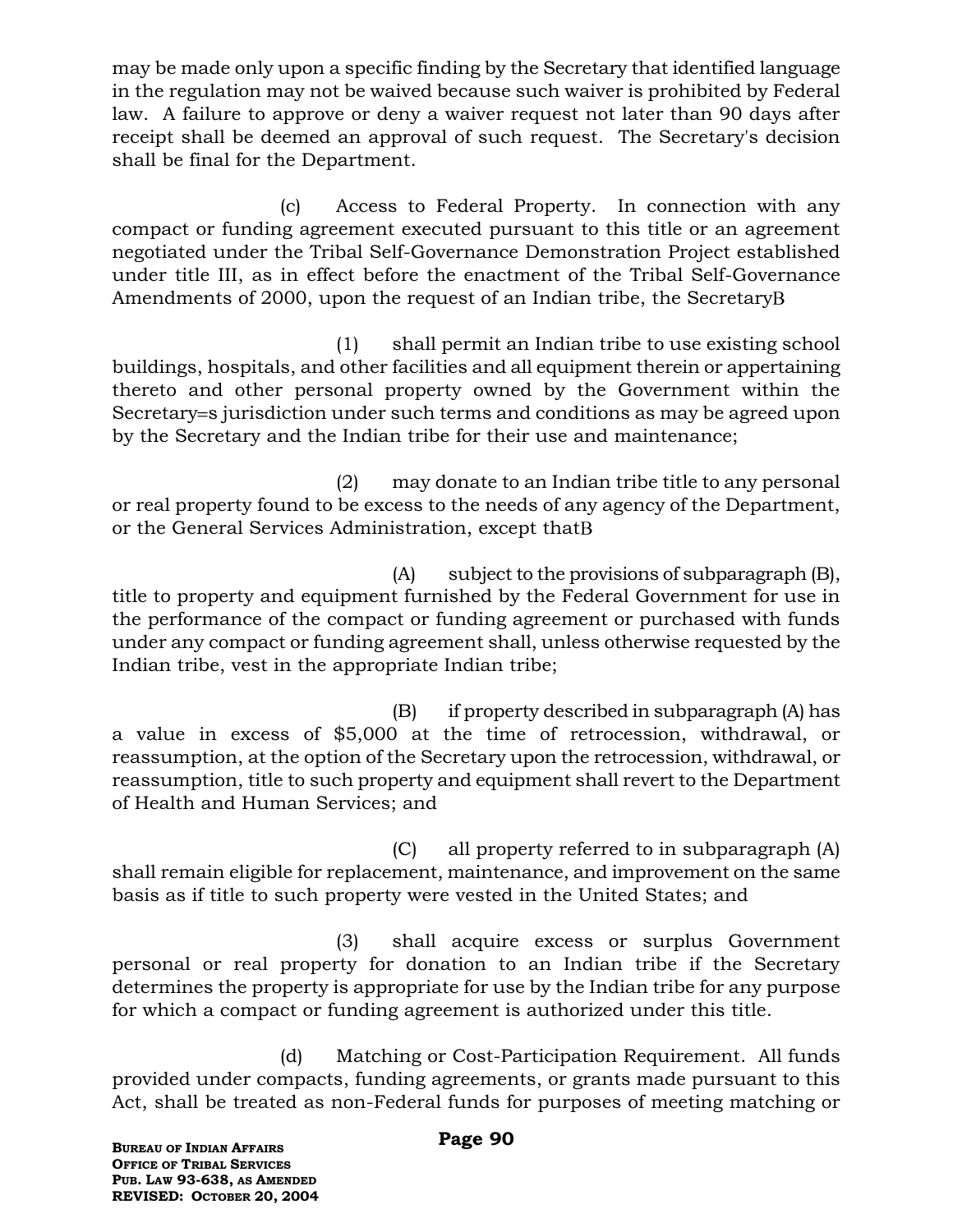may be made only upon a specific finding by the Secretary that identified language in the regulation may not be waived because such waiver is prohibited by Federal law. A failure to approve or deny a waiver request not later than 90 days after receipt shall be deemed an approval of such request. The Secretary's decision shall be final for the Department.

(c) Access to Federal Property. In connection with any compact or funding agreement executed pursuant to this title or an agreement negotiated under the Tribal Self-Governance Demonstration Project established under title III, as in effect before the enactment of the Tribal Self-Governance Amendments of 2000, upon the request of an Indian tribe, the Secretary

(1) shall permit an Indian tribe to use existing school buildings, hospitals, and other facilities and all equipment therein or appertaining thereto and other personal property owned by the Government within the Secretary = s jurisdiction under such terms and conditions as may be agreed upon by the Secretary and the Indian tribe for their use and maintenance;

(2) may donate to an Indian tribe title to any personal or real property found to be excess to the needs of any agency of the Department, or the General Services Administration, except that

(A) subject to the provisions of subparagraph (B), title to property and equipment furnished by the Federal Government for use in the performance of the compact or funding agreement or purchased with funds under any compact or funding agreement shall, unless otherwise requested by the Indian tribe, vest in the appropriate Indian tribe;

(B) if property described in subparagraph (A) has a value in excess of \$5,000 at the time of retrocession, withdrawal, or reassumption, at the option of the Secretary upon the retrocession, withdrawal, or reassumption, title to such property and equipment shall revert to the Department of Health and Human Services; and

(C) all property referred to in subparagraph (A) shall remain eligible for replacement, maintenance, and improvement on the same basis as if title to such property were vested in the United States; and

(3) shall acquire excess or surplus Government personal or real property for donation to an Indian tribe if the Secretary determines the property is appropriate for use by the Indian tribe for any purpose for which a compact or funding agreement is authorized under this title.

(d) Matching or Cost-Participation Requirement. All funds provided under compacts, funding agreements, or grants made pursuant to this Act, shall be treated as non-Federal funds for purposes of meeting matching or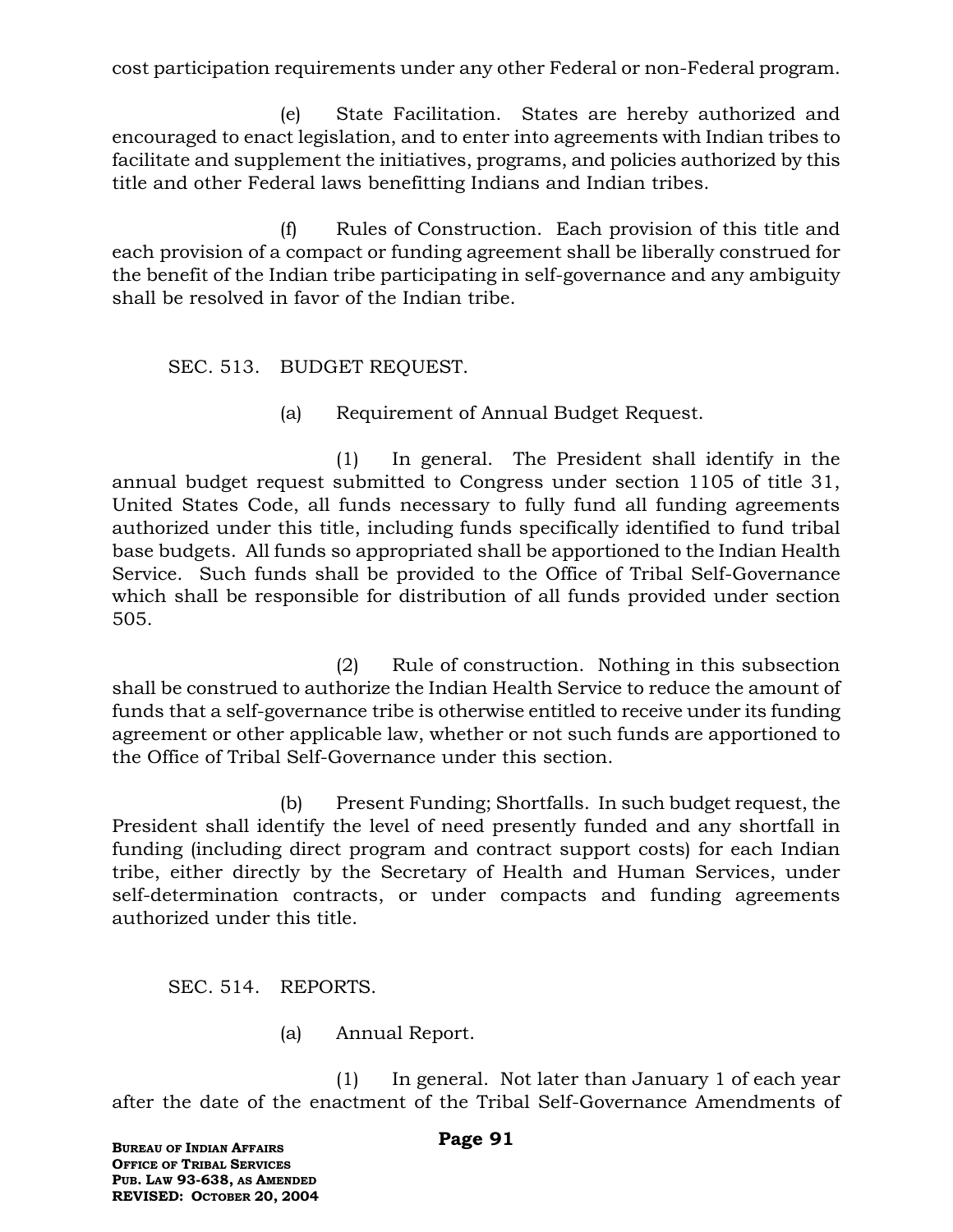cost participation requirements under any other Federal or non-Federal program.

(e) State Facilitation. States are hereby authorized and encouraged to enact legislation, and to enter into agreements with Indian tribes to facilitate and supplement the initiatives, programs, and policies authorized by this title and other Federal laws benefitting Indians and Indian tribes.

(f) Rules of Construction. Each provision of this title and each provision of a compact or funding agreement shall be liberally construed for the benefit of the Indian tribe participating in self-governance and any ambiguity shall be resolved in favor of the Indian tribe.

SEC. 513. BUDGET REQUEST.

(a) Requirement of Annual Budget Request.

(1) In general. The President shall identify in the annual budget request submitted to Congress under section 1105 of title 31, United States Code, all funds necessary to fully fund all funding agreements authorized under this title, including funds specifically identified to fund tribal base budgets. All funds so appropriated shall be apportioned to the Indian Health Service. Such funds shall be provided to the Office of Tribal Self-Governance which shall be responsible for distribution of all funds provided under section 505.

(2) Rule of construction. Nothing in this subsection shall be construed to authorize the Indian Health Service to reduce the amount of funds that a self-governance tribe is otherwise entitled to receive under its funding agreement or other applicable law, whether or not such funds are apportioned to the Office of Tribal Self-Governance under this section.

(b) Present Funding; Shortfalls. In such budget request, the President shall identify the level of need presently funded and any shortfall in funding (including direct program and contract support costs) for each Indian tribe, either directly by the Secretary of Health and Human Services, under self-determination contracts, or under compacts and funding agreements authorized under this title.

SEC. 514. REPORTS.

(a) Annual Report.

(1) In general. Not later than January 1 of each year after the date of the enactment of the Tribal Self-Governance Amendments of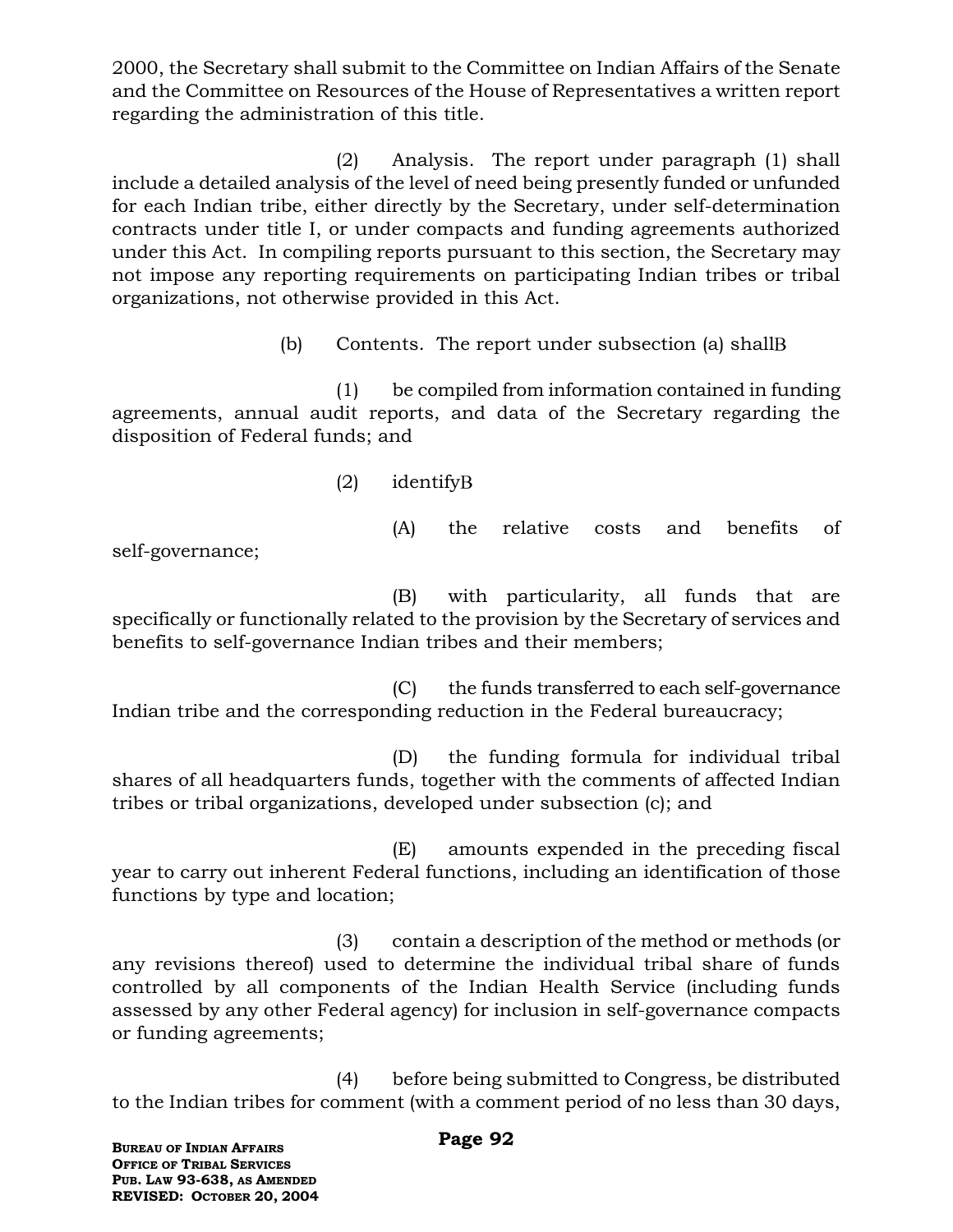2000, the Secretary shall submit to the Committee on Indian Affairs of the Senate and the Committee on Resources of the House of Representatives a written report regarding the administration of this title.

(2) Analysis. The report under paragraph (1) shall include a detailed analysis of the level of need being presently funded or unfunded for each Indian tribe, either directly by the Secretary, under self-determination contracts under title I, or under compacts and funding agreements authorized under this Act. In compiling reports pursuant to this section, the Secretary may not impose any reporting requirements on participating Indian tribes or tribal organizations, not otherwise provided in this Act.

(b) Contents. The report under subsection (a) shall

(1) be compiled from information contained in funding agreements, annual audit reports, and data of the Secretary regarding the disposition of Federal funds; and

(2) identify

self-governance;

(A) the relative costs and benefits of

(B) with particularity, all funds that are specifically or functionally related to the provision by the Secretary of services and benefits to self-governance Indian tribes and their members;

(C) the funds transferred to each self-governance Indian tribe and the corresponding reduction in the Federal bureaucracy;

(D) the funding formula for individual tribal shares of all headquarters funds, together with the comments of affected Indian tribes or tribal organizations, developed under subsection (c); and

(E) amounts expended in the preceding fiscal year to carry out inherent Federal functions, including an identification of those functions by type and location;

(3) contain a description of the method or methods (or any revisions thereof) used to determine the individual tribal share of funds controlled by all components of the Indian Health Service (including funds assessed by any other Federal agency) for inclusion in self-governance compacts or funding agreements;

(4) before being submitted to Congress, be distributed to the Indian tribes for comment (with a comment period of no less than 30 days,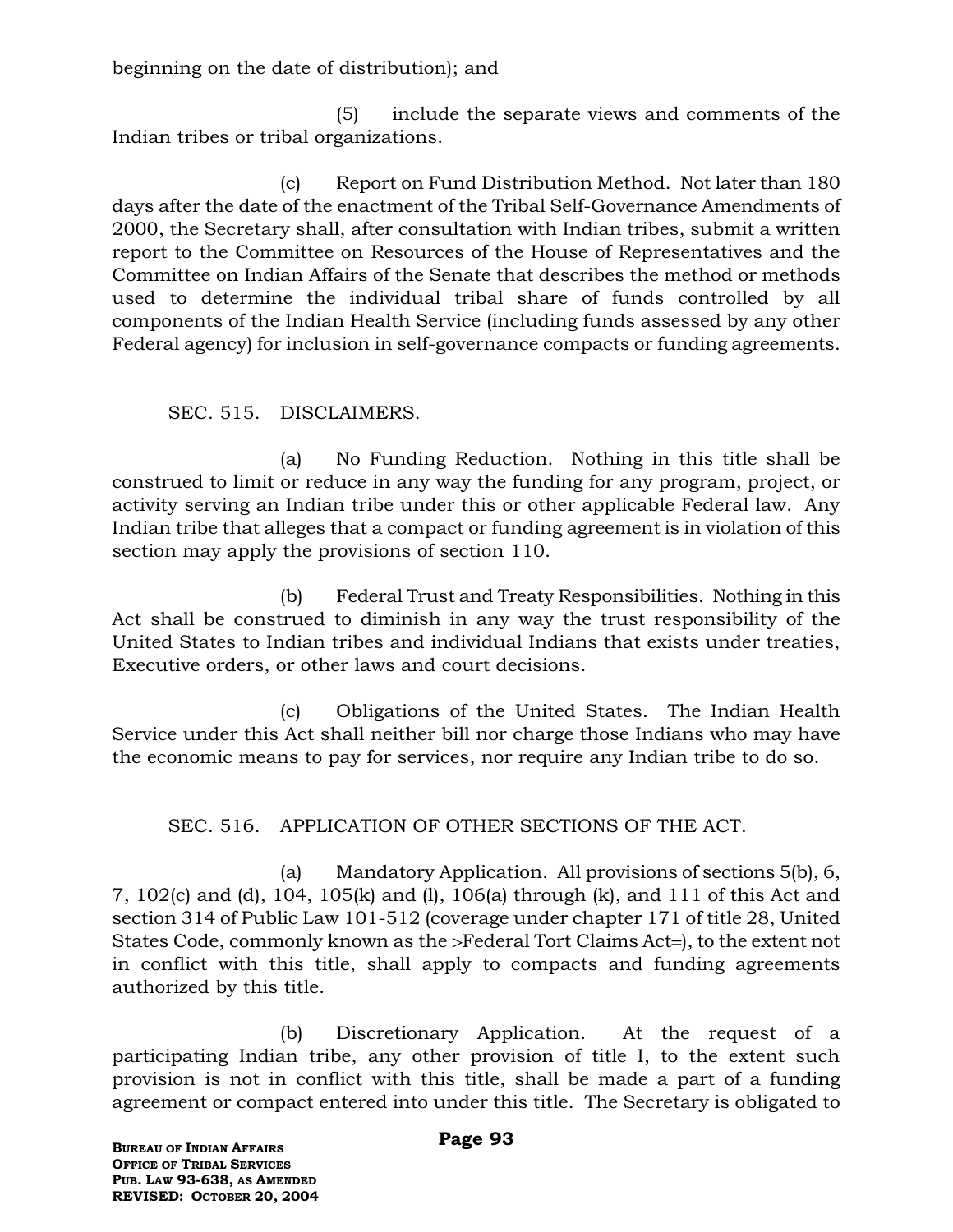beginning on the date of distribution); and

(5) include the separate views and comments of the Indian tribes or tribal organizations.

(c) Report on Fund Distribution Method. Not later than 180 days after the date of the enactment of the Tribal Self-Governance Amendments of 2000, the Secretary shall, after consultation with Indian tribes, submit a written report to the Committee on Resources of the House of Representatives and the Committee on Indian Affairs of the Senate that describes the method or methods used to determine the individual tribal share of funds controlled by all components of the Indian Health Service (including funds assessed by any other Federal agency) for inclusion in self-governance compacts or funding agreements.

### SEC. 515. DISCLAIMERS.

(a) No Funding Reduction. Nothing in this title shall be construed to limit or reduce in any way the funding for any program, project, or activity serving an Indian tribe under this or other applicable Federal law. Any Indian tribe that alleges that a compact or funding agreement is in violation of this section may apply the provisions of section 110.

(b) Federal Trust and Treaty Responsibilities. Nothing in this Act shall be construed to diminish in any way the trust responsibility of the United States to Indian tribes and individual Indians that exists under treaties, Executive orders, or other laws and court decisions.

(c) Obligations of the United States. The Indian Health Service under this Act shall neither bill nor charge those Indians who may have the economic means to pay for services, nor require any Indian tribe to do so.

## SEC. 516. APPLICATION OF OTHER SECTIONS OF THE ACT.

(a) Mandatory Application. All provisions of sections 5(b), 6, 7, 102(c) and (d), 104, 105(k) and (l), 106(a) through (k), and 111 of this Act and section 314 of Public Law 101-512 (coverage under chapter 171 of title 28, United States Code, commonly known as the >Federal Tort Claims Act=), to the extent not in conflict with this title, shall apply to compacts and funding agreements authorized by this title.

(b) Discretionary Application. At the request of a participating Indian tribe, any other provision of title I, to the extent such provision is not in conflict with this title, shall be made a part of a funding agreement or compact entered into under this title. The Secretary is obligated to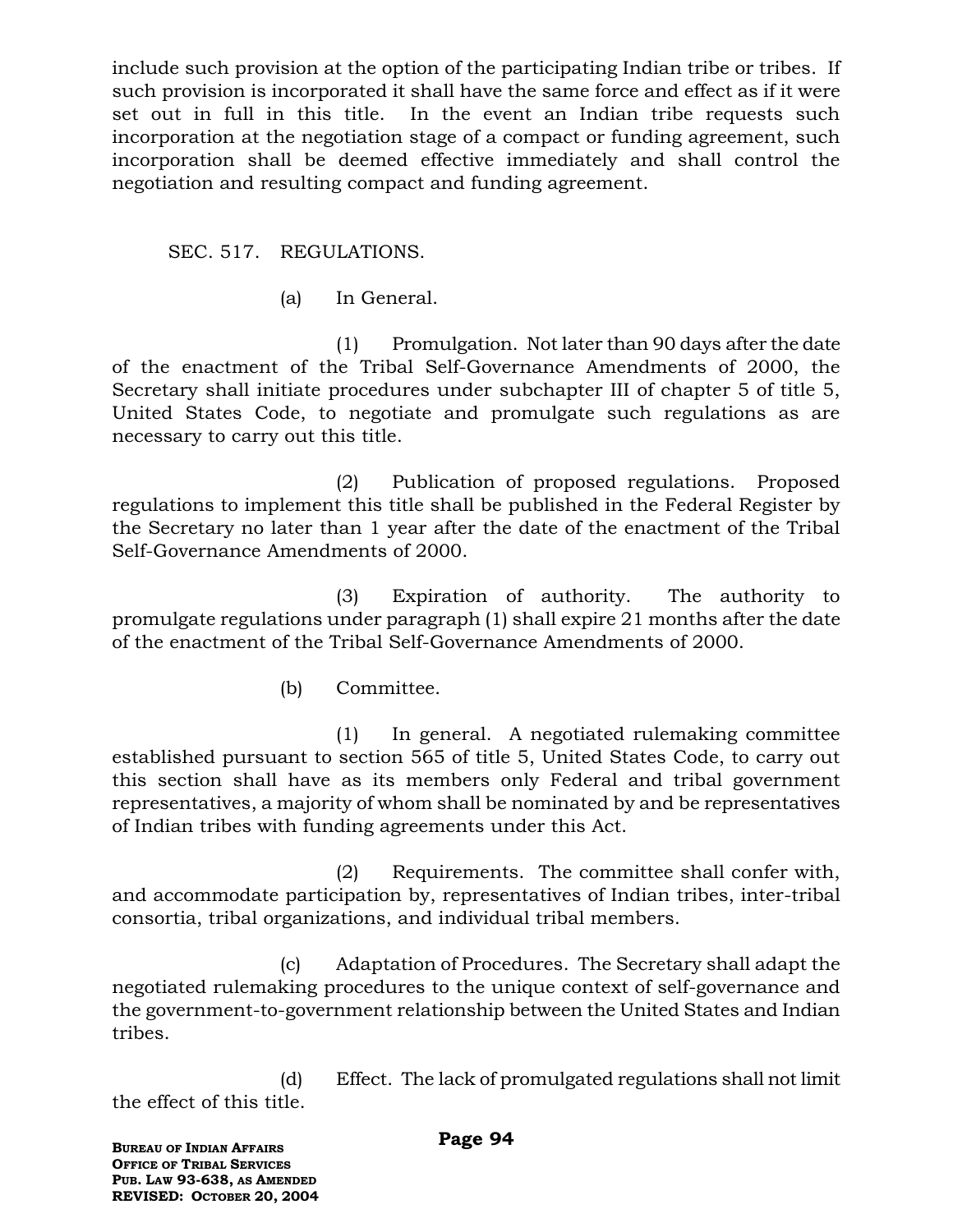include such provision at the option of the participating Indian tribe or tribes. If such provision is incorporated it shall have the same force and effect as if it were set out in full in this title. In the event an Indian tribe requests such incorporation at the negotiation stage of a compact or funding agreement, such incorporation shall be deemed effective immediately and shall control the negotiation and resulting compact and funding agreement.

SEC. 517. REGULATIONS.

(a) In General.

(1) Promulgation. Not later than 90 days after the date of the enactment of the Tribal Self-Governance Amendments of 2000, the Secretary shall initiate procedures under subchapter III of chapter 5 of title 5, United States Code, to negotiate and promulgate such regulations as are necessary to carry out this title.

(2) Publication of proposed regulations. Proposed regulations to implement this title shall be published in the Federal Register by the Secretary no later than 1 year after the date of the enactment of the Tribal Self-Governance Amendments of 2000.

(3) Expiration of authority. The authority to promulgate regulations under paragraph (1) shall expire 21 months after the date of the enactment of the Tribal Self-Governance Amendments of 2000.

(b) Committee.

(1) In general. A negotiated rulemaking committee established pursuant to section 565 of title 5, United States Code, to carry out this section shall have as its members only Federal and tribal government representatives, a majority of whom shall be nominated by and be representatives of Indian tribes with funding agreements under this Act.

(2) Requirements. The committee shall confer with, and accommodate participation by, representatives of Indian tribes, inter-tribal consortia, tribal organizations, and individual tribal members.

(c) Adaptation of Procedures. The Secretary shall adapt the negotiated rulemaking procedures to the unique context of self-governance and the government-to-government relationship between the United States and Indian tribes.

(d) Effect. The lack of promulgated regulations shall not limit the effect of this title.

**BUREAU OF INDIAN AFFAIRS OFFICE OF TRIBAL SERVICES PUB. LAW 93-638, AS AMENDED REVISED: OCTOBER 20, 2004**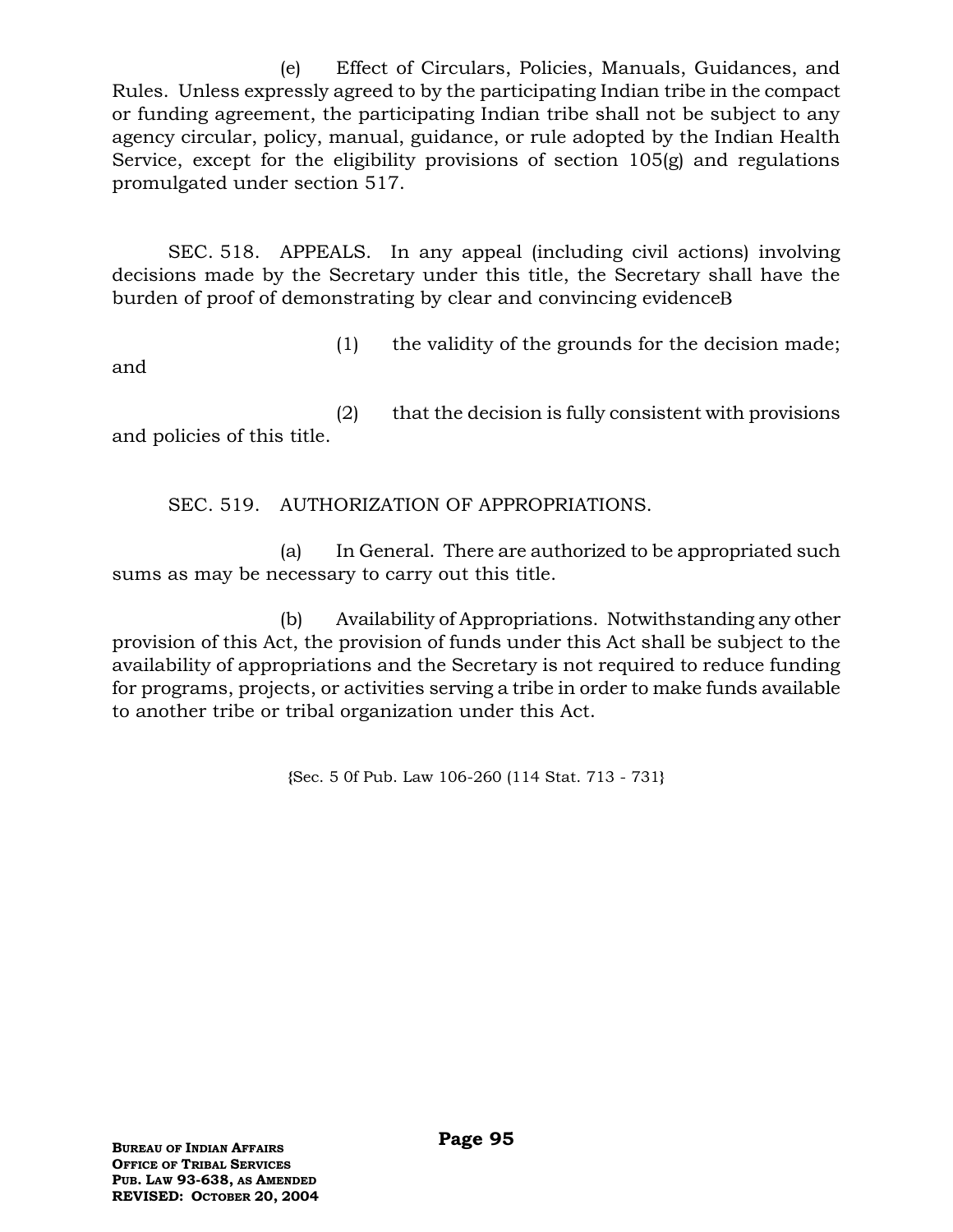(e) Effect of Circulars, Policies, Manuals, Guidances, and Rules. Unless expressly agreed to by the participating Indian tribe in the compact or funding agreement, the participating Indian tribe shall not be subject to any agency circular, policy, manual, guidance, or rule adopted by the Indian Health Service, except for the eligibility provisions of section 105(g) and regulations promulgated under section 517.

SEC. 518. APPEALS. In any appeal (including civil actions) involving decisions made by the Secretary under this title, the Secretary shall have the burden of proof of demonstrating by clear and convincing evidence

(1) the validity of the grounds for the decision made;

and

(2) that the decision is fully consistent with provisions and policies of this title.

SEC. 519. AUTHORIZATION OF APPROPRIATIONS.

(a) In General. There are authorized to be appropriated such sums as may be necessary to carry out this title.

(b) Availability of Appropriations. Notwithstanding any other provision of this Act, the provision of funds under this Act shall be subject to the availability of appropriations and the Secretary is not required to reduce funding for programs, projects, or activities serving a tribe in order to make funds available to another tribe or tribal organization under this Act.

**{**Sec. 5 0f Pub. Law 106-260 (114 Stat. 713 - 731**}**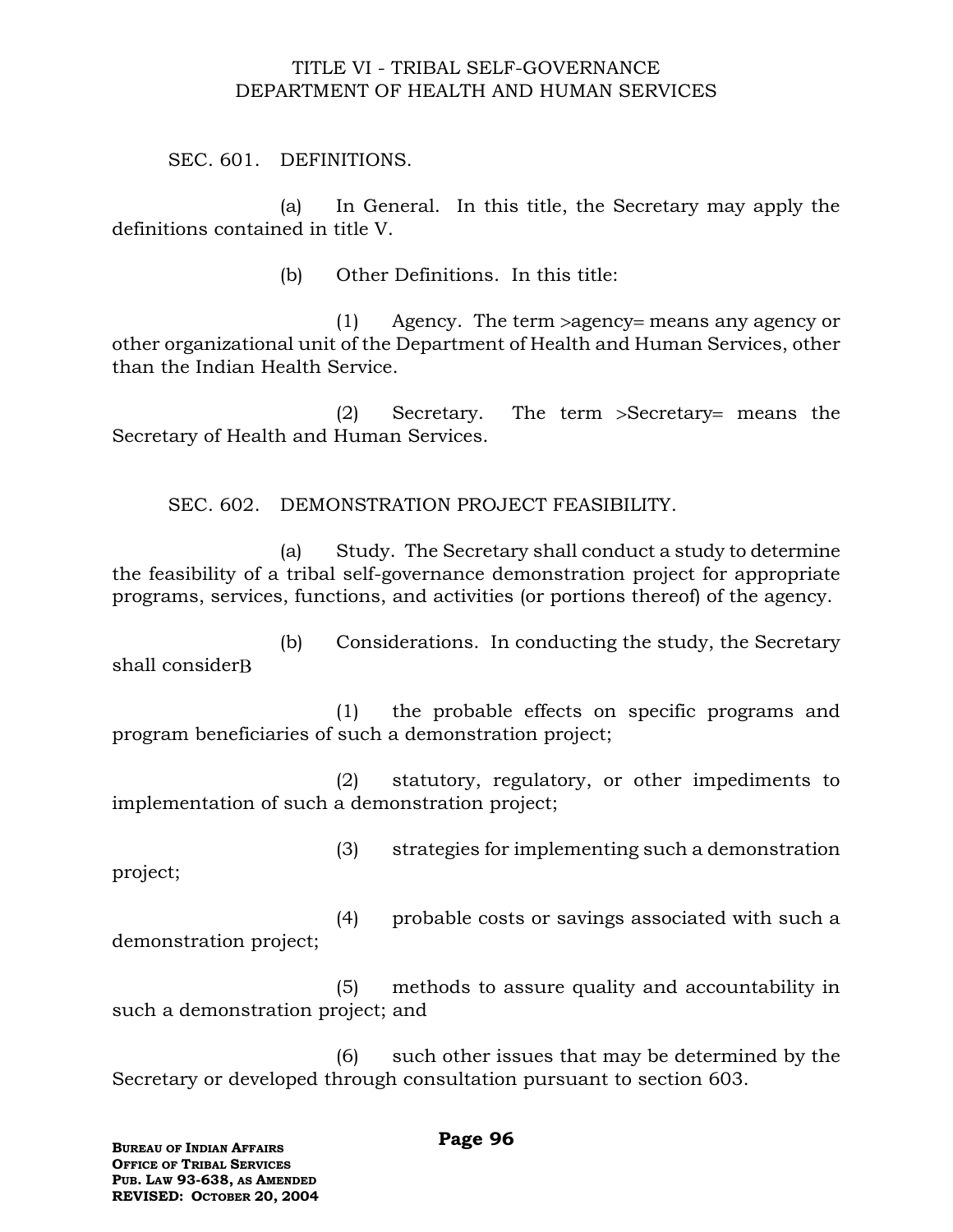#### TITLE VI - TRIBAL SELF-GOVERNANCE DEPARTMENT OF HEALTH AND HUMAN SERVICES

SEC. 601. DEFINITIONS.

(a) In General. In this title, the Secretary may apply the definitions contained in title V.

(b) Other Definitions. In this title:

 $(1)$  Agency. The term > agency = means any agency or other organizational unit of the Department of Health and Human Services, other than the Indian Health Service.

 $(2)$  Secretary. The term  $>$ Secretary = means the Secretary of Health and Human Services.

SEC. 602. DEMONSTRATION PROJECT FEASIBILITY.

(a) Study. The Secretary shall conduct a study to determine the feasibility of a tribal self-governance demonstration project for appropriate programs, services, functions, and activities (or portions thereof) of the agency.

(b) Considerations. In conducting the study, the Secretary shall consider

(1) the probable effects on specific programs and program beneficiaries of such a demonstration project;

(2) statutory, regulatory, or other impediments to implementation of such a demonstration project;

(3) strategies for implementing such a demonstration

project;

(4) probable costs or savings associated with such a demonstration project;

(5) methods to assure quality and accountability in such a demonstration project; and

(6) such other issues that may be determined by the Secretary or developed through consultation pursuant to section 603.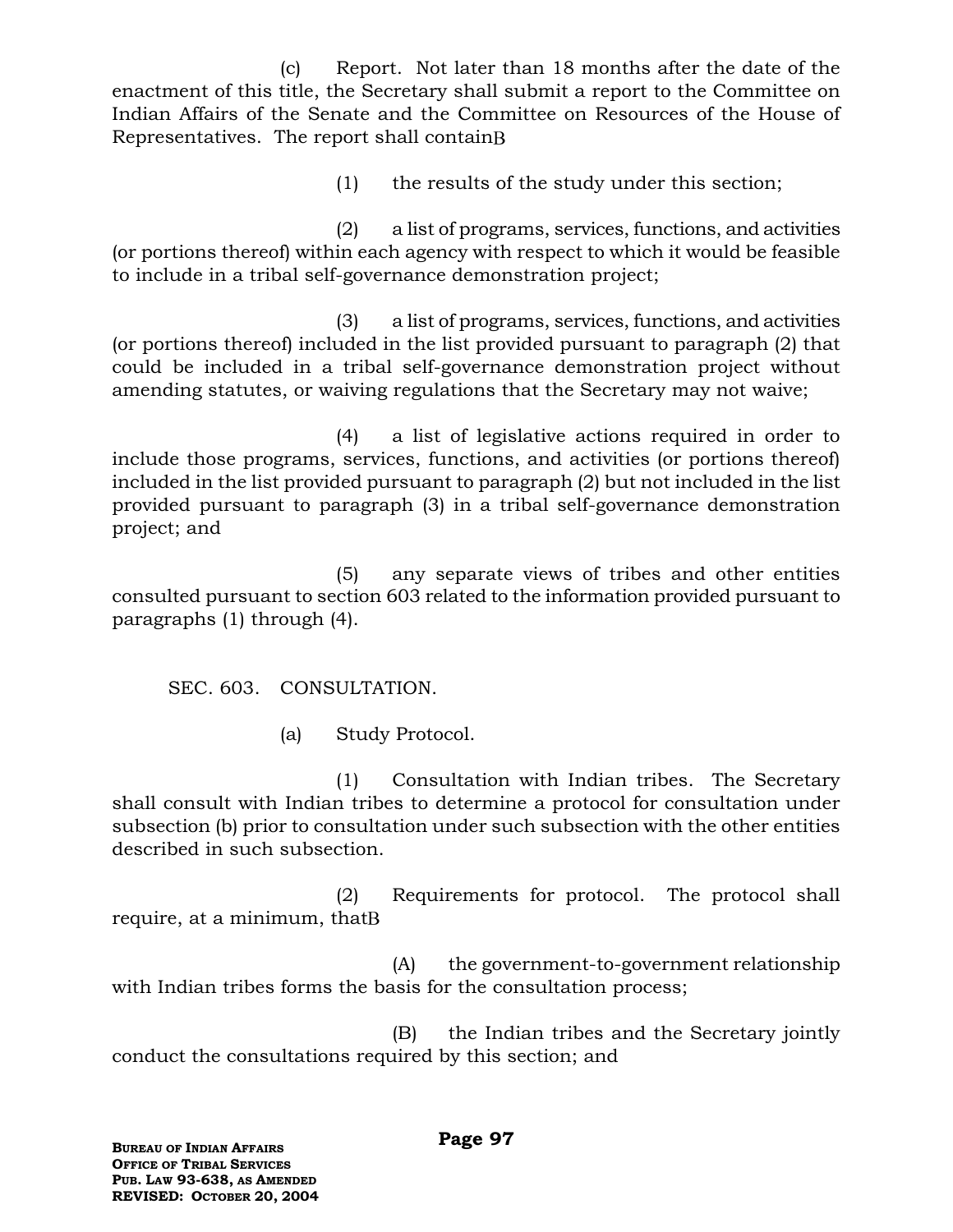(c) Report. Not later than 18 months after the date of the enactment of this title, the Secretary shall submit a report to the Committee on Indian Affairs of the Senate and the Committee on Resources of the House of Representatives. The report shall contain

(1) the results of the study under this section;

(2) a list of programs, services, functions, and activities (or portions thereof) within each agency with respect to which it would be feasible to include in a tribal self-governance demonstration project;

(3) a list of programs, services, functions, and activities (or portions thereof) included in the list provided pursuant to paragraph (2) that could be included in a tribal self-governance demonstration project without amending statutes, or waiving regulations that the Secretary may not waive;

(4) a list of legislative actions required in order to include those programs, services, functions, and activities (or portions thereof) included in the list provided pursuant to paragraph (2) but not included in the list provided pursuant to paragraph (3) in a tribal self-governance demonstration project; and

(5) any separate views of tribes and other entities consulted pursuant to section 603 related to the information provided pursuant to paragraphs (1) through (4).

SEC. 603. CONSULTATION.

(a) Study Protocol.

(1) Consultation with Indian tribes. The Secretary shall consult with Indian tribes to determine a protocol for consultation under subsection (b) prior to consultation under such subsection with the other entities described in such subsection.

(2) Requirements for protocol. The protocol shall require, at a minimum, that

(A) the government-to-government relationship with Indian tribes forms the basis for the consultation process;

(B) the Indian tribes and the Secretary jointly conduct the consultations required by this section; and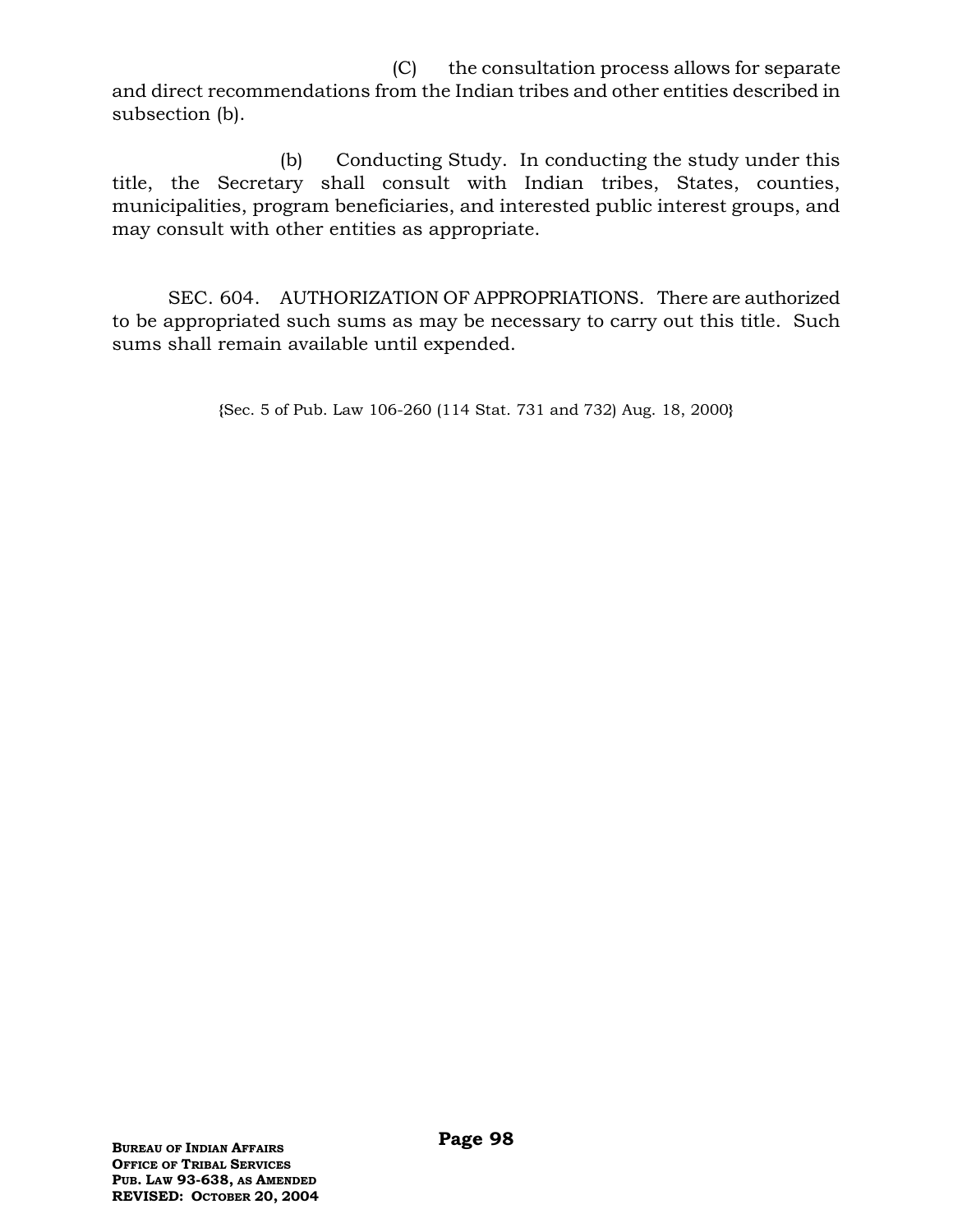(C) the consultation process allows for separate and direct recommendations from the Indian tribes and other entities described in subsection (b).

(b) Conducting Study. In conducting the study under this title, the Secretary shall consult with Indian tribes, States, counties, municipalities, program beneficiaries, and interested public interest groups, and may consult with other entities as appropriate.

SEC. 604. AUTHORIZATION OF APPROPRIATIONS. There are authorized to be appropriated such sums as may be necessary to carry out this title. Such sums shall remain available until expended.

**{**Sec. 5 of Pub. Law 106-260 (114 Stat. 731 and 732) Aug. 18, 2000**}**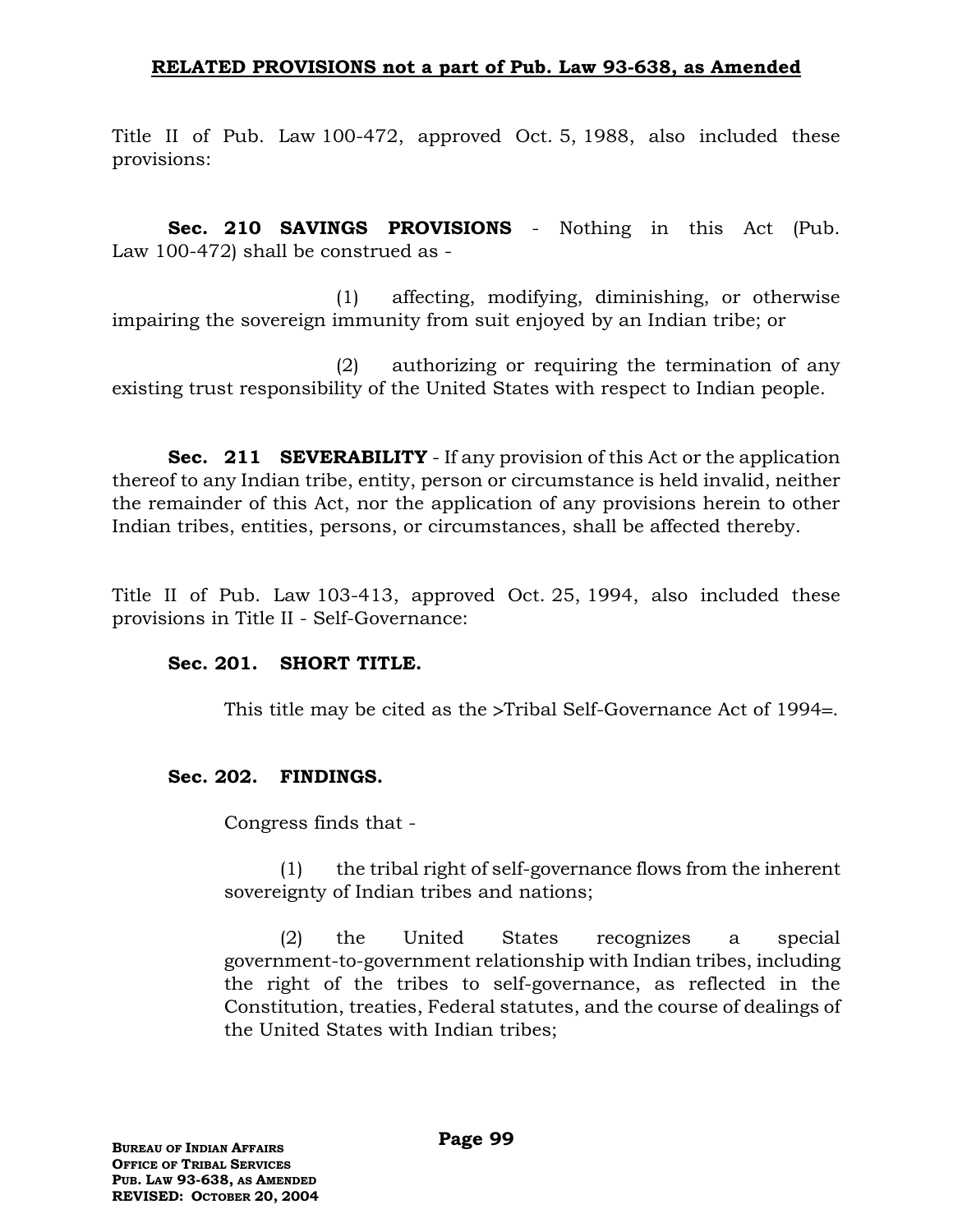## **RELATED PROVISIONS not a part of Pub. Law 93-638, as Amended**

Title II of Pub. Law 100-472, approved Oct. 5, 1988, also included these provisions:

**Sec. 210 SAVINGS PROVISIONS** - Nothing in this Act (Pub. Law 100-472) shall be construed as -

(1) affecting, modifying, diminishing, or otherwise impairing the sovereign immunity from suit enjoyed by an Indian tribe; or

(2) authorizing or requiring the termination of any existing trust responsibility of the United States with respect to Indian people.

**Sec. 211 SEVERABILITY** - If any provision of this Act or the application thereof to any Indian tribe, entity, person or circumstance is held invalid, neither the remainder of this Act, nor the application of any provisions herein to other Indian tribes, entities, persons, or circumstances, shall be affected thereby.

Title II of Pub. Law 103-413, approved Oct. 25, 1994, also included these provisions in Title II - Self-Governance:

#### **Sec. 201. SHORT TITLE.**

This title may be cited as the  $\ge$ Tribal Self-Governance Act of 1994=.

#### **Sec. 202. FINDINGS.**

Congress finds that -

(1) the tribal right of self-governance flows from the inherent sovereignty of Indian tribes and nations;

(2) the United States recognizes a special government-to-government relationship with Indian tribes, including the right of the tribes to self-governance, as reflected in the Constitution, treaties, Federal statutes, and the course of dealings of the United States with Indian tribes;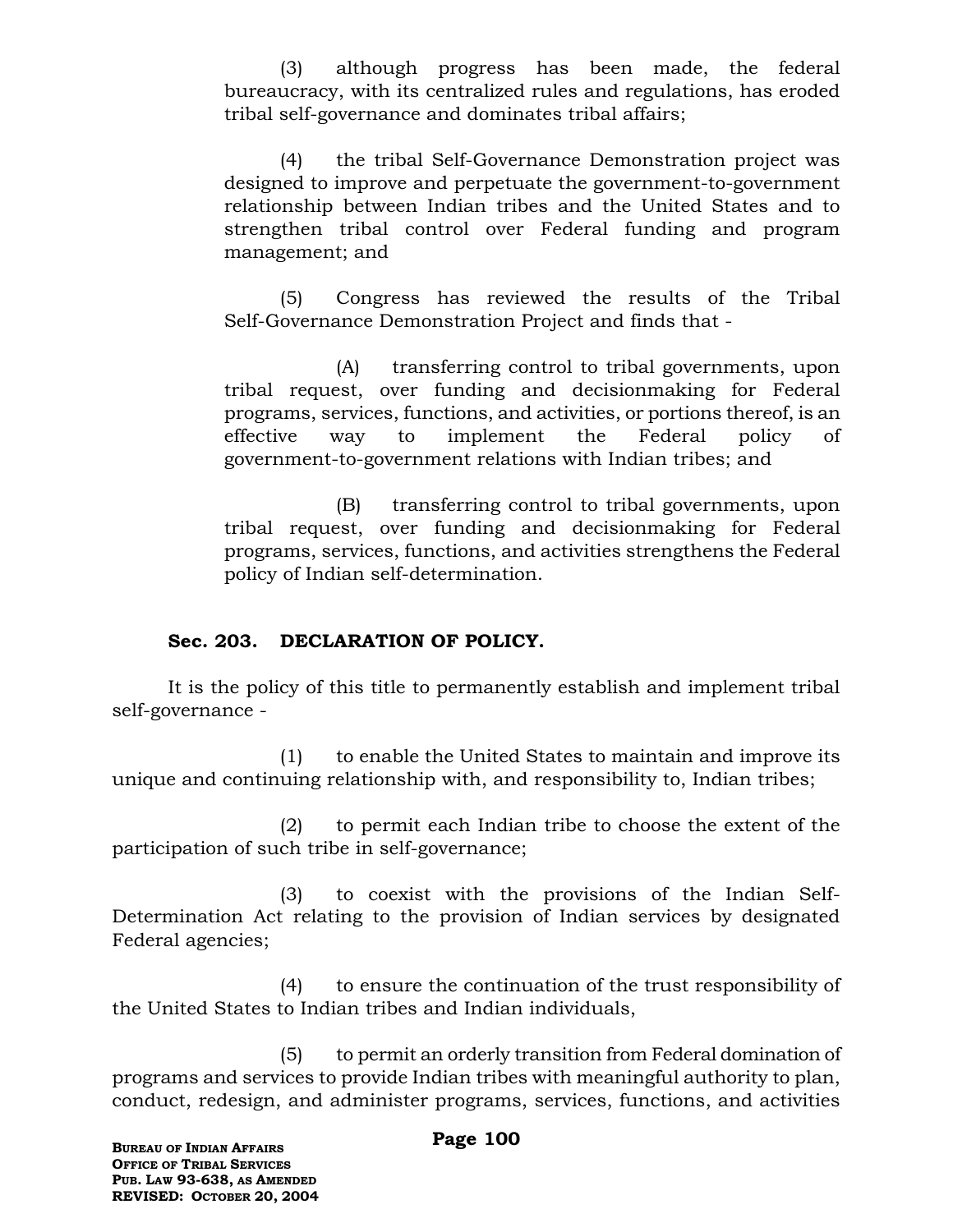(3) although progress has been made, the federal bureaucracy, with its centralized rules and regulations, has eroded tribal self-governance and dominates tribal affairs;

(4) the tribal Self-Governance Demonstration project was designed to improve and perpetuate the government-to-government relationship between Indian tribes and the United States and to strengthen tribal control over Federal funding and program management; and

(5) Congress has reviewed the results of the Tribal Self-Governance Demonstration Project and finds that -

(A) transferring control to tribal governments, upon tribal request, over funding and decisionmaking for Federal programs, services, functions, and activities, or portions thereof, is an effective way to implement the Federal policy of government-to-government relations with Indian tribes; and

(B) transferring control to tribal governments, upon tribal request, over funding and decisionmaking for Federal programs, services, functions, and activities strengthens the Federal policy of Indian self-determination.

#### **Sec. 203. DECLARATION OF POLICY.**

It is the policy of this title to permanently establish and implement tribal self-governance -

(1) to enable the United States to maintain and improve its unique and continuing relationship with, and responsibility to, Indian tribes;

(2) to permit each Indian tribe to choose the extent of the participation of such tribe in self-governance;

(3) to coexist with the provisions of the Indian Self-Determination Act relating to the provision of Indian services by designated Federal agencies;

(4) to ensure the continuation of the trust responsibility of the United States to Indian tribes and Indian individuals,

(5) to permit an orderly transition from Federal domination of programs and services to provide Indian tribes with meaningful authority to plan, conduct, redesign, and administer programs, services, functions, and activities

#### **Page 100**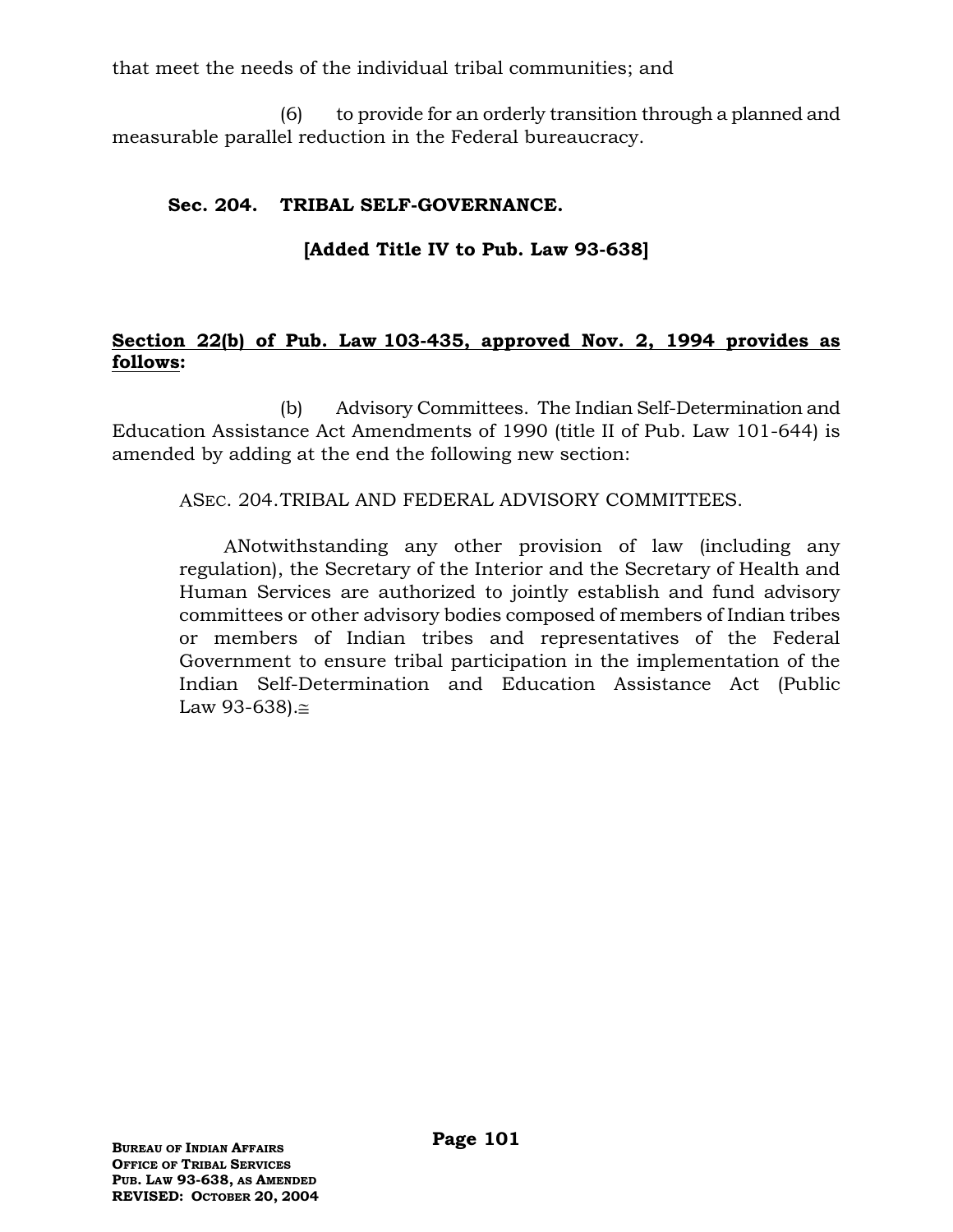that meet the needs of the individual tribal communities; and

(6) to provide for an orderly transition through a planned and measurable parallel reduction in the Federal bureaucracy.

# **Sec. 204. TRIBAL SELF-GOVERNANCE.**

# **[Added Title IV to Pub. Law 93-638]**

### **Section 22(b) of Pub. Law 103-435, approved Nov. 2, 1994 provides as follows:**

(b) Advisory Committees. The Indian Self-Determination and Education Assistance Act Amendments of 1990 (title II of Pub. Law 101-644) is amended by adding at the end the following new section:

ASEC. 204.TRIBAL AND FEDERAL ADVISORY COMMITTEES.

Notwithstanding any other provision of law (including any regulation), the Secretary of the Interior and the Secretary of Health and Human Services are authorized to jointly establish and fund advisory committees or other advisory bodies composed of members of Indian tribes or members of Indian tribes and representatives of the Federal Government to ensure tribal participation in the implementation of the Indian Self-Determination and Education Assistance Act (Public Law  $93-638$ . $\approx$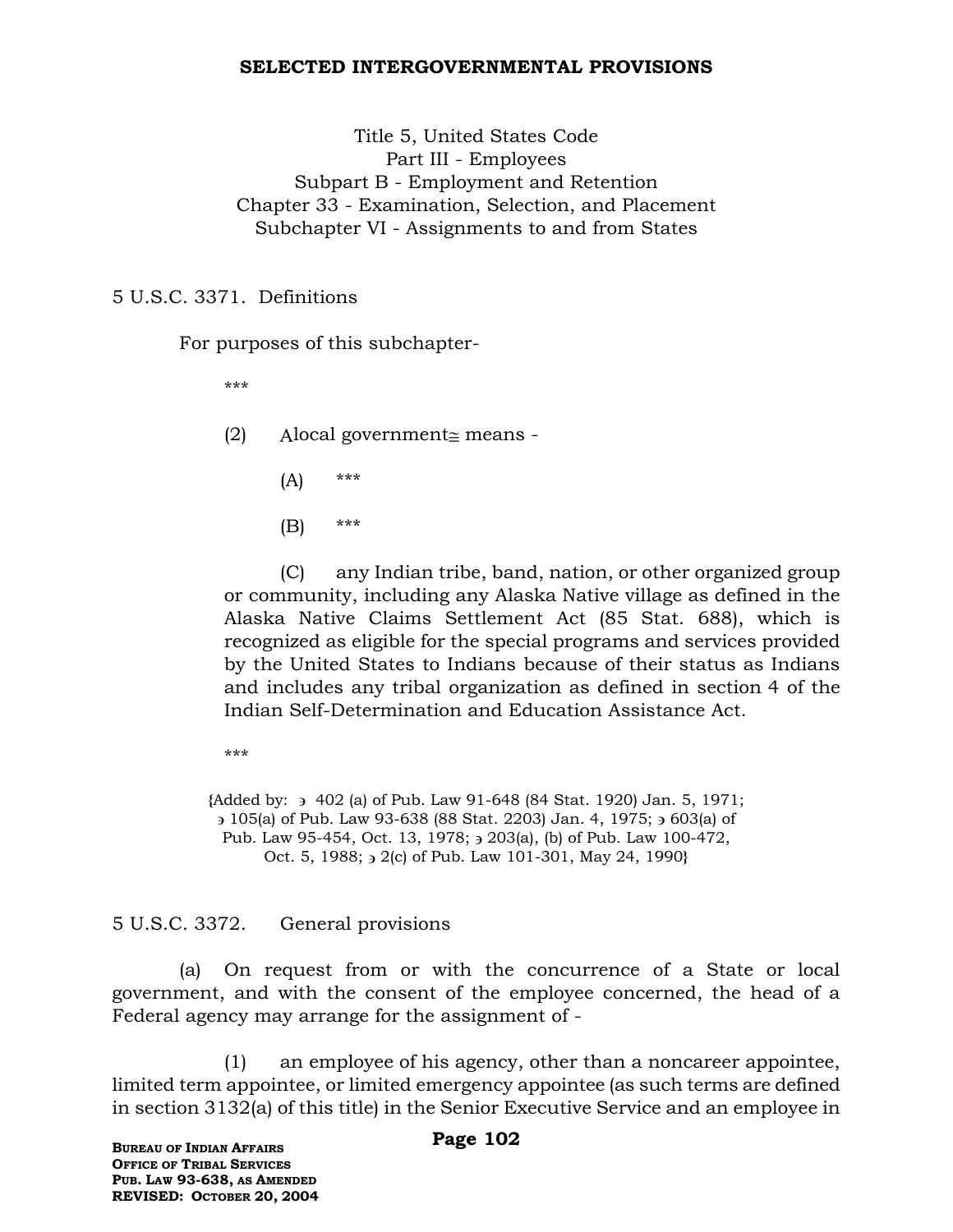#### **SELECTED INTERGOVERNMENTAL PROVISIONS**

Title 5, United States Code Part III - Employees Subpart B - Employment and Retention Chapter 33 - Examination, Selection, and Placement Subchapter VI - Assignments to and from States

5 U.S.C. 3371. Definitions

For purposes of this subchapter-

\*\*\*

- $(2)$  Alocal government means -
	- $(A)$  \*\*\*
	- (B) \*\*\*

(C) any Indian tribe, band, nation, or other organized group or community, including any Alaska Native village as defined in the Alaska Native Claims Settlement Act (85 Stat. 688), which is recognized as eligible for the special programs and services provided by the United States to Indians because of their status as Indians and includes any tribal organization as defined in section 4 of the Indian Self-Determination and Education Assistance Act.

\*\*\*

**{**Added by: 402 (a) of Pub. Law 91-648 (84 Stat. 1920) Jan. 5, 1971; 105(a) of Pub. Law 93-638 (88 Stat. 2203) Jan. 4, 1975; 603(a) of Pub. Law 95-454, Oct. 13, 1978;  $\rightarrow$  203(a), (b) of Pub. Law 100-472, Oct. 5, 1988;  $\frac{1}{2}$  (c) of Pub. Law 101-301, May 24, 1990**}** 

5 U.S.C. 3372. General provisions

(a) On request from or with the concurrence of a State or local government, and with the consent of the employee concerned, the head of a Federal agency may arrange for the assignment of -

(1) an employee of his agency, other than a noncareer appointee, limited term appointee, or limited emergency appointee (as such terms are defined in section 3132(a) of this title) in the Senior Executive Service and an employee in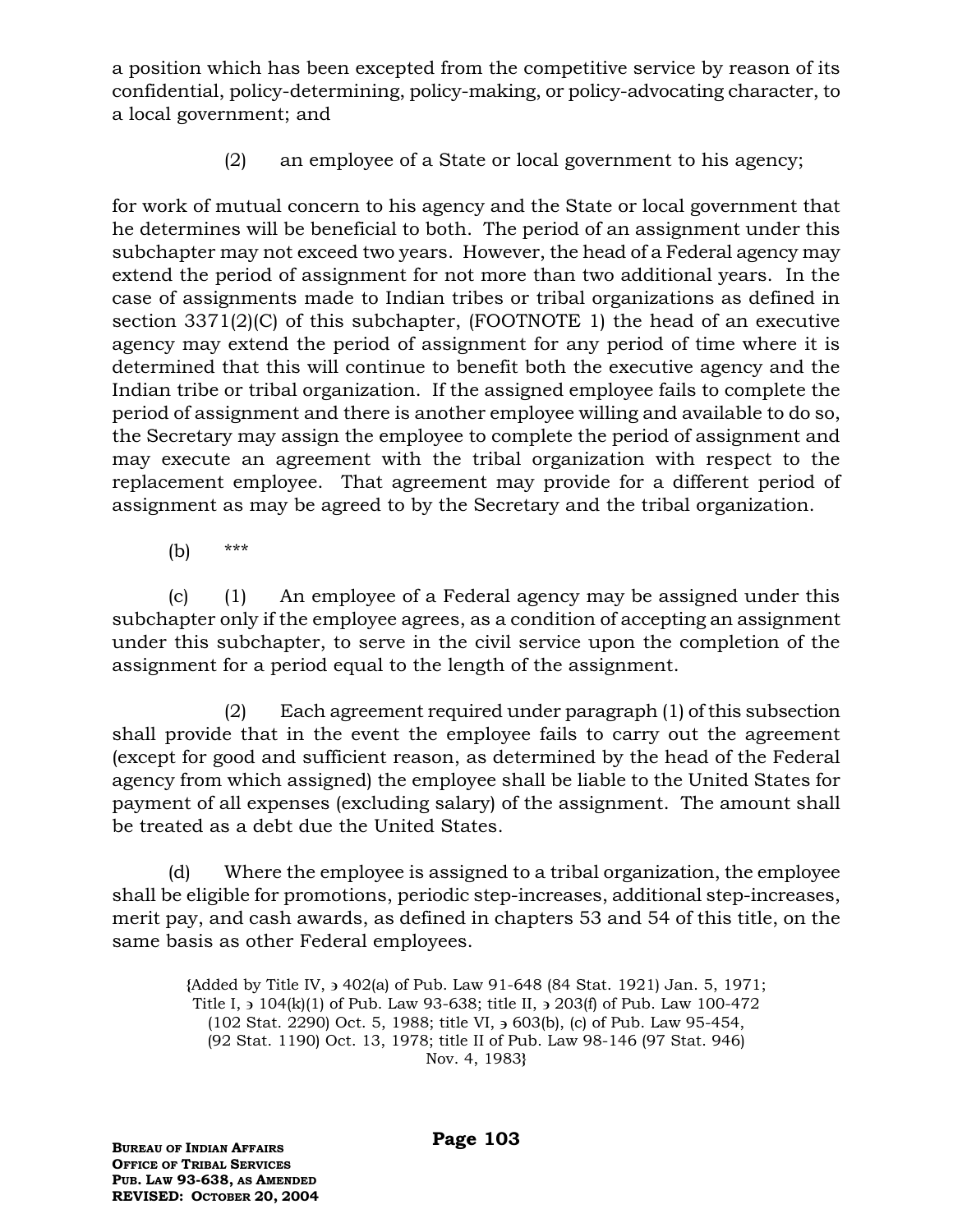a position which has been excepted from the competitive service by reason of its confidential, policy-determining, policy-making, or policy-advocating character, to a local government; and

(2) an employee of a State or local government to his agency;

for work of mutual concern to his agency and the State or local government that he determines will be beneficial to both. The period of an assignment under this subchapter may not exceed two years. However, the head of a Federal agency may extend the period of assignment for not more than two additional years. In the case of assignments made to Indian tribes or tribal organizations as defined in section 3371(2)(C) of this subchapter, (FOOTNOTE 1) the head of an executive agency may extend the period of assignment for any period of time where it is determined that this will continue to benefit both the executive agency and the Indian tribe or tribal organization. If the assigned employee fails to complete the period of assignment and there is another employee willing and available to do so, the Secretary may assign the employee to complete the period of assignment and may execute an agreement with the tribal organization with respect to the replacement employee. That agreement may provide for a different period of assignment as may be agreed to by the Secretary and the tribal organization.

(b) \*\*\*

(c) (1) An employee of a Federal agency may be assigned under this subchapter only if the employee agrees, as a condition of accepting an assignment under this subchapter, to serve in the civil service upon the completion of the assignment for a period equal to the length of the assignment.

(2) Each agreement required under paragraph (1) of this subsection shall provide that in the event the employee fails to carry out the agreement (except for good and sufficient reason, as determined by the head of the Federal agency from which assigned) the employee shall be liable to the United States for payment of all expenses (excluding salary) of the assignment. The amount shall be treated as a debt due the United States.

(d) Where the employee is assigned to a tribal organization, the employee shall be eligible for promotions, periodic step-increases, additional step-increases, merit pay, and cash awards, as defined in chapters 53 and 54 of this title, on the same basis as other Federal employees.

> **{**Added by Title IV, 402(a) of Pub. Law 91-648 (84 Stat. 1921) Jan. 5, 1971; Title I,  $\frac{1}{2}$  104(k)(1) of Pub. Law 93-638; title II,  $\frac{1}{2}$  203(f) of Pub. Law 100-472 (102 Stat. 2290) Oct. 5, 1988; title VI,  $\frac{1}{2}$  603(b), (c) of Pub. Law 95-454, (92 Stat. 1190) Oct. 13, 1978; title II of Pub. Law 98-146 (97 Stat. 946) Nov. 4, 1983**}**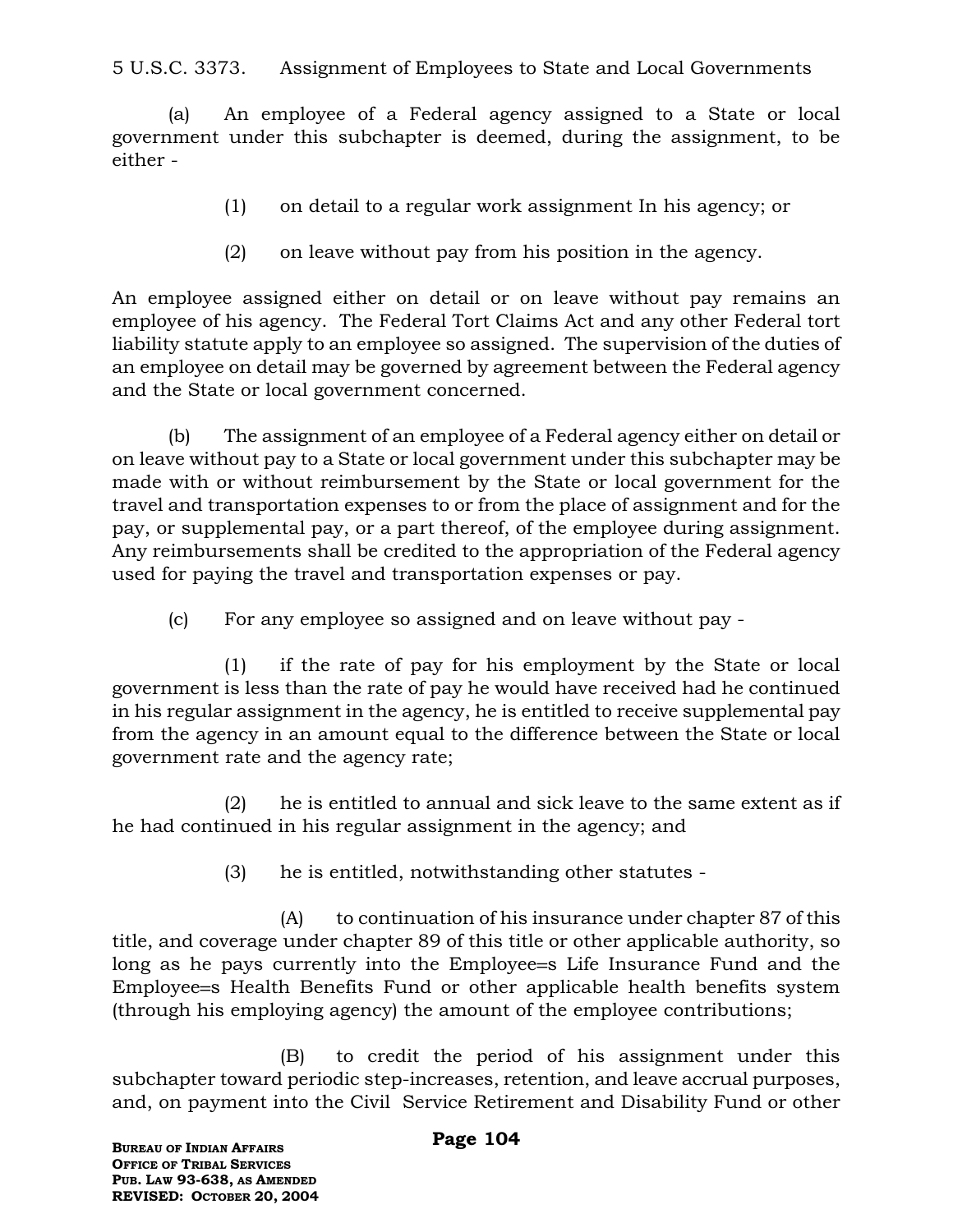5 U.S.C. 3373. Assignment of Employees to State and Local Governments

(a) An employee of a Federal agency assigned to a State or local government under this subchapter is deemed, during the assignment, to be either -

- (1) on detail to a regular work assignment In his agency; or
- (2) on leave without pay from his position in the agency.

An employee assigned either on detail or on leave without pay remains an employee of his agency. The Federal Tort Claims Act and any other Federal tort liability statute apply to an employee so assigned. The supervision of the duties of an employee on detail may be governed by agreement between the Federal agency and the State or local government concerned.

(b) The assignment of an employee of a Federal agency either on detail or on leave without pay to a State or local government under this subchapter may be made with or without reimbursement by the State or local government for the travel and transportation expenses to or from the place of assignment and for the pay, or supplemental pay, or a part thereof, of the employee during assignment. Any reimbursements shall be credited to the appropriation of the Federal agency used for paying the travel and transportation expenses or pay.

(c) For any employee so assigned and on leave without pay -

(1) if the rate of pay for his employment by the State or local government is less than the rate of pay he would have received had he continued in his regular assignment in the agency, he is entitled to receive supplemental pay from the agency in an amount equal to the difference between the State or local government rate and the agency rate;

(2) he is entitled to annual and sick leave to the same extent as if he had continued in his regular assignment in the agency; and

(3) he is entitled, notwithstanding other statutes -

(A) to continuation of his insurance under chapter 87 of this title, and coverage under chapter 89 of this title or other applicable authority, so long as he pays currently into the Employee=s Life Insurance Fund and the Employee s Health Benefits Fund or other applicable health benefits system (through his employing agency) the amount of the employee contributions;

(B) to credit the period of his assignment under this subchapter toward periodic step-increases, retention, and leave accrual purposes, and, on payment into the Civil Service Retirement and Disability Fund or other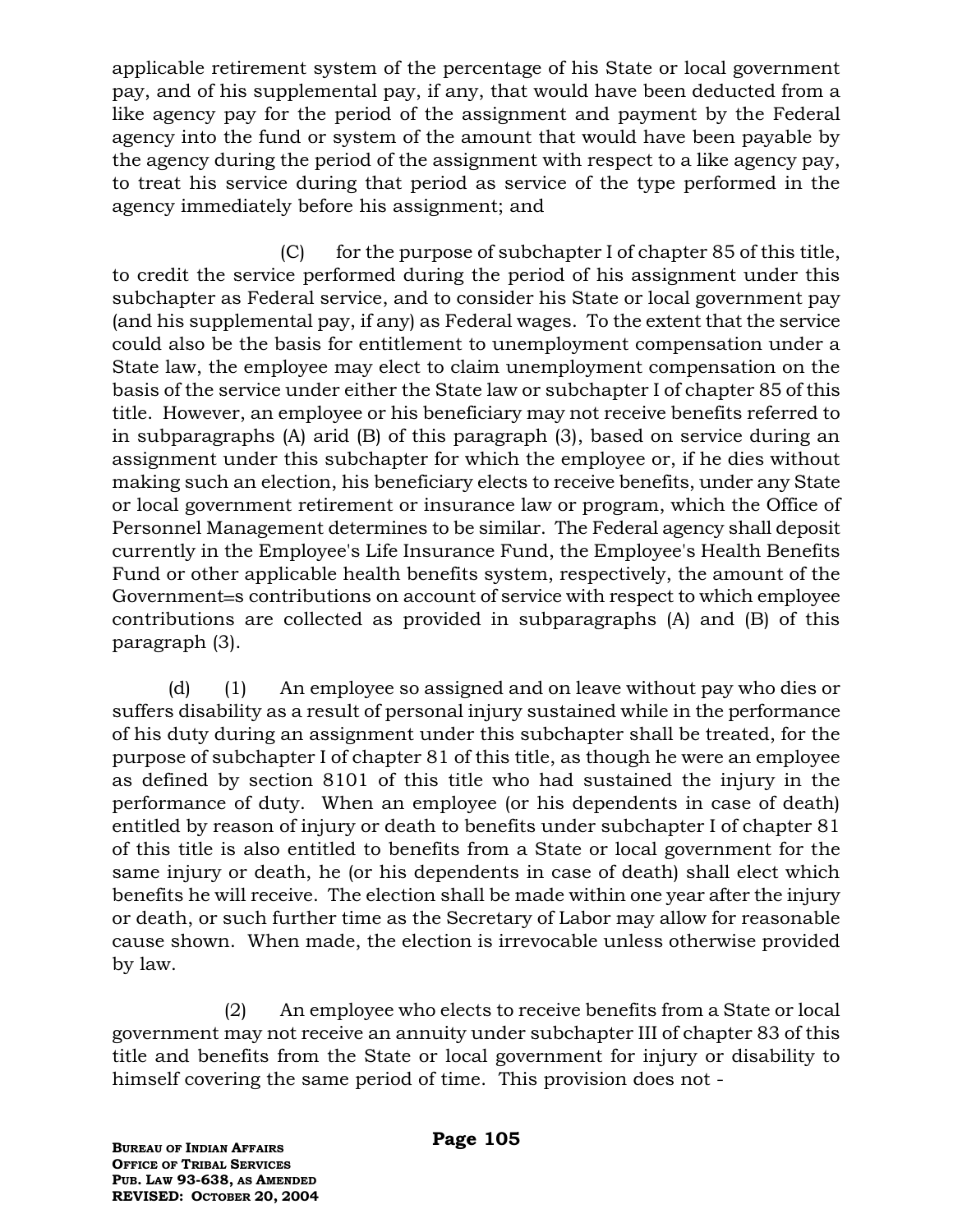applicable retirement system of the percentage of his State or local government pay, and of his supplemental pay, if any, that would have been deducted from a like agency pay for the period of the assignment and payment by the Federal agency into the fund or system of the amount that would have been payable by the agency during the period of the assignment with respect to a like agency pay, to treat his service during that period as service of the type performed in the agency immediately before his assignment; and

 $(C)$  for the purpose of subchapter I of chapter 85 of this title, to credit the service performed during the period of his assignment under this subchapter as Federal service, and to consider his State or local government pay (and his supplemental pay, if any) as Federal wages. To the extent that the service could also be the basis for entitlement to unemployment compensation under a State law, the employee may elect to claim unemployment compensation on the basis of the service under either the State law or subchapter I of chapter 85 of this title. However, an employee or his beneficiary may not receive benefits referred to in subparagraphs (A) arid (B) of this paragraph (3), based on service during an assignment under this subchapter for which the employee or, if he dies without making such an election, his beneficiary elects to receive benefits, under any State or local government retirement or insurance law or program, which the Office of Personnel Management determines to be similar. The Federal agency shall deposit currently in the Employee's Life Insurance Fund, the Employee's Health Benefits Fund or other applicable health benefits system, respectively, the amount of the Government=s contributions on account of service with respect to which employee contributions are collected as provided in subparagraphs (A) and (B) of this paragraph (3).

(d) (1) An employee so assigned and on leave without pay who dies or suffers disability as a result of personal injury sustained while in the performance of his duty during an assignment under this subchapter shall be treated, for the purpose of subchapter I of chapter 81 of this title, as though he were an employee as defined by section 8101 of this title who had sustained the injury in the performance of duty. When an employee (or his dependents in case of death) entitled by reason of injury or death to benefits under subchapter I of chapter 81 of this title is also entitled to benefits from a State or local government for the same injury or death, he (or his dependents in case of death) shall elect which benefits he will receive. The election shall be made within one year after the injury or death, or such further time as the Secretary of Labor may allow for reasonable cause shown. When made, the election is irrevocable unless otherwise provided by law.

(2) An employee who elects to receive benefits from a State or local government may not receive an annuity under subchapter III of chapter 83 of this title and benefits from the State or local government for injury or disability to himself covering the same period of time. This provision does not -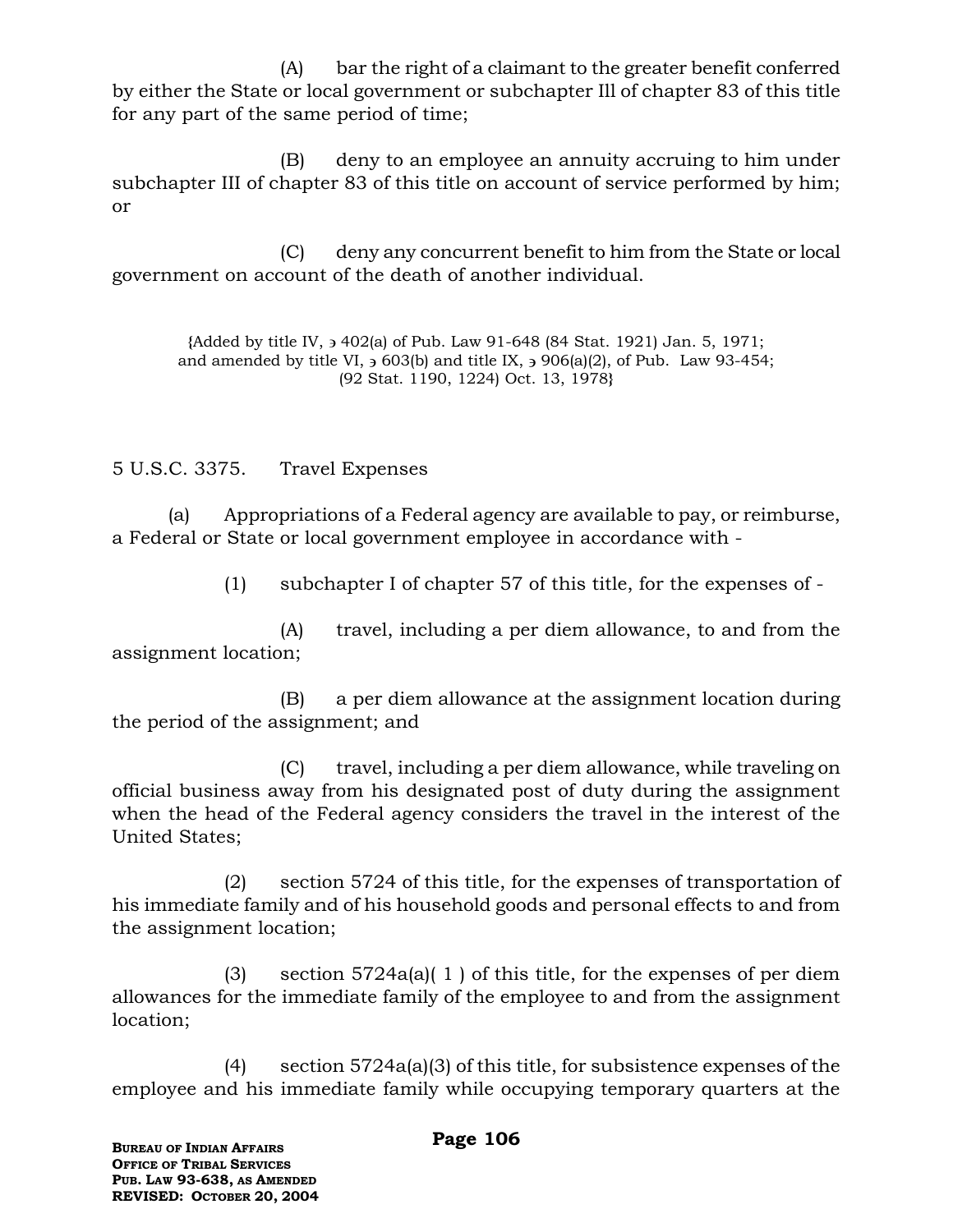(A) bar the right of a claimant to the greater benefit conferred by either the State or local government or subchapter Ill of chapter 83 of this title for any part of the same period of time;

(B) deny to an employee an annuity accruing to him under subchapter III of chapter 83 of this title on account of service performed by him; or

(C) deny any concurrent benefit to him from the State or local government on account of the death of another individual.

**{**Added by title IV, 402(a) of Pub. Law 91-648 (84 Stat. 1921) Jan. 5, 1971; and amended by title VI,  $\frac{1}{2}$  603(b) and title IX,  $\frac{1}{2}$  906(a)(2), of Pub. Law 93-454; (92 Stat. 1190, 1224) Oct. 13, 1978**}**

5 U.S.C. 3375. Travel Expenses

(a) Appropriations of a Federal agency are available to pay, or reimburse, a Federal or State or local government employee in accordance with -

(1) subchapter I of chapter 57 of this title, for the expenses of -

(A) travel, including a per diem allowance, to and from the assignment location;

(B) a per diem allowance at the assignment location during the period of the assignment; and

(C) travel, including a per diem allowance, while traveling on official business away from his designated post of duty during the assignment when the head of the Federal agency considers the travel in the interest of the United States;

(2) section 5724 of this title, for the expenses of transportation of his immediate family and of his household goods and personal effects to and from the assignment location;

(3) section 5724a(a)( 1 ) of this title, for the expenses of per diem allowances for the immediate family of the employee to and from the assignment location;

(4) section 5724a(a)(3) of this title, for subsistence expenses of the employee and his immediate family while occupying temporary quarters at the